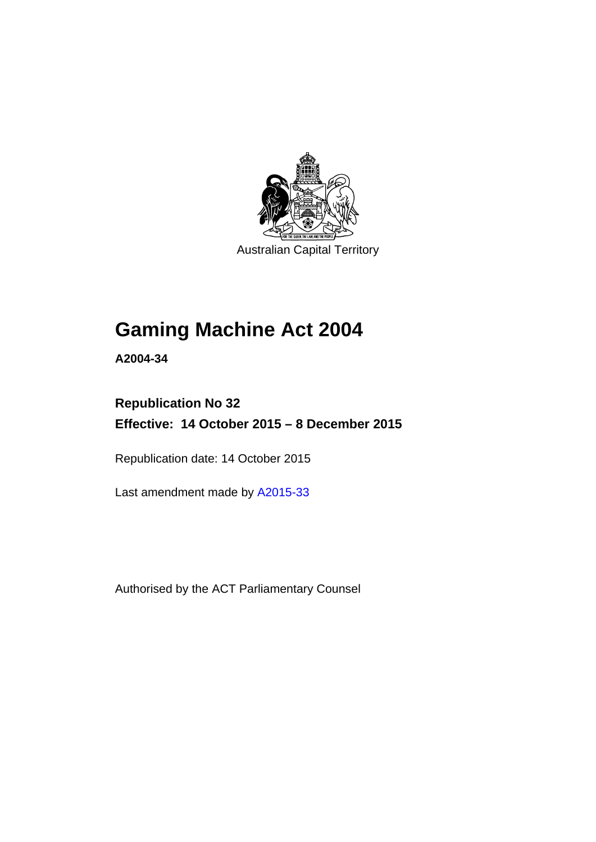

Australian Capital Territory

# **Gaming Machine Act 2004**

**A2004-34** 

# **Republication No 32 Effective: 14 October 2015 – 8 December 2015**

Republication date: 14 October 2015

Last amendment made by [A2015-33](http://www.legislation.act.gov.au/a/2015-33)

Authorised by the ACT Parliamentary Counsel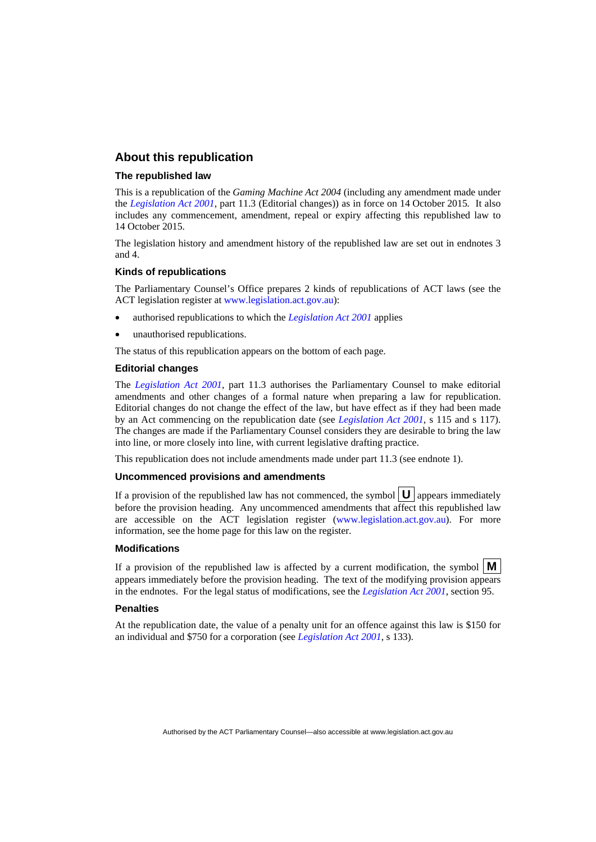### **About this republication**

### **The republished law**

This is a republication of the *Gaming Machine Act 2004* (including any amendment made under the *[Legislation Act 2001](http://www.legislation.act.gov.au/a/2001-14)*, part 11.3 (Editorial changes)) as in force on 14 October 2015*.* It also includes any commencement, amendment, repeal or expiry affecting this republished law to 14 October 2015.

The legislation history and amendment history of the republished law are set out in endnotes 3 and 4.

### **Kinds of republications**

The Parliamentary Counsel's Office prepares 2 kinds of republications of ACT laws (see the ACT legislation register at [www.legislation.act.gov.au](http://www.legislation.act.gov.au/)):

- authorised republications to which the *[Legislation Act 2001](http://www.legislation.act.gov.au/a/2001-14)* applies
- unauthorised republications.

The status of this republication appears on the bottom of each page.

#### **Editorial changes**

The *[Legislation Act 2001](http://www.legislation.act.gov.au/a/2001-14)*, part 11.3 authorises the Parliamentary Counsel to make editorial amendments and other changes of a formal nature when preparing a law for republication. Editorial changes do not change the effect of the law, but have effect as if they had been made by an Act commencing on the republication date (see *[Legislation Act 2001](http://www.legislation.act.gov.au/a/2001-14)*, s 115 and s 117). The changes are made if the Parliamentary Counsel considers they are desirable to bring the law into line, or more closely into line, with current legislative drafting practice.

This republication does not include amendments made under part 11.3 (see endnote 1).

#### **Uncommenced provisions and amendments**

If a provision of the republished law has not commenced, the symbol  $\mathbf{U}$  appears immediately before the provision heading. Any uncommenced amendments that affect this republished law are accessible on the ACT legislation register [\(www.legislation.act.gov.au\)](http://www.legislation.act.gov.au/). For more information, see the home page for this law on the register.

#### **Modifications**

If a provision of the republished law is affected by a current modification, the symbol  $\mathbf{M}$ appears immediately before the provision heading. The text of the modifying provision appears in the endnotes. For the legal status of modifications, see the *[Legislation Act 2001](http://www.legislation.act.gov.au/a/2001-14)*, section 95.

#### **Penalties**

At the republication date, the value of a penalty unit for an offence against this law is \$150 for an individual and \$750 for a corporation (see *[Legislation Act 2001](http://www.legislation.act.gov.au/a/2001-14)*, s 133).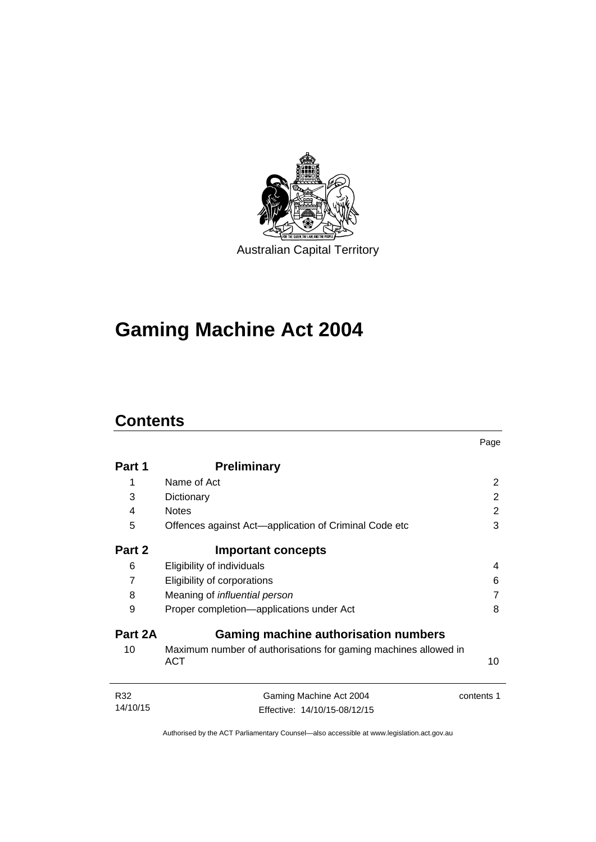

# **Gaming Machine Act 2004**

# **Contents**

|          |                                                                               | Page       |
|----------|-------------------------------------------------------------------------------|------------|
| Part 1   | <b>Preliminary</b>                                                            |            |
| 1        | Name of Act                                                                   | 2          |
| 3        | Dictionary                                                                    | 2          |
| 4        | <b>Notes</b>                                                                  | 2          |
| 5        | Offences against Act—application of Criminal Code etc                         | 3          |
| Part 2   | <b>Important concepts</b>                                                     |            |
| 6        | Eligibility of individuals                                                    | 4          |
| 7        | Eligibility of corporations                                                   | 6          |
| 8        | Meaning of <i>influential</i> person                                          | 7          |
| 9        | Proper completion-applications under Act                                      | 8          |
| Part 2A  | Gaming machine authorisation numbers                                          |            |
| 10       | Maximum number of authorisations for gaming machines allowed in<br><b>ACT</b> | 10         |
| R32      | Gaming Machine Act 2004                                                       | contents 1 |
| 14/10/15 | Effective: 14/10/15-08/12/15                                                  |            |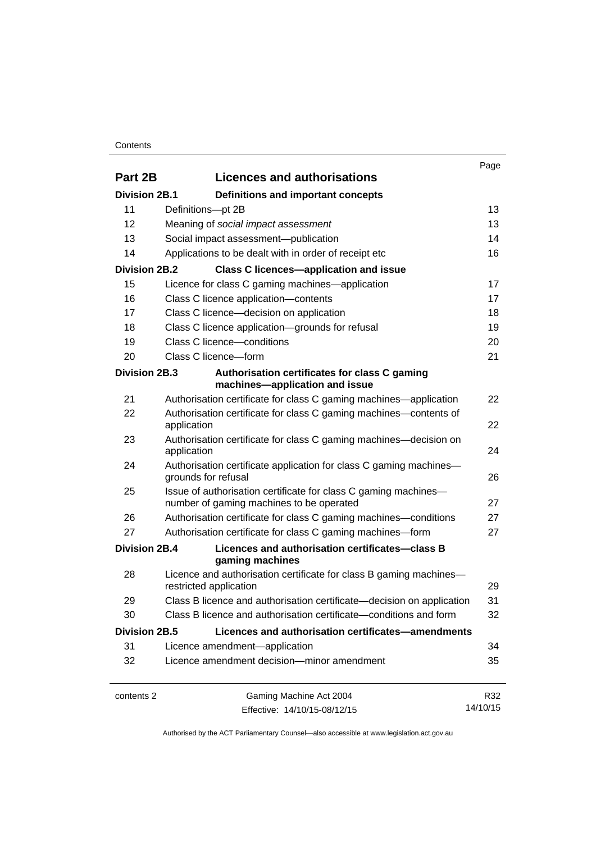### **Contents**

|                      |                                                                                                             | Page     |
|----------------------|-------------------------------------------------------------------------------------------------------------|----------|
| Part 2B              | <b>Licences and authorisations</b>                                                                          |          |
| <b>Division 2B.1</b> | Definitions and important concepts                                                                          |          |
| 11                   | Definitions-pt 2B                                                                                           | 13       |
| 12                   | Meaning of social impact assessment                                                                         | 13       |
| 13                   | Social impact assessment-publication                                                                        | 14       |
| 14                   | Applications to be dealt with in order of receipt etc                                                       | 16       |
| <b>Division 2B.2</b> | <b>Class C licences-application and issue</b>                                                               |          |
| 15                   | Licence for class C gaming machines—application                                                             | 17       |
| 16                   | Class C licence application-contents                                                                        | 17       |
| 17                   | Class C licence-decision on application                                                                     | 18       |
| 18                   | Class C licence application-grounds for refusal                                                             | 19       |
| 19                   | Class C licence-conditions                                                                                  | 20       |
| 20                   | Class C licence-form                                                                                        | 21       |
| Division 2B.3        | Authorisation certificates for class C gaming<br>machines-application and issue                             |          |
| 21                   | Authorisation certificate for class C gaming machines—application                                           | 22       |
| 22                   | Authorisation certificate for class C gaming machines—contents of<br>application                            | 22       |
| 23                   | Authorisation certificate for class C gaming machines—decision on<br>application                            | 24       |
| 24                   | Authorisation certificate application for class C gaming machines-<br>grounds for refusal                   | 26       |
| 25                   | Issue of authorisation certificate for class C gaming machines-<br>number of gaming machines to be operated | 27       |
| 26                   | Authorisation certificate for class C gaming machines—conditions                                            | 27       |
| 27                   | Authorisation certificate for class C gaming machines-form                                                  | 27       |
| Division 2B.4        | Licences and authorisation certificates-class B<br>gaming machines                                          |          |
| 28                   | Licence and authorisation certificate for class B gaming machines-<br>restricted application                | 29       |
| 29                   | Class B licence and authorisation certificate-decision on application                                       | 31       |
| 30                   | Class B licence and authorisation certificate—conditions and form                                           | 32       |
| <b>Division 2B.5</b> | Licences and authorisation certificates-amendments                                                          |          |
| 31                   | Licence amendment-application                                                                               | 34       |
| 32                   | Licence amendment decision-minor amendment                                                                  | 35       |
| contents 2           | Gaming Machine Act 2004                                                                                     | R32      |
|                      | Effective: 14/10/15-08/12/15                                                                                | 14/10/15 |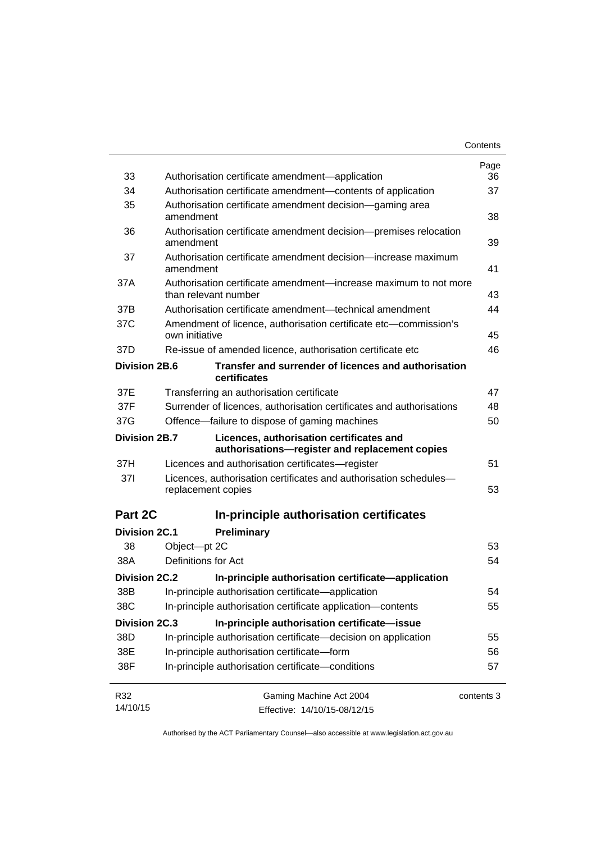|                      |                                                                                            | Contents   |
|----------------------|--------------------------------------------------------------------------------------------|------------|
|                      |                                                                                            | Page       |
| 33                   | Authorisation certificate amendment-application                                            | 36         |
| 34                   | Authorisation certificate amendment-contents of application                                | 37         |
| 35                   | Authorisation certificate amendment decision—gaming area<br>amendment                      | 38         |
| 36                   | Authorisation certificate amendment decision-premises relocation<br>amendment              | 39         |
| 37                   | Authorisation certificate amendment decision—increase maximum<br>amendment                 | 41         |
| 37A                  | Authorisation certificate amendment—increase maximum to not more<br>than relevant number   | 43         |
| 37B                  | Authorisation certificate amendment—technical amendment                                    | 44         |
| 37C                  | Amendment of licence, authorisation certificate etc—commission's<br>own initiative         | 45         |
| 37D                  | Re-issue of amended licence, authorisation certificate etc                                 | 46         |
| <b>Division 2B.6</b> | Transfer and surrender of licences and authorisation<br>certificates                       |            |
| 37E                  | Transferring an authorisation certificate                                                  | 47         |
| 37F                  | Surrender of licences, authorisation certificates and authorisations                       | 48         |
| 37G                  | Offence-failure to dispose of gaming machines                                              | 50         |
| Division 2B.7        | Licences, authorisation certificates and<br>authorisations-register and replacement copies |            |
| 37H                  | Licences and authorisation certificates—register                                           | 51         |
| 371                  | Licences, authorisation certificates and authorisation schedules-<br>replacement copies    | 53         |
| Part 2C              | In-principle authorisation certificates                                                    |            |
| <b>Division 2C.1</b> | Preliminary                                                                                |            |
| 38                   | Object-pt 2C                                                                               | 53         |
| 38A                  | Definitions for Act                                                                        | 54         |
| Division 2C.2        | In-principle authorisation certificate—application                                         |            |
| 38B                  | In-principle authorisation certificate-application                                         | 54         |
| 38C                  | In-principle authorisation certificate application-contents                                | 55         |
| <b>Division 2C.3</b> | In-principle authorisation certificate-issue                                               |            |
| 38D                  | In-principle authorisation certificate-decision on application                             | 55         |
| 38E                  | In-principle authorisation certificate-form                                                | 56         |
| 38F                  | In-principle authorisation certificate-conditions                                          | 57         |
| R32                  | Gaming Machine Act 2004                                                                    | contents 3 |
| 14/10/15             | Effective: 14/10/15-08/12/15                                                               |            |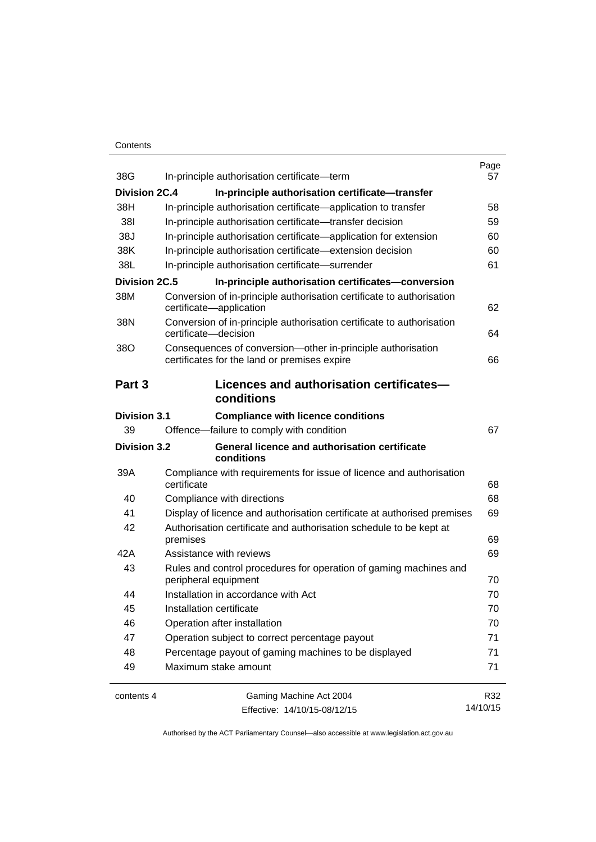### **Contents**

| 38G                  | In-principle authorisation certificate-term                                                                 | Page<br>57 |
|----------------------|-------------------------------------------------------------------------------------------------------------|------------|
| Division 2C.4        | In-principle authorisation certificate-transfer                                                             |            |
| 38H                  | In-principle authorisation certificate—application to transfer                                              | 58         |
| 381                  | In-principle authorisation certificate-transfer decision                                                    | 59         |
| 38J                  | In-principle authorisation certificate—application for extension                                            | 60         |
| 38K                  | In-principle authorisation certificate-extension decision                                                   | 60         |
| 38L                  | In-principle authorisation certificate-surrender                                                            | 61         |
| <b>Division 2C.5</b> | In-principle authorisation certificates-conversion                                                          |            |
| 38M                  | Conversion of in-principle authorisation certificate to authorisation                                       |            |
|                      | certificate-application                                                                                     | 62         |
| 38N                  | Conversion of in-principle authorisation certificate to authorisation<br>certificate-decision               | 64         |
| 38O                  | Consequences of conversion-other in-principle authorisation<br>certificates for the land or premises expire | 66         |
| Part 3               | Licences and authorisation certificates-                                                                    |            |
|                      | conditions                                                                                                  |            |
| <b>Division 3.1</b>  | <b>Compliance with licence conditions</b>                                                                   |            |
| 39                   | Offence-failure to comply with condition                                                                    | 67         |
| <b>Division 3.2</b>  | <b>General licence and authorisation certificate</b><br>conditions                                          |            |
| 39A                  | Compliance with requirements for issue of licence and authorisation<br>certificate                          | 68         |
| 40                   | Compliance with directions                                                                                  | 68         |
| 41                   | Display of licence and authorisation certificate at authorised premises                                     | 69         |
| 42                   | Authorisation certificate and authorisation schedule to be kept at                                          |            |
|                      | premises                                                                                                    | 69         |
| 42A                  | Assistance with reviews                                                                                     | 69         |
| 43                   | Rules and control procedures for operation of gaming machines and<br>peripheral equipment                   | 70         |
| 44                   | Installation in accordance with Act                                                                         | 70         |
| 45                   | Installation certificate                                                                                    | 70         |
| 46                   | Operation after installation                                                                                | 70         |
| 47                   | Operation subject to correct percentage payout                                                              | 71         |
| 48                   | Percentage payout of gaming machines to be displayed                                                        | 71         |
| 49                   | Maximum stake amount                                                                                        | 71         |
| contents 4           | Gaming Machine Act 2004                                                                                     | R32        |
|                      | Effective: 14/10/15-08/12/15                                                                                | 14/10/15   |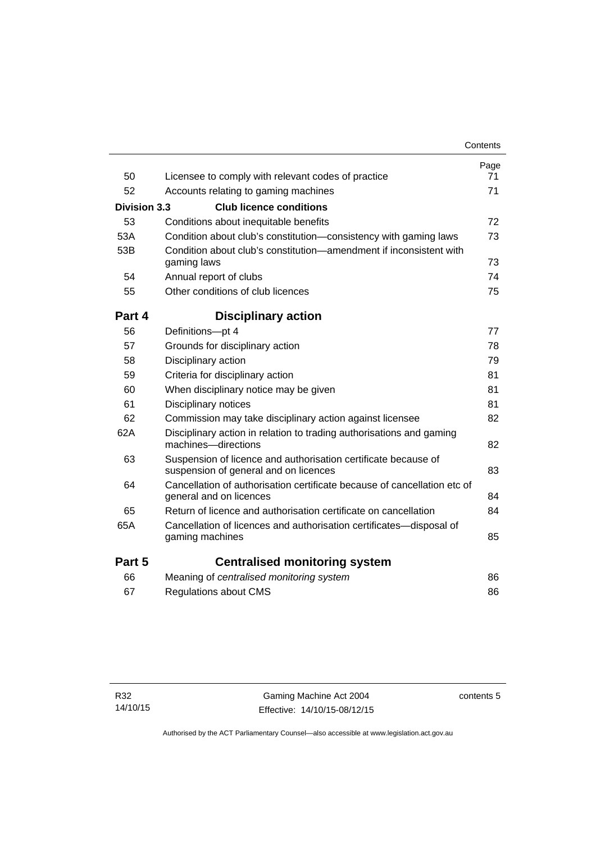|                     |                                                                                                         | Contents   |
|---------------------|---------------------------------------------------------------------------------------------------------|------------|
| 50                  | Licensee to comply with relevant codes of practice                                                      | Page<br>71 |
| 52                  | Accounts relating to gaming machines                                                                    | 71         |
| <b>Division 3.3</b> | <b>Club licence conditions</b>                                                                          |            |
| 53                  |                                                                                                         | 72         |
|                     | Conditions about inequitable benefits                                                                   |            |
| 53A                 | Condition about club's constitution-consistency with gaming laws                                        | 73         |
| 53B                 | Condition about club's constitution-amendment if inconsistent with<br>gaming laws                       | 73         |
| 54                  | Annual report of clubs                                                                                  | 74         |
| 55                  | Other conditions of club licences                                                                       | 75         |
| Part 4              | <b>Disciplinary action</b>                                                                              |            |
| 56                  | Definitions-pt 4                                                                                        | 77         |
| 57                  | Grounds for disciplinary action                                                                         | 78         |
| 58                  | Disciplinary action                                                                                     | 79         |
| 59                  | Criteria for disciplinary action                                                                        | 81         |
| 60                  | When disciplinary notice may be given                                                                   | 81         |
| 61                  | Disciplinary notices                                                                                    | 81         |
| 62                  | Commission may take disciplinary action against licensee                                                | 82         |
| 62A                 | Disciplinary action in relation to trading authorisations and gaming<br>machines-directions             | 82         |
| 63                  | Suspension of licence and authorisation certificate because of<br>suspension of general and on licences | 83         |
| 64                  | Cancellation of authorisation certificate because of cancellation etc of<br>general and on licences     | 84         |
| 65                  | Return of licence and authorisation certificate on cancellation                                         | 84         |
| 65A                 | Cancellation of licences and authorisation certificates-disposal of<br>gaming machines                  | 85         |
| Part 5              | <b>Centralised monitoring system</b>                                                                    |            |
| 66                  | Meaning of centralised monitoring system                                                                | 86         |
| 67                  | Regulations about CMS                                                                                   | 86         |
|                     |                                                                                                         |            |

contents 5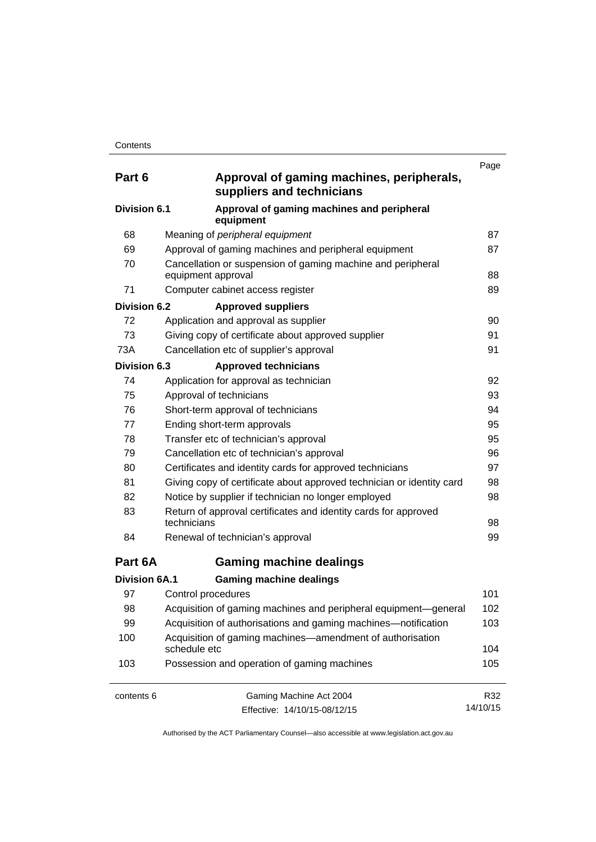| Part 6               | Approval of gaming machines, peripherals,<br>suppliers and technicians            | Page     |
|----------------------|-----------------------------------------------------------------------------------|----------|
| Division 6.1         | Approval of gaming machines and peripheral<br>equipment                           |          |
| 68                   | Meaning of peripheral equipment                                                   | 87       |
| 69                   | Approval of gaming machines and peripheral equipment                              | 87       |
| 70                   | Cancellation or suspension of gaming machine and peripheral<br>equipment approval | 88       |
| 71                   | Computer cabinet access register                                                  | 89       |
| <b>Division 6.2</b>  | <b>Approved suppliers</b>                                                         |          |
| 72                   | Application and approval as supplier                                              | 90       |
| 73                   | Giving copy of certificate about approved supplier                                | 91       |
| 73A                  | Cancellation etc of supplier's approval                                           | 91       |
| <b>Division 6.3</b>  | <b>Approved technicians</b>                                                       |          |
| 74                   | Application for approval as technician                                            | 92       |
| 75                   | Approval of technicians                                                           | 93       |
| 76                   | Short-term approval of technicians                                                | 94       |
| 77                   | Ending short-term approvals                                                       | 95       |
| 78                   | Transfer etc of technician's approval                                             | 95       |
| 79                   | Cancellation etc of technician's approval                                         | 96       |
| 80                   | Certificates and identity cards for approved technicians                          | 97       |
| 81                   | Giving copy of certificate about approved technician or identity card             | 98       |
| 82                   | Notice by supplier if technician no longer employed                               | 98       |
| 83                   | Return of approval certificates and identity cards for approved<br>technicians    | 98       |
| 84                   | Renewal of technician's approval                                                  | 99       |
| Part 6A              | <b>Gaming machine dealings</b>                                                    |          |
| <b>Division 6A.1</b> | <b>Gaming machine dealings</b>                                                    |          |
| 97                   | Control procedures                                                                | 101      |
| 98                   | Acquisition of gaming machines and peripheral equipment-general                   | 102      |
| 99                   | Acquisition of authorisations and gaming machines—notification                    | 103      |
| 100                  | Acquisition of gaming machines—amendment of authorisation<br>schedule etc         | 104      |
| 103                  | Possession and operation of gaming machines                                       | 105      |
| contents 6           | Gaming Machine Act 2004                                                           | R32      |
|                      | Effective: 14/10/15-08/12/15                                                      | 14/10/15 |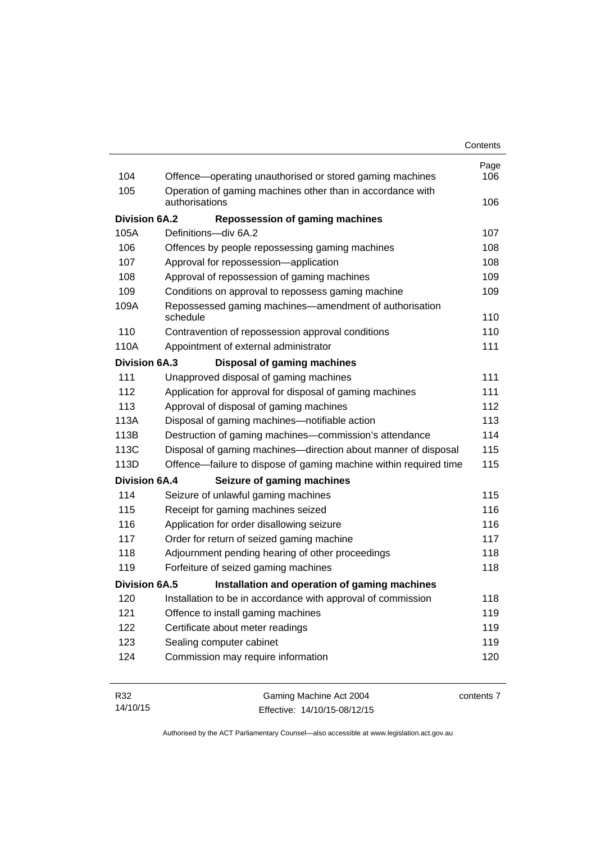| Contents |
|----------|
|----------|

| 104                  | Offence-operating unauthorised or stored gaming machines           | Page<br>106 |
|----------------------|--------------------------------------------------------------------|-------------|
| 105                  | Operation of gaming machines other than in accordance with         |             |
|                      | authorisations                                                     | 106         |
| <b>Division 6A.2</b> | <b>Repossession of gaming machines</b>                             |             |
| 105A                 | Definitions-div 6A.2                                               | 107         |
| 106                  | Offences by people repossessing gaming machines                    | 108         |
| 107                  | Approval for repossession-application                              | 108         |
| 108                  | Approval of repossession of gaming machines                        | 109         |
| 109                  | Conditions on approval to repossess gaming machine                 | 109         |
| 109A                 | Repossessed gaming machines—amendment of authorisation<br>schedule | 110         |
| 110                  | Contravention of repossession approval conditions                  | 110         |
| 110A                 | Appointment of external administrator                              | 111         |
| <b>Division 6A.3</b> | <b>Disposal of gaming machines</b>                                 |             |
| 111                  | Unapproved disposal of gaming machines                             | 111         |
| 112                  | Application for approval for disposal of gaming machines           | 111         |
| 113                  | Approval of disposal of gaming machines                            | 112         |
| 113A                 | Disposal of gaming machines-notifiable action                      | 113         |
| 113B                 | Destruction of gaming machines-commission's attendance             | 114         |
| 113C                 | Disposal of gaming machines—direction about manner of disposal     | 115         |
| 113D                 | Offence—failure to dispose of gaming machine within required time  | 115         |
| <b>Division 6A.4</b> | Seizure of gaming machines                                         |             |
| 114                  | Seizure of unlawful gaming machines                                | 115         |
| 115                  | Receipt for gaming machines seized                                 | 116         |
| 116                  | Application for order disallowing seizure                          | 116         |
| 117                  | Order for return of seized gaming machine                          | 117         |
| 118                  | Adjournment pending hearing of other proceedings                   | 118         |
| 119                  | Forfeiture of seized gaming machines                               | 118         |
| Division 6A.5        | Installation and operation of gaming machines                      |             |
| 120                  | Installation to be in accordance with approval of commission       | 118         |
| 121                  | Offence to install gaming machines                                 | 119         |
| 122                  | Certificate about meter readings                                   | 119         |
| 123                  | Sealing computer cabinet                                           | 119         |
| 124                  | Commission may require information                                 | 120         |

| R32      | Gaming Machine Act 2004      | contents 7 |
|----------|------------------------------|------------|
| 14/10/15 | Effective: 14/10/15-08/12/15 |            |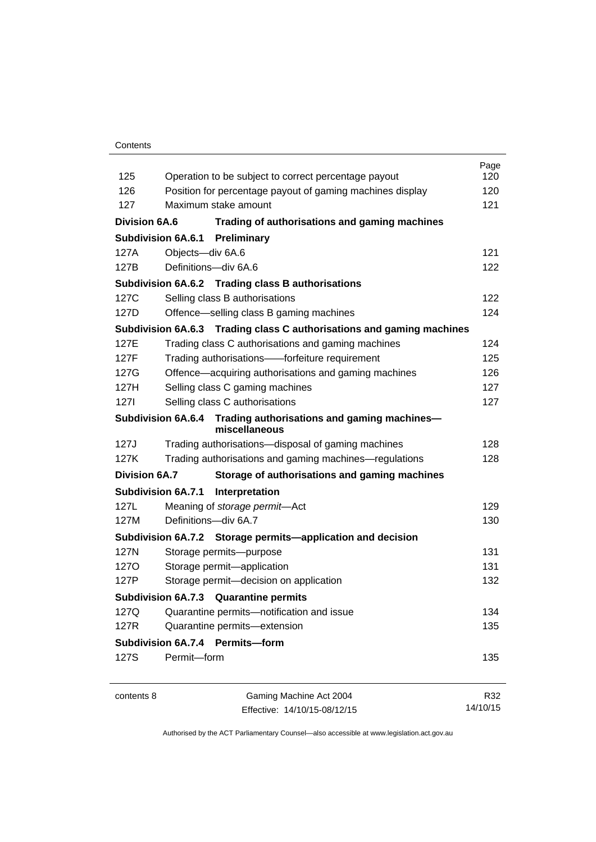### **Contents**

| 125                  | Operation to be subject to correct percentage payout                            | Page<br>120 |
|----------------------|---------------------------------------------------------------------------------|-------------|
| 126                  | Position for percentage payout of gaming machines display                       | 120         |
| 127                  | Maximum stake amount                                                            | 121         |
| <b>Division 6A.6</b> |                                                                                 |             |
|                      | Trading of authorisations and gaming machines                                   |             |
|                      | <b>Subdivision 6A.6.1 Preliminary</b>                                           |             |
| 127A                 | Objects-div 6A.6                                                                | 121         |
| 127B                 | Definitions-div 6A.6                                                            | 122         |
|                      | Subdivision 6A.6.2 Trading class B authorisations                               |             |
| 127C                 | Selling class B authorisations                                                  | 122         |
| 127D                 | Offence-selling class B gaming machines                                         | 124         |
|                      | Subdivision 6A.6.3 Trading class C authorisations and gaming machines           |             |
| 127E                 | Trading class C authorisations and gaming machines                              | 124         |
| 127F                 | Trading authorisations--forfeiture requirement                                  | 125         |
| 127G                 | Offence—acquiring authorisations and gaming machines                            | 126         |
| 127H                 | Selling class C gaming machines                                                 | 127         |
| 1271                 | Selling class C authorisations                                                  | 127         |
|                      | Subdivision 6A.6.4 Trading authorisations and gaming machines-<br>miscellaneous |             |
| 127J                 | Trading authorisations-disposal of gaming machines                              | 128         |
| 127K                 | Trading authorisations and gaming machines—regulations                          | 128         |
| <b>Division 6A.7</b> | Storage of authorisations and gaming machines                                   |             |
|                      | <b>Subdivision 6A.7.1</b><br>Interpretation                                     |             |
| 127L                 | Meaning of storage permit-Act                                                   | 129         |
| 127M                 | Definitions-div 6A.7                                                            | 130         |
|                      | Subdivision 6A.7.2 Storage permits—application and decision                     |             |
| 127N                 | Storage permits-purpose                                                         | 131         |
| 127O                 | Storage permit-application                                                      | 131         |
| 127P                 | Storage permit-decision on application                                          | 132         |
|                      | Subdivision 6A.7.3 Quarantine permits                                           |             |
| 127Q                 | Quarantine permits-notification and issue                                       | 134         |
| 127R                 | Quarantine permits-extension                                                    | 135         |
|                      | Subdivision 6A.7.4 Permits-form                                                 |             |
| 127S                 | Permit-form                                                                     | 135         |
| contents 8           | Gaming Machine Act 2004                                                         | R32         |
|                      | Effective: 14/10/15-08/12/15                                                    | 14/10/15    |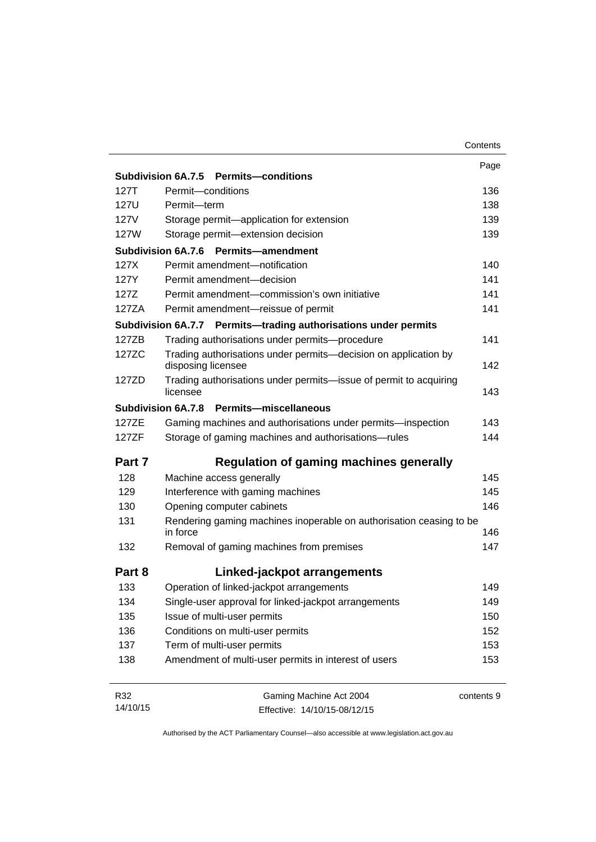|          |                                                                                       | Contents   |
|----------|---------------------------------------------------------------------------------------|------------|
|          |                                                                                       | Page       |
|          | Subdivision 6A.7.5 Permits-conditions                                                 |            |
| 127T     | Permit-conditions                                                                     | 136        |
| 127U     | Permit-term                                                                           | 138        |
| 127V     | Storage permit-application for extension                                              | 139        |
| 127W     | Storage permit-extension decision                                                     | 139        |
|          | <b>Subdivision 6A.7.6</b><br><b>Permits-amendment</b>                                 |            |
| 127X     | Permit amendment-notification                                                         | 140        |
| 127Y     | Permit amendment-decision                                                             | 141        |
| 127Z     | Permit amendment-commission's own initiative                                          | 141        |
| 127ZA    | Permit amendment-reissue of permit                                                    | 141        |
|          | Subdivision 6A.7.7 Permits-trading authorisations under permits                       |            |
| 127ZB    | Trading authorisations under permits-procedure                                        | 141        |
| 127ZC    | Trading authorisations under permits-decision on application by<br>disposing licensee | 142        |
| 127ZD    | Trading authorisations under permits-issue of permit to acquiring<br>licensee         | 143        |
|          | Subdivision 6A.7.8 Permits-miscellaneous                                              |            |
| 127ZE    | Gaming machines and authorisations under permits-inspection                           | 143        |
| 127ZF    | Storage of gaming machines and authorisations-rules                                   | 144        |
| Part 7   | <b>Regulation of gaming machines generally</b>                                        |            |
| 128      | Machine access generally                                                              | 145        |
| 129      | Interference with gaming machines                                                     | 145        |
| 130      | Opening computer cabinets                                                             | 146        |
| 131      | Rendering gaming machines inoperable on authorisation ceasing to be                   |            |
|          | in force                                                                              | 146        |
| 132      | Removal of gaming machines from premises                                              | 147        |
| Part 8   | Linked-jackpot arrangements                                                           |            |
| 133      | Operation of linked-jackpot arrangements                                              | 149        |
| 134      | Single-user approval for linked-jackpot arrangements                                  | 149        |
| 135      | Issue of multi-user permits                                                           | 150        |
| 136      | Conditions on multi-user permits                                                      | 152        |
| 137      | Term of multi-user permits                                                            | 153        |
| 138      | Amendment of multi-user permits in interest of users                                  | 153        |
| R32      | Gaming Machine Act 2004                                                               | contents 9 |
| 14/10/15 | Effective: 14/10/15-08/12/15                                                          |            |

Effective: 14/10/15-08/12/15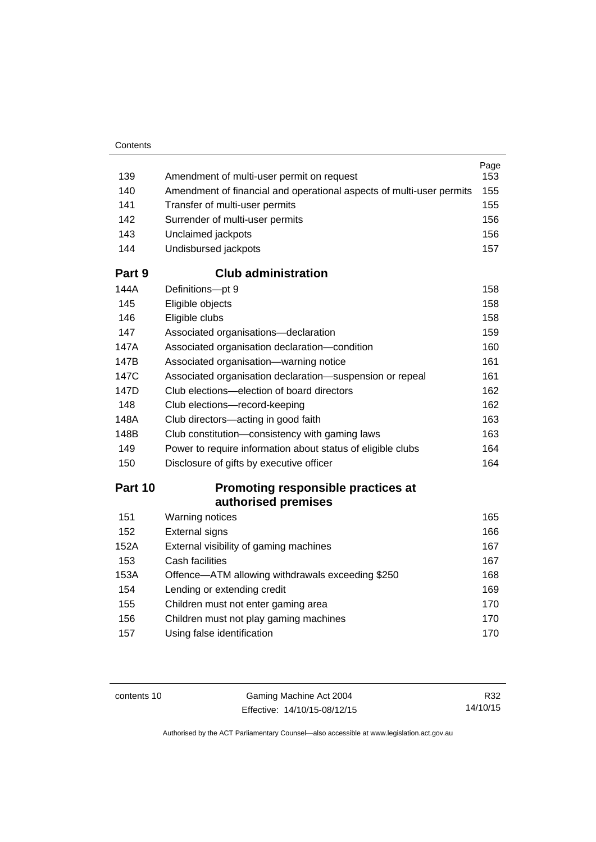| 139    | Amendment of multi-user permit on request                            | Page<br>153 |
|--------|----------------------------------------------------------------------|-------------|
| 140    | Amendment of financial and operational aspects of multi-user permits | 155         |
| 141    | Transfer of multi-user permits                                       | 155         |
| 142    | Surrender of multi-user permits                                      | 156         |
| 143    | Unclaimed jackpots                                                   | 156         |
| 144    | Undisbursed jackpots                                                 | 157         |
| Part 9 | <b>Club administration</b>                                           |             |
| 144A   | Definitions-pt 9                                                     | 158         |
| 145    | Eligible objects                                                     | 158         |
| 146    | Eligible clubs                                                       | 158         |
| 147    | Associated organisations-declaration                                 | 159         |
| 147A   | Associated organisation declaration-condition                        | 160         |
| 147B   | Associated organisation-warning notice                               | 161         |
| 147C   | Associated organisation declaration-suspension or repeal             | 161         |
| 147D   | Club elections—election of board directors                           | 162         |
| 148    | Club elections-record-keeping                                        | 162         |
| 148A   | Club directors—acting in good faith                                  | 163         |
| 148B   | Club constitution-consistency with gaming laws                       | 163         |
| 149    | Power to require information about status of eligible clubs          | 164         |
| 150    | Disclosure of gifts by executive officer                             | 164         |
|        |                                                                      |             |

## **Part 10 [Promoting responsible practices at](#page-180-0)  [authorised premises](#page-180-0)**

| 151  | Warning notices                                  | 165 |
|------|--------------------------------------------------|-----|
| 152  | <b>External signs</b>                            | 166 |
| 152A | External visibility of gaming machines           | 167 |
| 153  | Cash facilities                                  | 167 |
| 153A | Offence-ATM allowing withdrawals exceeding \$250 | 168 |
| 154  | Lending or extending credit                      | 169 |
| 155  | Children must not enter gaming area              | 170 |
| 156  | Children must not play gaming machines           | 170 |
| 157  | Using false identification                       | 170 |
|      |                                                  |     |

contents 10 Gaming Machine Act 2004 Effective: 14/10/15-08/12/15

R32 14/10/15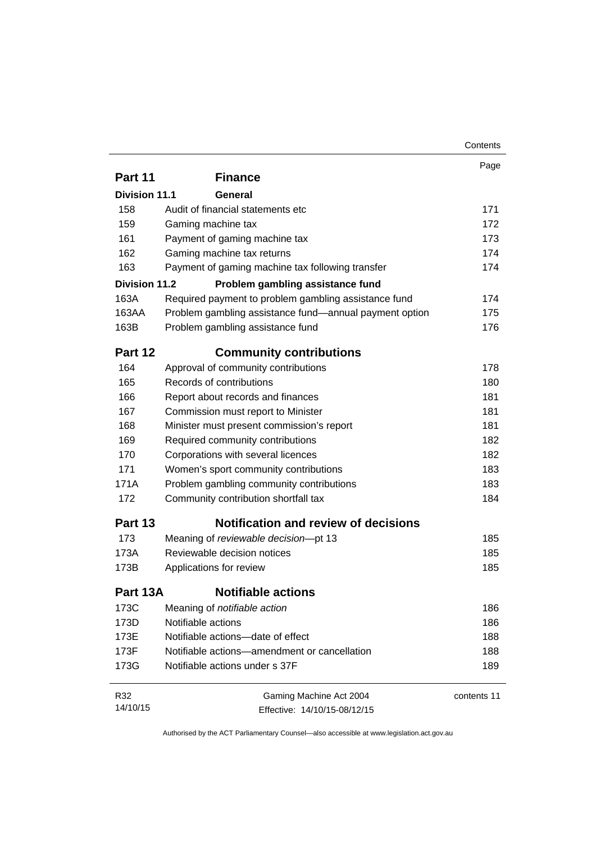|                      |                                                        | Contents    |
|----------------------|--------------------------------------------------------|-------------|
|                      |                                                        | Page        |
| Part 11              | <b>Finance</b>                                         |             |
| <b>Division 11.1</b> | General                                                |             |
| 158                  | Audit of financial statements etc                      | 171         |
| 159                  | Gaming machine tax                                     | 172         |
| 161                  | Payment of gaming machine tax                          | 173         |
| 162                  | Gaming machine tax returns                             | 174         |
| 163                  | Payment of gaming machine tax following transfer       | 174         |
| Division 11.2        | Problem gambling assistance fund                       |             |
| 163A                 | Required payment to problem gambling assistance fund   | 174         |
| 163AA                | Problem gambling assistance fund—annual payment option | 175         |
| 163B                 | Problem gambling assistance fund                       | 176         |
| Part 12              | <b>Community contributions</b>                         |             |
| 164                  | Approval of community contributions                    | 178         |
| 165                  | Records of contributions                               | 180         |
| 166                  | Report about records and finances                      | 181         |
| 167                  | Commission must report to Minister                     | 181         |
| 168                  | Minister must present commission's report              | 181         |
| 169                  | Required community contributions                       | 182         |
| 170                  | Corporations with several licences                     | 182         |
| 171                  | Women's sport community contributions                  | 183         |
| 171A                 | Problem gambling community contributions               | 183         |
| 172                  | Community contribution shortfall tax                   | 184         |
| Part 13              | <b>Notification and review of decisions</b>            |             |
| 173                  | Meaning of reviewable decision-pt 13                   | 185         |
| 173A                 | Reviewable decision notices                            | 185         |
| 173B                 | Applications for review                                | 185         |
| Part 13A             | <b>Notifiable actions</b>                              |             |
| 173C                 | Meaning of notifiable action                           | 186         |
| 173D                 | Notifiable actions                                     | 186         |
| 173E                 | Notifiable actions-date of effect                      | 188         |
| 173F                 | Notifiable actions-amendment or cancellation           | 188         |
| 173G                 | Notifiable actions under s 37F                         | 189         |
| R32                  | Gaming Machine Act 2004                                | contents 11 |
| 14/10/15             | Effective: 14/10/15-08/12/15                           |             |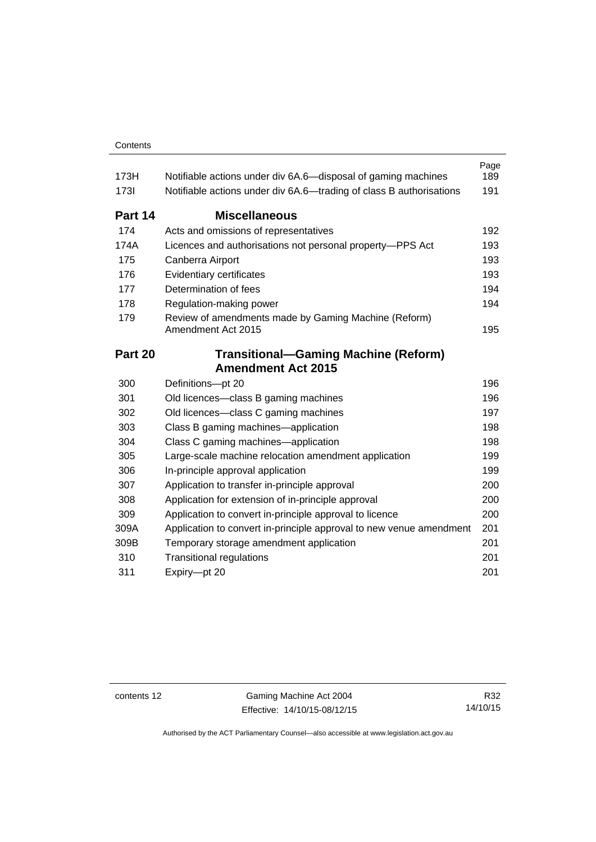| 173H        | Notifiable actions under div 6A.6—disposal of gaming machines              | Page<br>189 |
|-------------|----------------------------------------------------------------------------|-------------|
| <b>1731</b> | Notifiable actions under div 6A.6—trading of class B authorisations        | 191         |
| Part 14     | <b>Miscellaneous</b>                                                       |             |
| 174         | Acts and omissions of representatives                                      | 192         |
| 174A        | Licences and authorisations not personal property-PPS Act                  | 193         |
| 175         | Canberra Airport                                                           | 193         |
| 176         | Evidentiary certificates                                                   | 193         |
| 177         | Determination of fees                                                      | 194         |
| 178         | Regulation-making power                                                    | 194         |
| 179         | Review of amendments made by Gaming Machine (Reform)<br>Amendment Act 2015 | 195         |
| Part 20     | <b>Transitional-Gaming Machine (Reform)</b>                                |             |
|             | <b>Amendment Act 2015</b>                                                  |             |
| 300         | Definitions-pt 20                                                          | 196         |
| 301         | Old licences-class B gaming machines                                       | 196         |
| 302         | Old licences—class C gaming machines                                       | 197         |
| 303         | Class B gaming machines—application                                        | 198         |
| 304         | Class C gaming machines—application                                        | 198         |
| 305         | Large-scale machine relocation amendment application                       | 199         |
| 306         | In-principle approval application                                          | 199         |
| 307         | Application to transfer in-principle approval                              | 200         |
| 308         | Application for extension of in-principle approval                         | 200         |
| 309         | Application to convert in-principle approval to licence                    | 200         |
| 309A        | Application to convert in-principle approval to new venue amendment        | 201         |
| 309B        | Temporary storage amendment application                                    | 201         |
| 310         | <b>Transitional regulations</b>                                            | 201         |
| 311         | Expiry-pt 20                                                               | 201         |

contents 12 Gaming Machine Act 2004 Effective: 14/10/15-08/12/15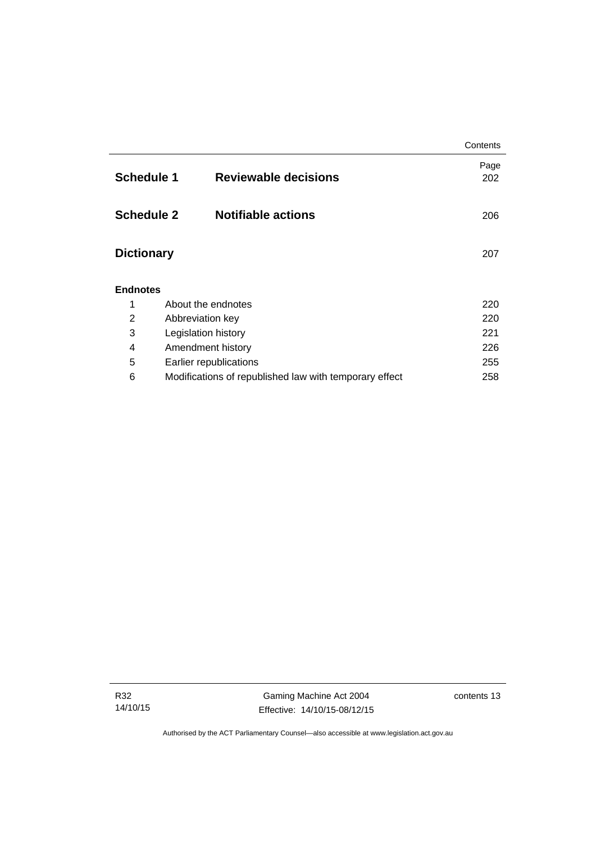|                   |                                                        | Contents    |  |  |  |
|-------------------|--------------------------------------------------------|-------------|--|--|--|
| <b>Schedule 1</b> | <b>Reviewable decisions</b>                            | Page<br>202 |  |  |  |
| <b>Schedule 2</b> | <b>Notifiable actions</b>                              | 206         |  |  |  |
| <b>Dictionary</b> |                                                        | 207         |  |  |  |
| <b>Endnotes</b>   |                                                        |             |  |  |  |
| 1                 | About the endnotes                                     | 220         |  |  |  |
| $\overline{2}$    | Abbreviation key                                       | 220         |  |  |  |
| 3                 | Legislation history                                    | 221         |  |  |  |
| 4                 | Amendment history                                      | 226         |  |  |  |
| 5                 | Earlier republications                                 | 255         |  |  |  |
| 6                 | Modifications of republished law with temporary effect | 258         |  |  |  |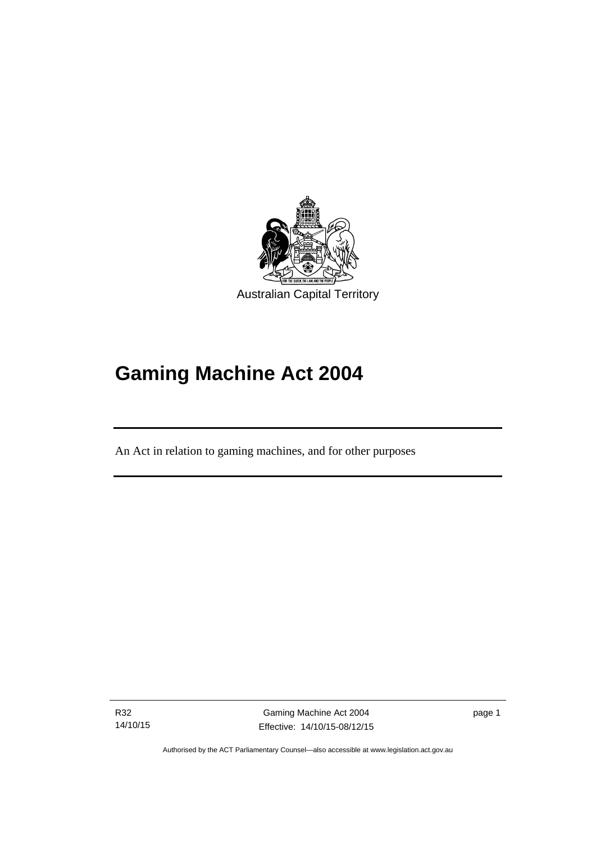

# **Gaming Machine Act 2004**

An Act in relation to gaming machines, and for other purposes

R32 14/10/15

l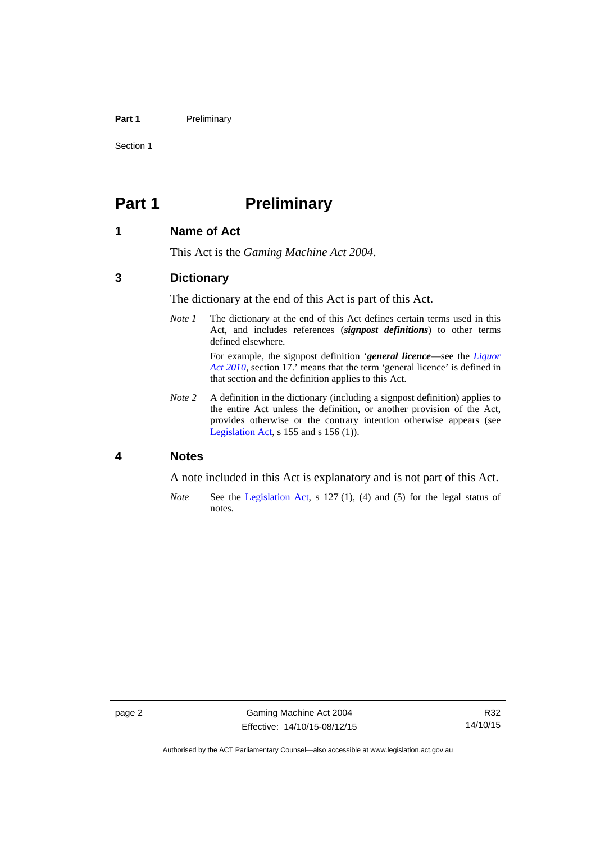### Part 1 **Preliminary**

Section 1

# <span id="page-17-0"></span>**Part 1** Preliminary

### <span id="page-17-1"></span>**1 Name of Act**

This Act is the *Gaming Machine Act 2004*.

### <span id="page-17-2"></span>**3 Dictionary**

The dictionary at the end of this Act is part of this Act.

*Note 1* The dictionary at the end of this Act defines certain terms used in this Act, and includes references (*signpost definitions*) to other terms defined elsewhere.

> For example, the signpost definition '*general licence*—see the *[Liquor](http://www.legislation.act.gov.au/a/2010-35)  [Act 2010](http://www.legislation.act.gov.au/a/2010-35)*, section 17.' means that the term 'general licence' is defined in that section and the definition applies to this Act.

*Note* 2 A definition in the dictionary (including a signpost definition) applies to the entire Act unless the definition, or another provision of the Act, provides otherwise or the contrary intention otherwise appears (see [Legislation Act,](http://www.legislation.act.gov.au/a/2001-14) s 155 and s 156 (1)).

## <span id="page-17-3"></span>**4 Notes**

A note included in this Act is explanatory and is not part of this Act.

*Note* See the [Legislation Act,](http://www.legislation.act.gov.au/a/2001-14) s 127 (1), (4) and (5) for the legal status of notes.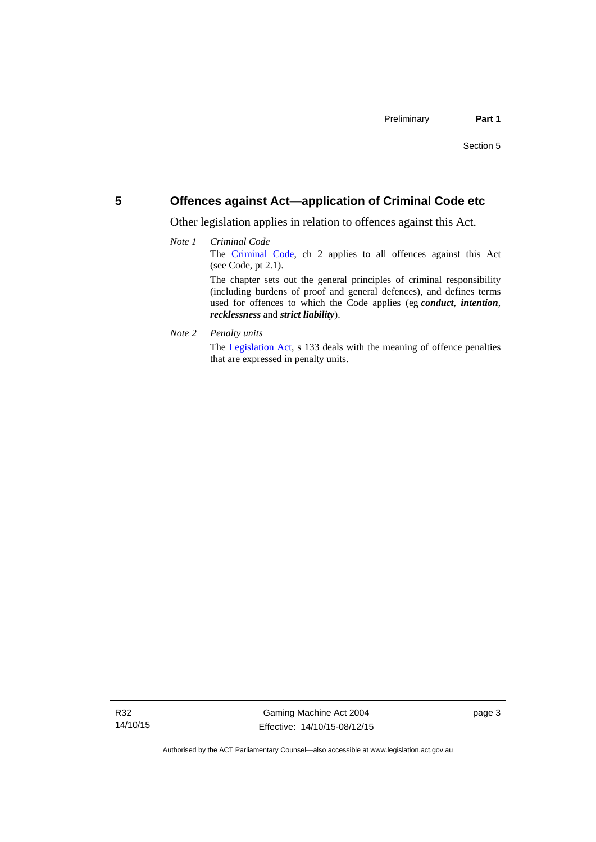## <span id="page-18-0"></span>**5 Offences against Act—application of Criminal Code etc**

Other legislation applies in relation to offences against this Act.

### *Note 1 Criminal Code* The [Criminal Code,](http://www.legislation.act.gov.au/a/2002-51) ch 2 applies to all offences against this Act (see Code, pt 2.1). The chapter sets out the general principles of criminal responsibility (including burdens of proof and general defences), and defines terms used for offences to which the Code applies (eg *conduct*, *intention*, *recklessness* and *strict liability*).

*Note 2 Penalty units* 

The [Legislation Act](http://www.legislation.act.gov.au/a/2001-14), s 133 deals with the meaning of offence penalties that are expressed in penalty units.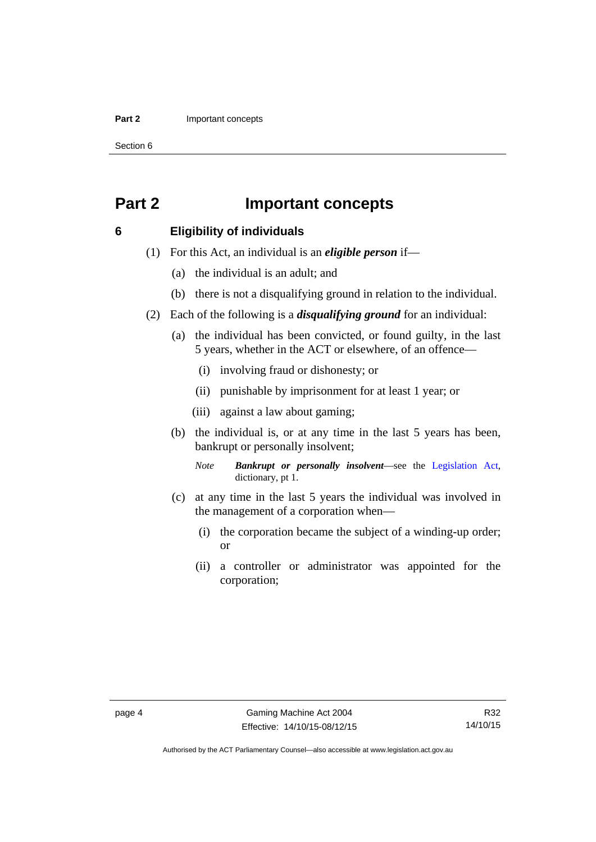### **Part 2 Important concepts**

Section 6

# <span id="page-19-0"></span>**Part 2 Important concepts**

### <span id="page-19-1"></span>**6 Eligibility of individuals**

- (1) For this Act, an individual is an *eligible person* if—
	- (a) the individual is an adult; and
	- (b) there is not a disqualifying ground in relation to the individual.
- (2) Each of the following is a *disqualifying ground* for an individual:
	- (a) the individual has been convicted, or found guilty, in the last 5 years, whether in the ACT or elsewhere, of an offence—
		- (i) involving fraud or dishonesty; or
		- (ii) punishable by imprisonment for at least 1 year; or
		- (iii) against a law about gaming;
	- (b) the individual is, or at any time in the last 5 years has been, bankrupt or personally insolvent;

*Note Bankrupt or personally insolvent*—see the [Legislation Act,](http://www.legislation.act.gov.au/a/2001-14) dictionary, pt 1.

- (c) at any time in the last 5 years the individual was involved in the management of a corporation when—
	- (i) the corporation became the subject of a winding-up order; or
	- (ii) a controller or administrator was appointed for the corporation;

Authorised by the ACT Parliamentary Counsel—also accessible at www.legislation.act.gov.au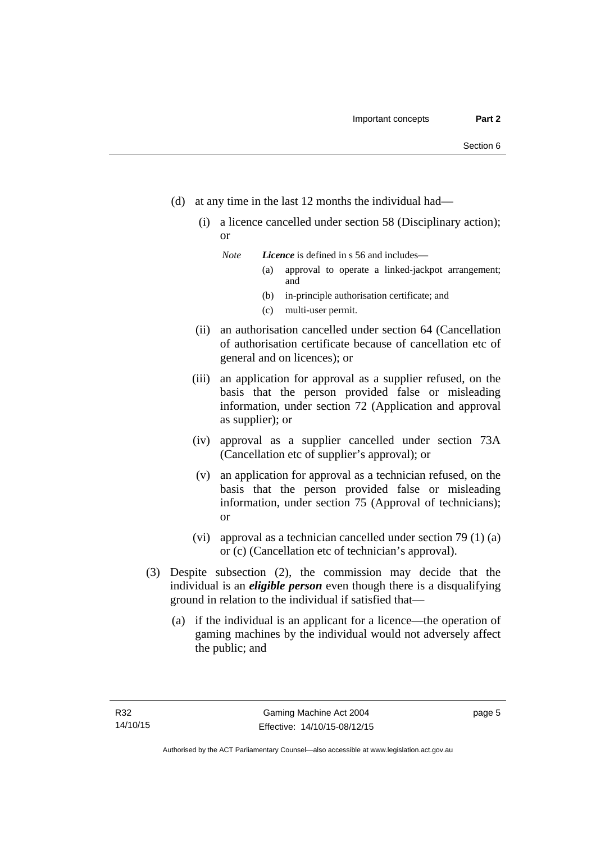- (d) at any time in the last 12 months the individual had—
	- (i) a licence cancelled under section 58 (Disciplinary action); or

*Note Licence* is defined in s 56 and includes—

- (a) approval to operate a linked-jackpot arrangement; and
- (b) in-principle authorisation certificate; and
- (c) multi-user permit.
- (ii) an authorisation cancelled under section 64 (Cancellation of authorisation certificate because of cancellation etc of general and on licences); or
- (iii) an application for approval as a supplier refused, on the basis that the person provided false or misleading information, under section 72 (Application and approval as supplier); or
- (iv) approval as a supplier cancelled under section 73A (Cancellation etc of supplier's approval); or
- (v) an application for approval as a technician refused, on the basis that the person provided false or misleading information, under section 75 (Approval of technicians); or
- (vi) approval as a technician cancelled under section 79 (1) (a) or (c) (Cancellation etc of technician's approval).
- (3) Despite subsection (2), the commission may decide that the individual is an *eligible person* even though there is a disqualifying ground in relation to the individual if satisfied that—
	- (a) if the individual is an applicant for a licence—the operation of gaming machines by the individual would not adversely affect the public; and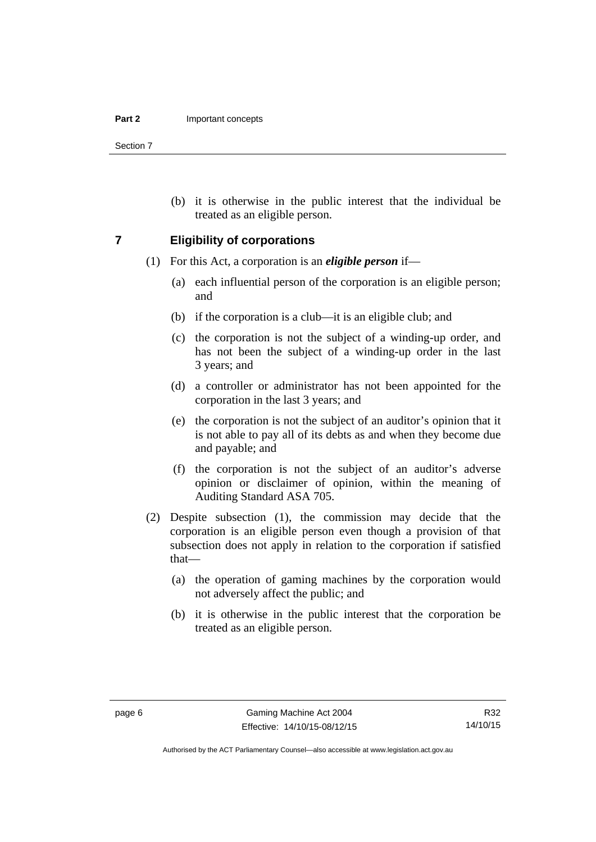Section 7

 (b) it is otherwise in the public interest that the individual be treated as an eligible person.

### <span id="page-21-0"></span>**7 Eligibility of corporations**

- (1) For this Act, a corporation is an *eligible person* if—
	- (a) each influential person of the corporation is an eligible person; and
	- (b) if the corporation is a club—it is an eligible club; and
	- (c) the corporation is not the subject of a winding-up order, and has not been the subject of a winding-up order in the last 3 years; and
	- (d) a controller or administrator has not been appointed for the corporation in the last 3 years; and
	- (e) the corporation is not the subject of an auditor's opinion that it is not able to pay all of its debts as and when they become due and payable; and
	- (f) the corporation is not the subject of an auditor's adverse opinion or disclaimer of opinion, within the meaning of Auditing Standard ASA 705.
- (2) Despite subsection (1), the commission may decide that the corporation is an eligible person even though a provision of that subsection does not apply in relation to the corporation if satisfied that—
	- (a) the operation of gaming machines by the corporation would not adversely affect the public; and
	- (b) it is otherwise in the public interest that the corporation be treated as an eligible person.

R32 14/10/15

Authorised by the ACT Parliamentary Counsel—also accessible at www.legislation.act.gov.au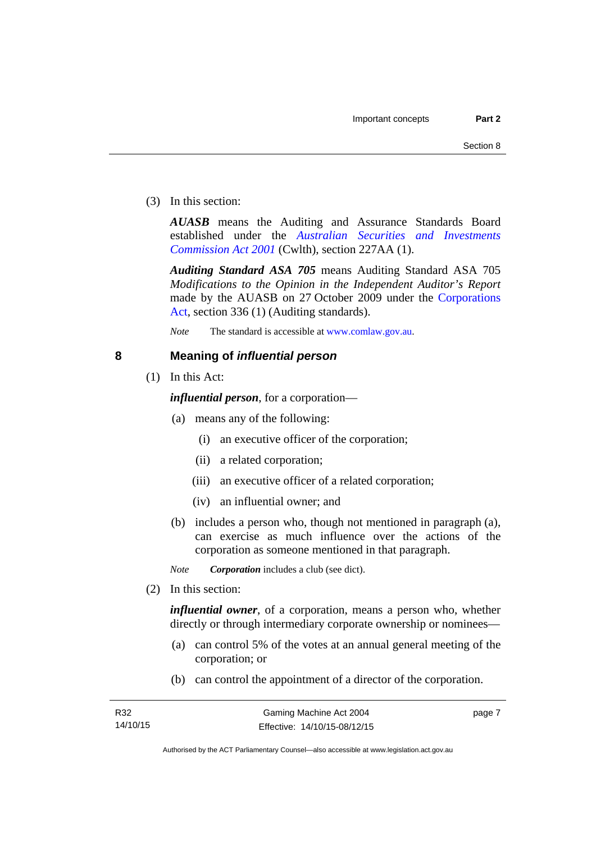(3) In this section:

*AUASB* means the Auditing and Assurance Standards Board established under the *[Australian Securities and Investments](http://www.comlaw.gov.au/Series/C2004A00819)  [Commission Act 2001](http://www.comlaw.gov.au/Series/C2004A00819)* (Cwlth), section 227AA (1).

*Auditing Standard ASA 705* means Auditing Standard ASA 705 *Modifications to the Opinion in the Independent Auditor's Report* made by the AUASB on 27 October 2009 under the [Corporations](http://www.comlaw.gov.au/Series/C2004A00818)  [Act](http://www.comlaw.gov.au/Series/C2004A00818), section 336 (1) (Auditing standards).

*Note* The standard is accessible at [www.comlaw.gov.au.](http://www.comlaw.gov.au/)

### <span id="page-22-0"></span>**8 Meaning of** *influential person*

(1) In this Act:

*influential person*, for a corporation—

- (a) means any of the following:
	- (i) an executive officer of the corporation;
	- (ii) a related corporation;
	- (iii) an executive officer of a related corporation;
	- (iv) an influential owner; and
- (b) includes a person who, though not mentioned in paragraph (a), can exercise as much influence over the actions of the corporation as someone mentioned in that paragraph.

*Note Corporation* includes a club (see dict).

(2) In this section:

*influential owner*, of a corporation, means a person who, whether directly or through intermediary corporate ownership or nominees—

- (a) can control 5% of the votes at an annual general meeting of the corporation; or
- (b) can control the appointment of a director of the corporation.

page 7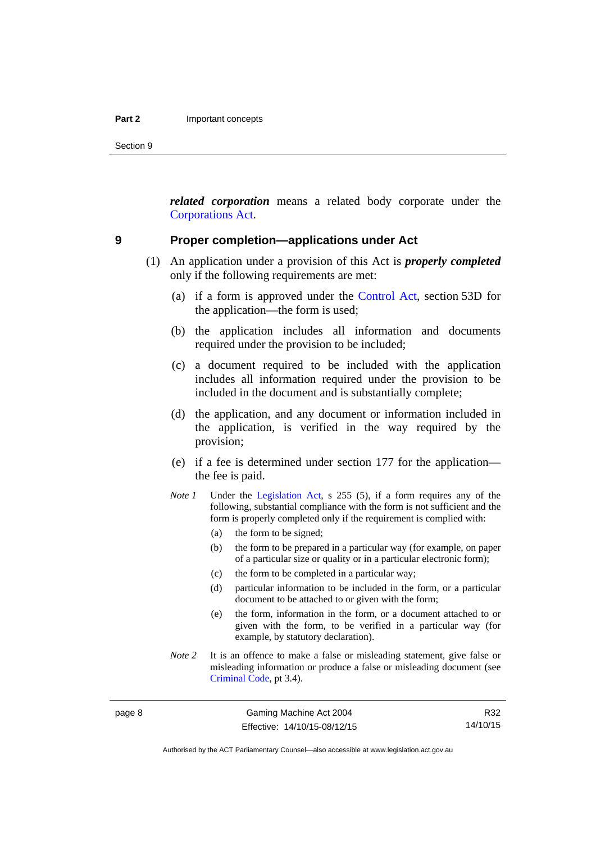Section 9

*related corporation* means a related body corporate under the [Corporations Act](http://www.comlaw.gov.au/Series/C2004A00818).

### <span id="page-23-0"></span>**9 Proper completion—applications under Act**

- (1) An application under a provision of this Act is *properly completed* only if the following requirements are met:
	- (a) if a form is approved under the [Control Act,](http://www.legislation.act.gov.au/a/1999-46/default.asp) section 53D for the application—the form is used;
	- (b) the application includes all information and documents required under the provision to be included;
	- (c) a document required to be included with the application includes all information required under the provision to be included in the document and is substantially complete;
	- (d) the application, and any document or information included in the application, is verified in the way required by the provision;
	- (e) if a fee is determined under section 177 for the application the fee is paid.
	- *Note 1* Under the [Legislation Act,](http://www.legislation.act.gov.au/a/2001-14) s 255 (5), if a form requires any of the following, substantial compliance with the form is not sufficient and the form is properly completed only if the requirement is complied with:
		- (a) the form to be signed;
		- (b) the form to be prepared in a particular way (for example, on paper of a particular size or quality or in a particular electronic form);
		- (c) the form to be completed in a particular way;
		- (d) particular information to be included in the form, or a particular document to be attached to or given with the form;
		- (e) the form, information in the form, or a document attached to or given with the form, to be verified in a particular way (for example, by statutory declaration).
	- *Note* 2 It is an offence to make a false or misleading statement, give false or misleading information or produce a false or misleading document (see [Criminal Code](http://www.legislation.act.gov.au/a/2002-51), pt 3.4).

R32 14/10/15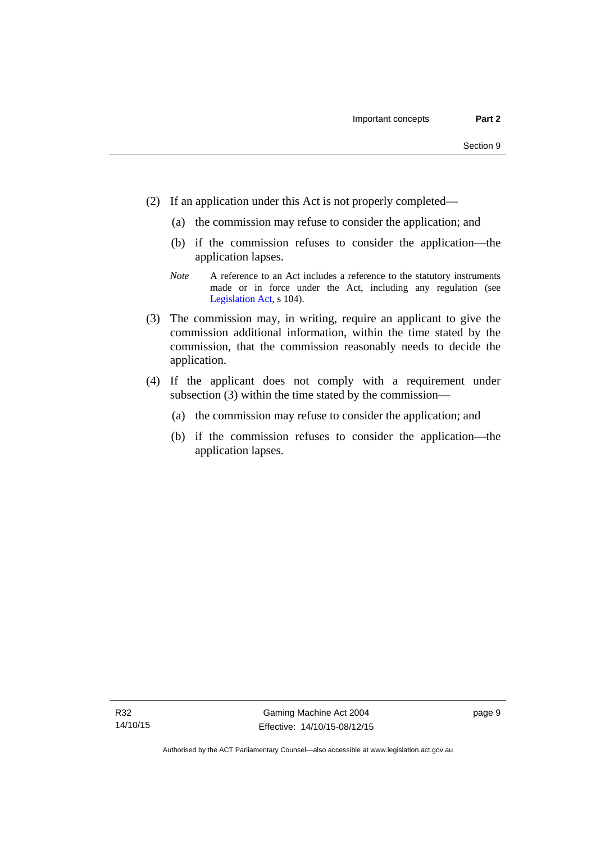- (2) If an application under this Act is not properly completed—
	- (a) the commission may refuse to consider the application; and
	- (b) if the commission refuses to consider the application—the application lapses.
	- *Note* A reference to an Act includes a reference to the statutory instruments made or in force under the Act, including any regulation (see [Legislation Act,](http://www.legislation.act.gov.au/a/2001-14) s 104).
- (3) The commission may, in writing, require an applicant to give the commission additional information, within the time stated by the commission, that the commission reasonably needs to decide the application.
- (4) If the applicant does not comply with a requirement under subsection (3) within the time stated by the commission—
	- (a) the commission may refuse to consider the application; and
	- (b) if the commission refuses to consider the application—the application lapses.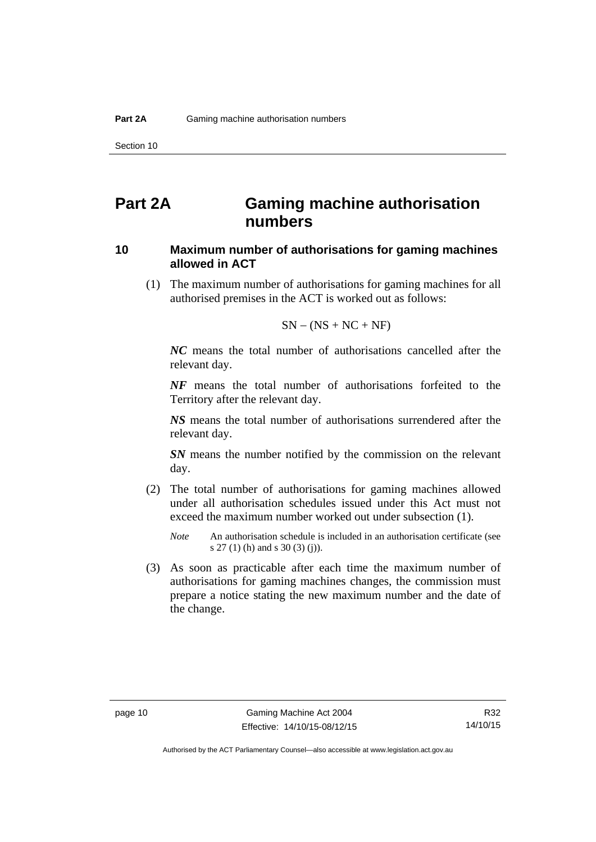# <span id="page-25-0"></span>**Part 2A Gaming machine authorisation numbers**

## <span id="page-25-1"></span>**10 Maximum number of authorisations for gaming machines allowed in ACT**

 (1) The maximum number of authorisations for gaming machines for all authorised premises in the ACT is worked out as follows:

$$
SN - (NS + NC + NF)
$$

*NC* means the total number of authorisations cancelled after the relevant day.

*NF* means the total number of authorisations forfeited to the Territory after the relevant day.

*NS* means the total number of authorisations surrendered after the relevant day.

*SN* means the number notified by the commission on the relevant day.

- (2) The total number of authorisations for gaming machines allowed under all authorisation schedules issued under this Act must not exceed the maximum number worked out under subsection (1).
	- *Note* An authorisation schedule is included in an authorisation certificate (see s 27 (1) (h) and s 30 (3) (j)).
- (3) As soon as practicable after each time the maximum number of authorisations for gaming machines changes, the commission must prepare a notice stating the new maximum number and the date of the change.

R32 14/10/15

Authorised by the ACT Parliamentary Counsel—also accessible at www.legislation.act.gov.au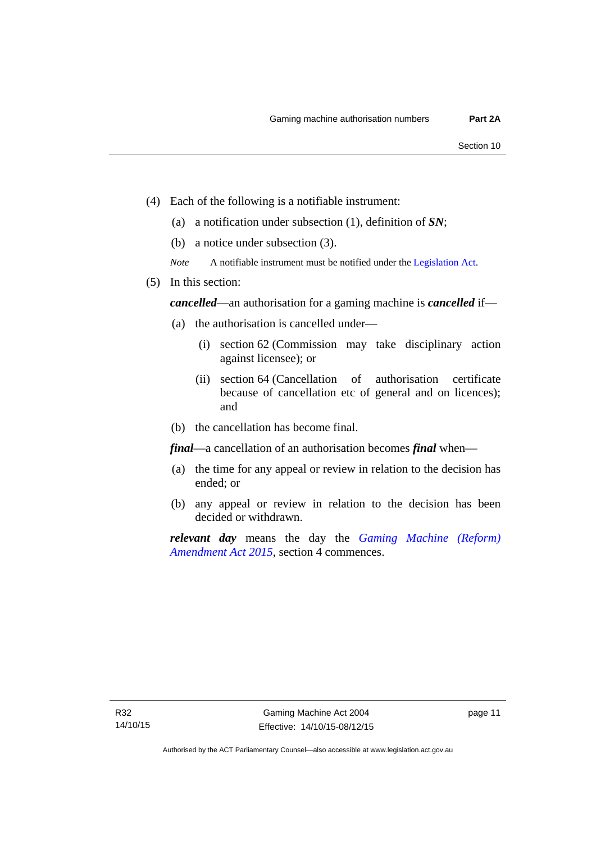- (4) Each of the following is a notifiable instrument:
	- (a) a notification under subsection (1), definition of *SN*;
	- (b) a notice under subsection (3).
	- *Note* A notifiable instrument must be notified under the [Legislation Act](http://www.legislation.act.gov.au/a/2001-14).
- (5) In this section:

*cancelled*—an authorisation for a gaming machine is *cancelled* if—

- (a) the authorisation is cancelled under—
	- (i) section 62 (Commission may take disciplinary action against licensee); or
	- (ii) section 64 (Cancellation of authorisation certificate because of cancellation etc of general and on licences); and
- (b) the cancellation has become final.

*final*—a cancellation of an authorisation becomes *final* when—

- (a) the time for any appeal or review in relation to the decision has ended; or
- (b) any appeal or review in relation to the decision has been decided or withdrawn.

*relevant day* means the day the *[Gaming Machine \(Reform\)](http://www.legislation.act.gov.au/a/2015-21/default.asp)  [Amendment Act 2015](http://www.legislation.act.gov.au/a/2015-21/default.asp)*, section 4 commences.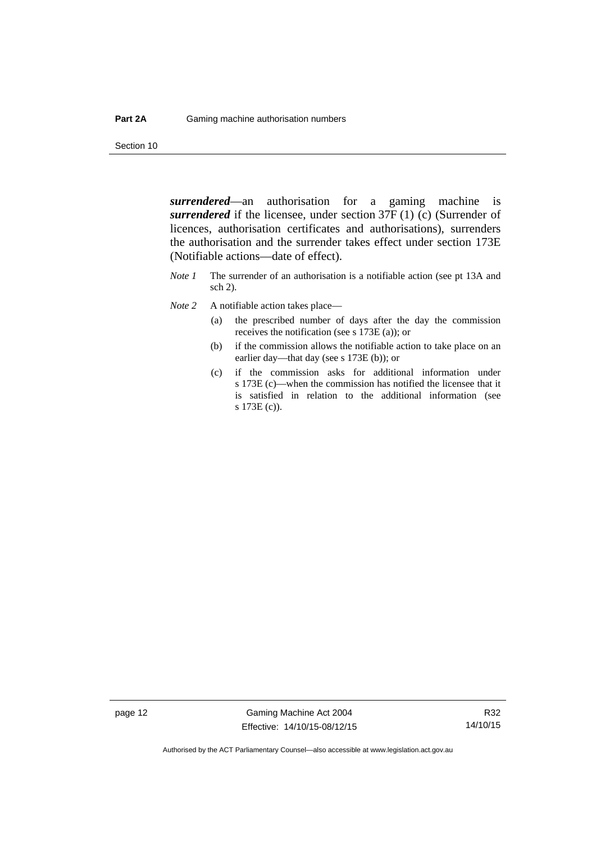Section 10

*surrendered*—an authorisation for a gaming machine is *surrendered* if the licensee, under section 37F (1) (c) (Surrender of licences, authorisation certificates and authorisations), surrenders the authorisation and the surrender takes effect under section 173E (Notifiable actions—date of effect).

- *Note 1* The surrender of an authorisation is a notifiable action (see pt 13A and sch 2).
- *Note* 2 A notifiable action takes place—
	- (a) the prescribed number of days after the day the commission receives the notification (see s 173E (a)); or
	- (b) if the commission allows the notifiable action to take place on an earlier day—that day (see s 173E (b)); or
	- (c) if the commission asks for additional information under s 173E (c)—when the commission has notified the licensee that it is satisfied in relation to the additional information (see s 173E (c)).

page 12 Gaming Machine Act 2004 Effective: 14/10/15-08/12/15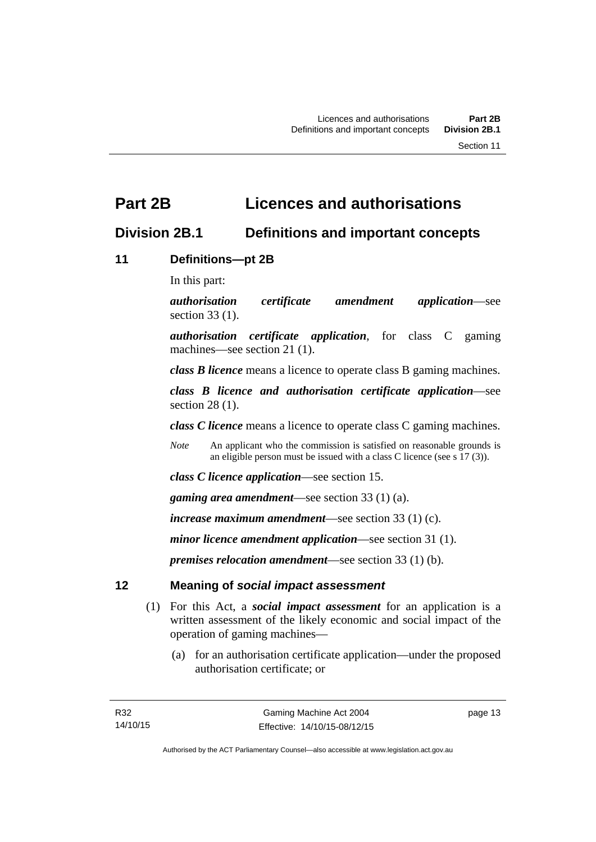# <span id="page-28-0"></span>**Part 2B Licences and authorisations**

# <span id="page-28-1"></span>**Division 2B.1 Definitions and important concepts**

# <span id="page-28-2"></span>**11 Definitions—pt 2B**

In this part:

*authorisation certificate amendment application*—see section 33 (1).

*authorisation certificate application*, for class C gaming machines—see section 21 (1).

*class B licence* means a licence to operate class B gaming machines.

*class B licence and authorisation certificate application*—see section 28 (1).

*class C licence* means a licence to operate class C gaming machines.

*Note* An applicant who the commission is satisfied on reasonable grounds is an eligible person must be issued with a class C licence (see s 17 (3)).

*class C licence application*—see section 15.

*gaming area amendment*—see section 33 (1) (a).

*increase maximum amendment*—see section 33 (1) (c).

*minor licence amendment application*—see section 31 (1).

*premises relocation amendment*—see section 33 (1) (b).

# <span id="page-28-3"></span>**12 Meaning of** *social impact assessment*

- (1) For this Act, a *social impact assessment* for an application is a written assessment of the likely economic and social impact of the operation of gaming machines—
	- (a) for an authorisation certificate application—under the proposed authorisation certificate; or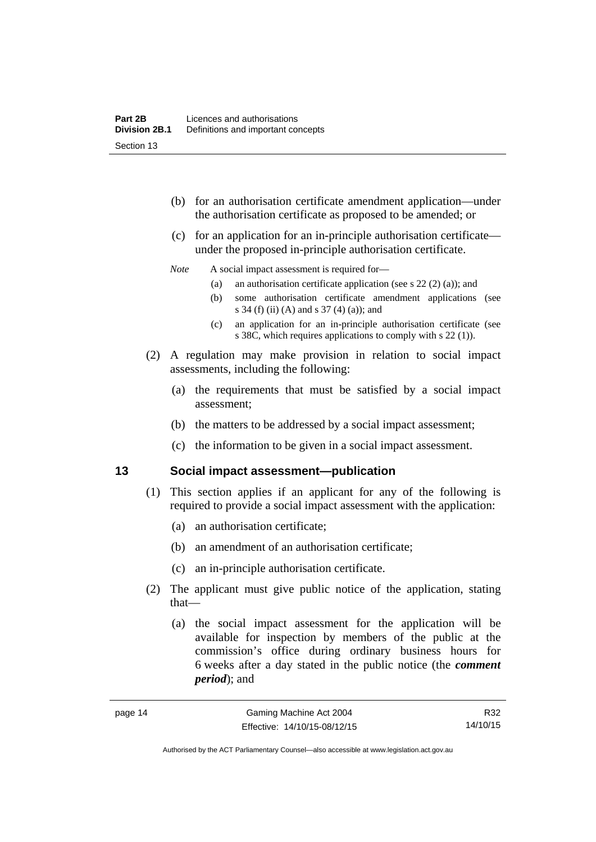- (b) for an authorisation certificate amendment application—under the authorisation certificate as proposed to be amended; or
- (c) for an application for an in-principle authorisation certificate under the proposed in-principle authorisation certificate.

### *Note* A social impact assessment is required for—

- (a) an authorisation certificate application (see s 22 (2) (a)); and
- (b) some authorisation certificate amendment applications (see s 34 (f) (ii) (A) and s 37 (4) (a)); and
- (c) an application for an in-principle authorisation certificate (see s 38C, which requires applications to comply with s 22 (1)).
- (2) A regulation may make provision in relation to social impact assessments, including the following:
	- (a) the requirements that must be satisfied by a social impact assessment;
	- (b) the matters to be addressed by a social impact assessment;
	- (c) the information to be given in a social impact assessment.

### <span id="page-29-0"></span>**13 Social impact assessment—publication**

- (1) This section applies if an applicant for any of the following is required to provide a social impact assessment with the application:
	- (a) an authorisation certificate;
	- (b) an amendment of an authorisation certificate;
	- (c) an in-principle authorisation certificate.
- (2) The applicant must give public notice of the application, stating that—
	- (a) the social impact assessment for the application will be available for inspection by members of the public at the commission's office during ordinary business hours for 6 weeks after a day stated in the public notice (the *comment period*); and

Authorised by the ACT Parliamentary Counsel—also accessible at www.legislation.act.gov.au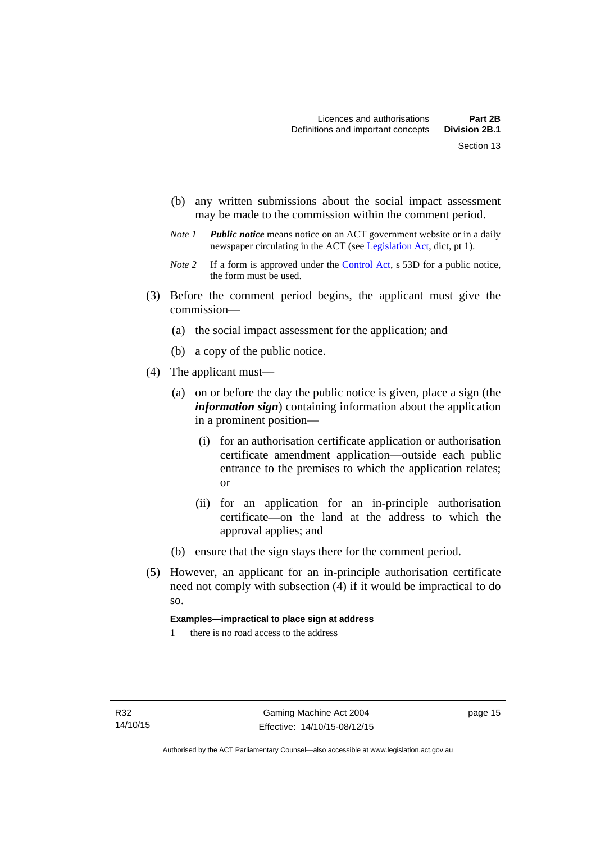- (b) any written submissions about the social impact assessment may be made to the commission within the comment period.
- *Note 1 Public notice* means notice on an ACT government website or in a daily newspaper circulating in the ACT (see [Legislation Act,](http://www.legislation.act.gov.au/a/2001-14) dict, pt 1).
- *Note 2* If a form is approved under the [Control Act](http://www.legislation.act.gov.au/a/1999-46), s 53D for a public notice, the form must be used.
- (3) Before the comment period begins, the applicant must give the commission—
	- (a) the social impact assessment for the application; and
	- (b) a copy of the public notice.
- (4) The applicant must—
	- (a) on or before the day the public notice is given, place a sign (the *information sign*) containing information about the application in a prominent position—
		- (i) for an authorisation certificate application or authorisation certificate amendment application—outside each public entrance to the premises to which the application relates; or
		- (ii) for an application for an in-principle authorisation certificate—on the land at the address to which the approval applies; and
	- (b) ensure that the sign stays there for the comment period.
- (5) However, an applicant for an in-principle authorisation certificate need not comply with subsection (4) if it would be impractical to do so.

### **Examples—impractical to place sign at address**

1 there is no road access to the address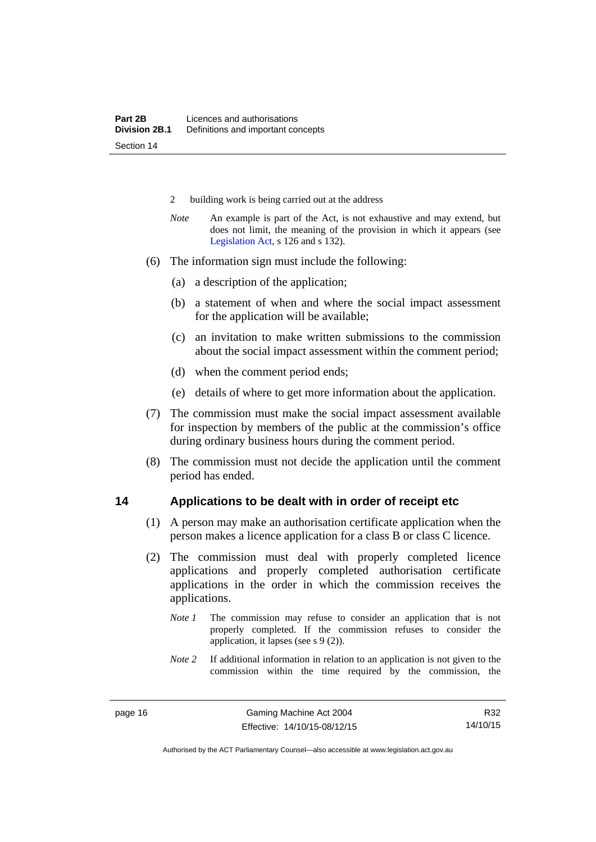- 2 building work is being carried out at the address
- *Note* An example is part of the Act, is not exhaustive and may extend, but does not limit, the meaning of the provision in which it appears (see [Legislation Act,](http://www.legislation.act.gov.au/a/2001-14) s 126 and s 132).
- (6) The information sign must include the following:
	- (a) a description of the application;
	- (b) a statement of when and where the social impact assessment for the application will be available;
	- (c) an invitation to make written submissions to the commission about the social impact assessment within the comment period;
	- (d) when the comment period ends;
	- (e) details of where to get more information about the application.
- (7) The commission must make the social impact assessment available for inspection by members of the public at the commission's office during ordinary business hours during the comment period.
- (8) The commission must not decide the application until the comment period has ended.

### <span id="page-31-0"></span>**14 Applications to be dealt with in order of receipt etc**

- (1) A person may make an authorisation certificate application when the person makes a licence application for a class B or class C licence.
- (2) The commission must deal with properly completed licence applications and properly completed authorisation certificate applications in the order in which the commission receives the applications.
	- *Note 1* The commission may refuse to consider an application that is not properly completed. If the commission refuses to consider the application, it lapses (see s 9 (2)).
	- *Note* 2 If additional information in relation to an application is not given to the commission within the time required by the commission, the

Authorised by the ACT Parliamentary Counsel—also accessible at www.legislation.act.gov.au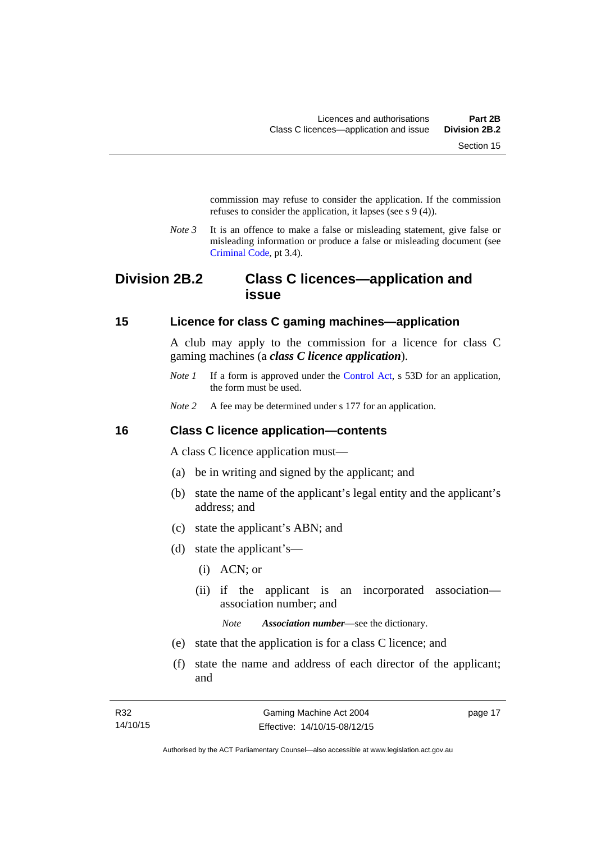commission may refuse to consider the application. If the commission refuses to consider the application, it lapses (see s 9 (4)).

*Note 3* It is an offence to make a false or misleading statement, give false or misleading information or produce a false or misleading document (see [Criminal Code](http://www.legislation.act.gov.au/a/2002-51), pt 3.4).

# <span id="page-32-0"></span>**Division 2B.2 Class C licences—application and issue**

### <span id="page-32-1"></span>**15 Licence for class C gaming machines—application**

A club may apply to the commission for a licence for class C gaming machines (a *class C licence application*).

- *Note 1* If a form is approved under the [Control Act,](http://www.legislation.act.gov.au/a/1999-46/default.asp) s 53D for an application, the form must be used.
- *Note* 2 A fee may be determined under s 177 for an application.

### <span id="page-32-2"></span>**16 Class C licence application—contents**

A class C licence application must—

- (a) be in writing and signed by the applicant; and
- (b) state the name of the applicant's legal entity and the applicant's address; and
- (c) state the applicant's ABN; and
- (d) state the applicant's—
	- (i) ACN; or
	- (ii) if the applicant is an incorporated association association number; and

*Note Association number*—see the dictionary.

- (e) state that the application is for a class C licence; and
- (f) state the name and address of each director of the applicant; and

page 17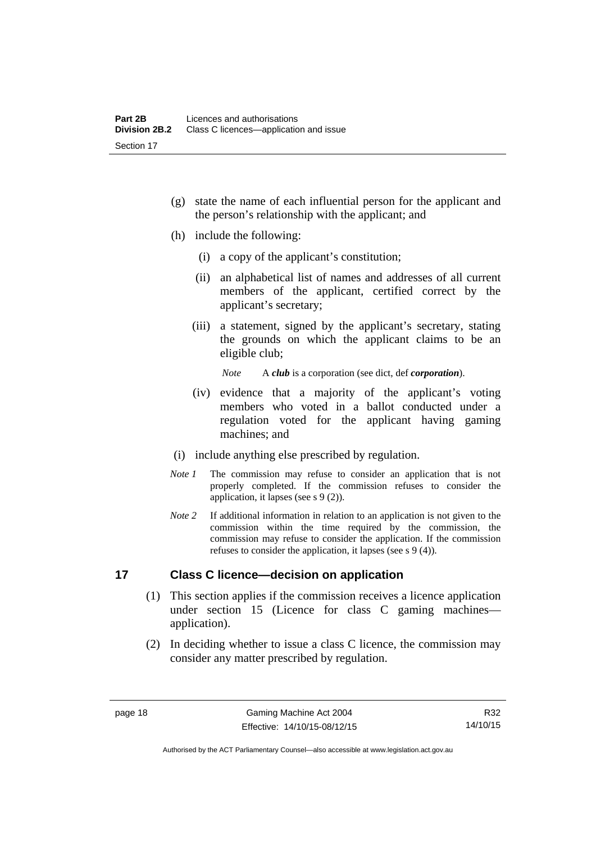- (g) state the name of each influential person for the applicant and the person's relationship with the applicant; and
- (h) include the following:
	- (i) a copy of the applicant's constitution;
	- (ii) an alphabetical list of names and addresses of all current members of the applicant, certified correct by the applicant's secretary;
	- (iii) a statement, signed by the applicant's secretary, stating the grounds on which the applicant claims to be an eligible club;

*Note* A *club* is a corporation (see dict, def *corporation*).

- (iv) evidence that a majority of the applicant's voting members who voted in a ballot conducted under a regulation voted for the applicant having gaming machines; and
- (i) include anything else prescribed by regulation.
- *Note 1* The commission may refuse to consider an application that is not properly completed. If the commission refuses to consider the application, it lapses (see s 9 (2)).
- *Note* 2 If additional information in relation to an application is not given to the commission within the time required by the commission, the commission may refuse to consider the application. If the commission refuses to consider the application, it lapses (see s 9 (4)).

## <span id="page-33-0"></span>**17 Class C licence—decision on application**

- (1) This section applies if the commission receives a licence application under section 15 (Licence for class C gaming machines application).
- (2) In deciding whether to issue a class C licence, the commission may consider any matter prescribed by regulation.

Authorised by the ACT Parliamentary Counsel—also accessible at www.legislation.act.gov.au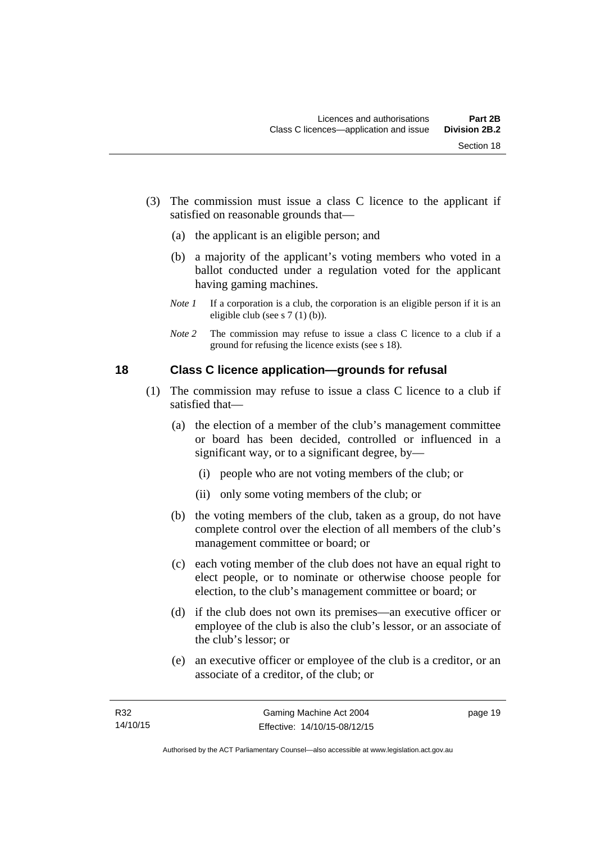- (3) The commission must issue a class C licence to the applicant if satisfied on reasonable grounds that—
	- (a) the applicant is an eligible person; and
	- (b) a majority of the applicant's voting members who voted in a ballot conducted under a regulation voted for the applicant having gaming machines.
	- *Note 1* If a corporation is a club, the corporation is an eligible person if it is an eligible club (see s 7 (1) (b)).
	- *Note 2* The commission may refuse to issue a class C licence to a club if a ground for refusing the licence exists (see s 18).

### <span id="page-34-0"></span>**18 Class C licence application—grounds for refusal**

- (1) The commission may refuse to issue a class C licence to a club if satisfied that—
	- (a) the election of a member of the club's management committee or board has been decided, controlled or influenced in a significant way, or to a significant degree, by—
		- (i) people who are not voting members of the club; or
		- (ii) only some voting members of the club; or
	- (b) the voting members of the club, taken as a group, do not have complete control over the election of all members of the club's management committee or board; or
	- (c) each voting member of the club does not have an equal right to elect people, or to nominate or otherwise choose people for election, to the club's management committee or board; or
	- (d) if the club does not own its premises—an executive officer or employee of the club is also the club's lessor, or an associate of the club's lessor; or
	- (e) an executive officer or employee of the club is a creditor, or an associate of a creditor, of the club; or

page 19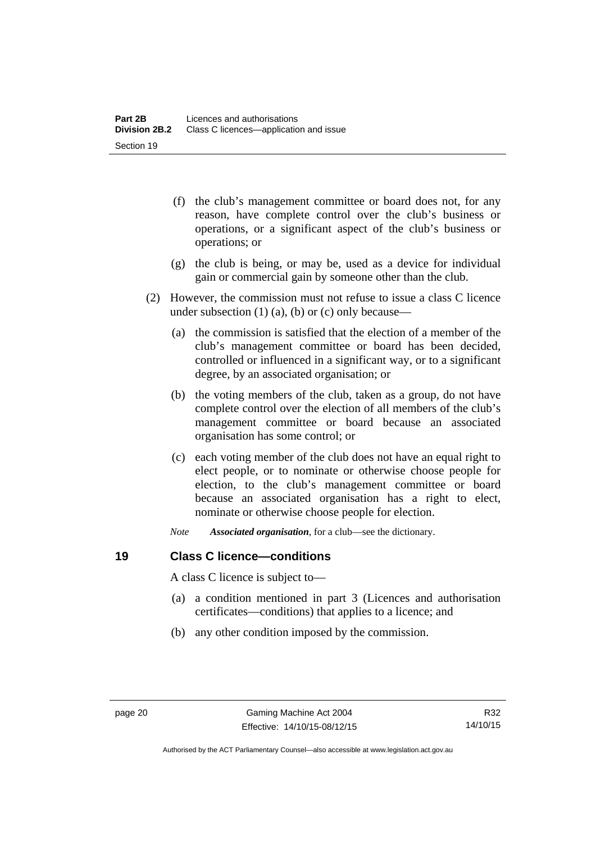- (f) the club's management committee or board does not, for any reason, have complete control over the club's business or operations, or a significant aspect of the club's business or operations; or
- (g) the club is being, or may be, used as a device for individual gain or commercial gain by someone other than the club.
- (2) However, the commission must not refuse to issue a class C licence under subsection  $(1)$   $(a)$ ,  $(b)$  or  $(c)$  only because—
	- (a) the commission is satisfied that the election of a member of the club's management committee or board has been decided, controlled or influenced in a significant way, or to a significant degree, by an associated organisation; or
	- (b) the voting members of the club, taken as a group, do not have complete control over the election of all members of the club's management committee or board because an associated organisation has some control; or
	- (c) each voting member of the club does not have an equal right to elect people, or to nominate or otherwise choose people for election, to the club's management committee or board because an associated organisation has a right to elect, nominate or otherwise choose people for election.
	- *Note Associated organisation*, for a club—see the dictionary.

# <span id="page-35-0"></span>**19 Class C licence—conditions**

A class C licence is subject to—

- (a) a condition mentioned in part 3 (Licences and authorisation certificates—conditions) that applies to a licence; and
- (b) any other condition imposed by the commission.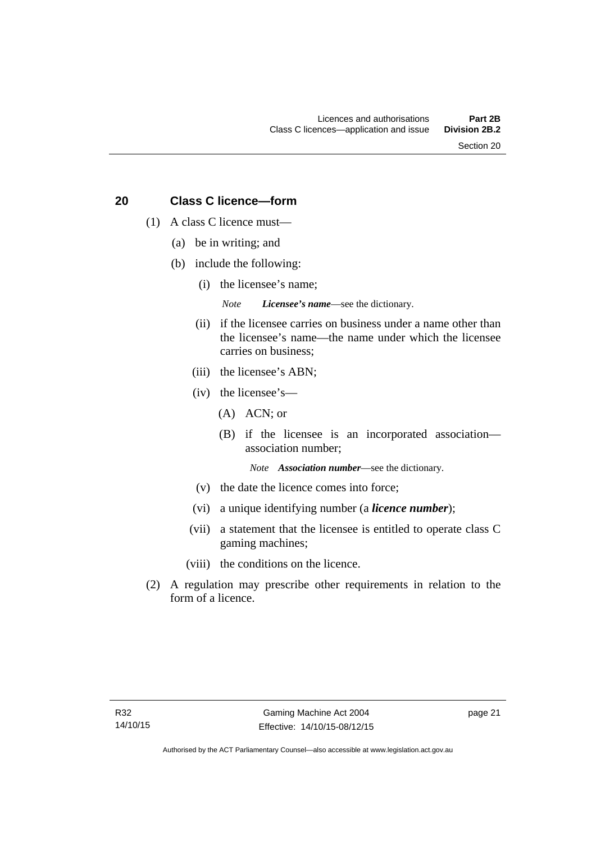Section 20

# **20 Class C licence—form**

- (1) A class C licence must—
	- (a) be in writing; and
	- (b) include the following:
		- (i) the licensee's name;

*Note Licensee's name*—see the dictionary.

- (ii) if the licensee carries on business under a name other than the licensee's name—the name under which the licensee carries on business;
- (iii) the licensee's ABN;
- (iv) the licensee's—
	- (A) ACN; or
	- (B) if the licensee is an incorporated association association number;

*Note Association number*—see the dictionary.

- (v) the date the licence comes into force;
- (vi) a unique identifying number (a *licence number*);
- (vii) a statement that the licensee is entitled to operate class C gaming machines;
- (viii) the conditions on the licence.
- (2) A regulation may prescribe other requirements in relation to the form of a licence.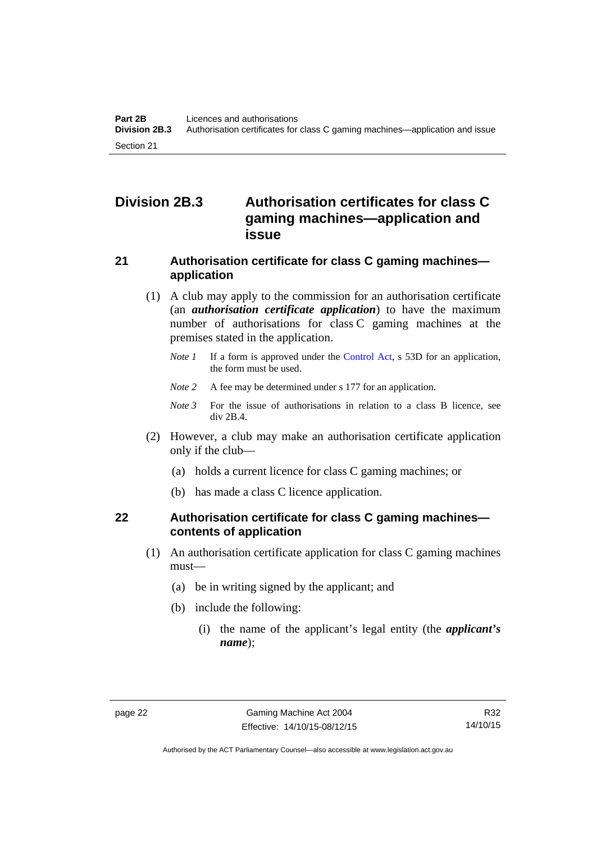# **Division 2B.3 Authorisation certificates for class C gaming machines—application and issue**

# **21 Authorisation certificate for class C gaming machines application**

- (1) A club may apply to the commission for an authorisation certificate (an *authorisation certificate application*) to have the maximum number of authorisations for class C gaming machines at the premises stated in the application.
	- *Note 1* If a form is approved under the [Control Act,](http://www.legislation.act.gov.au/a/1999-46/default.asp) s 53D for an application, the form must be used.
	- *Note* 2 A fee may be determined under s 177 for an application.
	- *Note 3* For the issue of authorisations in relation to a class B licence, see div 2B.4.
- (2) However, a club may make an authorisation certificate application only if the club—
	- (a) holds a current licence for class C gaming machines; or
	- (b) has made a class C licence application.

# **22 Authorisation certificate for class C gaming machines contents of application**

- (1) An authorisation certificate application for class C gaming machines must—
	- (a) be in writing signed by the applicant; and
	- (b) include the following:
		- (i) the name of the applicant's legal entity (the *applicant's name*);

Authorised by the ACT Parliamentary Counsel—also accessible at www.legislation.act.gov.au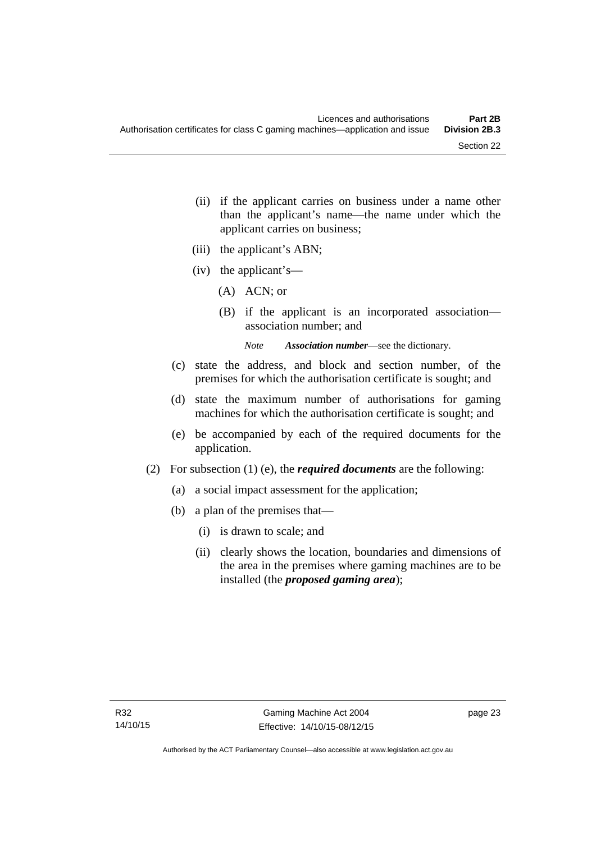- (ii) if the applicant carries on business under a name other than the applicant's name—the name under which the applicant carries on business;
- (iii) the applicant's ABN;
- (iv) the applicant's—
	- (A) ACN; or
	- (B) if the applicant is an incorporated association association number; and

*Note Association number*—see the dictionary.

- (c) state the address, and block and section number, of the premises for which the authorisation certificate is sought; and
- (d) state the maximum number of authorisations for gaming machines for which the authorisation certificate is sought; and
- (e) be accompanied by each of the required documents for the application.
- (2) For subsection (1) (e), the *required documents* are the following:
	- (a) a social impact assessment for the application;
	- (b) a plan of the premises that—
		- (i) is drawn to scale; and
		- (ii) clearly shows the location, boundaries and dimensions of the area in the premises where gaming machines are to be installed (the *proposed gaming area*);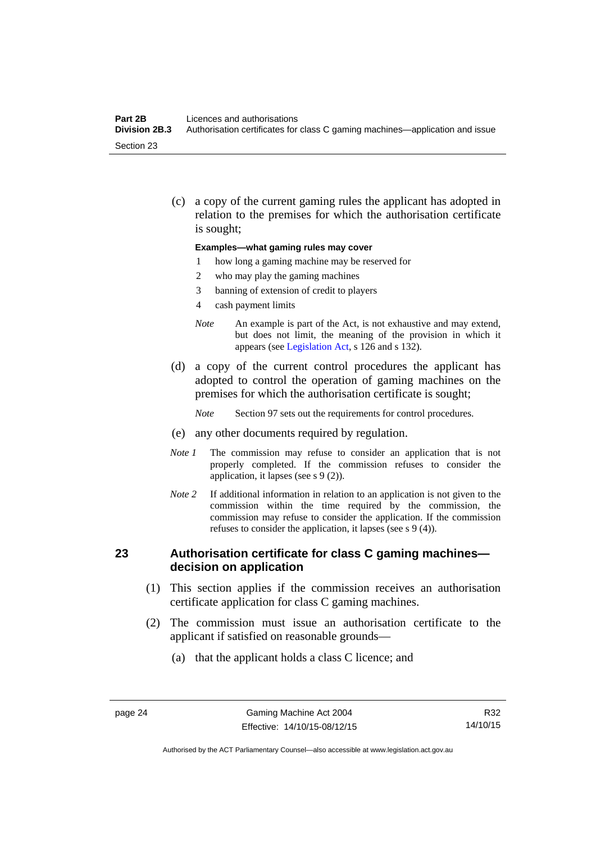#### **Part 2B Licences and authorisations**<br>**Division 2B.3** Authorisation certificates for **Division 2B.3** Authorisation certificates for class C gaming machines—application and issue Section 23

 (c) a copy of the current gaming rules the applicant has adopted in relation to the premises for which the authorisation certificate is sought;

#### **Examples—what gaming rules may cover**

- 1 how long a gaming machine may be reserved for
- 2 who may play the gaming machines
- 3 banning of extension of credit to players
- 4 cash payment limits
- *Note* An example is part of the Act, is not exhaustive and may extend, but does not limit, the meaning of the provision in which it appears (see [Legislation Act,](http://www.legislation.act.gov.au/a/2001-14) s 126 and s 132).
- (d) a copy of the current control procedures the applicant has adopted to control the operation of gaming machines on the premises for which the authorisation certificate is sought;
	- *Note* Section 97 sets out the requirements for control procedures.
- (e) any other documents required by regulation.
- *Note 1* The commission may refuse to consider an application that is not properly completed. If the commission refuses to consider the application, it lapses (see s 9 (2)).
- *Note 2* If additional information in relation to an application is not given to the commission within the time required by the commission, the commission may refuse to consider the application. If the commission refuses to consider the application, it lapses (see s 9 (4)).

### **23 Authorisation certificate for class C gaming machines decision on application**

- (1) This section applies if the commission receives an authorisation certificate application for class C gaming machines.
- (2) The commission must issue an authorisation certificate to the applicant if satisfied on reasonable grounds—
	- (a) that the applicant holds a class C licence; and

R32 14/10/15

Authorised by the ACT Parliamentary Counsel—also accessible at www.legislation.act.gov.au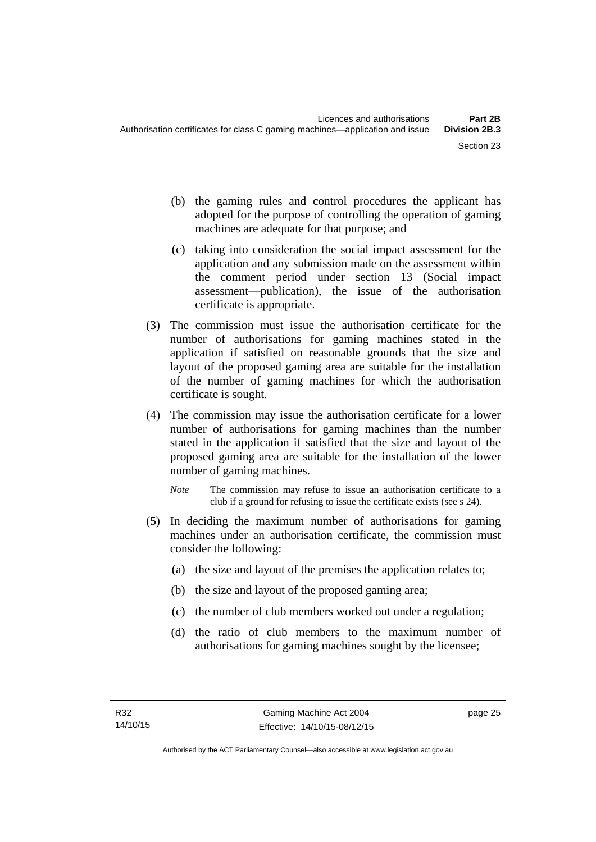- (b) the gaming rules and control procedures the applicant has adopted for the purpose of controlling the operation of gaming machines are adequate for that purpose; and
- (c) taking into consideration the social impact assessment for the application and any submission made on the assessment within the comment period under section 13 (Social impact assessment—publication), the issue of the authorisation certificate is appropriate.
- (3) The commission must issue the authorisation certificate for the number of authorisations for gaming machines stated in the application if satisfied on reasonable grounds that the size and layout of the proposed gaming area are suitable for the installation of the number of gaming machines for which the authorisation certificate is sought.
- (4) The commission may issue the authorisation certificate for a lower number of authorisations for gaming machines than the number stated in the application if satisfied that the size and layout of the proposed gaming area are suitable for the installation of the lower number of gaming machines.
	- *Note* The commission may refuse to issue an authorisation certificate to a club if a ground for refusing to issue the certificate exists (see s 24).
- (5) In deciding the maximum number of authorisations for gaming machines under an authorisation certificate, the commission must consider the following:
	- (a) the size and layout of the premises the application relates to;
	- (b) the size and layout of the proposed gaming area;
	- (c) the number of club members worked out under a regulation;
	- (d) the ratio of club members to the maximum number of authorisations for gaming machines sought by the licensee;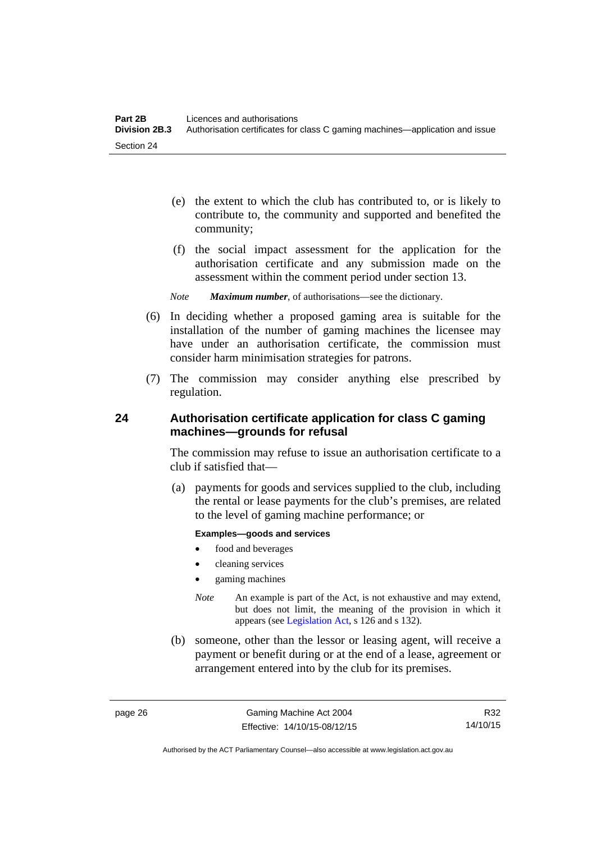- (e) the extent to which the club has contributed to, or is likely to contribute to, the community and supported and benefited the community;
- (f) the social impact assessment for the application for the authorisation certificate and any submission made on the assessment within the comment period under section 13.
- *Note Maximum number*, of authorisations—see the dictionary.
- (6) In deciding whether a proposed gaming area is suitable for the installation of the number of gaming machines the licensee may have under an authorisation certificate, the commission must consider harm minimisation strategies for patrons.
- (7) The commission may consider anything else prescribed by regulation.

# **24 Authorisation certificate application for class C gaming machines—grounds for refusal**

The commission may refuse to issue an authorisation certificate to a club if satisfied that—

 (a) payments for goods and services supplied to the club, including the rental or lease payments for the club's premises, are related to the level of gaming machine performance; or

#### **Examples—goods and services**

- food and beverages
- cleaning services
- gaming machines
- *Note* An example is part of the Act, is not exhaustive and may extend, but does not limit, the meaning of the provision in which it appears (see [Legislation Act,](http://www.legislation.act.gov.au/a/2001-14) s 126 and s 132).
- (b) someone, other than the lessor or leasing agent, will receive a payment or benefit during or at the end of a lease, agreement or arrangement entered into by the club for its premises.

R32 14/10/15

Authorised by the ACT Parliamentary Counsel—also accessible at www.legislation.act.gov.au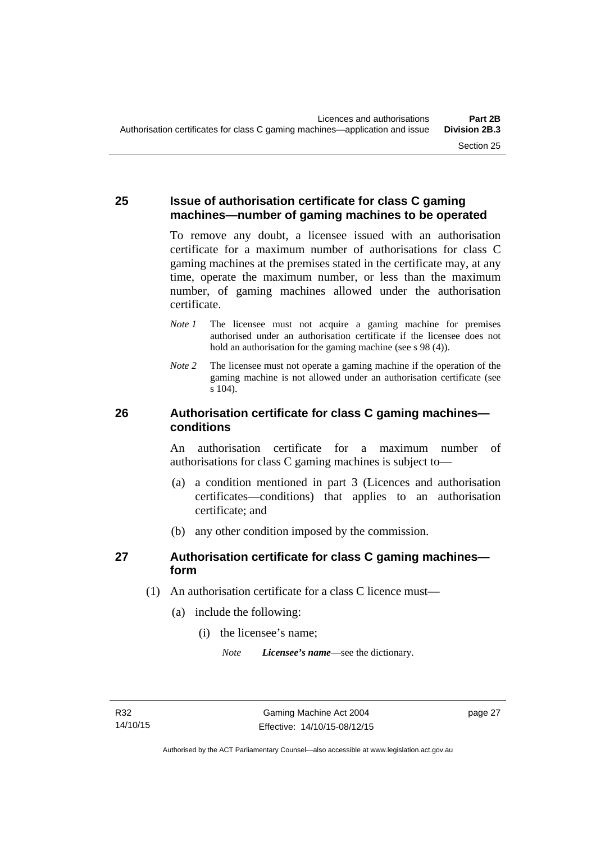## **25 Issue of authorisation certificate for class C gaming machines—number of gaming machines to be operated**

To remove any doubt, a licensee issued with an authorisation certificate for a maximum number of authorisations for class C gaming machines at the premises stated in the certificate may, at any time, operate the maximum number, or less than the maximum number, of gaming machines allowed under the authorisation certificate.

- *Note 1* The licensee must not acquire a gaming machine for premises authorised under an authorisation certificate if the licensee does not hold an authorisation for the gaming machine (see s 98 (4)).
- *Note 2* The licensee must not operate a gaming machine if the operation of the gaming machine is not allowed under an authorisation certificate (see s 104).

## **26 Authorisation certificate for class C gaming machines conditions**

An authorisation certificate for a maximum number of authorisations for class C gaming machines is subject to—

- (a) a condition mentioned in part 3 (Licences and authorisation certificates—conditions) that applies to an authorisation certificate; and
- (b) any other condition imposed by the commission.

# **27 Authorisation certificate for class C gaming machines form**

- (1) An authorisation certificate for a class C licence must—
	- (a) include the following:
		- (i) the licensee's name;

*Note Licensee's name*—see the dictionary.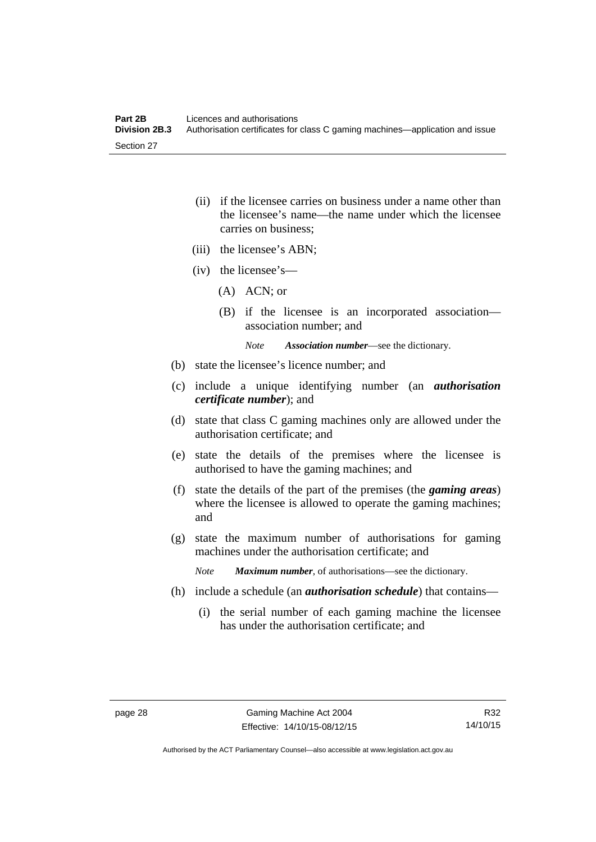- (ii) if the licensee carries on business under a name other than the licensee's name—the name under which the licensee carries on business;
- (iii) the licensee's ABN;
- (iv) the licensee's—
	- (A) ACN; or
	- (B) if the licensee is an incorporated association association number; and

*Note Association number*—see the dictionary.

- (b) state the licensee's licence number; and
- (c) include a unique identifying number (an *authorisation certificate number*); and
- (d) state that class C gaming machines only are allowed under the authorisation certificate; and
- (e) state the details of the premises where the licensee is authorised to have the gaming machines; and
- (f) state the details of the part of the premises (the *gaming areas*) where the licensee is allowed to operate the gaming machines; and
- (g) state the maximum number of authorisations for gaming machines under the authorisation certificate; and

*Note Maximum number*, of authorisations—see the dictionary.

- (h) include a schedule (an *authorisation schedule*) that contains—
	- (i) the serial number of each gaming machine the licensee has under the authorisation certificate; and

R32 14/10/15

Authorised by the ACT Parliamentary Counsel—also accessible at www.legislation.act.gov.au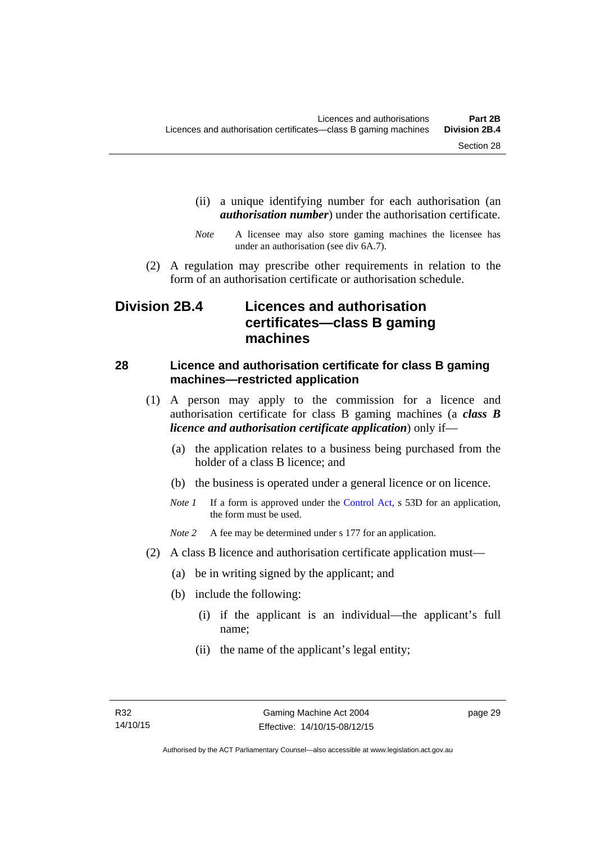- (ii) a unique identifying number for each authorisation (an *authorisation number*) under the authorisation certificate.
- *Note* A licensee may also store gaming machines the licensee has under an authorisation (see div 6A.7).
- (2) A regulation may prescribe other requirements in relation to the form of an authorisation certificate or authorisation schedule.

# **Division 2B.4 Licences and authorisation certificates—class B gaming machines**

# **28 Licence and authorisation certificate for class B gaming machines—restricted application**

- (1) A person may apply to the commission for a licence and authorisation certificate for class B gaming machines (a *class B licence and authorisation certificate application*) only if—
	- (a) the application relates to a business being purchased from the holder of a class B licence; and
	- (b) the business is operated under a general licence or on licence.
	- *Note 1* If a form is approved under the [Control Act,](http://www.legislation.act.gov.au/a/1999-46/default.asp) s 53D for an application, the form must be used.

*Note* 2 A fee may be determined under s 177 for an application.

- (2) A class B licence and authorisation certificate application must—
	- (a) be in writing signed by the applicant; and
	- (b) include the following:
		- (i) if the applicant is an individual—the applicant's full name;
		- (ii) the name of the applicant's legal entity;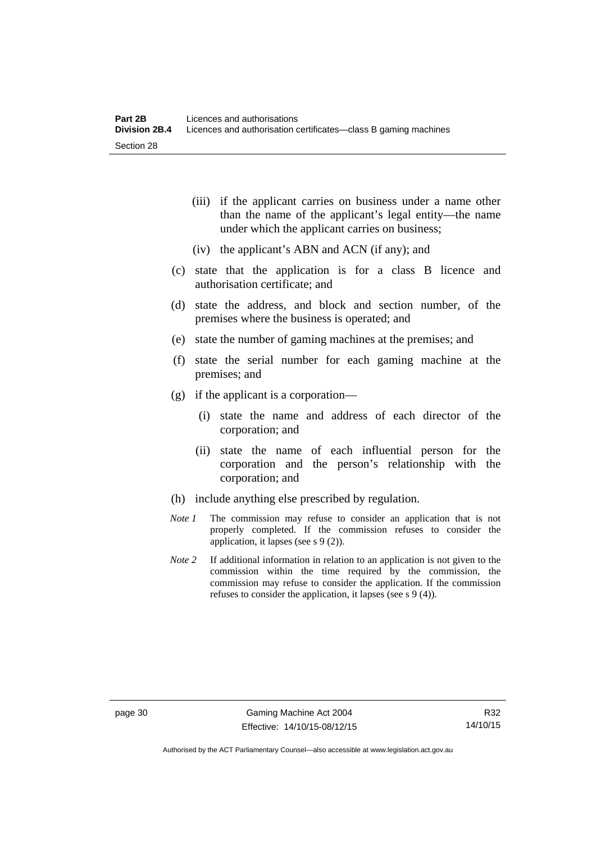- (iii) if the applicant carries on business under a name other than the name of the applicant's legal entity—the name under which the applicant carries on business;
- (iv) the applicant's ABN and ACN (if any); and
- (c) state that the application is for a class B licence and authorisation certificate; and
- (d) state the address, and block and section number, of the premises where the business is operated; and
- (e) state the number of gaming machines at the premises; and
- (f) state the serial number for each gaming machine at the premises; and
- (g) if the applicant is a corporation—
	- (i) state the name and address of each director of the corporation; and
	- (ii) state the name of each influential person for the corporation and the person's relationship with the corporation; and
- (h) include anything else prescribed by regulation.
- *Note 1* The commission may refuse to consider an application that is not properly completed. If the commission refuses to consider the application, it lapses (see s 9 (2)).
- *Note 2* If additional information in relation to an application is not given to the commission within the time required by the commission, the commission may refuse to consider the application. If the commission refuses to consider the application, it lapses (see s 9 (4)).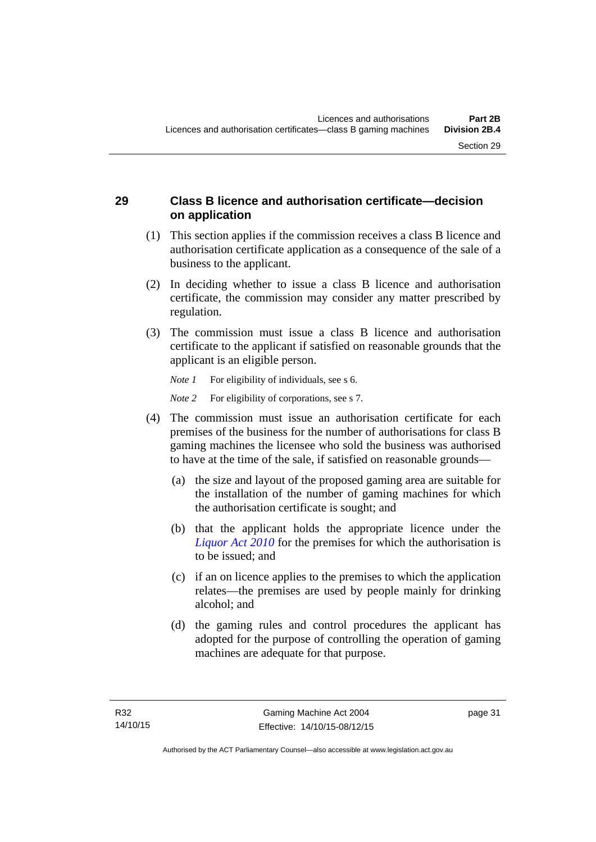# **29 Class B licence and authorisation certificate—decision on application**

- (1) This section applies if the commission receives a class B licence and authorisation certificate application as a consequence of the sale of a business to the applicant.
- (2) In deciding whether to issue a class B licence and authorisation certificate, the commission may consider any matter prescribed by regulation.
- (3) The commission must issue a class B licence and authorisation certificate to the applicant if satisfied on reasonable grounds that the applicant is an eligible person.

*Note 1* For eligibility of individuals, see s 6.

*Note* 2 For eligibility of corporations, see s 7.

- (4) The commission must issue an authorisation certificate for each premises of the business for the number of authorisations for class B gaming machines the licensee who sold the business was authorised to have at the time of the sale, if satisfied on reasonable grounds—
	- (a) the size and layout of the proposed gaming area are suitable for the installation of the number of gaming machines for which the authorisation certificate is sought; and
	- (b) that the applicant holds the appropriate licence under the *[Liquor Act 2010](http://www.legislation.act.gov.au/a/2010-35)* for the premises for which the authorisation is to be issued; and
	- (c) if an on licence applies to the premises to which the application relates—the premises are used by people mainly for drinking alcohol; and
	- (d) the gaming rules and control procedures the applicant has adopted for the purpose of controlling the operation of gaming machines are adequate for that purpose.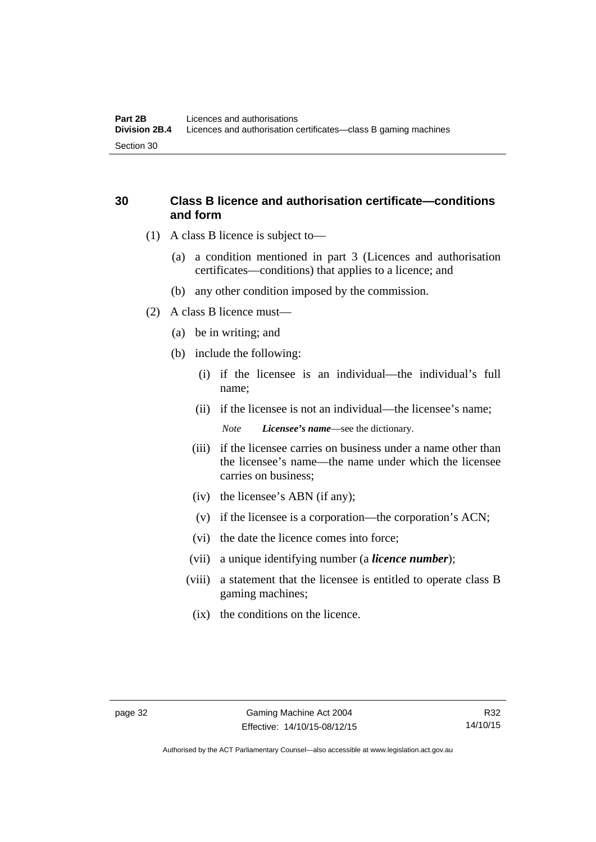# **30 Class B licence and authorisation certificate—conditions and form**

- (1) A class B licence is subject to—
	- (a) a condition mentioned in part 3 (Licences and authorisation certificates—conditions) that applies to a licence; and
	- (b) any other condition imposed by the commission.
- (2) A class B licence must—
	- (a) be in writing; and
	- (b) include the following:
		- (i) if the licensee is an individual—the individual's full name;
		- (ii) if the licensee is not an individual—the licensee's name; *Note Licensee's name*—see the dictionary.
		- (iii) if the licensee carries on business under a name other than the licensee's name—the name under which the licensee carries on business;
		- (iv) the licensee's ABN (if any);
		- (v) if the licensee is a corporation—the corporation's ACN;
		- (vi) the date the licence comes into force;
		- (vii) a unique identifying number (a *licence number*);
		- (viii) a statement that the licensee is entitled to operate class B gaming machines;
			- (ix) the conditions on the licence.

Authorised by the ACT Parliamentary Counsel—also accessible at www.legislation.act.gov.au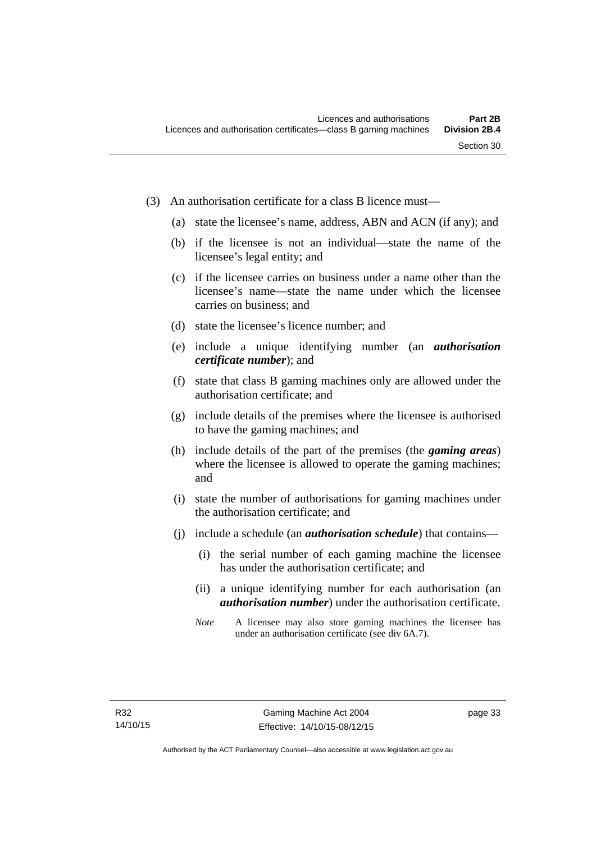- (3) An authorisation certificate for a class B licence must—
	- (a) state the licensee's name, address, ABN and ACN (if any); and
	- (b) if the licensee is not an individual—state the name of the licensee's legal entity; and
	- (c) if the licensee carries on business under a name other than the licensee's name—state the name under which the licensee carries on business; and
	- (d) state the licensee's licence number; and
	- (e) include a unique identifying number (an *authorisation certificate number*); and
	- (f) state that class B gaming machines only are allowed under the authorisation certificate; and
	- (g) include details of the premises where the licensee is authorised to have the gaming machines; and
	- (h) include details of the part of the premises (the *gaming areas*) where the licensee is allowed to operate the gaming machines; and
	- (i) state the number of authorisations for gaming machines under the authorisation certificate; and
	- (j) include a schedule (an *authorisation schedule*) that contains—
		- (i) the serial number of each gaming machine the licensee has under the authorisation certificate; and
		- (ii) a unique identifying number for each authorisation (an *authorisation number*) under the authorisation certificate.
		- *Note* A licensee may also store gaming machines the licensee has under an authorisation certificate (see div 6A.7).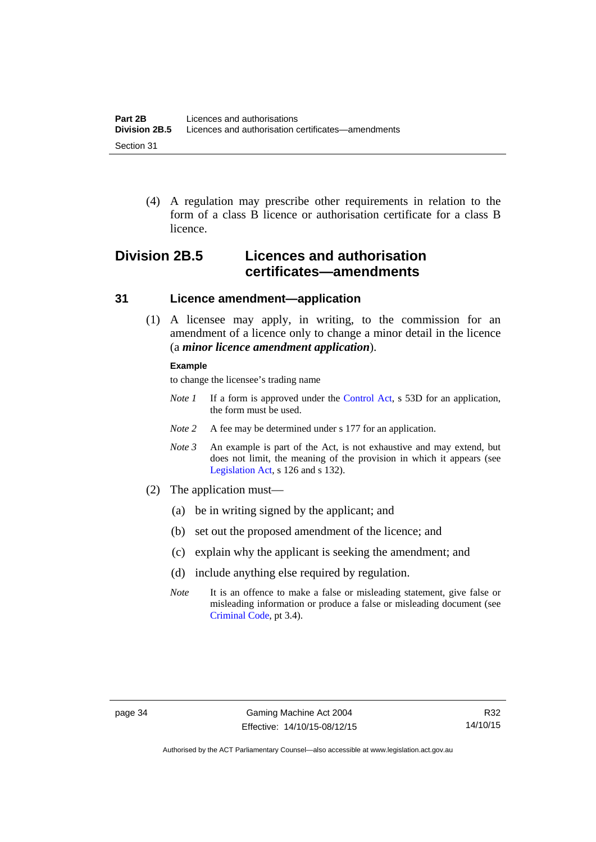(4) A regulation may prescribe other requirements in relation to the form of a class B licence or authorisation certificate for a class B licence.

# **Division 2B.5 Licences and authorisation certificates—amendments**

### **31 Licence amendment—application**

 (1) A licensee may apply, in writing, to the commission for an amendment of a licence only to change a minor detail in the licence (a *minor licence amendment application*).

#### **Example**

to change the licensee's trading name

- *Note 1* If a form is approved under the [Control Act,](http://www.legislation.act.gov.au/a/1999-46/default.asp) s 53D for an application, the form must be used.
- *Note* 2 A fee may be determined under s 177 for an application.
- *Note 3* An example is part of the Act, is not exhaustive and may extend, but does not limit, the meaning of the provision in which it appears (see [Legislation Act,](http://www.legislation.act.gov.au/a/2001-14) s 126 and s 132).
- (2) The application must—
	- (a) be in writing signed by the applicant; and
	- (b) set out the proposed amendment of the licence; and
	- (c) explain why the applicant is seeking the amendment; and
	- (d) include anything else required by regulation.
	- *Note* It is an offence to make a false or misleading statement, give false or misleading information or produce a false or misleading document (see [Criminal Code](http://www.legislation.act.gov.au/a/2002-51), pt 3.4).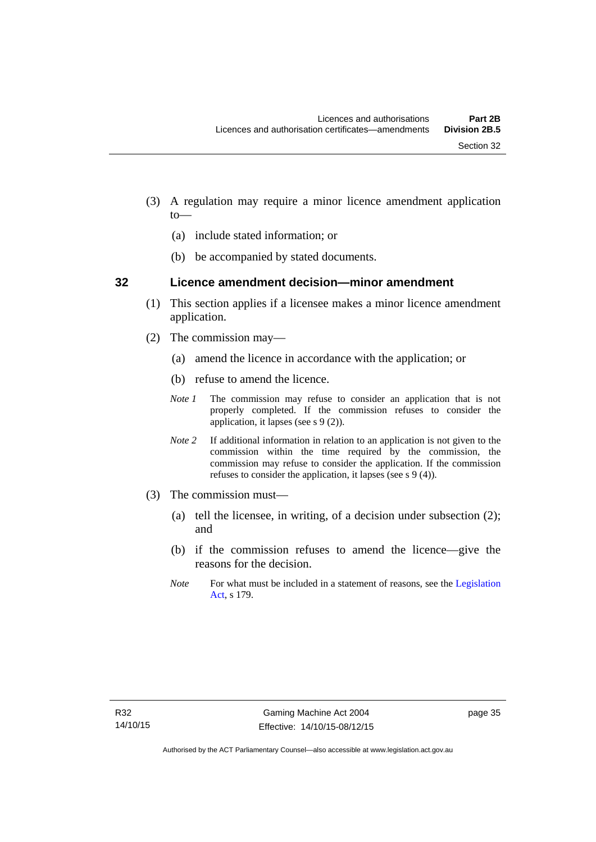- (3) A regulation may require a minor licence amendment application to—
	- (a) include stated information; or
	- (b) be accompanied by stated documents.

#### **32 Licence amendment decision—minor amendment**

- (1) This section applies if a licensee makes a minor licence amendment application.
- (2) The commission may—
	- (a) amend the licence in accordance with the application; or
	- (b) refuse to amend the licence.
	- *Note 1* The commission may refuse to consider an application that is not properly completed. If the commission refuses to consider the application, it lapses (see s 9 (2)).
	- *Note 2* If additional information in relation to an application is not given to the commission within the time required by the commission, the commission may refuse to consider the application. If the commission refuses to consider the application, it lapses (see s 9 (4)).
- (3) The commission must—
	- (a) tell the licensee, in writing, of a decision under subsection (2); and
	- (b) if the commission refuses to amend the licence—give the reasons for the decision.
	- *Note* For what must be included in a statement of reasons, see the Legislation [Act](http://www.legislation.act.gov.au/a/2001-14), s 179.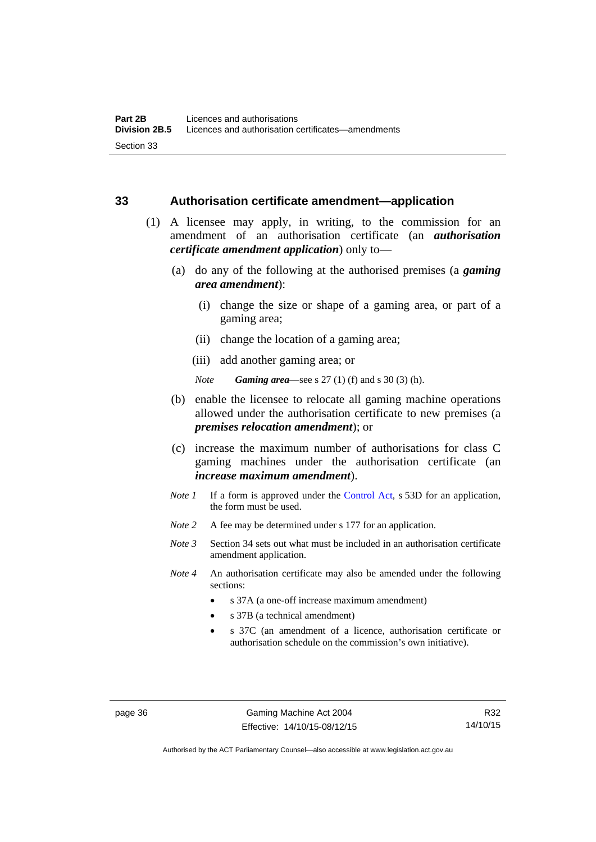#### **33 Authorisation certificate amendment—application**

- (1) A licensee may apply, in writing, to the commission for an amendment of an authorisation certificate (an *authorisation certificate amendment application*) only to—
	- (a) do any of the following at the authorised premises (a *gaming area amendment*):
		- (i) change the size or shape of a gaming area, or part of a gaming area;
		- (ii) change the location of a gaming area;
		- (iii) add another gaming area; or

*Note Gaming area*—see s 27 (1) (f) and s 30 (3) (h).

- (b) enable the licensee to relocate all gaming machine operations allowed under the authorisation certificate to new premises (a *premises relocation amendment*); or
- (c) increase the maximum number of authorisations for class C gaming machines under the authorisation certificate (an *increase maximum amendment*).
- *Note 1* If a form is approved under the [Control Act](http://www.legislation.act.gov.au/a/1999-46/default.asp), s 53D for an application, the form must be used.
- *Note* 2 A fee may be determined under s 177 for an application.
- *Note 3* Section 34 sets out what must be included in an authorisation certificate amendment application.
- *Note 4* An authorisation certificate may also be amended under the following sections:
	- s 37A (a one-off increase maximum amendment)
	- s 37B (a technical amendment)
	- s 37C (an amendment of a licence, authorisation certificate or authorisation schedule on the commission's own initiative).

page 36 Gaming Machine Act 2004 Effective: 14/10/15-08/12/15

Authorised by the ACT Parliamentary Counsel—also accessible at www.legislation.act.gov.au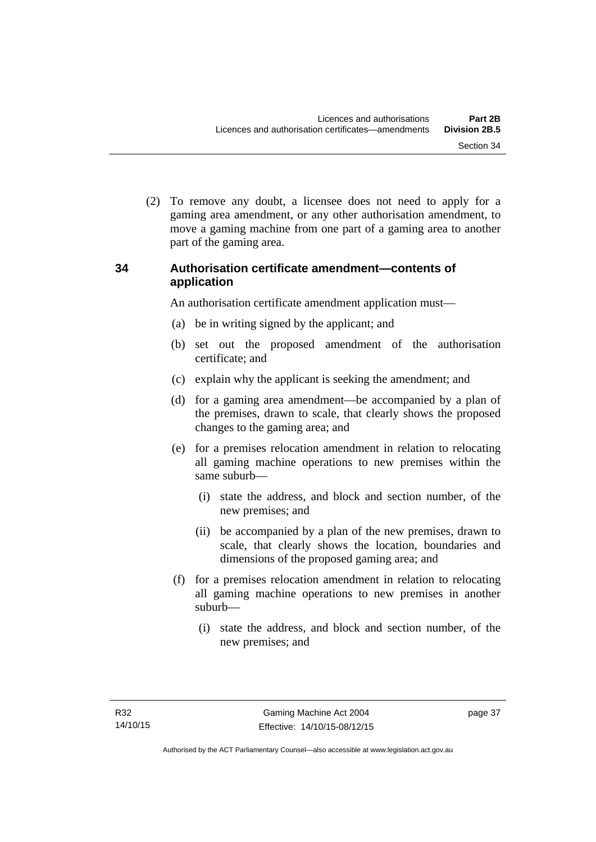(2) To remove any doubt, a licensee does not need to apply for a gaming area amendment, or any other authorisation amendment, to move a gaming machine from one part of a gaming area to another part of the gaming area.

# **34 Authorisation certificate amendment—contents of application**

An authorisation certificate amendment application must—

- (a) be in writing signed by the applicant; and
- (b) set out the proposed amendment of the authorisation certificate; and
- (c) explain why the applicant is seeking the amendment; and
- (d) for a gaming area amendment—be accompanied by a plan of the premises, drawn to scale, that clearly shows the proposed changes to the gaming area; and
- (e) for a premises relocation amendment in relation to relocating all gaming machine operations to new premises within the same suburb—
	- (i) state the address, and block and section number, of the new premises; and
	- (ii) be accompanied by a plan of the new premises, drawn to scale, that clearly shows the location, boundaries and dimensions of the proposed gaming area; and
- (f) for a premises relocation amendment in relation to relocating all gaming machine operations to new premises in another suburb—
	- (i) state the address, and block and section number, of the new premises; and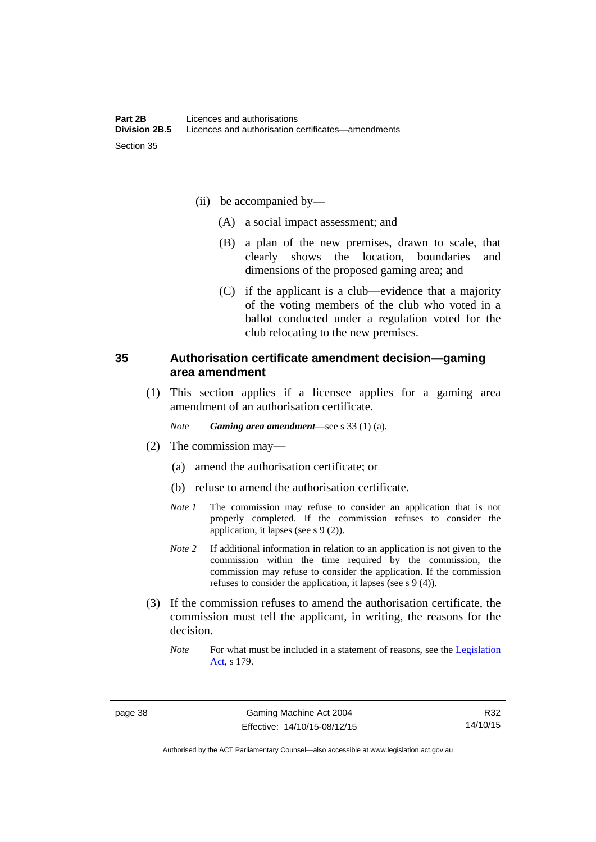- (ii) be accompanied by—
	- (A) a social impact assessment; and
	- (B) a plan of the new premises, drawn to scale, that clearly shows the location, boundaries and dimensions of the proposed gaming area; and
	- (C) if the applicant is a club—evidence that a majority of the voting members of the club who voted in a ballot conducted under a regulation voted for the club relocating to the new premises.

### **35 Authorisation certificate amendment decision—gaming area amendment**

 (1) This section applies if a licensee applies for a gaming area amendment of an authorisation certificate.

*Note Gaming area amendment*—see s 33 (1) (a).

- (2) The commission may—
	- (a) amend the authorisation certificate; or
	- (b) refuse to amend the authorisation certificate.
	- *Note 1* The commission may refuse to consider an application that is not properly completed. If the commission refuses to consider the application, it lapses (see s 9 (2)).
	- *Note 2* If additional information in relation to an application is not given to the commission within the time required by the commission, the commission may refuse to consider the application. If the commission refuses to consider the application, it lapses (see s 9 (4)).
- (3) If the commission refuses to amend the authorisation certificate, the commission must tell the applicant, in writing, the reasons for the decision.
	- *Note* For what must be included in a statement of reasons, see the Legislation [Act](http://www.legislation.act.gov.au/a/2001-14), s 179.

R32 14/10/15

Authorised by the ACT Parliamentary Counsel—also accessible at www.legislation.act.gov.au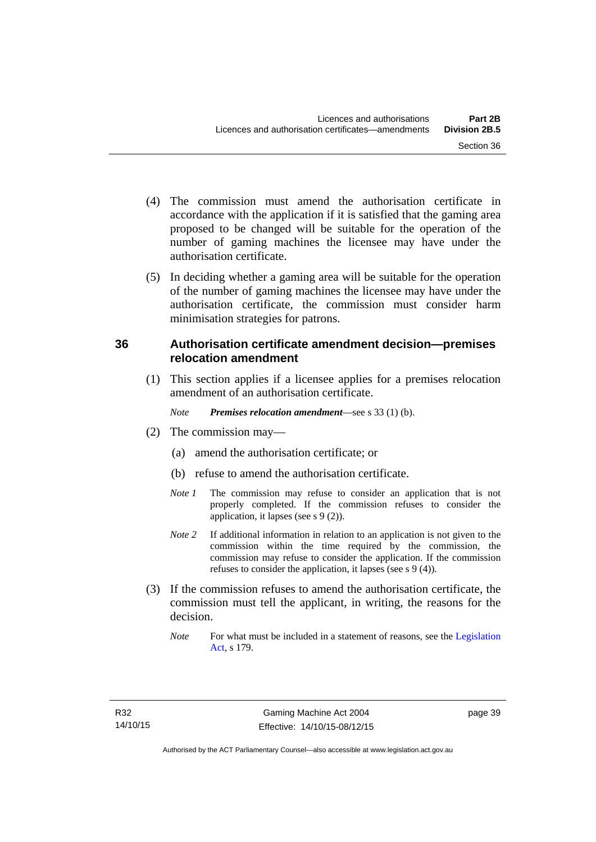- (4) The commission must amend the authorisation certificate in accordance with the application if it is satisfied that the gaming area proposed to be changed will be suitable for the operation of the number of gaming machines the licensee may have under the authorisation certificate.
- (5) In deciding whether a gaming area will be suitable for the operation of the number of gaming machines the licensee may have under the authorisation certificate, the commission must consider harm minimisation strategies for patrons.

# **36 Authorisation certificate amendment decision—premises relocation amendment**

(1) This section applies if a licensee applies for a premises relocation amendment of an authorisation certificate.

*Note Premises relocation amendment*—see s 33 (1) (b).

- (2) The commission may—
	- (a) amend the authorisation certificate; or
	- (b) refuse to amend the authorisation certificate.
	- *Note 1* The commission may refuse to consider an application that is not properly completed. If the commission refuses to consider the application, it lapses (see s 9 (2)).
	- *Note* 2 If additional information in relation to an application is not given to the commission within the time required by the commission, the commission may refuse to consider the application. If the commission refuses to consider the application, it lapses (see s 9 (4)).
- (3) If the commission refuses to amend the authorisation certificate, the commission must tell the applicant, in writing, the reasons for the decision.
	- *Note* For what must be included in a statement of reasons, see the Legislation [Act](http://www.legislation.act.gov.au/a/2001-14), s 179.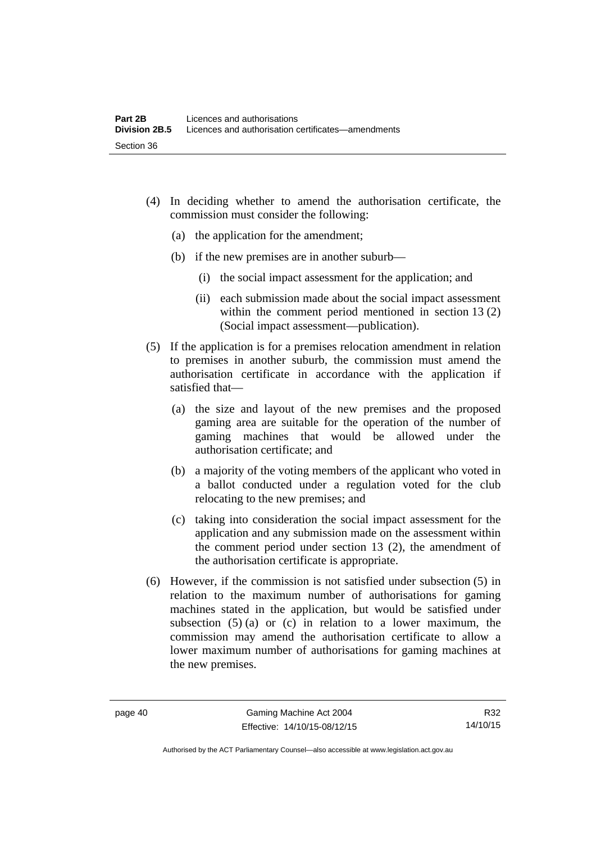- (4) In deciding whether to amend the authorisation certificate, the commission must consider the following:
	- (a) the application for the amendment;
	- (b) if the new premises are in another suburb—
		- (i) the social impact assessment for the application; and
		- (ii) each submission made about the social impact assessment within the comment period mentioned in section 13 (2) (Social impact assessment—publication).
- (5) If the application is for a premises relocation amendment in relation to premises in another suburb, the commission must amend the authorisation certificate in accordance with the application if satisfied that—
	- (a) the size and layout of the new premises and the proposed gaming area are suitable for the operation of the number of gaming machines that would be allowed under the authorisation certificate; and
	- (b) a majority of the voting members of the applicant who voted in a ballot conducted under a regulation voted for the club relocating to the new premises; and
	- (c) taking into consideration the social impact assessment for the application and any submission made on the assessment within the comment period under section 13 (2), the amendment of the authorisation certificate is appropriate.
- (6) However, if the commission is not satisfied under subsection (5) in relation to the maximum number of authorisations for gaming machines stated in the application, but would be satisfied under subsection  $(5)$  (a) or (c) in relation to a lower maximum, the commission may amend the authorisation certificate to allow a lower maximum number of authorisations for gaming machines at the new premises.

R32 14/10/15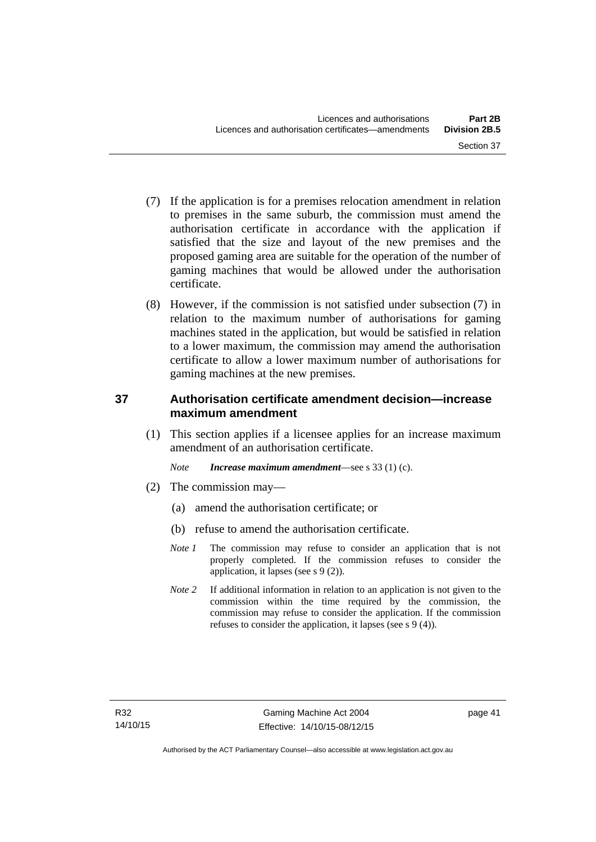- (7) If the application is for a premises relocation amendment in relation to premises in the same suburb, the commission must amend the authorisation certificate in accordance with the application if satisfied that the size and layout of the new premises and the proposed gaming area are suitable for the operation of the number of gaming machines that would be allowed under the authorisation certificate.
- (8) However, if the commission is not satisfied under subsection (7) in relation to the maximum number of authorisations for gaming machines stated in the application, but would be satisfied in relation to a lower maximum, the commission may amend the authorisation certificate to allow a lower maximum number of authorisations for gaming machines at the new premises.

# **37 Authorisation certificate amendment decision—increase maximum amendment**

(1) This section applies if a licensee applies for an increase maximum amendment of an authorisation certificate.

*Note Increase maximum amendment*—see s 33 (1) (c).

- (2) The commission may—
	- (a) amend the authorisation certificate; or
	- (b) refuse to amend the authorisation certificate.
	- *Note 1* The commission may refuse to consider an application that is not properly completed. If the commission refuses to consider the application, it lapses (see s 9 (2)).
	- *Note* 2 If additional information in relation to an application is not given to the commission within the time required by the commission, the commission may refuse to consider the application. If the commission refuses to consider the application, it lapses (see s 9 (4)).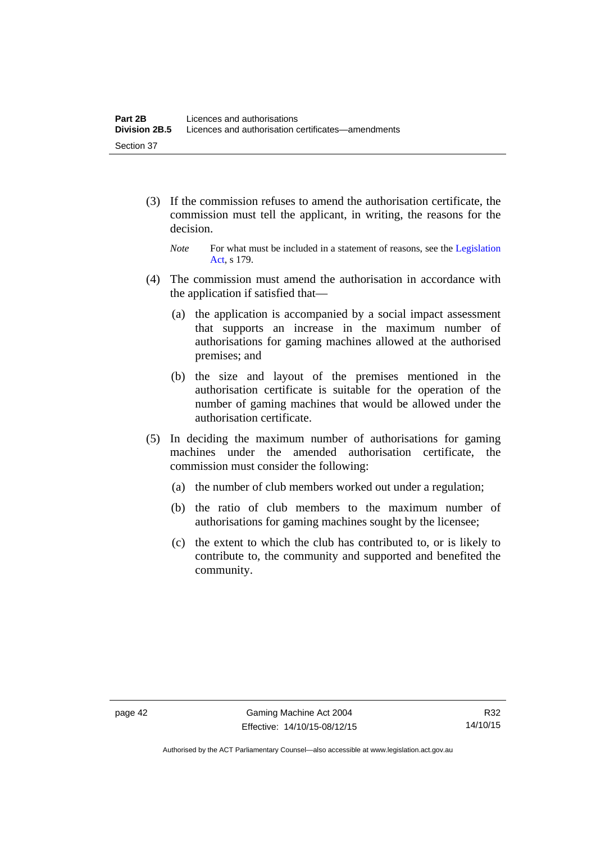- (3) If the commission refuses to amend the authorisation certificate, the commission must tell the applicant, in writing, the reasons for the decision.
	- *Note* For what must be included in a statement of reasons, see the Legislation [Act](http://www.legislation.act.gov.au/a/2001-14), s 179.
- (4) The commission must amend the authorisation in accordance with the application if satisfied that—
	- (a) the application is accompanied by a social impact assessment that supports an increase in the maximum number of authorisations for gaming machines allowed at the authorised premises; and
	- (b) the size and layout of the premises mentioned in the authorisation certificate is suitable for the operation of the number of gaming machines that would be allowed under the authorisation certificate.
- (5) In deciding the maximum number of authorisations for gaming machines under the amended authorisation certificate, the commission must consider the following:
	- (a) the number of club members worked out under a regulation;
	- (b) the ratio of club members to the maximum number of authorisations for gaming machines sought by the licensee;
	- (c) the extent to which the club has contributed to, or is likely to contribute to, the community and supported and benefited the community.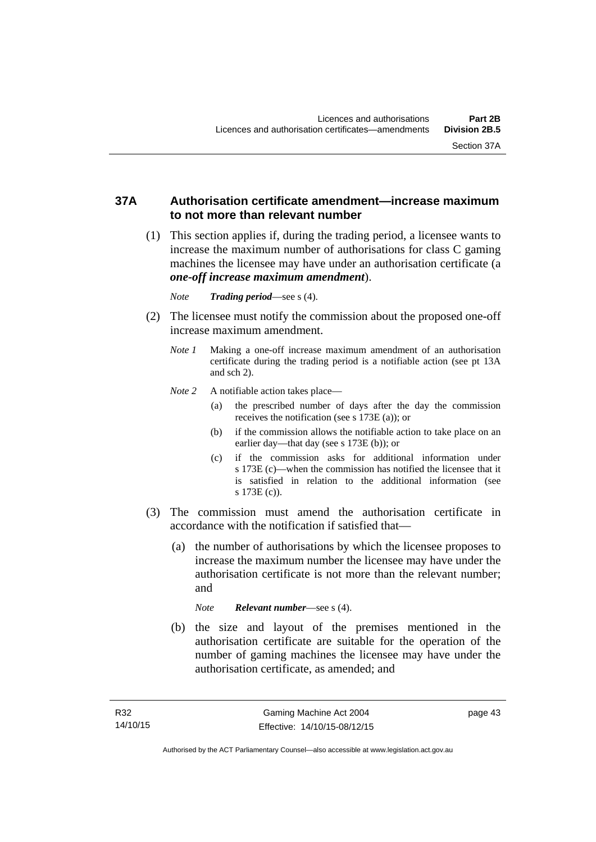## **37A Authorisation certificate amendment—increase maximum to not more than relevant number**

- (1) This section applies if, during the trading period, a licensee wants to increase the maximum number of authorisations for class C gaming machines the licensee may have under an authorisation certificate (a *one-off increase maximum amendment*).
	- *Note Trading period*—see s (4).
- (2) The licensee must notify the commission about the proposed one-off increase maximum amendment.
	- *Note 1* Making a one-off increase maximum amendment of an authorisation certificate during the trading period is a notifiable action (see pt 13A and sch 2).
	- *Note* 2 A notifiable action takes place—
		- (a) the prescribed number of days after the day the commission receives the notification (see s 173E (a)); or
		- (b) if the commission allows the notifiable action to take place on an earlier day—that day (see s 173E (b)); or
		- (c) if the commission asks for additional information under s 173E (c)—when the commission has notified the licensee that it is satisfied in relation to the additional information (see s 173E (c)).
- (3) The commission must amend the authorisation certificate in accordance with the notification if satisfied that—
	- (a) the number of authorisations by which the licensee proposes to increase the maximum number the licensee may have under the authorisation certificate is not more than the relevant number; and

*Note Relevant number*—see s (4).

 (b) the size and layout of the premises mentioned in the authorisation certificate are suitable for the operation of the number of gaming machines the licensee may have under the authorisation certificate, as amended; and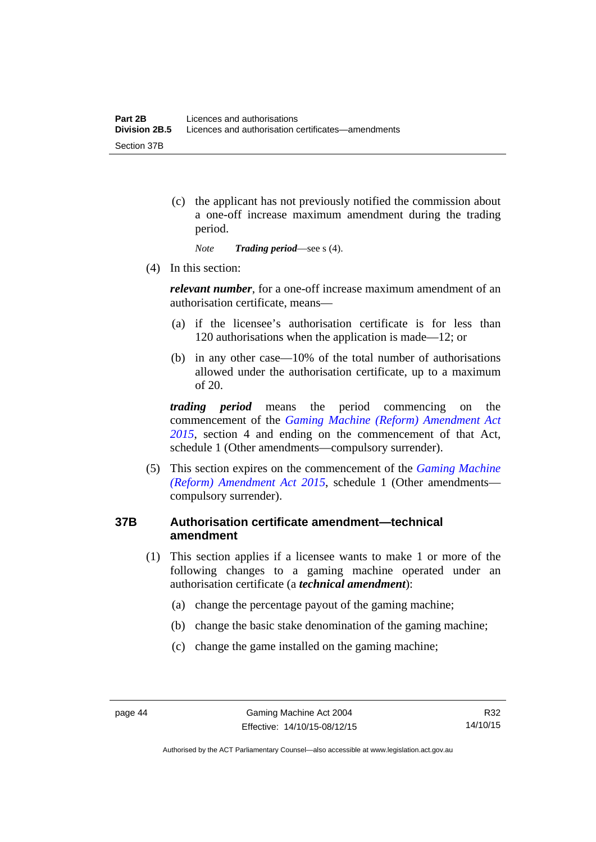(c) the applicant has not previously notified the commission about a one-off increase maximum amendment during the trading period.

*Note Trading period*—see s (4).

(4) In this section:

*relevant number*, for a one-off increase maximum amendment of an authorisation certificate, means—

- (a) if the licensee's authorisation certificate is for less than 120 authorisations when the application is made—12; or
- (b) in any other case—10% of the total number of authorisations allowed under the authorisation certificate, up to a maximum of 20.

*trading period* means the period commencing on the commencement of the *[Gaming Machine \(Reform\) Amendment Act](http://www.legislation.act.gov.au/a/2015-21/default.asp)  [2015](http://www.legislation.act.gov.au/a/2015-21/default.asp)*, section 4 and ending on the commencement of that Act, schedule 1 (Other amendments—compulsory surrender).

 (5) This section expires on the commencement of the *[Gaming Machine](http://www.legislation.act.gov.au/a/2015-21/default.asp)  [\(Reform\) Amendment Act 2015](http://www.legislation.act.gov.au/a/2015-21/default.asp)*, schedule 1 (Other amendments compulsory surrender).

# **37B Authorisation certificate amendment—technical amendment**

- (1) This section applies if a licensee wants to make 1 or more of the following changes to a gaming machine operated under an authorisation certificate (a *technical amendment*):
	- (a) change the percentage payout of the gaming machine;
	- (b) change the basic stake denomination of the gaming machine;
	- (c) change the game installed on the gaming machine;

Authorised by the ACT Parliamentary Counsel—also accessible at www.legislation.act.gov.au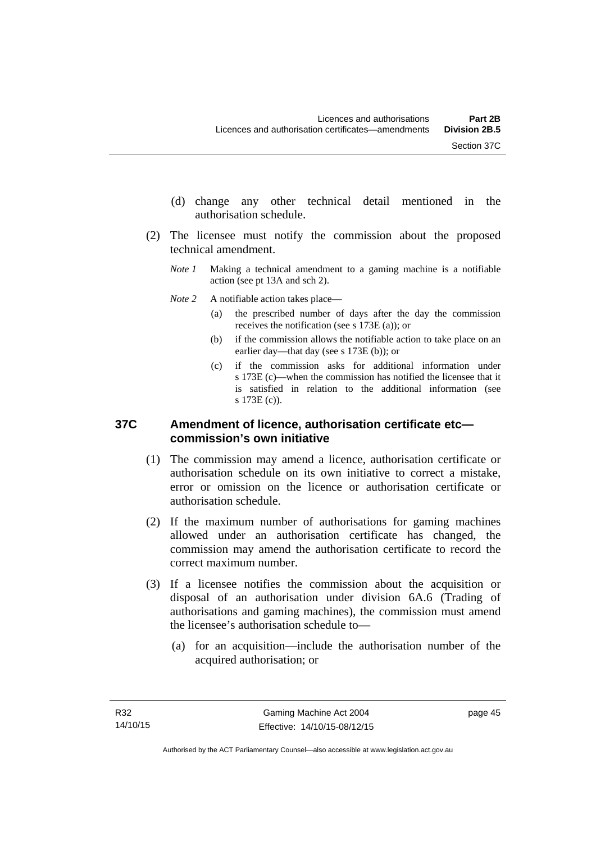- (d) change any other technical detail mentioned in the authorisation schedule.
- (2) The licensee must notify the commission about the proposed technical amendment.
	- *Note 1* Making a technical amendment to a gaming machine is a notifiable action (see pt 13A and sch 2).
	- *Note* 2 A notifiable action takes place—
		- (a) the prescribed number of days after the day the commission receives the notification (see s 173E (a)); or
		- (b) if the commission allows the notifiable action to take place on an earlier day—that day (see s 173E (b)); or
		- (c) if the commission asks for additional information under s 173E (c)—when the commission has notified the licensee that it is satisfied in relation to the additional information (see s 173E (c)).

### **37C Amendment of licence, authorisation certificate etc commission's own initiative**

- (1) The commission may amend a licence, authorisation certificate or authorisation schedule on its own initiative to correct a mistake, error or omission on the licence or authorisation certificate or authorisation schedule.
- (2) If the maximum number of authorisations for gaming machines allowed under an authorisation certificate has changed, the commission may amend the authorisation certificate to record the correct maximum number.
- (3) If a licensee notifies the commission about the acquisition or disposal of an authorisation under division 6A.6 (Trading of authorisations and gaming machines), the commission must amend the licensee's authorisation schedule to—
	- (a) for an acquisition—include the authorisation number of the acquired authorisation; or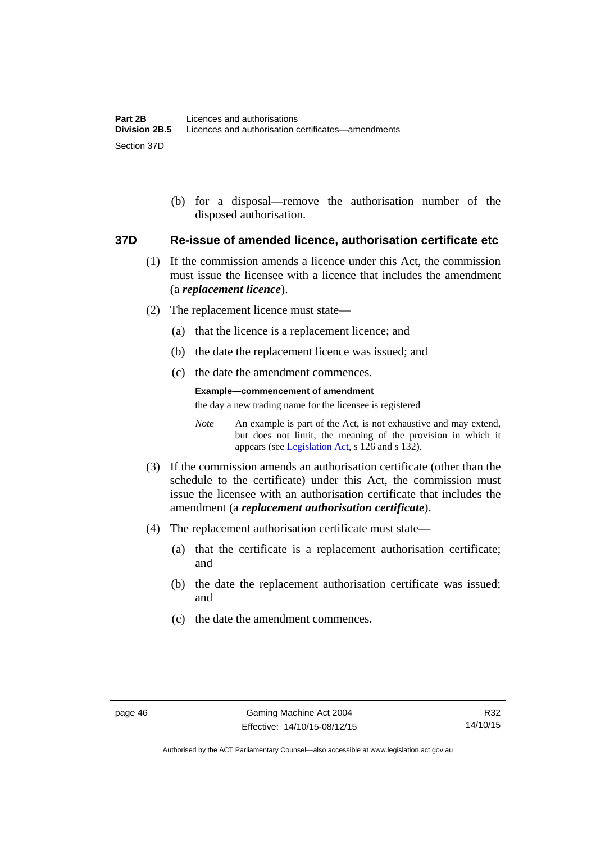(b) for a disposal—remove the authorisation number of the disposed authorisation.

#### **37D Re-issue of amended licence, authorisation certificate etc**

- (1) If the commission amends a licence under this Act, the commission must issue the licensee with a licence that includes the amendment (a *replacement licence*).
- (2) The replacement licence must state—
	- (a) that the licence is a replacement licence; and
	- (b) the date the replacement licence was issued; and
	- (c) the date the amendment commences.

#### **Example—commencement of amendment**

the day a new trading name for the licensee is registered

*Note* An example is part of the Act, is not exhaustive and may extend, but does not limit, the meaning of the provision in which it appears (see [Legislation Act,](http://www.legislation.act.gov.au/a/2001-14) s 126 and s 132).

- (3) If the commission amends an authorisation certificate (other than the schedule to the certificate) under this Act, the commission must issue the licensee with an authorisation certificate that includes the amendment (a *replacement authorisation certificate*).
- (4) The replacement authorisation certificate must state—
	- (a) that the certificate is a replacement authorisation certificate; and
	- (b) the date the replacement authorisation certificate was issued; and
	- (c) the date the amendment commences.

Authorised by the ACT Parliamentary Counsel—also accessible at www.legislation.act.gov.au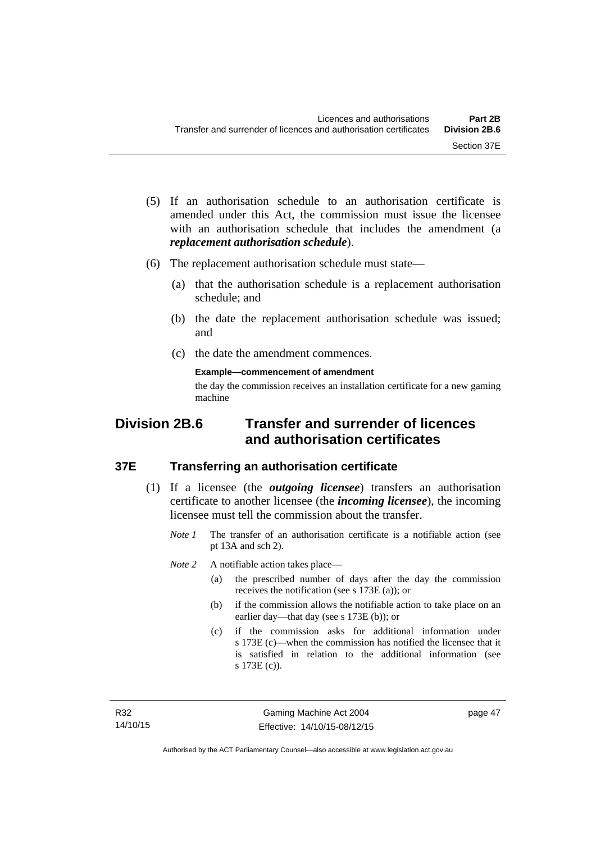- (5) If an authorisation schedule to an authorisation certificate is amended under this Act, the commission must issue the licensee with an authorisation schedule that includes the amendment (a *replacement authorisation schedule*).
- (6) The replacement authorisation schedule must state—
	- (a) that the authorisation schedule is a replacement authorisation schedule; and
	- (b) the date the replacement authorisation schedule was issued; and
	- (c) the date the amendment commences.

**Example—commencement of amendment** 

the day the commission receives an installation certificate for a new gaming machine

# **Division 2B.6 Transfer and surrender of licences and authorisation certificates**

### **37E Transferring an authorisation certificate**

- (1) If a licensee (the *outgoing licensee*) transfers an authorisation certificate to another licensee (the *incoming licensee*), the incoming licensee must tell the commission about the transfer.
	- *Note 1* The transfer of an authorisation certificate is a notifiable action (see pt 13A and sch 2).

*Note* 2 A notifiable action takes place—

- (a) the prescribed number of days after the day the commission receives the notification (see s 173E (a)); or
- (b) if the commission allows the notifiable action to take place on an earlier day—that day (see s 173E (b)); or
- (c) if the commission asks for additional information under s 173E (c)—when the commission has notified the licensee that it is satisfied in relation to the additional information (see s 173E (c)).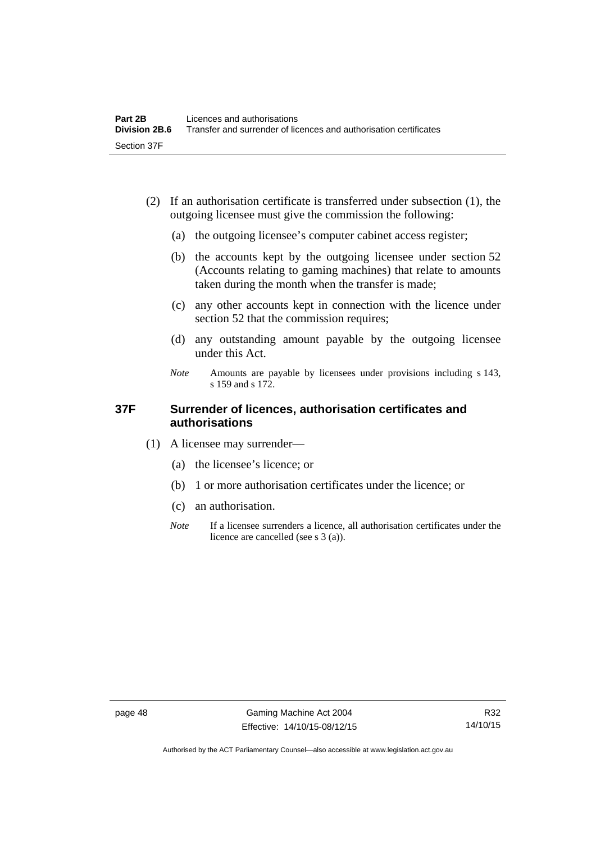- (2) If an authorisation certificate is transferred under subsection (1), the outgoing licensee must give the commission the following:
	- (a) the outgoing licensee's computer cabinet access register;
	- (b) the accounts kept by the outgoing licensee under section 52 (Accounts relating to gaming machines) that relate to amounts taken during the month when the transfer is made;
	- (c) any other accounts kept in connection with the licence under section 52 that the commission requires;
	- (d) any outstanding amount payable by the outgoing licensee under this Act.
	- *Note* Amounts are payable by licensees under provisions including s 143, s 159 and s 172.

### **37F Surrender of licences, authorisation certificates and authorisations**

- (1) A licensee may surrender—
	- (a) the licensee's licence; or
	- (b) 1 or more authorisation certificates under the licence; or
	- (c) an authorisation.
	- *Note* If a licensee surrenders a licence, all authorisation certificates under the licence are cancelled (see s 3 (a)).

Authorised by the ACT Parliamentary Counsel—also accessible at www.legislation.act.gov.au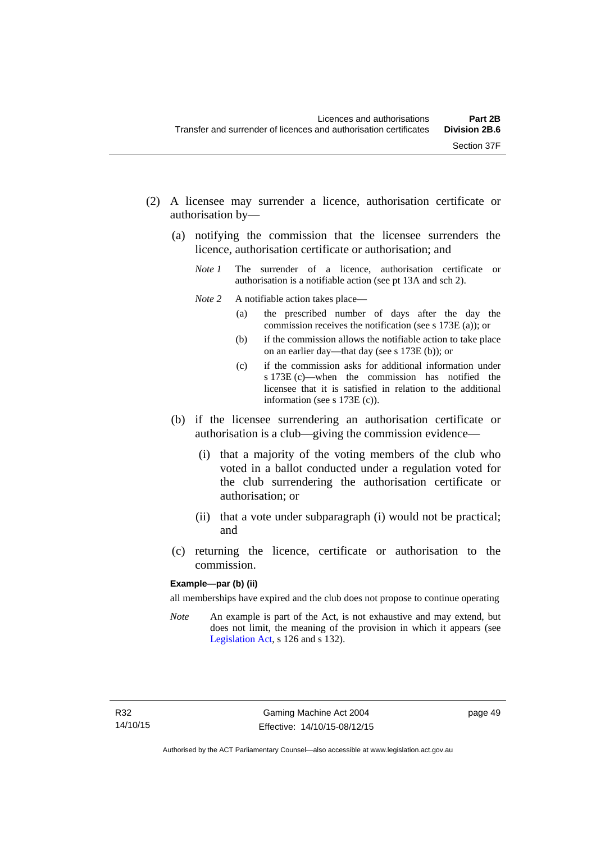- (2) A licensee may surrender a licence, authorisation certificate or authorisation by—
	- (a) notifying the commission that the licensee surrenders the licence, authorisation certificate or authorisation; and
		- *Note 1* The surrender of a licence, authorisation certificate or authorisation is a notifiable action (see pt 13A and sch 2).
		- *Note* 2 A notifiable action takes place—
			- (a) the prescribed number of days after the day the commission receives the notification (see s 173E (a)); or
			- (b) if the commission allows the notifiable action to take place on an earlier day—that day (see s 173E (b)); or
			- (c) if the commission asks for additional information under s 173E (c)—when the commission has notified the licensee that it is satisfied in relation to the additional information (see s 173E (c)).
	- (b) if the licensee surrendering an authorisation certificate or authorisation is a club—giving the commission evidence—
		- (i) that a majority of the voting members of the club who voted in a ballot conducted under a regulation voted for the club surrendering the authorisation certificate or authorisation; or
		- (ii) that a vote under subparagraph (i) would not be practical; and
	- (c) returning the licence, certificate or authorisation to the commission.

#### **Example—par (b) (ii)**

all memberships have expired and the club does not propose to continue operating

*Note* An example is part of the Act, is not exhaustive and may extend, but does not limit, the meaning of the provision in which it appears (see [Legislation Act,](http://www.legislation.act.gov.au/a/2001-14) s 126 and s 132).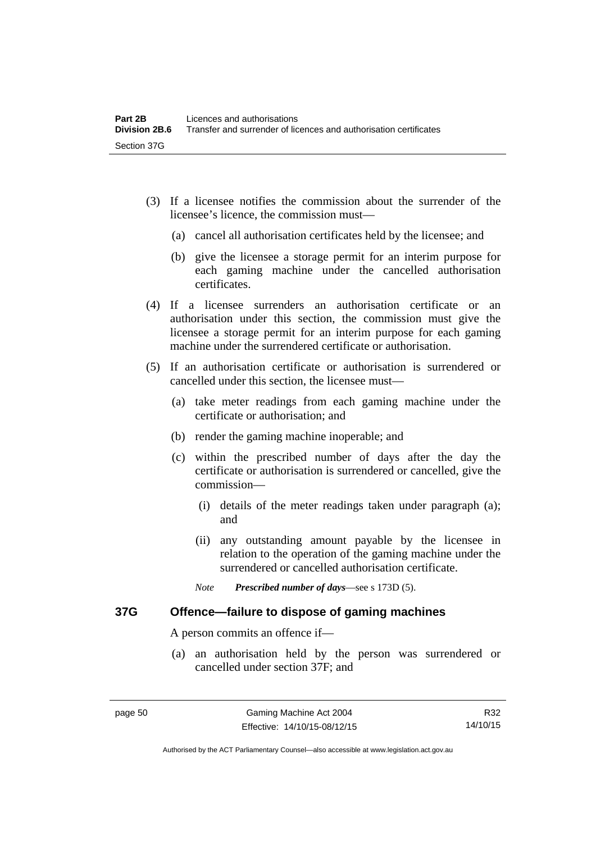- (3) If a licensee notifies the commission about the surrender of the licensee's licence, the commission must—
	- (a) cancel all authorisation certificates held by the licensee; and
	- (b) give the licensee a storage permit for an interim purpose for each gaming machine under the cancelled authorisation certificates.
- (4) If a licensee surrenders an authorisation certificate or an authorisation under this section, the commission must give the licensee a storage permit for an interim purpose for each gaming machine under the surrendered certificate or authorisation.
- (5) If an authorisation certificate or authorisation is surrendered or cancelled under this section, the licensee must—
	- (a) take meter readings from each gaming machine under the certificate or authorisation; and
	- (b) render the gaming machine inoperable; and
	- (c) within the prescribed number of days after the day the certificate or authorisation is surrendered or cancelled, give the commission—
		- (i) details of the meter readings taken under paragraph (a); and
		- (ii) any outstanding amount payable by the licensee in relation to the operation of the gaming machine under the surrendered or cancelled authorisation certificate.
		- *Note Prescribed number of days*—see s 173D (5).

### **37G Offence—failure to dispose of gaming machines**

A person commits an offence if—

 (a) an authorisation held by the person was surrendered or cancelled under section 37F; and

R32 14/10/15

Authorised by the ACT Parliamentary Counsel—also accessible at www.legislation.act.gov.au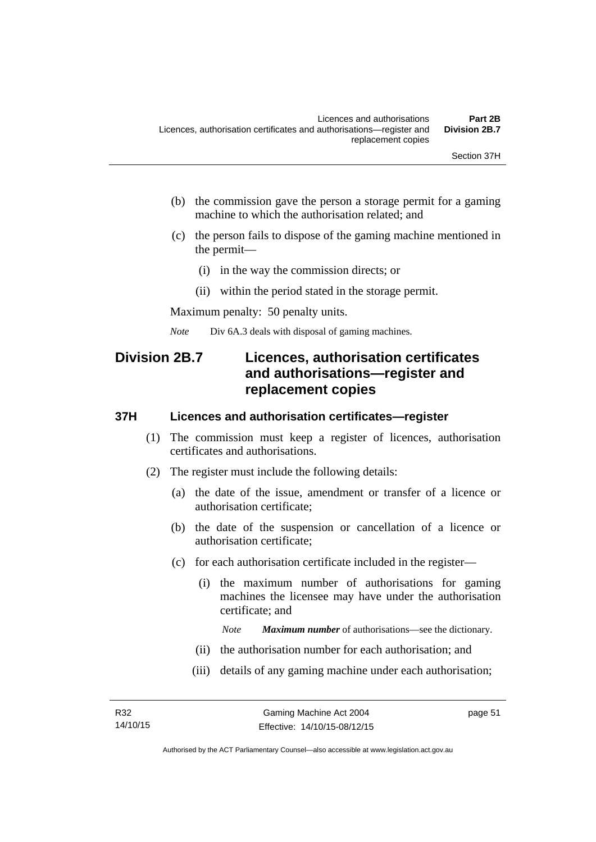- (b) the commission gave the person a storage permit for a gaming machine to which the authorisation related; and
- (c) the person fails to dispose of the gaming machine mentioned in the permit—
	- (i) in the way the commission directs; or
	- (ii) within the period stated in the storage permit.

Maximum penalty: 50 penalty units.

*Note* Div 6A.3 deals with disposal of gaming machines.

# **Division 2B.7 Licences, authorisation certificates and authorisations—register and replacement copies**

#### **37H Licences and authorisation certificates—register**

- (1) The commission must keep a register of licences, authorisation certificates and authorisations.
- (2) The register must include the following details:
	- (a) the date of the issue, amendment or transfer of a licence or authorisation certificate;
	- (b) the date of the suspension or cancellation of a licence or authorisation certificate;
	- (c) for each authorisation certificate included in the register—
		- (i) the maximum number of authorisations for gaming machines the licensee may have under the authorisation certificate; and

*Note Maximum number* of authorisations—see the dictionary.

- (ii) the authorisation number for each authorisation; and
- (iii) details of any gaming machine under each authorisation;

page 51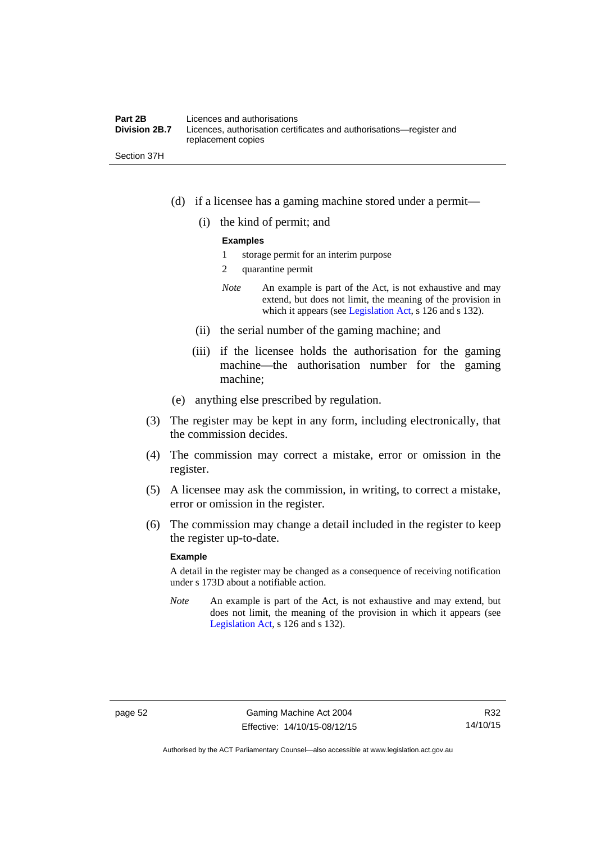#### **Part 2B Licences and authorisations**<br>**Division 2B.7** Licences, authorisation certi Licences, authorisation certificates and authorisations—register and replacement copies

Section 37H

- (d) if a licensee has a gaming machine stored under a permit—
	- (i) the kind of permit; and

#### **Examples**

- 1 storage permit for an interim purpose
- 2 quarantine permit
- *Note* An example is part of the Act, is not exhaustive and may extend, but does not limit, the meaning of the provision in which it appears (see [Legislation Act,](http://www.legislation.act.gov.au/a/2001-14) s 126 and s 132).
- (ii) the serial number of the gaming machine; and
- (iii) if the licensee holds the authorisation for the gaming machine—the authorisation number for the gaming machine;
- (e) anything else prescribed by regulation.
- (3) The register may be kept in any form, including electronically, that the commission decides.
- (4) The commission may correct a mistake, error or omission in the register.
- (5) A licensee may ask the commission, in writing, to correct a mistake, error or omission in the register.
- (6) The commission may change a detail included in the register to keep the register up-to-date.

#### **Example**

A detail in the register may be changed as a consequence of receiving notification under s 173D about a notifiable action.

*Note* An example is part of the Act, is not exhaustive and may extend, but does not limit, the meaning of the provision in which it appears (see [Legislation Act,](http://www.legislation.act.gov.au/a/2001-14) s 126 and s 132).

Authorised by the ACT Parliamentary Counsel—also accessible at www.legislation.act.gov.au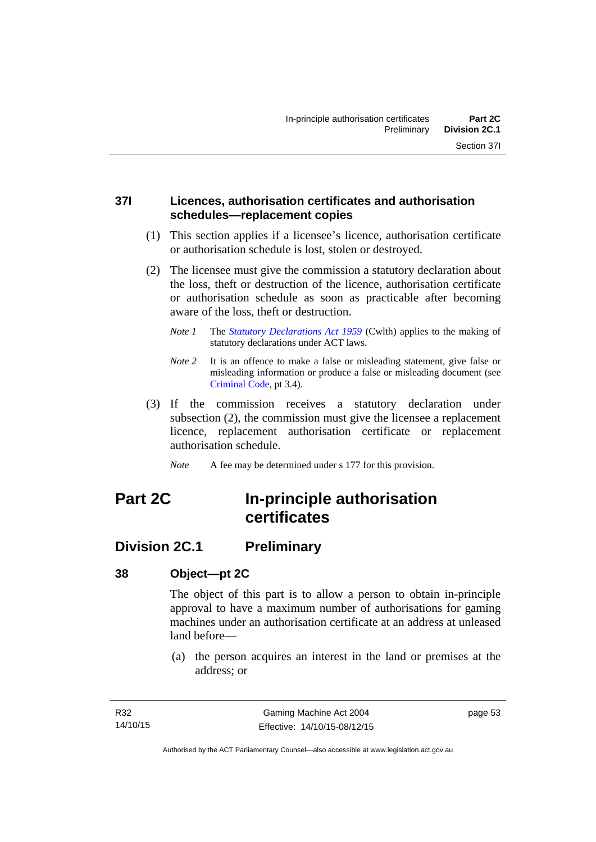## **37I Licences, authorisation certificates and authorisation schedules—replacement copies**

- (1) This section applies if a licensee's licence, authorisation certificate or authorisation schedule is lost, stolen or destroyed.
- (2) The licensee must give the commission a statutory declaration about the loss, theft or destruction of the licence, authorisation certificate or authorisation schedule as soon as practicable after becoming aware of the loss, theft or destruction.
	- *Note 1* The *[Statutory Declarations Act 1959](http://www.comlaw.gov.au/Series/C2004A07365)* (Cwlth) applies to the making of statutory declarations under ACT laws.
	- *Note 2* It is an offence to make a false or misleading statement, give false or misleading information or produce a false or misleading document (see [Criminal Code](http://www.legislation.act.gov.au/a/2002-51), pt 3.4).
- (3) If the commission receives a statutory declaration under subsection (2), the commission must give the licensee a replacement licence, replacement authorisation certificate or replacement authorisation schedule.
	- *Note* A fee may be determined under s 177 for this provision.

# **Part 2C In-principle authorisation certificates**

# **Division 2C.1 Preliminary**

# **38 Object—pt 2C**

The object of this part is to allow a person to obtain in-principle approval to have a maximum number of authorisations for gaming machines under an authorisation certificate at an address at unleased land before—

 (a) the person acquires an interest in the land or premises at the address; or

page 53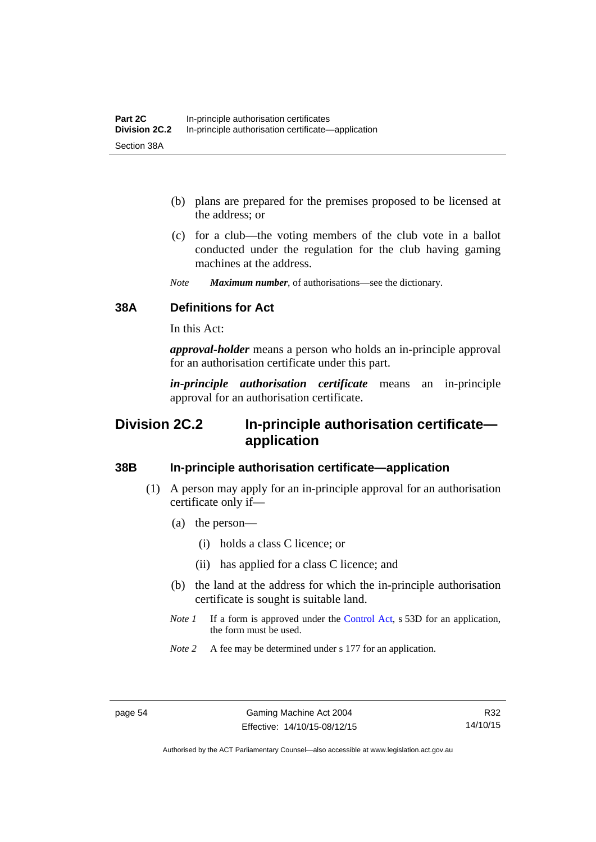- (b) plans are prepared for the premises proposed to be licensed at the address; or
- (c) for a club—the voting members of the club vote in a ballot conducted under the regulation for the club having gaming machines at the address.
- *Note Maximum number*, of authorisations—see the dictionary.

## **38A Definitions for Act**

In this Act:

*approval-holder* means a person who holds an in-principle approval for an authorisation certificate under this part.

*in-principle authorisation certificate* means an in-principle approval for an authorisation certificate.

# **Division 2C.2 In-principle authorisation certificate application**

### **38B In-principle authorisation certificate—application**

- (1) A person may apply for an in-principle approval for an authorisation certificate only if—
	- (a) the person—
		- (i) holds a class C licence; or
		- (ii) has applied for a class C licence; and
	- (b) the land at the address for which the in-principle authorisation certificate is sought is suitable land.
	- *Note 1* If a form is approved under the [Control Act](http://www.legislation.act.gov.au/a/1999-46/default.asp), s 53D for an application, the form must be used.
	- *Note* 2 A fee may be determined under s 177 for an application.

Authorised by the ACT Parliamentary Counsel—also accessible at www.legislation.act.gov.au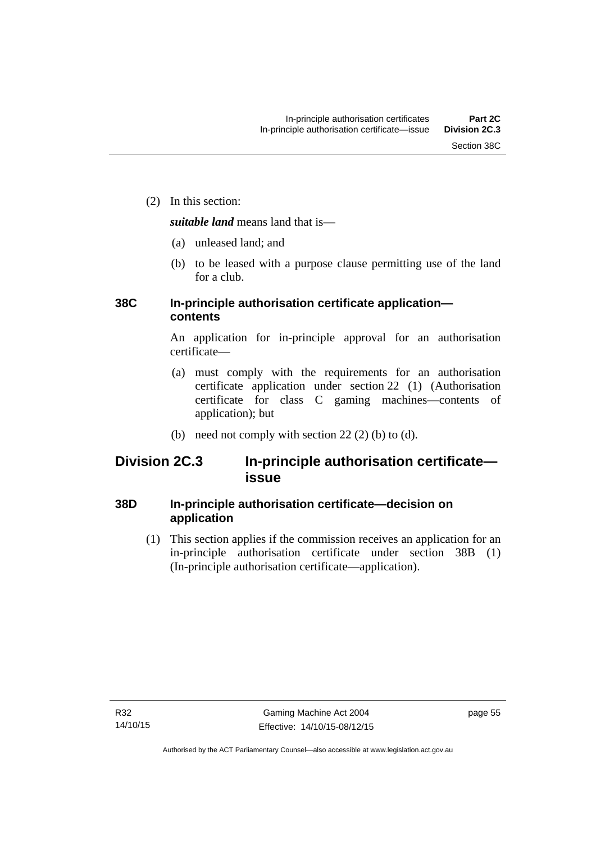(2) In this section:

*suitable land* means land that is—

- (a) unleased land; and
- (b) to be leased with a purpose clause permitting use of the land for a club.

# **38C In-principle authorisation certificate application contents**

An application for in-principle approval for an authorisation certificate—

- (a) must comply with the requirements for an authorisation certificate application under section 22 (1) (Authorisation certificate for class C gaming machines—contents of application); but
- (b) need not comply with section  $22(2)$  (b) to (d).

# **Division 2C.3 In-principle authorisation certificate issue**

# **38D In-principle authorisation certificate—decision on application**

 (1) This section applies if the commission receives an application for an in-principle authorisation certificate under section 38B (1) (In-principle authorisation certificate—application).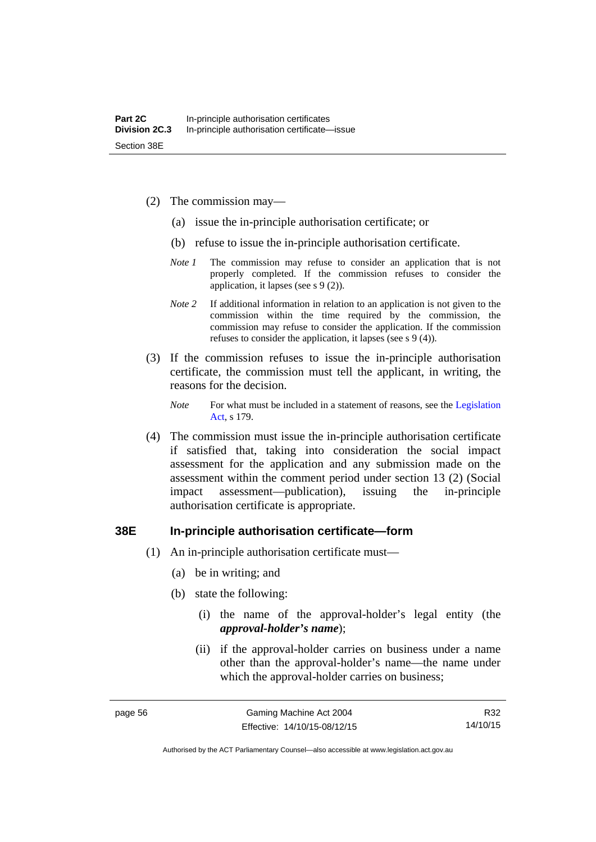- (2) The commission may—
	- (a) issue the in-principle authorisation certificate; or
	- (b) refuse to issue the in-principle authorisation certificate.
	- *Note 1* The commission may refuse to consider an application that is not properly completed. If the commission refuses to consider the application, it lapses (see s 9 (2)).
	- *Note 2* If additional information in relation to an application is not given to the commission within the time required by the commission, the commission may refuse to consider the application. If the commission refuses to consider the application, it lapses (see s 9 (4)).
- (3) If the commission refuses to issue the in-principle authorisation certificate, the commission must tell the applicant, in writing, the reasons for the decision.

*Note* For what must be included in a statement of reasons, see the Legislation [Act](http://www.legislation.act.gov.au/a/2001-14), s 179.

 (4) The commission must issue the in-principle authorisation certificate if satisfied that, taking into consideration the social impact assessment for the application and any submission made on the assessment within the comment period under section 13 (2) (Social impact assessment—publication), issuing the in-principle authorisation certificate is appropriate.

#### **38E In-principle authorisation certificate—form**

- (1) An in-principle authorisation certificate must—
	- (a) be in writing; and
	- (b) state the following:
		- (i) the name of the approval-holder's legal entity (the *approval-holder's name*);
		- (ii) if the approval-holder carries on business under a name other than the approval-holder's name—the name under which the approval-holder carries on business;

R32 14/10/15

Authorised by the ACT Parliamentary Counsel—also accessible at www.legislation.act.gov.au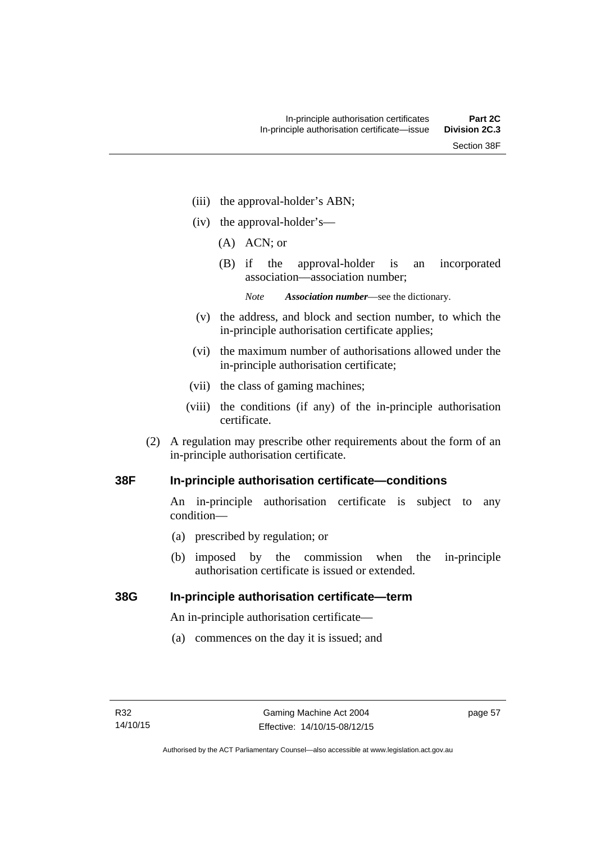- (iii) the approval-holder's ABN;
- (iv) the approval-holder's—
	- (A) ACN; or
	- (B) if the approval-holder is an incorporated association—association number;
		- *Note Association number*—see the dictionary.
- (v) the address, and block and section number, to which the in-principle authorisation certificate applies;
- (vi) the maximum number of authorisations allowed under the in-principle authorisation certificate;
- (vii) the class of gaming machines;
- (viii) the conditions (if any) of the in-principle authorisation certificate.
- (2) A regulation may prescribe other requirements about the form of an in-principle authorisation certificate.

#### **38F In-principle authorisation certificate—conditions**

An in-principle authorisation certificate is subject to any condition—

- (a) prescribed by regulation; or
- (b) imposed by the commission when the in-principle authorisation certificate is issued or extended.

#### **38G In-principle authorisation certificate—term**

An in-principle authorisation certificate—

(a) commences on the day it is issued; and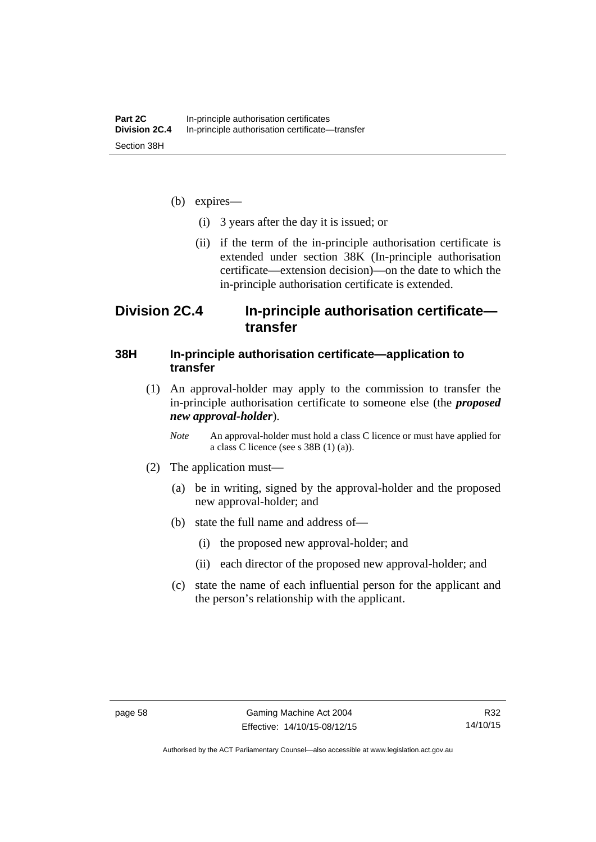- (b) expires—
	- (i) 3 years after the day it is issued; or
	- (ii) if the term of the in-principle authorisation certificate is extended under section 38K (In-principle authorisation certificate—extension decision)—on the date to which the in-principle authorisation certificate is extended.

# **Division 2C.4 In-principle authorisation certificate transfer**

#### **38H In-principle authorisation certificate—application to transfer**

- (1) An approval-holder may apply to the commission to transfer the in-principle authorisation certificate to someone else (the *proposed new approval-holder*).
	- *Note* An approval-holder must hold a class C licence or must have applied for a class C licence (see s 38B (1) (a)).
- (2) The application must—
	- (a) be in writing, signed by the approval-holder and the proposed new approval-holder; and
	- (b) state the full name and address of—
		- (i) the proposed new approval-holder; and
		- (ii) each director of the proposed new approval-holder; and
	- (c) state the name of each influential person for the applicant and the person's relationship with the applicant.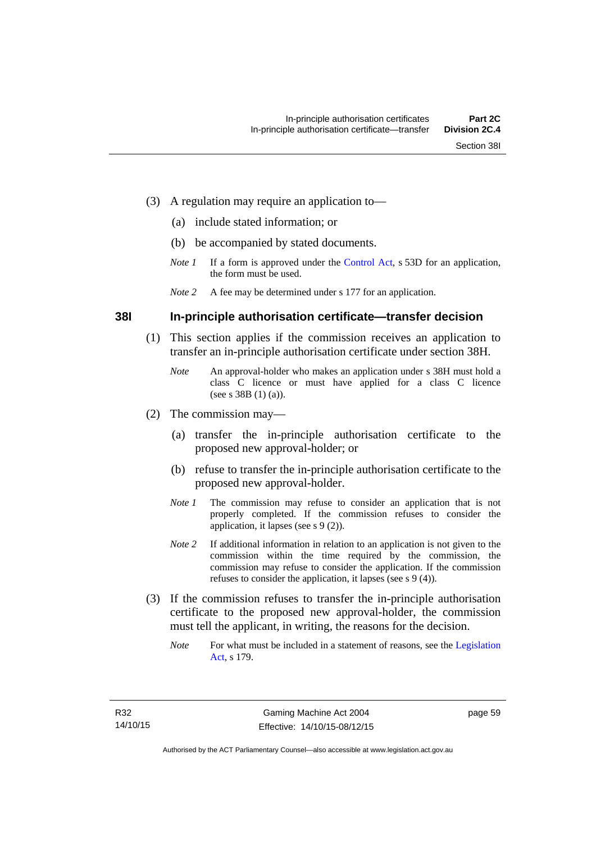- (3) A regulation may require an application to—
	- (a) include stated information; or
	- (b) be accompanied by stated documents.
	- *Note 1* If a form is approved under the [Control Act](http://www.legislation.act.gov.au/a/1999-46/default.asp), s 53D for an application, the form must be used.
	- *Note 2* A fee may be determined under s 177 for an application.

#### **38I In-principle authorisation certificate—transfer decision**

- (1) This section applies if the commission receives an application to transfer an in-principle authorisation certificate under section 38H.
	- *Note* An approval-holder who makes an application under s 38H must hold a class C licence or must have applied for a class C licence (see s 38B (1) (a)).
- (2) The commission may—
	- (a) transfer the in-principle authorisation certificate to the proposed new approval-holder; or
	- (b) refuse to transfer the in-principle authorisation certificate to the proposed new approval-holder.
	- *Note 1* The commission may refuse to consider an application that is not properly completed. If the commission refuses to consider the application, it lapses (see s 9 (2)).
	- *Note* 2 If additional information in relation to an application is not given to the commission within the time required by the commission, the commission may refuse to consider the application. If the commission refuses to consider the application, it lapses (see s 9 (4)).
- (3) If the commission refuses to transfer the in-principle authorisation certificate to the proposed new approval-holder, the commission must tell the applicant, in writing, the reasons for the decision.
	- *Note* For what must be included in a statement of reasons, see the Legislation [Act](http://www.legislation.act.gov.au/a/2001-14), s 179.

page 59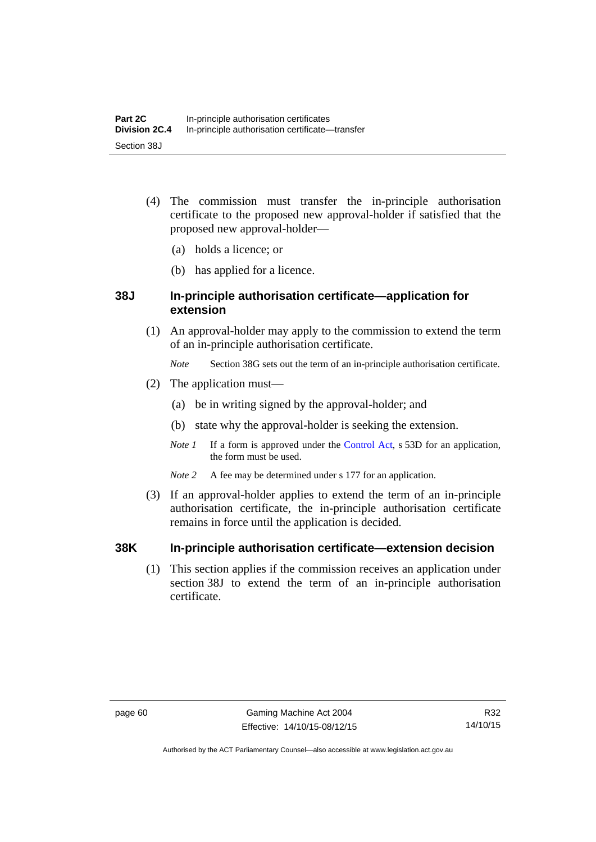- (4) The commission must transfer the in-principle authorisation certificate to the proposed new approval-holder if satisfied that the proposed new approval-holder—
	- (a) holds a licence; or
	- (b) has applied for a licence.

## **38J In-principle authorisation certificate—application for extension**

- (1) An approval-holder may apply to the commission to extend the term of an in-principle authorisation certificate.
	- *Note* Section 38G sets out the term of an in-principle authorisation certificate.
- (2) The application must—
	- (a) be in writing signed by the approval-holder; and
	- (b) state why the approval-holder is seeking the extension.
	- *Note 1* If a form is approved under the [Control Act](http://www.legislation.act.gov.au/a/1999-46/default.asp), s 53D for an application, the form must be used.
	- *Note* 2 A fee may be determined under s 177 for an application.
- (3) If an approval-holder applies to extend the term of an in-principle authorisation certificate, the in-principle authorisation certificate remains in force until the application is decided.

## **38K In-principle authorisation certificate—extension decision**

(1) This section applies if the commission receives an application under section 38J to extend the term of an in-principle authorisation certificate.

Authorised by the ACT Parliamentary Counsel—also accessible at www.legislation.act.gov.au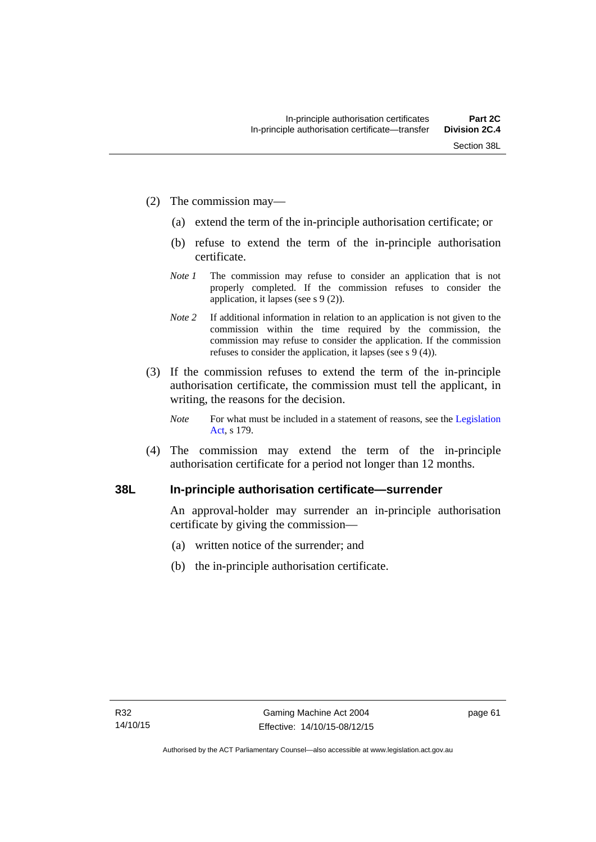- (2) The commission may—
	- (a) extend the term of the in-principle authorisation certificate; or
	- (b) refuse to extend the term of the in-principle authorisation certificate.
	- *Note 1* The commission may refuse to consider an application that is not properly completed. If the commission refuses to consider the application, it lapses (see s 9 (2)).
	- *Note 2* If additional information in relation to an application is not given to the commission within the time required by the commission, the commission may refuse to consider the application. If the commission refuses to consider the application, it lapses (see s 9 (4)).
- (3) If the commission refuses to extend the term of the in-principle authorisation certificate, the commission must tell the applicant, in writing, the reasons for the decision.
	- *Note* For what must be included in a statement of reasons, see the Legislation [Act](http://www.legislation.act.gov.au/a/2001-14), s 179.
- (4) The commission may extend the term of the in-principle authorisation certificate for a period not longer than 12 months.

### **38L In-principle authorisation certificate—surrender**

An approval-holder may surrender an in-principle authorisation certificate by giving the commission—

- (a) written notice of the surrender; and
- (b) the in-principle authorisation certificate.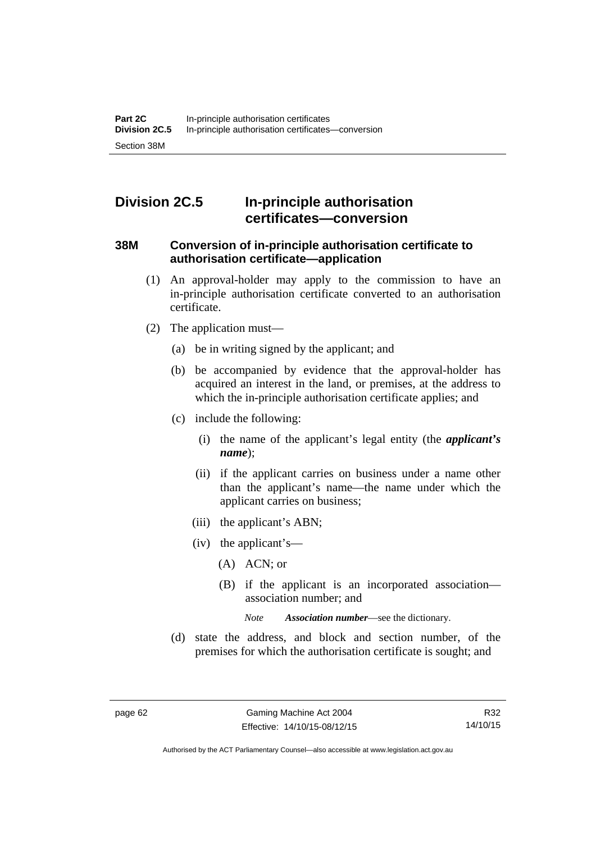# **Division 2C.5 In-principle authorisation certificates—conversion**

#### **38M Conversion of in-principle authorisation certificate to authorisation certificate—application**

- (1) An approval-holder may apply to the commission to have an in-principle authorisation certificate converted to an authorisation certificate.
- (2) The application must—
	- (a) be in writing signed by the applicant; and
	- (b) be accompanied by evidence that the approval-holder has acquired an interest in the land, or premises, at the address to which the in-principle authorisation certificate applies; and
	- (c) include the following:
		- (i) the name of the applicant's legal entity (the *applicant's name*);
		- (ii) if the applicant carries on business under a name other than the applicant's name—the name under which the applicant carries on business;
		- (iii) the applicant's ABN;
		- (iv) the applicant's—
			- (A) ACN; or
			- (B) if the applicant is an incorporated association association number; and

*Note Association number*—see the dictionary.

 (d) state the address, and block and section number, of the premises for which the authorisation certificate is sought; and

Authorised by the ACT Parliamentary Counsel—also accessible at www.legislation.act.gov.au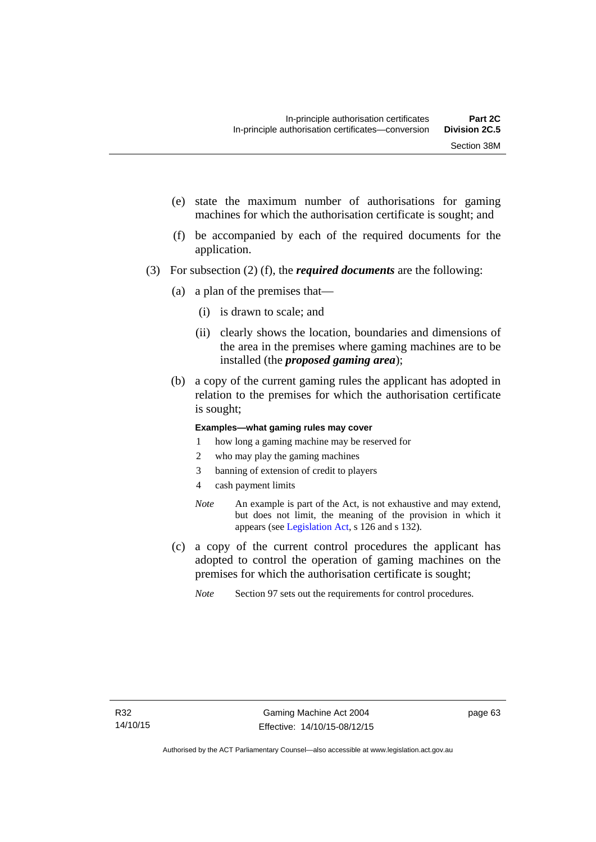- (e) state the maximum number of authorisations for gaming machines for which the authorisation certificate is sought; and
- (f) be accompanied by each of the required documents for the application.
- (3) For subsection (2) (f), the *required documents* are the following:
	- (a) a plan of the premises that—
		- (i) is drawn to scale; and
		- (ii) clearly shows the location, boundaries and dimensions of the area in the premises where gaming machines are to be installed (the *proposed gaming area*);
	- (b) a copy of the current gaming rules the applicant has adopted in relation to the premises for which the authorisation certificate is sought;

#### **Examples—what gaming rules may cover**

- 1 how long a gaming machine may be reserved for
- 2 who may play the gaming machines
- 3 banning of extension of credit to players
- 4 cash payment limits
- *Note* An example is part of the Act, is not exhaustive and may extend, but does not limit, the meaning of the provision in which it appears (see [Legislation Act,](http://www.legislation.act.gov.au/a/2001-14) s 126 and s 132).
- (c) a copy of the current control procedures the applicant has adopted to control the operation of gaming machines on the premises for which the authorisation certificate is sought;
	- *Note* Section 97 sets out the requirements for control procedures.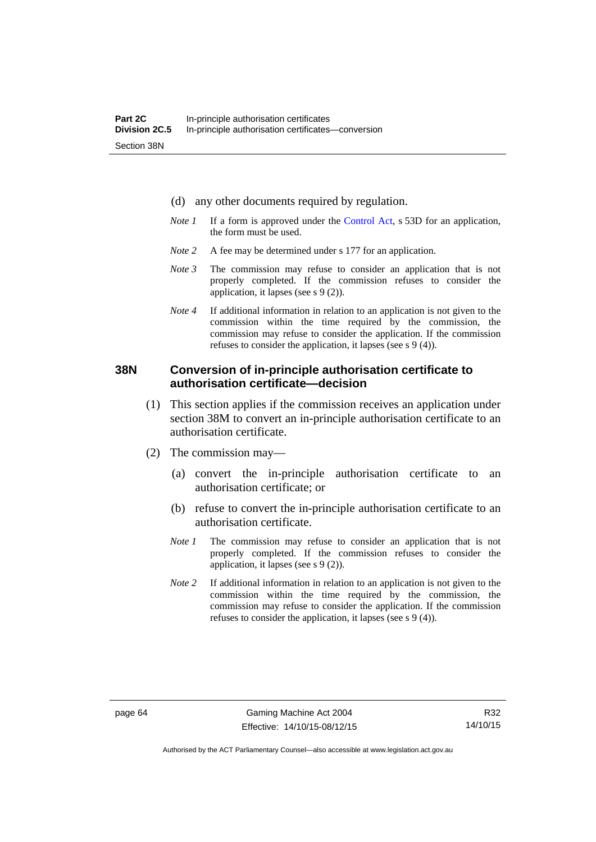- (d) any other documents required by regulation.
- *Note 1* If a form is approved under the [Control Act](http://www.legislation.act.gov.au/a/1999-46/default.asp), s 53D for an application, the form must be used.
- *Note* 2 A fee may be determined under s 177 for an application.
- *Note 3* The commission may refuse to consider an application that is not properly completed. If the commission refuses to consider the application, it lapses (see s 9 (2)).
- *Note 4* If additional information in relation to an application is not given to the commission within the time required by the commission, the commission may refuse to consider the application. If the commission refuses to consider the application, it lapses (see s 9 (4)).

#### **38N Conversion of in-principle authorisation certificate to authorisation certificate—decision**

- (1) This section applies if the commission receives an application under section 38M to convert an in-principle authorisation certificate to an authorisation certificate.
- (2) The commission may—
	- (a) convert the in-principle authorisation certificate to an authorisation certificate; or
	- (b) refuse to convert the in-principle authorisation certificate to an authorisation certificate.
	- *Note 1* The commission may refuse to consider an application that is not properly completed. If the commission refuses to consider the application, it lapses (see s 9 (2)).
	- *Note 2* If additional information in relation to an application is not given to the commission within the time required by the commission, the commission may refuse to consider the application. If the commission refuses to consider the application, it lapses (see s 9 (4)).

R32 14/10/15

Authorised by the ACT Parliamentary Counsel—also accessible at www.legislation.act.gov.au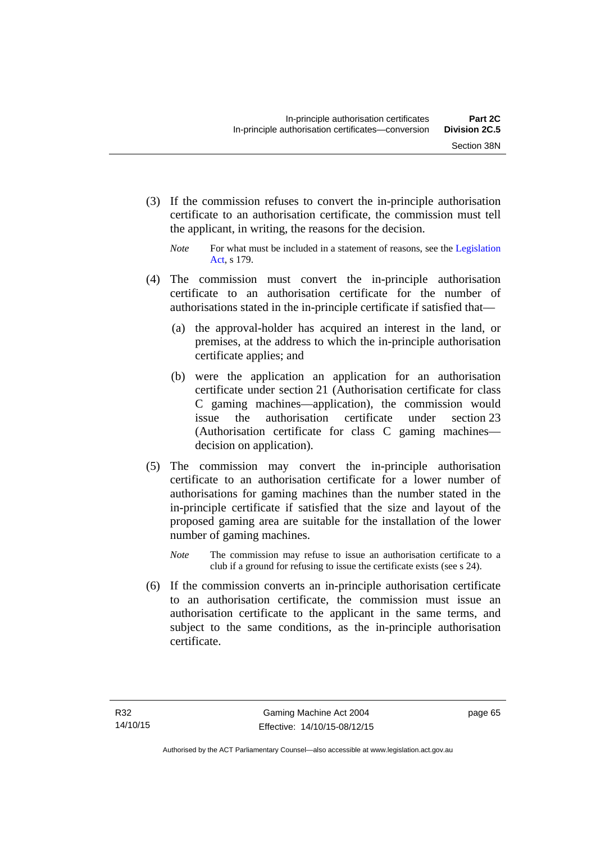(3) If the commission refuses to convert the in-principle authorisation certificate to an authorisation certificate, the commission must tell the applicant, in writing, the reasons for the decision.

- (4) The commission must convert the in-principle authorisation certificate to an authorisation certificate for the number of authorisations stated in the in-principle certificate if satisfied that—
	- (a) the approval-holder has acquired an interest in the land, or premises, at the address to which the in-principle authorisation certificate applies; and
	- (b) were the application an application for an authorisation certificate under section 21 (Authorisation certificate for class C gaming machines—application), the commission would issue the authorisation certificate under section 23 (Authorisation certificate for class C gaming machines decision on application).
- (5) The commission may convert the in-principle authorisation certificate to an authorisation certificate for a lower number of authorisations for gaming machines than the number stated in the in-principle certificate if satisfied that the size and layout of the proposed gaming area are suitable for the installation of the lower number of gaming machines.
	- *Note* The commission may refuse to issue an authorisation certificate to a club if a ground for refusing to issue the certificate exists (see s 24).
- (6) If the commission converts an in-principle authorisation certificate to an authorisation certificate, the commission must issue an authorisation certificate to the applicant in the same terms, and subject to the same conditions, as the in-principle authorisation certificate.

*Note* For what must be included in a statement of reasons, see the Legislation [Act](http://www.legislation.act.gov.au/a/2001-14), s 179.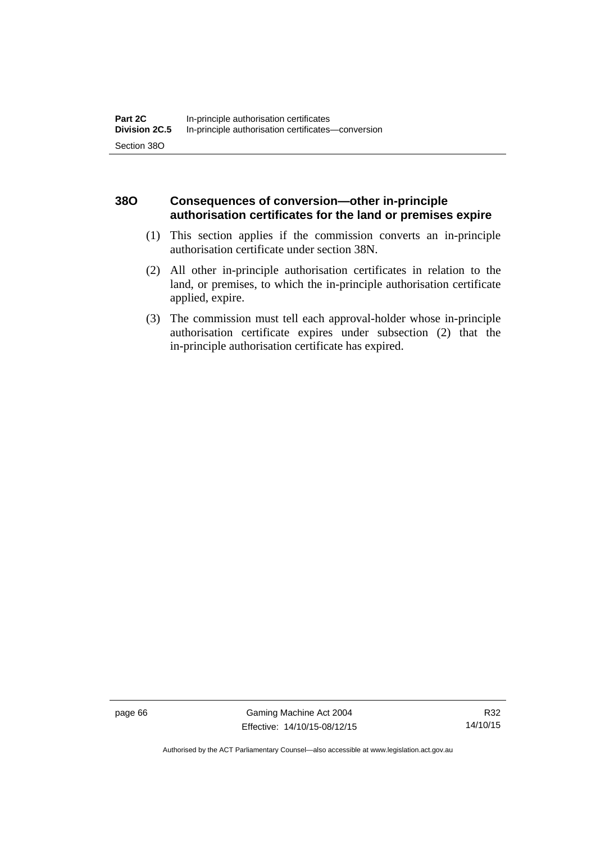## **38O Consequences of conversion—other in-principle authorisation certificates for the land or premises expire**

- (1) This section applies if the commission converts an in-principle authorisation certificate under section 38N.
- (2) All other in-principle authorisation certificates in relation to the land, or premises, to which the in-principle authorisation certificate applied, expire.
- (3) The commission must tell each approval-holder whose in-principle authorisation certificate expires under subsection (2) that the in-principle authorisation certificate has expired.

page 66 Gaming Machine Act 2004 Effective: 14/10/15-08/12/15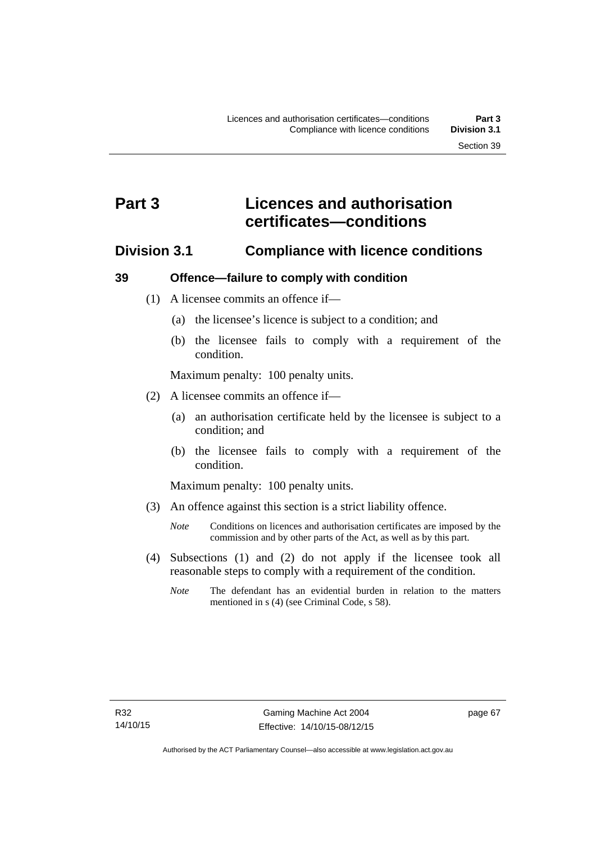# **Part 3 Licences and authorisation certificates—conditions**

## **Division 3.1 Compliance with licence conditions**

## **39 Offence—failure to comply with condition**

- (1) A licensee commits an offence if—
	- (a) the licensee's licence is subject to a condition; and
	- (b) the licensee fails to comply with a requirement of the condition.

Maximum penalty: 100 penalty units.

- (2) A licensee commits an offence if—
	- (a) an authorisation certificate held by the licensee is subject to a condition; and
	- (b) the licensee fails to comply with a requirement of the condition.

Maximum penalty: 100 penalty units.

- (3) An offence against this section is a strict liability offence.
	- *Note* Conditions on licences and authorisation certificates are imposed by the commission and by other parts of the Act, as well as by this part.
- (4) Subsections (1) and (2) do not apply if the licensee took all reasonable steps to comply with a requirement of the condition.
	- *Note* The defendant has an evidential burden in relation to the matters mentioned in s (4) (see Criminal Code, s 58).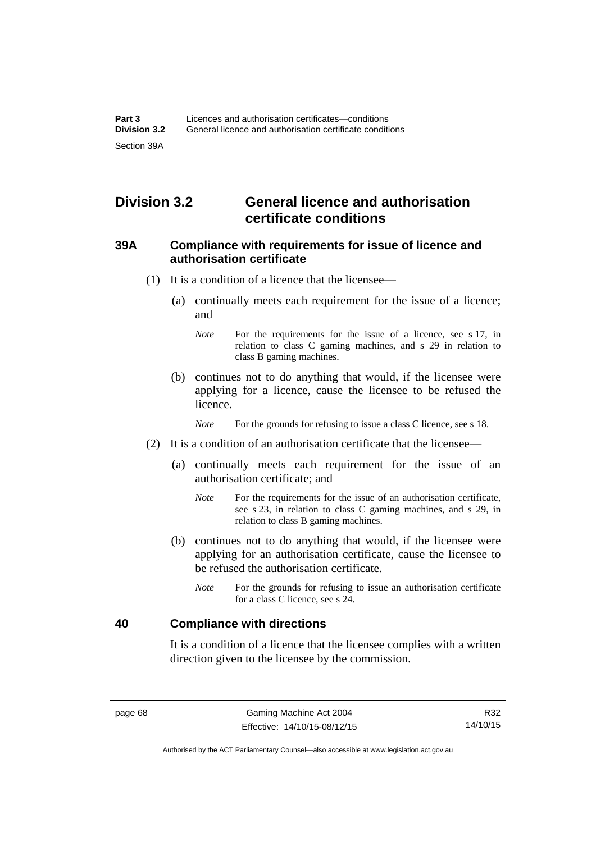# **Division 3.2 General licence and authorisation certificate conditions**

#### **39A Compliance with requirements for issue of licence and authorisation certificate**

- (1) It is a condition of a licence that the licensee—
	- (a) continually meets each requirement for the issue of a licence; and
		- *Note* For the requirements for the issue of a licence, see s 17, in relation to class C gaming machines, and s 29 in relation to class B gaming machines.
	- (b) continues not to do anything that would, if the licensee were applying for a licence, cause the licensee to be refused the licence.

*Note* For the grounds for refusing to issue a class C licence, see s 18.

- (2) It is a condition of an authorisation certificate that the licensee—
	- (a) continually meets each requirement for the issue of an authorisation certificate; and
		- *Note* For the requirements for the issue of an authorisation certificate, see s 23, in relation to class C gaming machines, and s 29, in relation to class B gaming machines.
	- (b) continues not to do anything that would, if the licensee were applying for an authorisation certificate, cause the licensee to be refused the authorisation certificate.
		- *Note* For the grounds for refusing to issue an authorisation certificate for a class C licence, see s 24.

#### **40 Compliance with directions**

It is a condition of a licence that the licensee complies with a written direction given to the licensee by the commission.

R32 14/10/15

Authorised by the ACT Parliamentary Counsel—also accessible at www.legislation.act.gov.au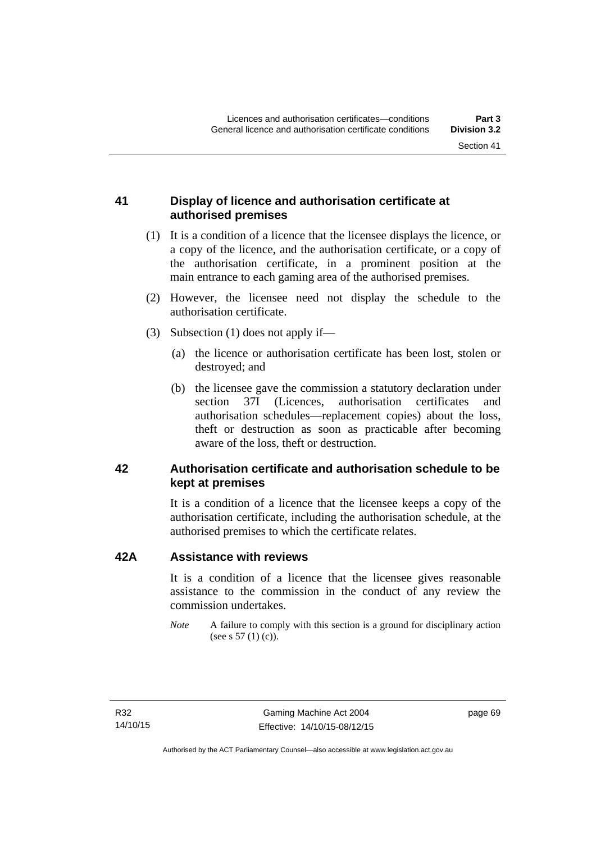## **41 Display of licence and authorisation certificate at authorised premises**

- (1) It is a condition of a licence that the licensee displays the licence, or a copy of the licence, and the authorisation certificate, or a copy of the authorisation certificate, in a prominent position at the main entrance to each gaming area of the authorised premises.
- (2) However, the licensee need not display the schedule to the authorisation certificate.
- (3) Subsection (1) does not apply if—
	- (a) the licence or authorisation certificate has been lost, stolen or destroyed; and
	- (b) the licensee gave the commission a statutory declaration under section 37I (Licences, authorisation certificates and authorisation schedules—replacement copies) about the loss, theft or destruction as soon as practicable after becoming aware of the loss, theft or destruction.

## **42 Authorisation certificate and authorisation schedule to be kept at premises**

It is a condition of a licence that the licensee keeps a copy of the authorisation certificate, including the authorisation schedule, at the authorised premises to which the certificate relates.

#### **42A Assistance with reviews**

It is a condition of a licence that the licensee gives reasonable assistance to the commission in the conduct of any review the commission undertakes.

*Note* A failure to comply with this section is a ground for disciplinary action (see s 57 (1) (c)).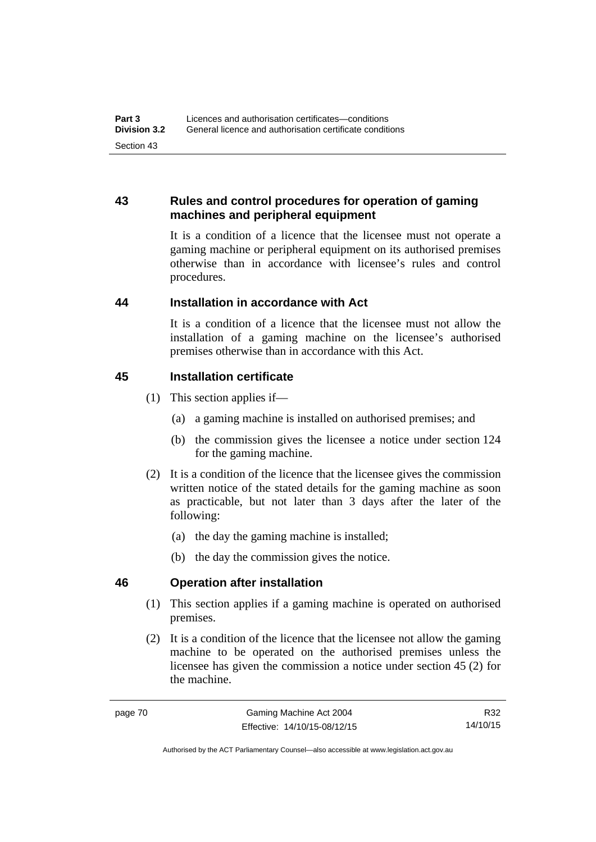## **43 Rules and control procedures for operation of gaming machines and peripheral equipment**

It is a condition of a licence that the licensee must not operate a gaming machine or peripheral equipment on its authorised premises otherwise than in accordance with licensee's rules and control procedures.

## **44 Installation in accordance with Act**

It is a condition of a licence that the licensee must not allow the installation of a gaming machine on the licensee's authorised premises otherwise than in accordance with this Act.

## **45 Installation certificate**

- (1) This section applies if—
	- (a) a gaming machine is installed on authorised premises; and
	- (b) the commission gives the licensee a notice under section 124 for the gaming machine.
- (2) It is a condition of the licence that the licensee gives the commission written notice of the stated details for the gaming machine as soon as practicable, but not later than 3 days after the later of the following:
	- (a) the day the gaming machine is installed;
	- (b) the day the commission gives the notice.

## **46 Operation after installation**

- (1) This section applies if a gaming machine is operated on authorised premises.
- (2) It is a condition of the licence that the licensee not allow the gaming machine to be operated on the authorised premises unless the licensee has given the commission a notice under section 45 (2) for the machine.

R32 14/10/15

Authorised by the ACT Parliamentary Counsel—also accessible at www.legislation.act.gov.au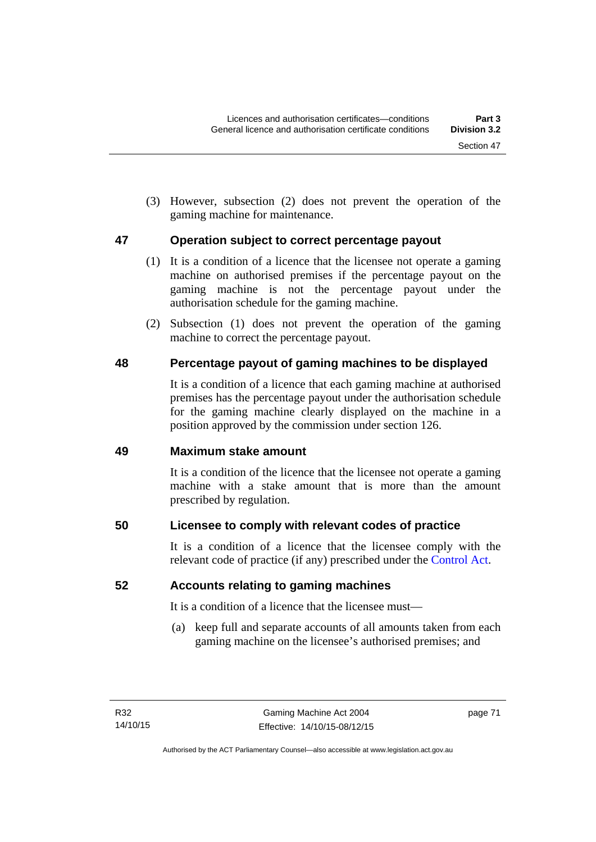(3) However, subsection (2) does not prevent the operation of the gaming machine for maintenance.

## **47 Operation subject to correct percentage payout**

- (1) It is a condition of a licence that the licensee not operate a gaming machine on authorised premises if the percentage payout on the gaming machine is not the percentage payout under the authorisation schedule for the gaming machine.
- (2) Subsection (1) does not prevent the operation of the gaming machine to correct the percentage payout.

## **48 Percentage payout of gaming machines to be displayed**

It is a condition of a licence that each gaming machine at authorised premises has the percentage payout under the authorisation schedule for the gaming machine clearly displayed on the machine in a position approved by the commission under section 126.

## **49 Maximum stake amount**

It is a condition of the licence that the licensee not operate a gaming machine with a stake amount that is more than the amount prescribed by regulation.

## **50 Licensee to comply with relevant codes of practice**

It is a condition of a licence that the licensee comply with the relevant code of practice (if any) prescribed under the [Control Act.](http://www.legislation.act.gov.au/a/1999-46)

## **52 Accounts relating to gaming machines**

It is a condition of a licence that the licensee must—

 (a) keep full and separate accounts of all amounts taken from each gaming machine on the licensee's authorised premises; and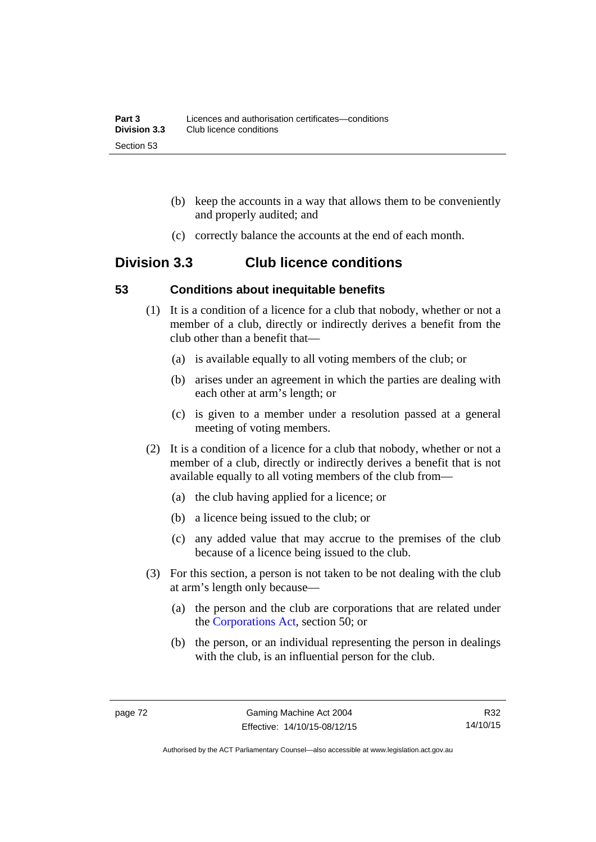- (b) keep the accounts in a way that allows them to be conveniently and properly audited; and
- (c) correctly balance the accounts at the end of each month.

# **Division 3.3 Club licence conditions**

#### **53 Conditions about inequitable benefits**

- (1) It is a condition of a licence for a club that nobody, whether or not a member of a club, directly or indirectly derives a benefit from the club other than a benefit that—
	- (a) is available equally to all voting members of the club; or
	- (b) arises under an agreement in which the parties are dealing with each other at arm's length; or
	- (c) is given to a member under a resolution passed at a general meeting of voting members.
- (2) It is a condition of a licence for a club that nobody, whether or not a member of a club, directly or indirectly derives a benefit that is not available equally to all voting members of the club from—
	- (a) the club having applied for a licence; or
	- (b) a licence being issued to the club; or
	- (c) any added value that may accrue to the premises of the club because of a licence being issued to the club.
- (3) For this section, a person is not taken to be not dealing with the club at arm's length only because—
	- (a) the person and the club are corporations that are related under the [Corporations Act,](http://www.comlaw.gov.au/Series/C2004A00818) section 50; or
	- (b) the person, or an individual representing the person in dealings with the club, is an influential person for the club.

R32 14/10/15

Authorised by the ACT Parliamentary Counsel—also accessible at www.legislation.act.gov.au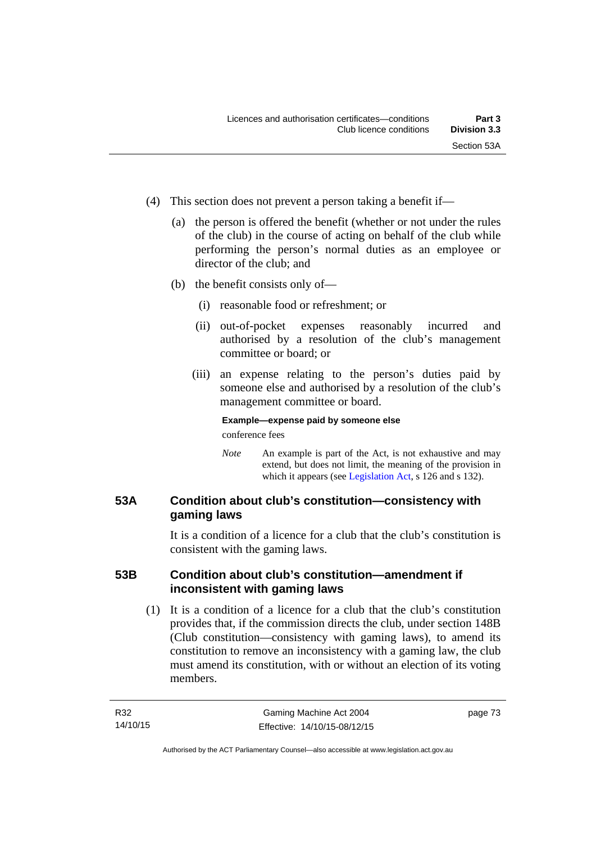- (4) This section does not prevent a person taking a benefit if—
	- (a) the person is offered the benefit (whether or not under the rules of the club) in the course of acting on behalf of the club while performing the person's normal duties as an employee or director of the club; and
	- (b) the benefit consists only of—
		- (i) reasonable food or refreshment; or
		- (ii) out-of-pocket expenses reasonably incurred and authorised by a resolution of the club's management committee or board; or
		- (iii) an expense relating to the person's duties paid by someone else and authorised by a resolution of the club's management committee or board.

## **Example—expense paid by someone else**

conference fees

*Note* An example is part of the Act, is not exhaustive and may extend, but does not limit, the meaning of the provision in which it appears (see [Legislation Act,](http://www.legislation.act.gov.au/a/2001-14) s 126 and s 132).

## **53A Condition about club's constitution—consistency with gaming laws**

It is a condition of a licence for a club that the club's constitution is consistent with the gaming laws.

## **53B Condition about club's constitution—amendment if inconsistent with gaming laws**

 (1) It is a condition of a licence for a club that the club's constitution provides that, if the commission directs the club, under section 148B (Club constitution—consistency with gaming laws), to amend its constitution to remove an inconsistency with a gaming law, the club must amend its constitution, with or without an election of its voting members.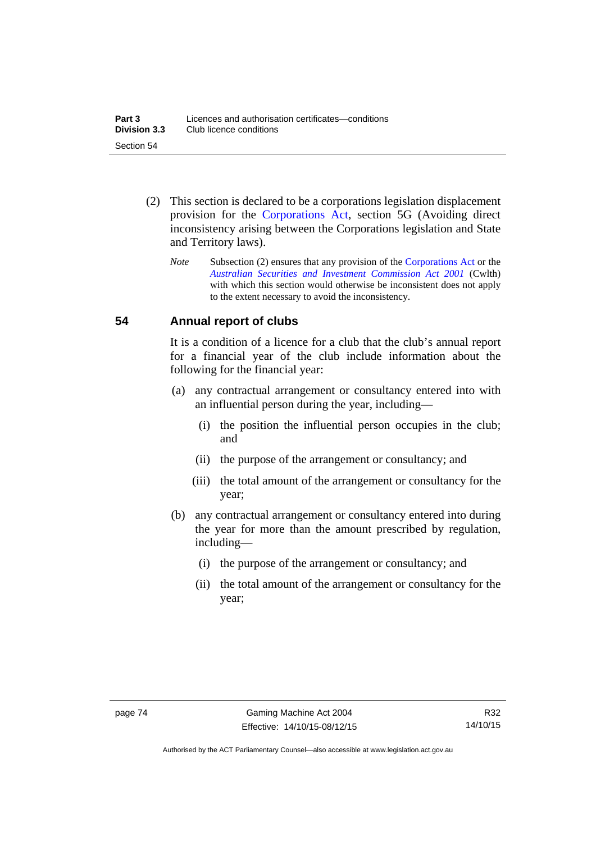- (2) This section is declared to be a corporations legislation displacement provision for the [Corporations Act](http://www.comlaw.gov.au/Series/C2004A00818), section 5G (Avoiding direct inconsistency arising between the Corporations legislation and State and Territory laws).
	- *Note* Subsection (2) ensures that any provision of the [Corporations Act](http://www.comlaw.gov.au/Series/C2004A00818) or the *[Australian Securities and Investment Commission Act 2001](http://www.comlaw.gov.au/Series/C2004A00819)* (Cwlth) with which this section would otherwise be inconsistent does not apply to the extent necessary to avoid the inconsistency.

## **54 Annual report of clubs**

It is a condition of a licence for a club that the club's annual report for a financial year of the club include information about the following for the financial year:

- (a) any contractual arrangement or consultancy entered into with an influential person during the year, including—
	- (i) the position the influential person occupies in the club; and
	- (ii) the purpose of the arrangement or consultancy; and
	- (iii) the total amount of the arrangement or consultancy for the year;
- (b) any contractual arrangement or consultancy entered into during the year for more than the amount prescribed by regulation, including—
	- (i) the purpose of the arrangement or consultancy; and
	- (ii) the total amount of the arrangement or consultancy for the year;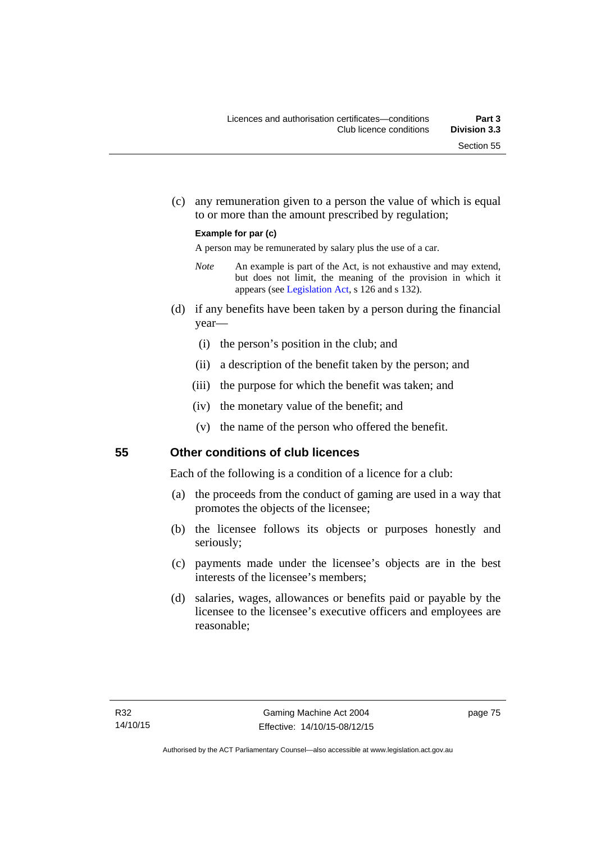(c) any remuneration given to a person the value of which is equal to or more than the amount prescribed by regulation;

#### **Example for par (c)**

A person may be remunerated by salary plus the use of a car.

- *Note* An example is part of the Act, is not exhaustive and may extend, but does not limit, the meaning of the provision in which it appears (see [Legislation Act,](http://www.legislation.act.gov.au/a/2001-14) s 126 and s 132).
- (d) if any benefits have been taken by a person during the financial year—
	- (i) the person's position in the club; and
	- (ii) a description of the benefit taken by the person; and
	- (iii) the purpose for which the benefit was taken; and
	- (iv) the monetary value of the benefit; and
	- (v) the name of the person who offered the benefit.

#### **55 Other conditions of club licences**

Each of the following is a condition of a licence for a club:

- (a) the proceeds from the conduct of gaming are used in a way that promotes the objects of the licensee;
- (b) the licensee follows its objects or purposes honestly and seriously;
- (c) payments made under the licensee's objects are in the best interests of the licensee's members;
- (d) salaries, wages, allowances or benefits paid or payable by the licensee to the licensee's executive officers and employees are reasonable;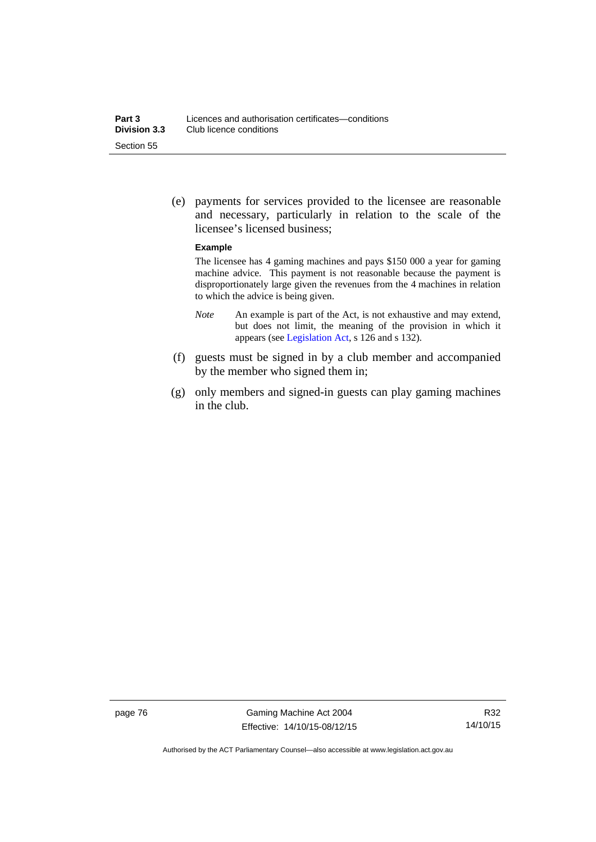(e) payments for services provided to the licensee are reasonable and necessary, particularly in relation to the scale of the licensee's licensed business;

#### **Example**

The licensee has 4 gaming machines and pays \$150 000 a year for gaming machine advice. This payment is not reasonable because the payment is disproportionately large given the revenues from the 4 machines in relation to which the advice is being given.

- *Note* An example is part of the Act, is not exhaustive and may extend, but does not limit, the meaning of the provision in which it appears (see [Legislation Act,](http://www.legislation.act.gov.au/a/2001-14) s 126 and s 132).
- (f) guests must be signed in by a club member and accompanied by the member who signed them in;
- (g) only members and signed-in guests can play gaming machines in the club.

page 76 Gaming Machine Act 2004 Effective: 14/10/15-08/12/15

Authorised by the ACT Parliamentary Counsel—also accessible at www.legislation.act.gov.au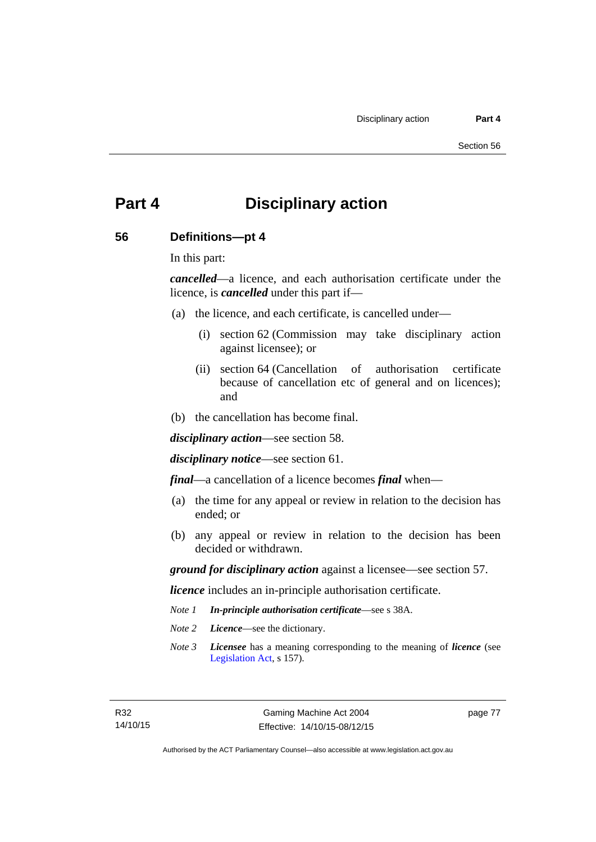# **Part 4 Disciplinary action**

#### **56 Definitions—pt 4**

In this part:

*cancelled*—a licence, and each authorisation certificate under the licence, is *cancelled* under this part if—

- (a) the licence, and each certificate, is cancelled under—
	- (i) section 62 (Commission may take disciplinary action against licensee); or
	- (ii) section 64 (Cancellation of authorisation certificate because of cancellation etc of general and on licences); and
- (b) the cancellation has become final.

*disciplinary action*—see section 58.

*disciplinary notice*—see section 61.

*final*—a cancellation of a licence becomes *final* when—

- (a) the time for any appeal or review in relation to the decision has ended; or
- (b) any appeal or review in relation to the decision has been decided or withdrawn.

*ground for disciplinary action* against a licensee—see section 57.

*licence* includes an in-principle authorisation certificate.

- *Note 1 In-principle authorisation certificate*—see s 38A.
- *Note 2 Licence*—see the dictionary.
- *Note 3 Licensee* has a meaning corresponding to the meaning of *licence* (see [Legislation Act,](http://www.legislation.act.gov.au/a/2001-14) s 157).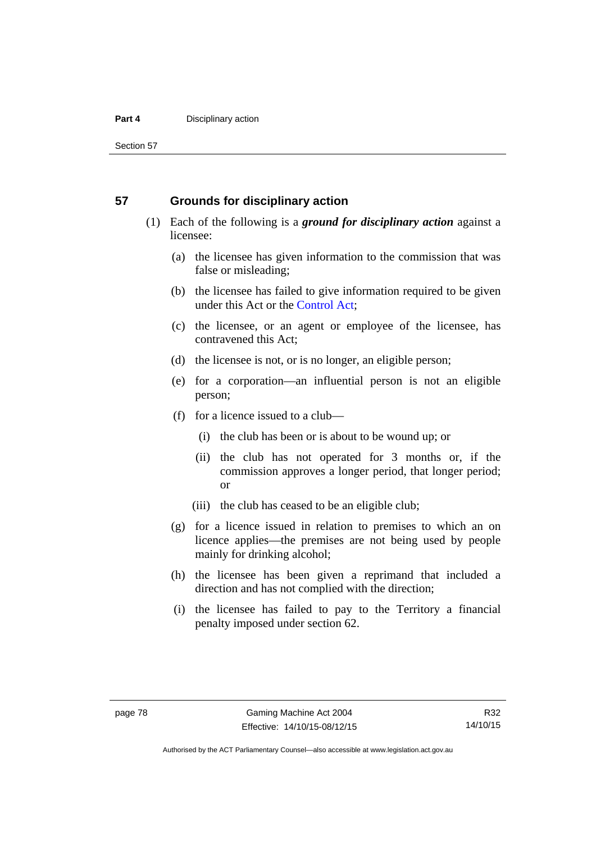#### **Part 4 Disciplinary action**

Section 57

#### **57 Grounds for disciplinary action**

- (1) Each of the following is a *ground for disciplinary action* against a licensee:
	- (a) the licensee has given information to the commission that was false or misleading;
	- (b) the licensee has failed to give information required to be given under this Act or the [Control Act;](http://www.legislation.act.gov.au/a/1999-46)
	- (c) the licensee, or an agent or employee of the licensee, has contravened this Act;
	- (d) the licensee is not, or is no longer, an eligible person;
	- (e) for a corporation—an influential person is not an eligible person;
	- (f) for a licence issued to a club—
		- (i) the club has been or is about to be wound up; or
		- (ii) the club has not operated for 3 months or, if the commission approves a longer period, that longer period; or
		- (iii) the club has ceased to be an eligible club;
	- (g) for a licence issued in relation to premises to which an on licence applies—the premises are not being used by people mainly for drinking alcohol;
	- (h) the licensee has been given a reprimand that included a direction and has not complied with the direction;
	- (i) the licensee has failed to pay to the Territory a financial penalty imposed under section 62.

R32 14/10/15

Authorised by the ACT Parliamentary Counsel—also accessible at www.legislation.act.gov.au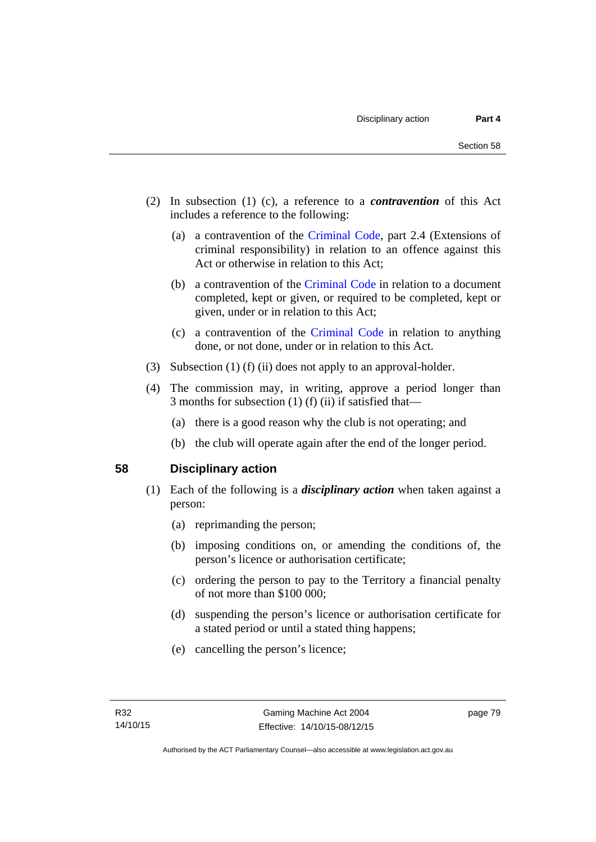- (2) In subsection (1) (c), a reference to a *contravention* of this Act includes a reference to the following:
	- (a) a contravention of the [Criminal Code](http://www.legislation.act.gov.au/a/2002-51), part 2.4 (Extensions of criminal responsibility) in relation to an offence against this Act or otherwise in relation to this Act;
	- (b) a contravention of the [Criminal Code](http://www.legislation.act.gov.au/a/2002-51) in relation to a document completed, kept or given, or required to be completed, kept or given, under or in relation to this Act;
	- (c) a contravention of the [Criminal Code](http://www.legislation.act.gov.au/a/2002-51) in relation to anything done, or not done, under or in relation to this Act.
- (3) Subsection (1) (f) (ii) does not apply to an approval-holder.
- (4) The commission may, in writing, approve a period longer than 3 months for subsection (1) (f) (ii) if satisfied that—
	- (a) there is a good reason why the club is not operating; and
	- (b) the club will operate again after the end of the longer period.

#### **58 Disciplinary action**

- (1) Each of the following is a *disciplinary action* when taken against a person:
	- (a) reprimanding the person;
	- (b) imposing conditions on, or amending the conditions of, the person's licence or authorisation certificate;
	- (c) ordering the person to pay to the Territory a financial penalty of not more than \$100 000;
	- (d) suspending the person's licence or authorisation certificate for a stated period or until a stated thing happens;
	- (e) cancelling the person's licence;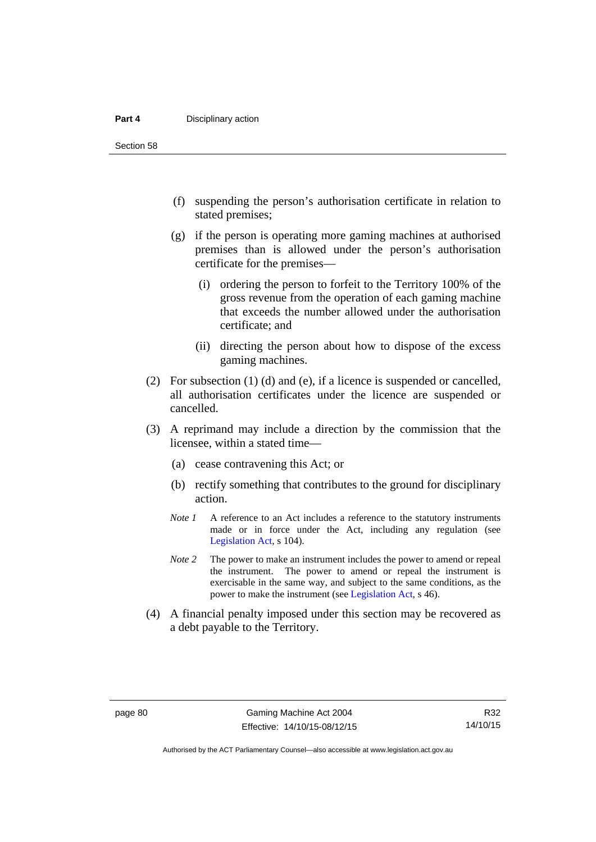#### **Part 4 Disciplinary action**

Section 58

- (f) suspending the person's authorisation certificate in relation to stated premises;
- (g) if the person is operating more gaming machines at authorised premises than is allowed under the person's authorisation certificate for the premises—
	- (i) ordering the person to forfeit to the Territory 100% of the gross revenue from the operation of each gaming machine that exceeds the number allowed under the authorisation certificate; and
	- (ii) directing the person about how to dispose of the excess gaming machines.
- (2) For subsection (1) (d) and (e), if a licence is suspended or cancelled, all authorisation certificates under the licence are suspended or cancelled.
- (3) A reprimand may include a direction by the commission that the licensee, within a stated time—
	- (a) cease contravening this Act; or
	- (b) rectify something that contributes to the ground for disciplinary action.
	- *Note 1* A reference to an Act includes a reference to the statutory instruments made or in force under the Act, including any regulation (see [Legislation Act,](http://www.legislation.act.gov.au/a/2001-14) s 104).
	- *Note 2* The power to make an instrument includes the power to amend or repeal the instrument. The power to amend or repeal the instrument is exercisable in the same way, and subject to the same conditions, as the power to make the instrument (see [Legislation Act,](http://www.legislation.act.gov.au/a/2001-14) s 46).
- (4) A financial penalty imposed under this section may be recovered as a debt payable to the Territory.

Authorised by the ACT Parliamentary Counsel—also accessible at www.legislation.act.gov.au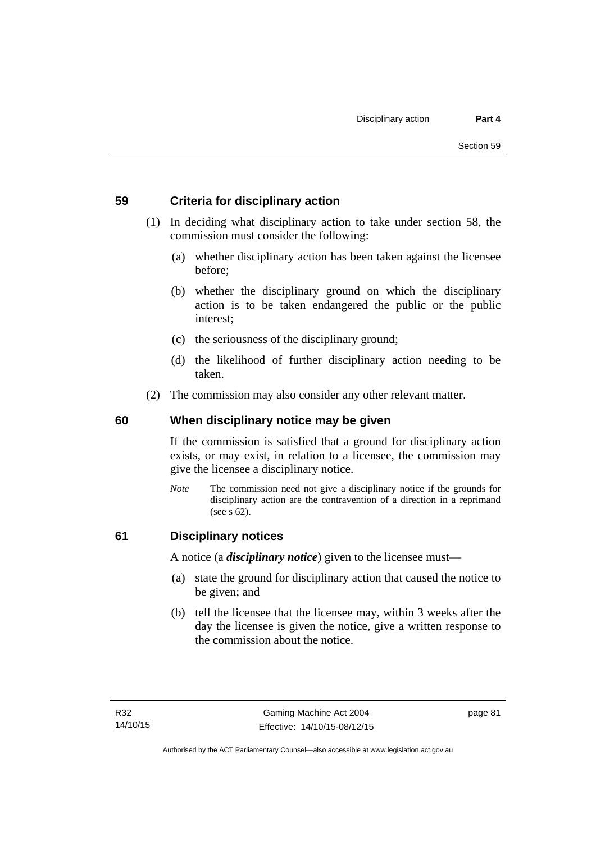## **59 Criteria for disciplinary action**

- (1) In deciding what disciplinary action to take under section 58, the commission must consider the following:
	- (a) whether disciplinary action has been taken against the licensee before;
	- (b) whether the disciplinary ground on which the disciplinary action is to be taken endangered the public or the public interest;
	- (c) the seriousness of the disciplinary ground;
	- (d) the likelihood of further disciplinary action needing to be taken.
- (2) The commission may also consider any other relevant matter.

## **60 When disciplinary notice may be given**

If the commission is satisfied that a ground for disciplinary action exists, or may exist, in relation to a licensee, the commission may give the licensee a disciplinary notice.

*Note* The commission need not give a disciplinary notice if the grounds for disciplinary action are the contravention of a direction in a reprimand (see s 62).

#### **61 Disciplinary notices**

A notice (a *disciplinary notice*) given to the licensee must—

- (a) state the ground for disciplinary action that caused the notice to be given; and
- (b) tell the licensee that the licensee may, within 3 weeks after the day the licensee is given the notice, give a written response to the commission about the notice.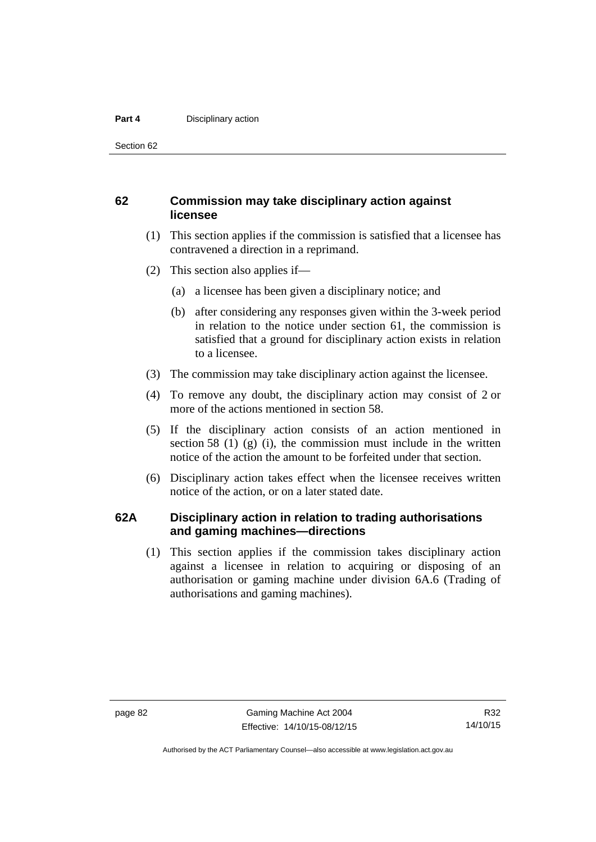#### **Part 4 Disciplinary action**

Section 62

### **62 Commission may take disciplinary action against licensee**

- (1) This section applies if the commission is satisfied that a licensee has contravened a direction in a reprimand.
- (2) This section also applies if—
	- (a) a licensee has been given a disciplinary notice; and
	- (b) after considering any responses given within the 3-week period in relation to the notice under section 61, the commission is satisfied that a ground for disciplinary action exists in relation to a licensee.
- (3) The commission may take disciplinary action against the licensee.
- (4) To remove any doubt, the disciplinary action may consist of 2 or more of the actions mentioned in section 58.
- (5) If the disciplinary action consists of an action mentioned in section 58 (1) (g) (i), the commission must include in the written notice of the action the amount to be forfeited under that section.
- (6) Disciplinary action takes effect when the licensee receives written notice of the action, or on a later stated date.

#### **62A Disciplinary action in relation to trading authorisations and gaming machines—directions**

(1) This section applies if the commission takes disciplinary action against a licensee in relation to acquiring or disposing of an authorisation or gaming machine under division 6A.6 (Trading of authorisations and gaming machines).

Authorised by the ACT Parliamentary Counsel—also accessible at www.legislation.act.gov.au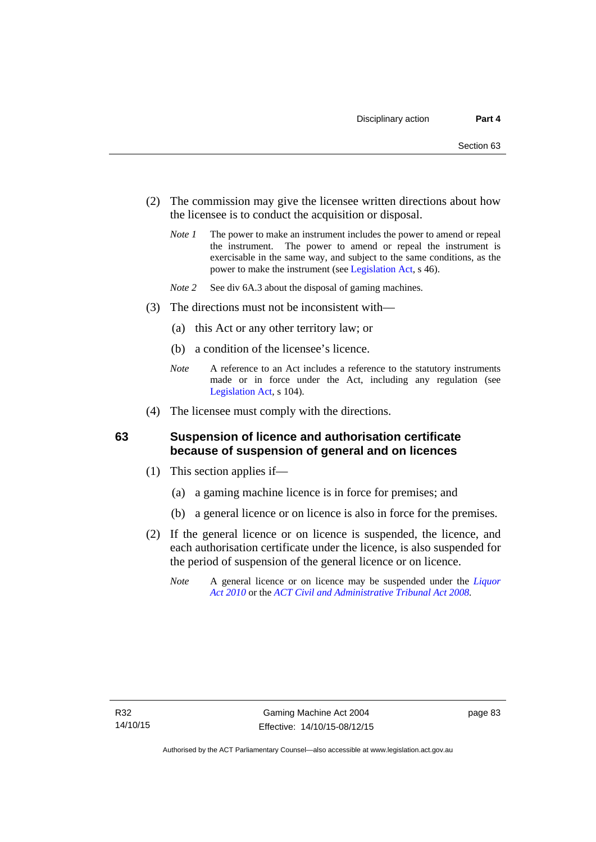- (2) The commission may give the licensee written directions about how the licensee is to conduct the acquisition or disposal.
	- *Note 1* The power to make an instrument includes the power to amend or repeal the instrument. The power to amend or repeal the instrument is exercisable in the same way, and subject to the same conditions, as the power to make the instrument (see [Legislation Act,](http://www.legislation.act.gov.au/a/2001-14) s 46).
	- *Note 2* See div 6A.3 about the disposal of gaming machines.
- (3) The directions must not be inconsistent with—
	- (a) this Act or any other territory law; or
	- (b) a condition of the licensee's licence.
	- *Note* A reference to an Act includes a reference to the statutory instruments made or in force under the Act, including any regulation (see [Legislation Act,](http://www.legislation.act.gov.au/a/2001-14) s 104).
- (4) The licensee must comply with the directions.

#### **63 Suspension of licence and authorisation certificate because of suspension of general and on licences**

- (1) This section applies if—
	- (a) a gaming machine licence is in force for premises; and
	- (b) a general licence or on licence is also in force for the premises.
- (2) If the general licence or on licence is suspended, the licence, and each authorisation certificate under the licence, is also suspended for the period of suspension of the general licence or on licence.
	- *Note* A general licence or on licence may be suspended under the *[Liquor](http://www.legislation.act.gov.au/a/2010-35)  [Act 2010](http://www.legislation.act.gov.au/a/2010-35)* or the *[ACT Civil and Administrative Tribunal Act 2008.](http://www.legislation.act.gov.au/a/2008-35)*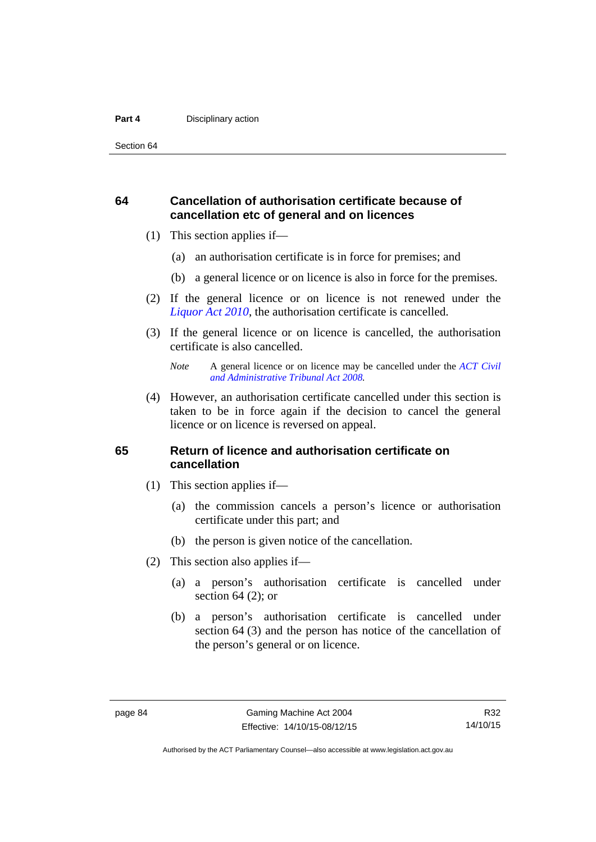#### **Part 4 Disciplinary action**

Section 64

## **64 Cancellation of authorisation certificate because of cancellation etc of general and on licences**

- (1) This section applies if—
	- (a) an authorisation certificate is in force for premises; and
	- (b) a general licence or on licence is also in force for the premises.
- (2) If the general licence or on licence is not renewed under the *[Liquor Act 2010](http://www.legislation.act.gov.au/a/2010-35)*, the authorisation certificate is cancelled.
- (3) If the general licence or on licence is cancelled, the authorisation certificate is also cancelled.

 (4) However, an authorisation certificate cancelled under this section is taken to be in force again if the decision to cancel the general licence or on licence is reversed on appeal.

#### **65 Return of licence and authorisation certificate on cancellation**

- (1) This section applies if—
	- (a) the commission cancels a person's licence or authorisation certificate under this part; and
	- (b) the person is given notice of the cancellation.
- (2) This section also applies if—
	- (a) a person's authorisation certificate is cancelled under section  $64$  (2); or
	- (b) a person's authorisation certificate is cancelled under section 64 (3) and the person has notice of the cancellation of the person's general or on licence.

*Note* A general licence or on licence may be cancelled under the *[ACT Civil](http://www.legislation.act.gov.au/a/2008-35)  [and Administrative Tribunal Act 2008](http://www.legislation.act.gov.au/a/2008-35).*

R32 14/10/15

Authorised by the ACT Parliamentary Counsel—also accessible at www.legislation.act.gov.au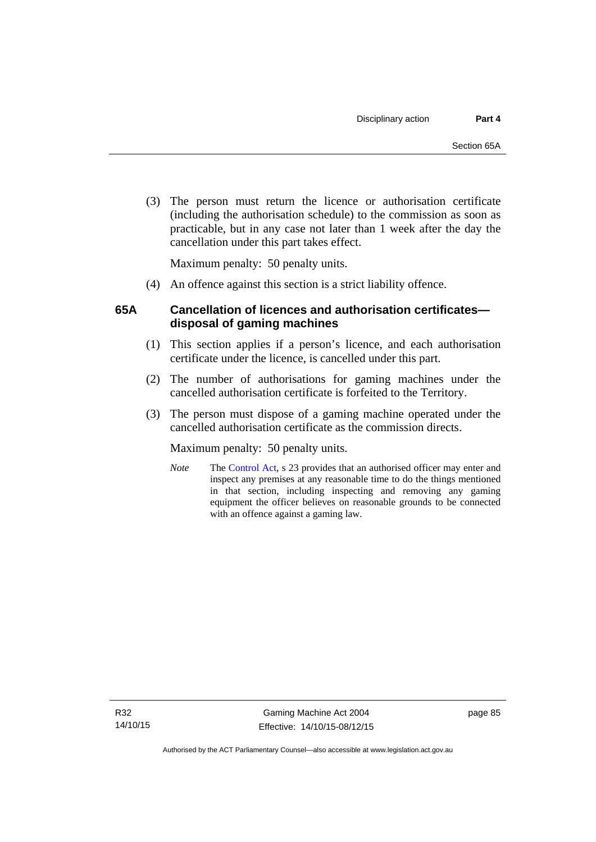(3) The person must return the licence or authorisation certificate (including the authorisation schedule) to the commission as soon as practicable, but in any case not later than 1 week after the day the cancellation under this part takes effect.

Maximum penalty: 50 penalty units.

(4) An offence against this section is a strict liability offence.

## **65A Cancellation of licences and authorisation certificates disposal of gaming machines**

- (1) This section applies if a person's licence, and each authorisation certificate under the licence, is cancelled under this part.
- (2) The number of authorisations for gaming machines under the cancelled authorisation certificate is forfeited to the Territory.
- (3) The person must dispose of a gaming machine operated under the cancelled authorisation certificate as the commission directs.

Maximum penalty: 50 penalty units.

*Note* The [Control Act](http://www.legislation.act.gov.au/a/1999-46/default.asp), s 23 provides that an authorised officer may enter and inspect any premises at any reasonable time to do the things mentioned in that section, including inspecting and removing any gaming equipment the officer believes on reasonable grounds to be connected with an offence against a gaming law.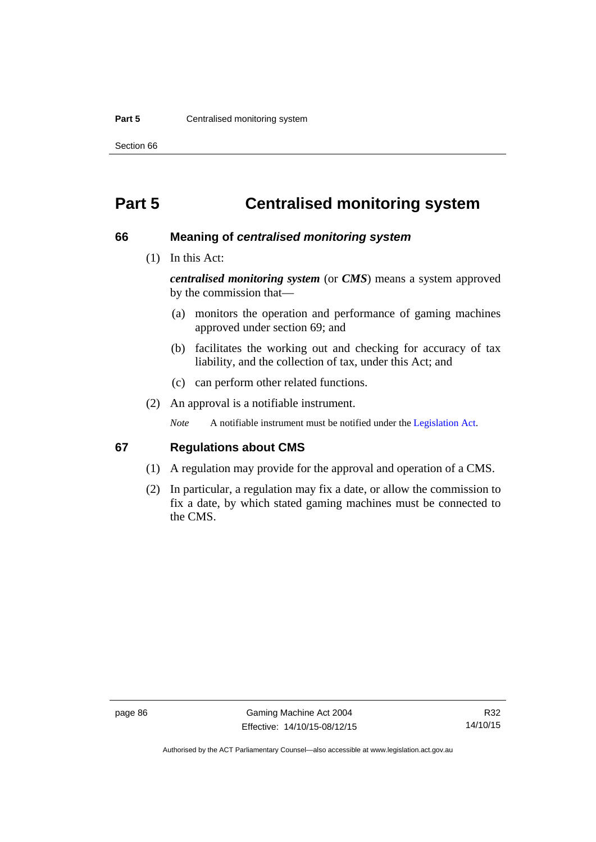#### **Part 5 Centralised monitoring system**

Section 66

# **Part 5 Centralised monitoring system**

#### **66 Meaning of** *centralised monitoring system*

(1) In this Act:

*centralised monitoring system* (or *CMS*) means a system approved by the commission that—

- (a) monitors the operation and performance of gaming machines approved under section 69; and
- (b) facilitates the working out and checking for accuracy of tax liability, and the collection of tax, under this Act; and
- (c) can perform other related functions.
- (2) An approval is a notifiable instrument.

*Note* A notifiable instrument must be notified under the [Legislation Act](http://www.legislation.act.gov.au/a/2001-14).

#### **67 Regulations about CMS**

- (1) A regulation may provide for the approval and operation of a CMS.
- (2) In particular, a regulation may fix a date, or allow the commission to fix a date, by which stated gaming machines must be connected to the CMS.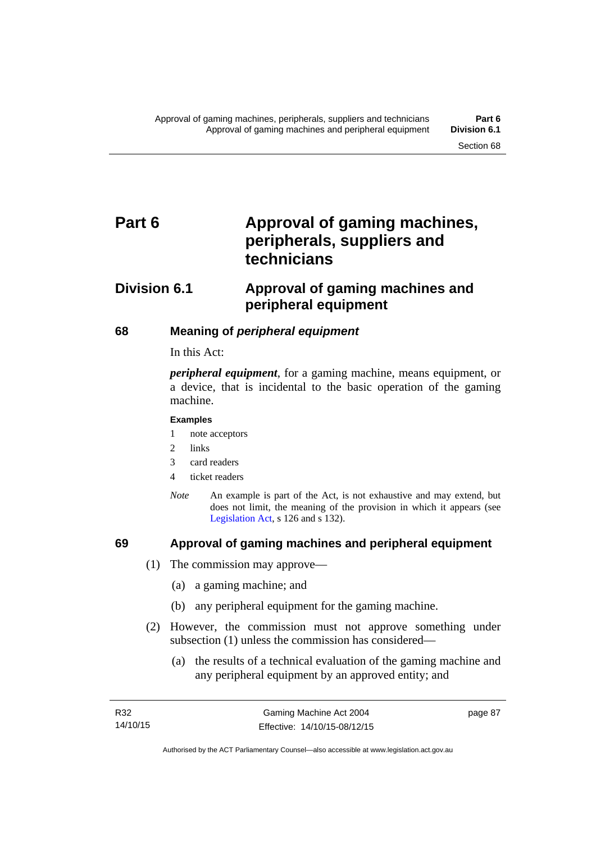# Part 6 **Approval of gaming machines, peripherals, suppliers and technicians**

# **Division 6.1 Approval of gaming machines and peripheral equipment**

## **68 Meaning of** *peripheral equipment*

In this Act:

*peripheral equipment*, for a gaming machine, means equipment, or a device, that is incidental to the basic operation of the gaming machine.

#### **Examples**

- 1 note acceptors
- 2 links
- 3 card readers
- 4 ticket readers
- *Note* An example is part of the Act, is not exhaustive and may extend, but does not limit, the meaning of the provision in which it appears (see [Legislation Act,](http://www.legislation.act.gov.au/a/2001-14) s 126 and s 132).

## **69 Approval of gaming machines and peripheral equipment**

- (1) The commission may approve—
	- (a) a gaming machine; and
	- (b) any peripheral equipment for the gaming machine.
- (2) However, the commission must not approve something under subsection (1) unless the commission has considered—
	- (a) the results of a technical evaluation of the gaming machine and any peripheral equipment by an approved entity; and

page 87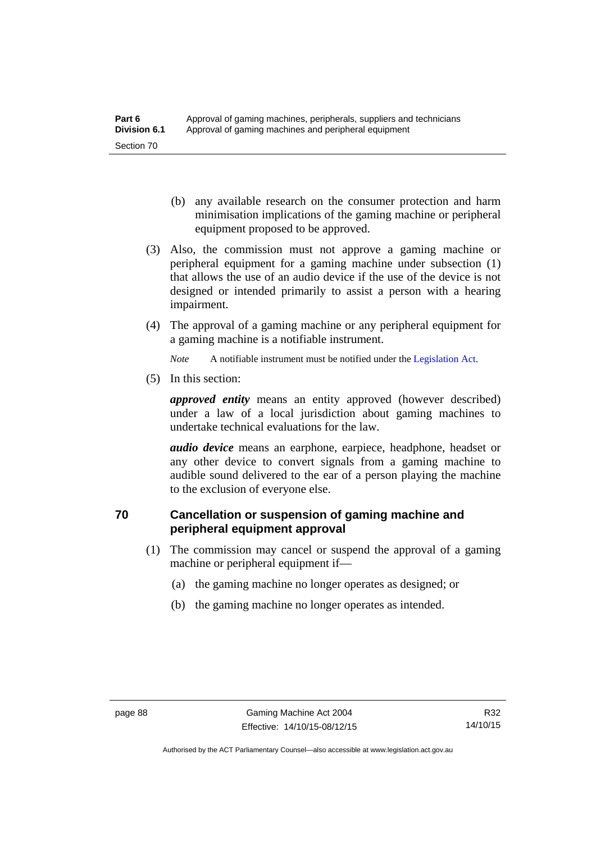- (b) any available research on the consumer protection and harm minimisation implications of the gaming machine or peripheral equipment proposed to be approved.
- (3) Also, the commission must not approve a gaming machine or peripheral equipment for a gaming machine under subsection (1) that allows the use of an audio device if the use of the device is not designed or intended primarily to assist a person with a hearing impairment.
- (4) The approval of a gaming machine or any peripheral equipment for a gaming machine is a notifiable instrument.

*Note* A notifiable instrument must be notified under the [Legislation Act](http://www.legislation.act.gov.au/a/2001-14).

(5) In this section:

*approved entity* means an entity approved (however described) under a law of a local jurisdiction about gaming machines to undertake technical evaluations for the law.

*audio device* means an earphone, earpiece, headphone, headset or any other device to convert signals from a gaming machine to audible sound delivered to the ear of a person playing the machine to the exclusion of everyone else.

## **70 Cancellation or suspension of gaming machine and peripheral equipment approval**

- (1) The commission may cancel or suspend the approval of a gaming machine or peripheral equipment if—
	- (a) the gaming machine no longer operates as designed; or
	- (b) the gaming machine no longer operates as intended.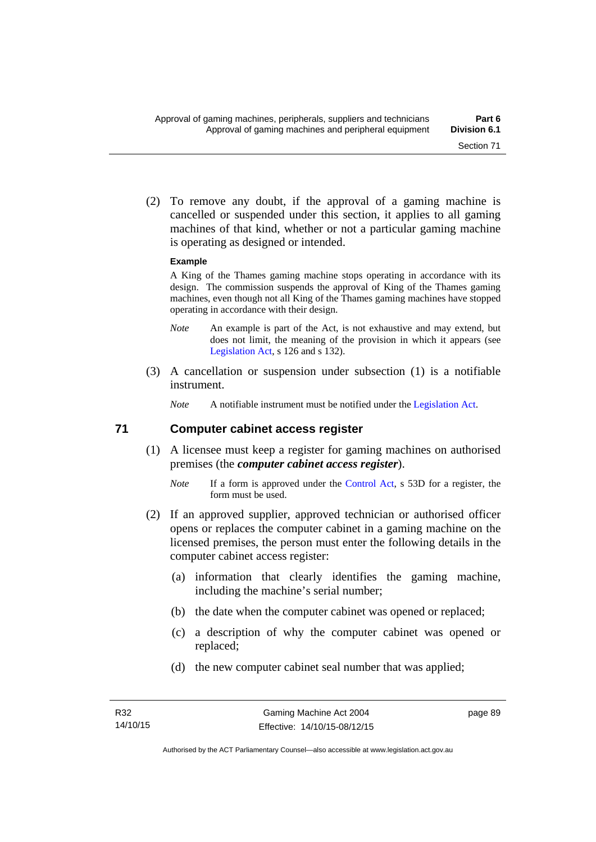(2) To remove any doubt, if the approval of a gaming machine is cancelled or suspended under this section, it applies to all gaming machines of that kind, whether or not a particular gaming machine is operating as designed or intended.

#### **Example**

A King of the Thames gaming machine stops operating in accordance with its design. The commission suspends the approval of King of the Thames gaming machines, even though not all King of the Thames gaming machines have stopped operating in accordance with their design.

- *Note* An example is part of the Act, is not exhaustive and may extend, but does not limit, the meaning of the provision in which it appears (see [Legislation Act,](http://www.legislation.act.gov.au/a/2001-14) s 126 and s 132).
- (3) A cancellation or suspension under subsection (1) is a notifiable instrument.

*Note* A notifiable instrument must be notified under the [Legislation Act](http://www.legislation.act.gov.au/a/2001-14).

#### **71 Computer cabinet access register**

- (1) A licensee must keep a register for gaming machines on authorised premises (the *computer cabinet access register*).
	- *Note* If a form is approved under the [Control Act,](http://www.legislation.act.gov.au/a/1999-46/) s 53D for a register, the form must be used.
- (2) If an approved supplier, approved technician or authorised officer opens or replaces the computer cabinet in a gaming machine on the licensed premises, the person must enter the following details in the computer cabinet access register:
	- (a) information that clearly identifies the gaming machine, including the machine's serial number;
	- (b) the date when the computer cabinet was opened or replaced;
	- (c) a description of why the computer cabinet was opened or replaced;
	- (d) the new computer cabinet seal number that was applied;

page 89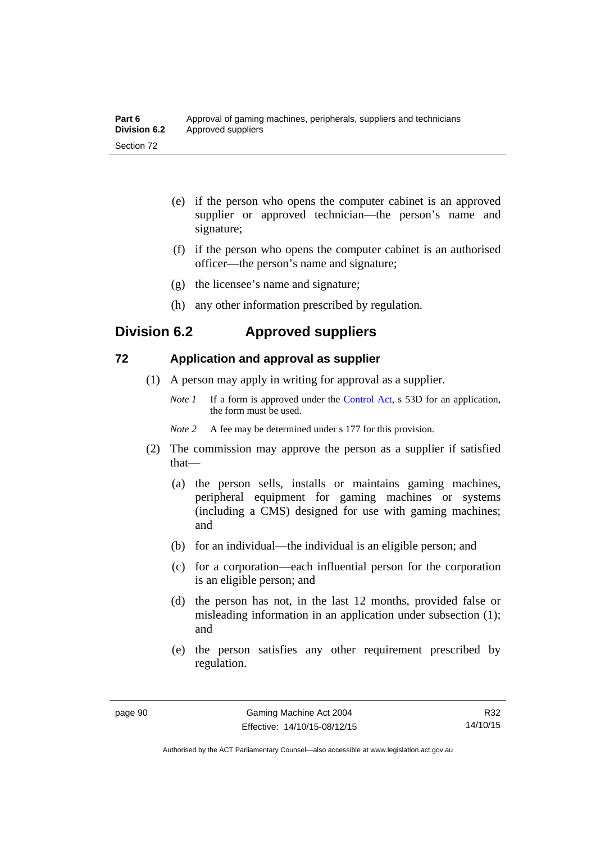| Part 6       | Approval of gaming machines, peripherals, suppliers and technicians |
|--------------|---------------------------------------------------------------------|
| Division 6.2 | Approved suppliers                                                  |
| Section 72   |                                                                     |

- (e) if the person who opens the computer cabinet is an approved supplier or approved technician—the person's name and signature;
- (f) if the person who opens the computer cabinet is an authorised officer—the person's name and signature;
- (g) the licensee's name and signature;
- (h) any other information prescribed by regulation.

## **Division 6.2 Approved suppliers**

## **72 Application and approval as supplier**

- (1) A person may apply in writing for approval as a supplier.
	- *Note 1* If a form is approved under the [Control Act,](http://www.legislation.act.gov.au/a/1999-46) s 53D for an application, the form must be used.
	- *Note* 2 A fee may be determined under s 177 for this provision.
- (2) The commission may approve the person as a supplier if satisfied that—
	- (a) the person sells, installs or maintains gaming machines, peripheral equipment for gaming machines or systems (including a CMS) designed for use with gaming machines; and
	- (b) for an individual—the individual is an eligible person; and
	- (c) for a corporation—each influential person for the corporation is an eligible person; and
	- (d) the person has not, in the last 12 months, provided false or misleading information in an application under subsection (1); and
	- (e) the person satisfies any other requirement prescribed by regulation.

R32 14/10/15

Authorised by the ACT Parliamentary Counsel—also accessible at www.legislation.act.gov.au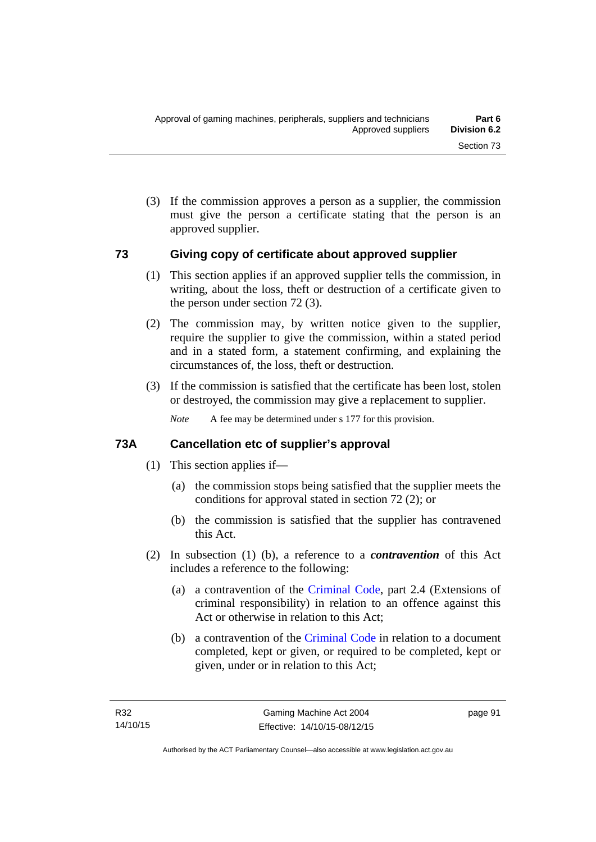(3) If the commission approves a person as a supplier, the commission must give the person a certificate stating that the person is an approved supplier.

#### **73 Giving copy of certificate about approved supplier**

- (1) This section applies if an approved supplier tells the commission, in writing, about the loss, theft or destruction of a certificate given to the person under section 72 (3).
- (2) The commission may, by written notice given to the supplier, require the supplier to give the commission, within a stated period and in a stated form, a statement confirming, and explaining the circumstances of, the loss, theft or destruction.
- (3) If the commission is satisfied that the certificate has been lost, stolen or destroyed, the commission may give a replacement to supplier.

*Note* A fee may be determined under s 177 for this provision.

## **73A Cancellation etc of supplier's approval**

- (1) This section applies if—
	- (a) the commission stops being satisfied that the supplier meets the conditions for approval stated in section 72 (2); or
	- (b) the commission is satisfied that the supplier has contravened this Act.
- (2) In subsection (1) (b), a reference to a *contravention* of this Act includes a reference to the following:
	- (a) a contravention of the [Criminal Code](http://www.legislation.act.gov.au/a/2002-51), part 2.4 (Extensions of criminal responsibility) in relation to an offence against this Act or otherwise in relation to this Act;
	- (b) a contravention of the [Criminal Code](http://www.legislation.act.gov.au/a/2002-51) in relation to a document completed, kept or given, or required to be completed, kept or given, under or in relation to this Act;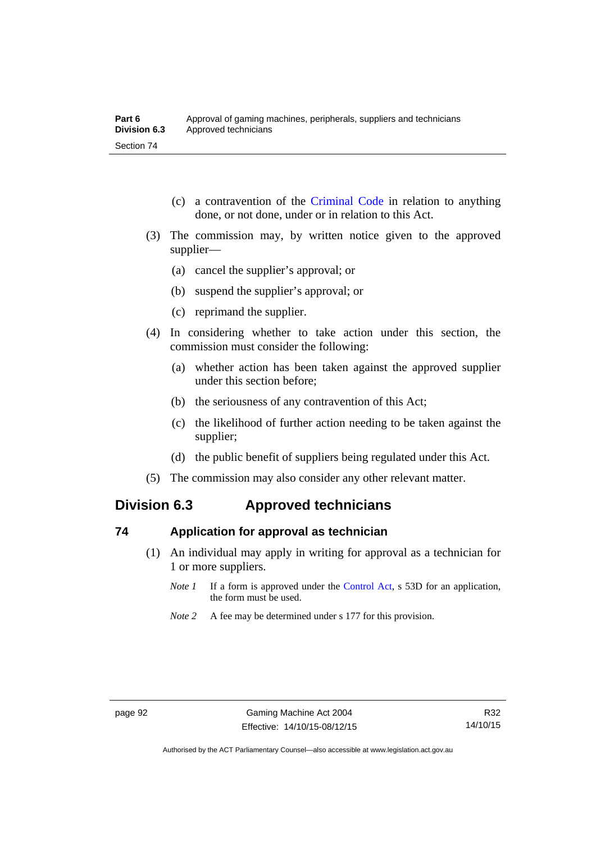- (c) a contravention of the [Criminal Code](http://www.legislation.act.gov.au/a/2002-51) in relation to anything done, or not done, under or in relation to this Act.
- (3) The commission may, by written notice given to the approved supplier—
	- (a) cancel the supplier's approval; or
	- (b) suspend the supplier's approval; or
	- (c) reprimand the supplier.
- (4) In considering whether to take action under this section, the commission must consider the following:
	- (a) whether action has been taken against the approved supplier under this section before;
	- (b) the seriousness of any contravention of this Act;
	- (c) the likelihood of further action needing to be taken against the supplier;
	- (d) the public benefit of suppliers being regulated under this Act.
- (5) The commission may also consider any other relevant matter.

# **Division 6.3 Approved technicians**

#### **74 Application for approval as technician**

- (1) An individual may apply in writing for approval as a technician for 1 or more suppliers.
	- *Note 1* If a form is approved under the [Control Act,](http://www.legislation.act.gov.au/a/1999-46) s 53D for an application, the form must be used.
	- *Note* 2 A fee may be determined under s 177 for this provision.

Authorised by the ACT Parliamentary Counsel—also accessible at www.legislation.act.gov.au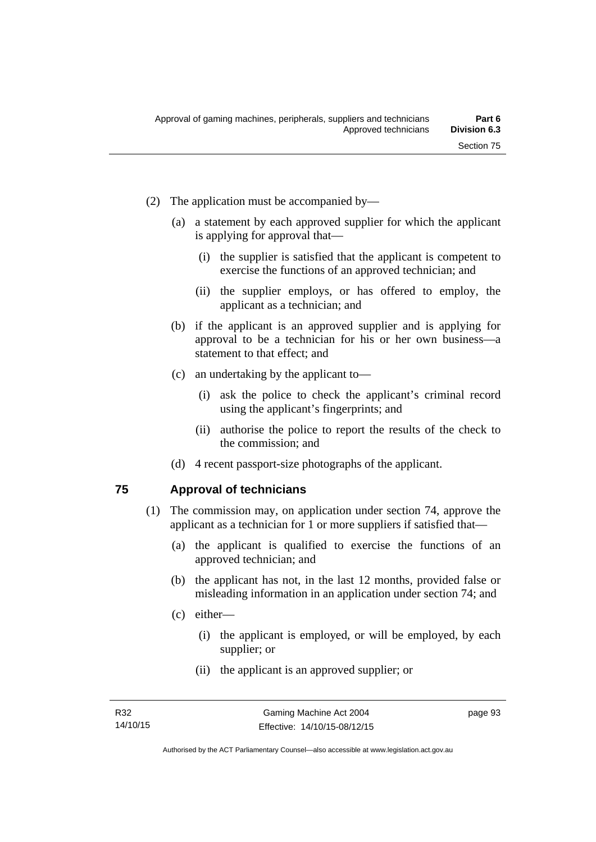- (2) The application must be accompanied by—
	- (a) a statement by each approved supplier for which the applicant is applying for approval that—
		- (i) the supplier is satisfied that the applicant is competent to exercise the functions of an approved technician; and
		- (ii) the supplier employs, or has offered to employ, the applicant as a technician; and
	- (b) if the applicant is an approved supplier and is applying for approval to be a technician for his or her own business—a statement to that effect; and
	- (c) an undertaking by the applicant to—
		- (i) ask the police to check the applicant's criminal record using the applicant's fingerprints; and
		- (ii) authorise the police to report the results of the check to the commission; and
	- (d) 4 recent passport-size photographs of the applicant.

### **75 Approval of technicians**

- (1) The commission may, on application under section 74, approve the applicant as a technician for 1 or more suppliers if satisfied that—
	- (a) the applicant is qualified to exercise the functions of an approved technician; and
	- (b) the applicant has not, in the last 12 months, provided false or misleading information in an application under section 74; and
	- (c) either—
		- (i) the applicant is employed, or will be employed, by each supplier; or
		- (ii) the applicant is an approved supplier; or

page 93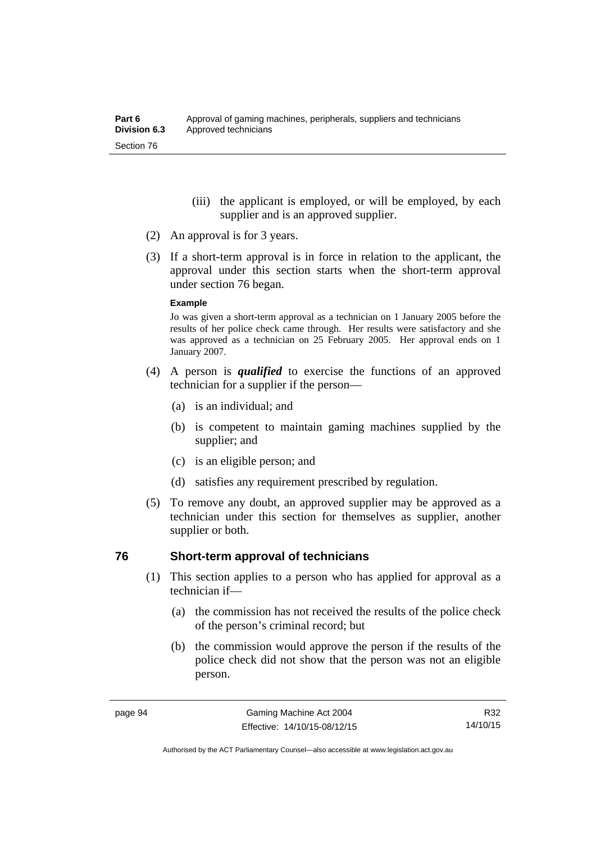- (iii) the applicant is employed, or will be employed, by each supplier and is an approved supplier.
- (2) An approval is for 3 years.
- (3) If a short-term approval is in force in relation to the applicant, the approval under this section starts when the short-term approval under section 76 began.

#### **Example**

Jo was given a short-term approval as a technician on 1 January 2005 before the results of her police check came through. Her results were satisfactory and she was approved as a technician on 25 February 2005. Her approval ends on 1 January 2007.

- (4) A person is *qualified* to exercise the functions of an approved technician for a supplier if the person—
	- (a) is an individual; and
	- (b) is competent to maintain gaming machines supplied by the supplier; and
	- (c) is an eligible person; and
	- (d) satisfies any requirement prescribed by regulation.
- (5) To remove any doubt, an approved supplier may be approved as a technician under this section for themselves as supplier, another supplier or both.

#### **76 Short-term approval of technicians**

- (1) This section applies to a person who has applied for approval as a technician if—
	- (a) the commission has not received the results of the police check of the person's criminal record; but
	- (b) the commission would approve the person if the results of the police check did not show that the person was not an eligible person.

R32 14/10/15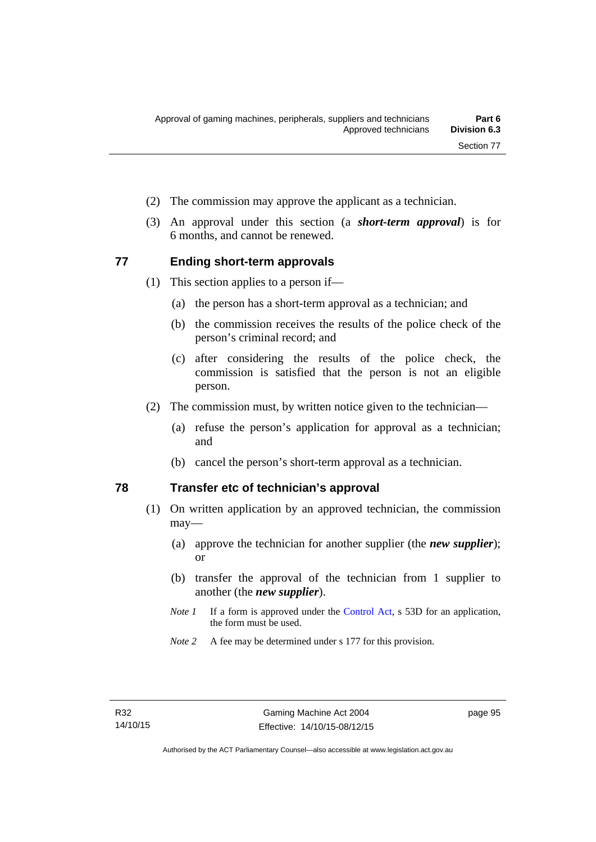- (2) The commission may approve the applicant as a technician.
- (3) An approval under this section (a *short-term approval*) is for 6 months, and cannot be renewed.

#### **77 Ending short-term approvals**

- (1) This section applies to a person if—
	- (a) the person has a short-term approval as a technician; and
	- (b) the commission receives the results of the police check of the person's criminal record; and
	- (c) after considering the results of the police check, the commission is satisfied that the person is not an eligible person.
- (2) The commission must, by written notice given to the technician—
	- (a) refuse the person's application for approval as a technician; and
	- (b) cancel the person's short-term approval as a technician.

### **78 Transfer etc of technician's approval**

- (1) On written application by an approved technician, the commission may—
	- (a) approve the technician for another supplier (the *new supplier*); or
	- (b) transfer the approval of the technician from 1 supplier to another (the *new supplier*).
	- *Note 1* If a form is approved under the [Control Act,](http://www.legislation.act.gov.au/a/1999-46) s 53D for an application, the form must be used.
	- *Note 2* A fee may be determined under s 177 for this provision.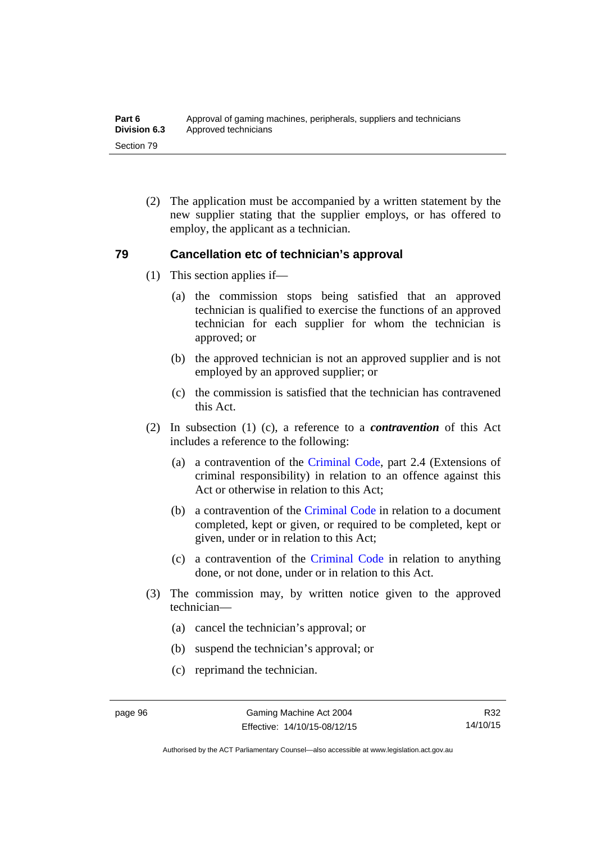(2) The application must be accompanied by a written statement by the new supplier stating that the supplier employs, or has offered to employ, the applicant as a technician.

### **79 Cancellation etc of technician's approval**

- (1) This section applies if—
	- (a) the commission stops being satisfied that an approved technician is qualified to exercise the functions of an approved technician for each supplier for whom the technician is approved; or
	- (b) the approved technician is not an approved supplier and is not employed by an approved supplier; or
	- (c) the commission is satisfied that the technician has contravened this Act.
- (2) In subsection (1) (c), a reference to a *contravention* of this Act includes a reference to the following:
	- (a) a contravention of the [Criminal Code](http://www.legislation.act.gov.au/a/2002-51), part 2.4 (Extensions of criminal responsibility) in relation to an offence against this Act or otherwise in relation to this Act:
	- (b) a contravention of the [Criminal Code](http://www.legislation.act.gov.au/a/2002-51) in relation to a document completed, kept or given, or required to be completed, kept or given, under or in relation to this Act;
	- (c) a contravention of the [Criminal Code](http://www.legislation.act.gov.au/a/2002-51) in relation to anything done, or not done, under or in relation to this Act.
- (3) The commission may, by written notice given to the approved technician—
	- (a) cancel the technician's approval; or
	- (b) suspend the technician's approval; or
	- (c) reprimand the technician.

Authorised by the ACT Parliamentary Counsel—also accessible at www.legislation.act.gov.au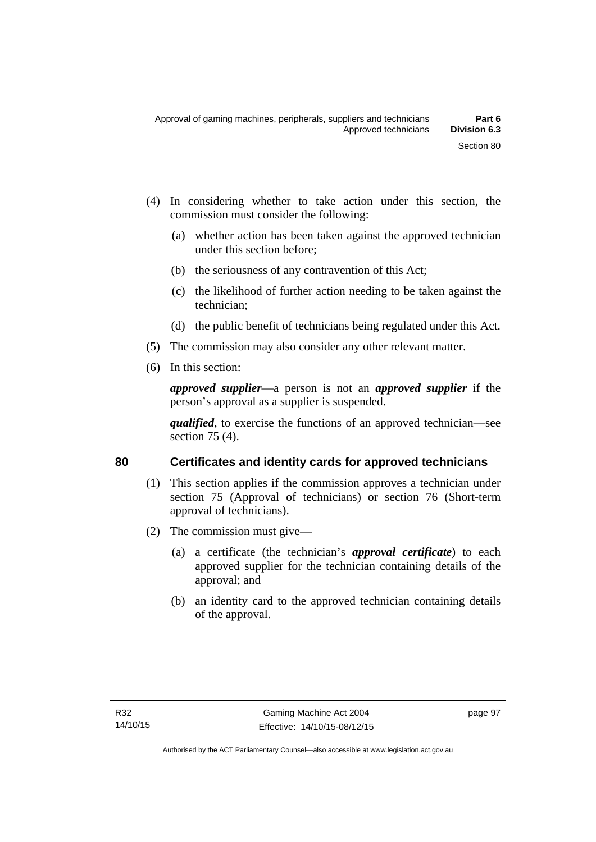- (4) In considering whether to take action under this section, the commission must consider the following:
	- (a) whether action has been taken against the approved technician under this section before;
	- (b) the seriousness of any contravention of this Act;
	- (c) the likelihood of further action needing to be taken against the technician;
	- (d) the public benefit of technicians being regulated under this Act.
- (5) The commission may also consider any other relevant matter.
- (6) In this section:

*approved supplier*—a person is not an *approved supplier* if the person's approval as a supplier is suspended.

*qualified*, to exercise the functions of an approved technician—see section 75 (4).

# **80 Certificates and identity cards for approved technicians**

- (1) This section applies if the commission approves a technician under section 75 (Approval of technicians) or section 76 (Short-term approval of technicians).
- (2) The commission must give—
	- (a) a certificate (the technician's *approval certificate*) to each approved supplier for the technician containing details of the approval; and
	- (b) an identity card to the approved technician containing details of the approval.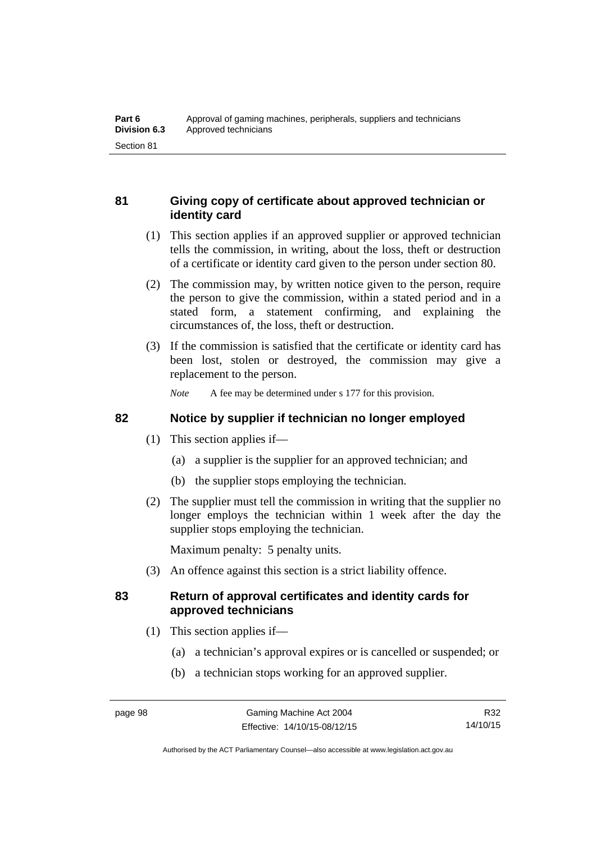# **81 Giving copy of certificate about approved technician or identity card**

- (1) This section applies if an approved supplier or approved technician tells the commission, in writing, about the loss, theft or destruction of a certificate or identity card given to the person under section 80.
- (2) The commission may, by written notice given to the person, require the person to give the commission, within a stated period and in a stated form, a statement confirming, and explaining the circumstances of, the loss, theft or destruction.
- (3) If the commission is satisfied that the certificate or identity card has been lost, stolen or destroyed, the commission may give a replacement to the person.

*Note* A fee may be determined under s 177 for this provision.

### **82 Notice by supplier if technician no longer employed**

- (1) This section applies if—
	- (a) a supplier is the supplier for an approved technician; and
	- (b) the supplier stops employing the technician.
- (2) The supplier must tell the commission in writing that the supplier no longer employs the technician within 1 week after the day the supplier stops employing the technician.

Maximum penalty: 5 penalty units.

(3) An offence against this section is a strict liability offence.

### **83 Return of approval certificates and identity cards for approved technicians**

- (1) This section applies if—
	- (a) a technician's approval expires or is cancelled or suspended; or
	- (b) a technician stops working for an approved supplier.

Authorised by the ACT Parliamentary Counsel—also accessible at www.legislation.act.gov.au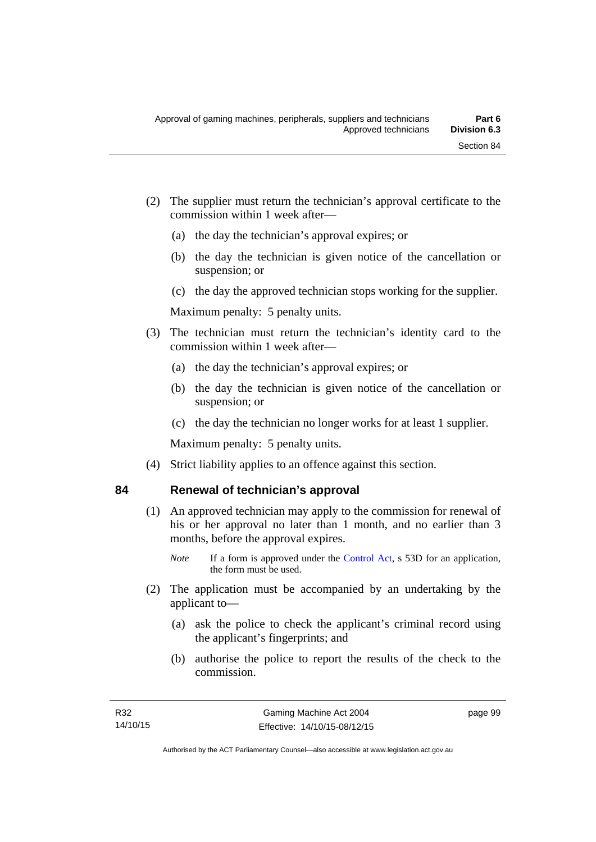- (2) The supplier must return the technician's approval certificate to the commission within 1 week after—
	- (a) the day the technician's approval expires; or
	- (b) the day the technician is given notice of the cancellation or suspension; or
	- (c) the day the approved technician stops working for the supplier.

Maximum penalty: 5 penalty units.

- (3) The technician must return the technician's identity card to the commission within 1 week after—
	- (a) the day the technician's approval expires; or
	- (b) the day the technician is given notice of the cancellation or suspension; or
	- (c) the day the technician no longer works for at least 1 supplier.

Maximum penalty: 5 penalty units.

(4) Strict liability applies to an offence against this section.

# **84 Renewal of technician's approval**

- (1) An approved technician may apply to the commission for renewal of his or her approval no later than 1 month, and no earlier than 3 months, before the approval expires.
	- *Note* If a form is approved under the [Control Act,](http://www.legislation.act.gov.au/a/1999-46) s 53D for an application, the form must be used.
- (2) The application must be accompanied by an undertaking by the applicant to—
	- (a) ask the police to check the applicant's criminal record using the applicant's fingerprints; and
	- (b) authorise the police to report the results of the check to the commission.

page 99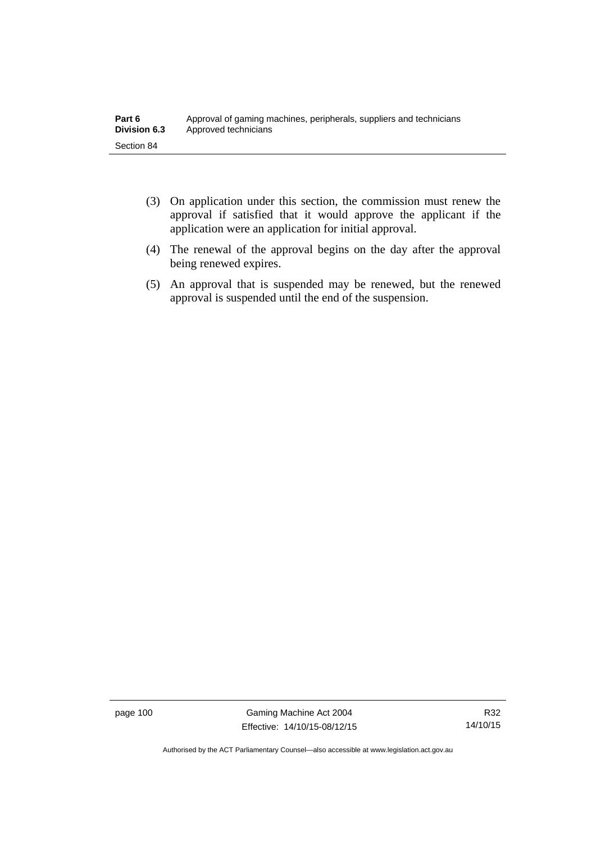- (3) On application under this section, the commission must renew the approval if satisfied that it would approve the applicant if the application were an application for initial approval.
- (4) The renewal of the approval begins on the day after the approval being renewed expires.
- (5) An approval that is suspended may be renewed, but the renewed approval is suspended until the end of the suspension.

page 100 Gaming Machine Act 2004 Effective: 14/10/15-08/12/15

Authorised by the ACT Parliamentary Counsel—also accessible at www.legislation.act.gov.au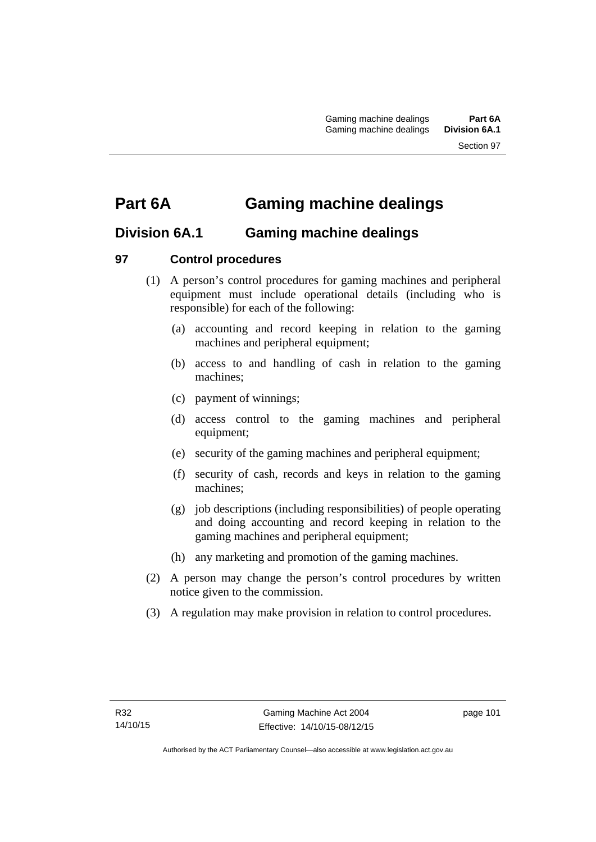# **Part 6A Gaming machine dealings**

# **Division 6A.1 Gaming machine dealings**

# **97 Control procedures**

- (1) A person's control procedures for gaming machines and peripheral equipment must include operational details (including who is responsible) for each of the following:
	- (a) accounting and record keeping in relation to the gaming machines and peripheral equipment;
	- (b) access to and handling of cash in relation to the gaming machines;
	- (c) payment of winnings;
	- (d) access control to the gaming machines and peripheral equipment;
	- (e) security of the gaming machines and peripheral equipment;
	- (f) security of cash, records and keys in relation to the gaming machines;
	- (g) job descriptions (including responsibilities) of people operating and doing accounting and record keeping in relation to the gaming machines and peripheral equipment;
	- (h) any marketing and promotion of the gaming machines.
- (2) A person may change the person's control procedures by written notice given to the commission.
- (3) A regulation may make provision in relation to control procedures.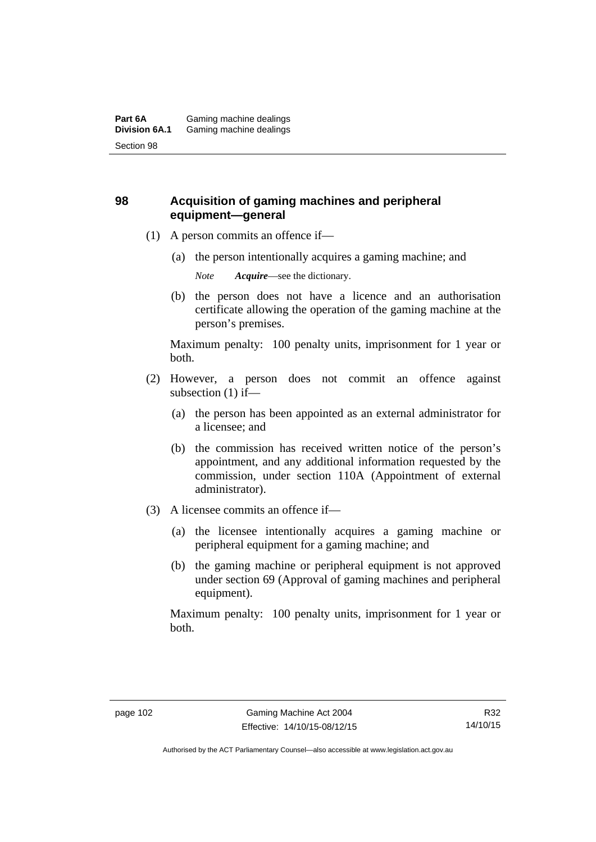# **98 Acquisition of gaming machines and peripheral equipment—general**

- (1) A person commits an offence if—
	- (a) the person intentionally acquires a gaming machine; and

*Note Acquire*—see the dictionary.

 (b) the person does not have a licence and an authorisation certificate allowing the operation of the gaming machine at the person's premises.

Maximum penalty: 100 penalty units, imprisonment for 1 year or both.

- (2) However, a person does not commit an offence against subsection (1) if—
	- (a) the person has been appointed as an external administrator for a licensee; and
	- (b) the commission has received written notice of the person's appointment, and any additional information requested by the commission, under section 110A (Appointment of external administrator).
- (3) A licensee commits an offence if—
	- (a) the licensee intentionally acquires a gaming machine or peripheral equipment for a gaming machine; and
	- (b) the gaming machine or peripheral equipment is not approved under section 69 (Approval of gaming machines and peripheral equipment).

Maximum penalty: 100 penalty units, imprisonment for 1 year or both.

Authorised by the ACT Parliamentary Counsel—also accessible at www.legislation.act.gov.au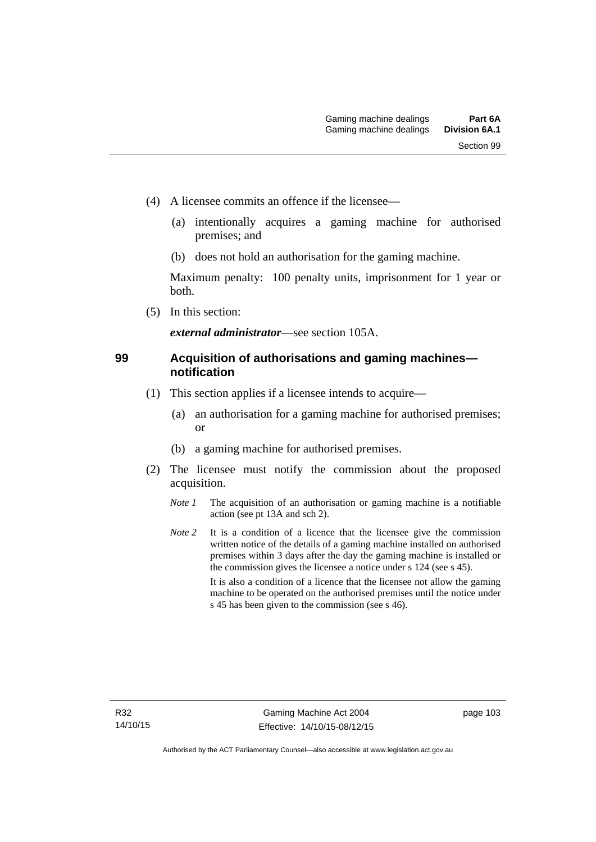- (4) A licensee commits an offence if the licensee—
	- (a) intentionally acquires a gaming machine for authorised premises; and
	- (b) does not hold an authorisation for the gaming machine.

Maximum penalty: 100 penalty units, imprisonment for 1 year or both.

(5) In this section:

*external administrator*—see section 105A.

### **99 Acquisition of authorisations and gaming machines notification**

- (1) This section applies if a licensee intends to acquire—
	- (a) an authorisation for a gaming machine for authorised premises; or
	- (b) a gaming machine for authorised premises.
- (2) The licensee must notify the commission about the proposed acquisition.
	- *Note 1* The acquisition of an authorisation or gaming machine is a notifiable action (see pt 13A and sch 2).
	- *Note* 2 It is a condition of a licence that the licensee give the commission written notice of the details of a gaming machine installed on authorised premises within 3 days after the day the gaming machine is installed or the commission gives the licensee a notice under s 124 (see s 45). It is also a condition of a licence that the licensee not allow the gaming machine to be operated on the authorised premises until the notice under s 45 has been given to the commission (see s 46).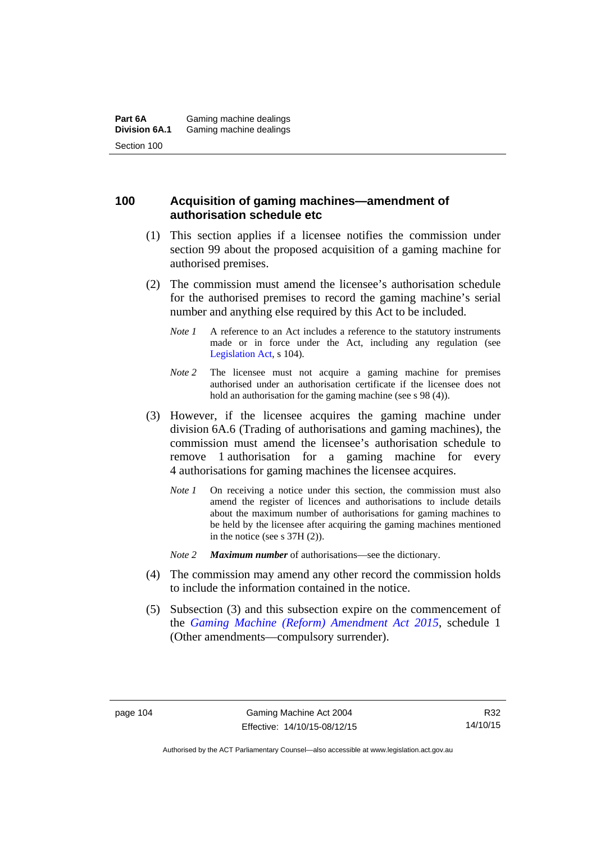### **100 Acquisition of gaming machines—amendment of authorisation schedule etc**

- (1) This section applies if a licensee notifies the commission under section 99 about the proposed acquisition of a gaming machine for authorised premises.
- (2) The commission must amend the licensee's authorisation schedule for the authorised premises to record the gaming machine's serial number and anything else required by this Act to be included.
	- *Note 1* A reference to an Act includes a reference to the statutory instruments made or in force under the Act, including any regulation (see [Legislation Act,](http://www.legislation.act.gov.au/a/2001-14) s 104).
	- *Note* 2 The licensee must not acquire a gaming machine for premises authorised under an authorisation certificate if the licensee does not hold an authorisation for the gaming machine (see s 98 (4)).
- (3) However, if the licensee acquires the gaming machine under division 6A.6 (Trading of authorisations and gaming machines), the commission must amend the licensee's authorisation schedule to remove 1 authorisation for a gaming machine for every 4 authorisations for gaming machines the licensee acquires.
	- *Note 1* On receiving a notice under this section, the commission must also amend the register of licences and authorisations to include details about the maximum number of authorisations for gaming machines to be held by the licensee after acquiring the gaming machines mentioned in the notice (see s 37H (2)).
	- *Note 2 Maximum number* of authorisations—see the dictionary.
- (4) The commission may amend any other record the commission holds to include the information contained in the notice.
- (5) Subsection (3) and this subsection expire on the commencement of the *[Gaming Machine \(Reform\) Amendment Act 2015](http://www.legislation.act.gov.au/a/2015-21/default.asp)*, schedule 1 (Other amendments—compulsory surrender).

R32 14/10/15

Authorised by the ACT Parliamentary Counsel—also accessible at www.legislation.act.gov.au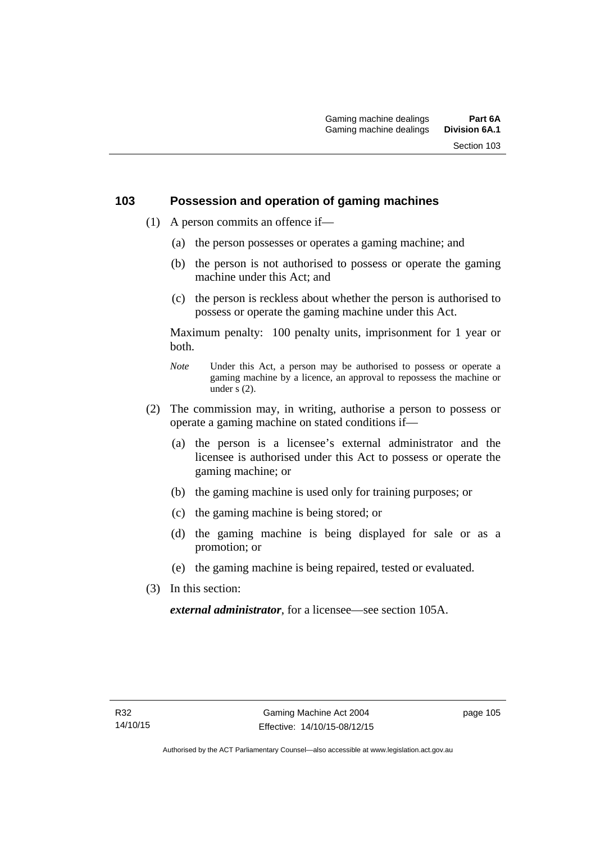### **103 Possession and operation of gaming machines**

- (1) A person commits an offence if—
	- (a) the person possesses or operates a gaming machine; and
	- (b) the person is not authorised to possess or operate the gaming machine under this Act; and
	- (c) the person is reckless about whether the person is authorised to possess or operate the gaming machine under this Act.

Maximum penalty: 100 penalty units, imprisonment for 1 year or both.

- *Note* Under this Act, a person may be authorised to possess or operate a gaming machine by a licence, an approval to repossess the machine or under  $\overline{s}$  (2).
- (2) The commission may, in writing, authorise a person to possess or operate a gaming machine on stated conditions if—
	- (a) the person is a licensee's external administrator and the licensee is authorised under this Act to possess or operate the gaming machine; or
	- (b) the gaming machine is used only for training purposes; or
	- (c) the gaming machine is being stored; or
	- (d) the gaming machine is being displayed for sale or as a promotion; or
	- (e) the gaming machine is being repaired, tested or evaluated.
- (3) In this section:

*external administrator*, for a licensee—see section 105A.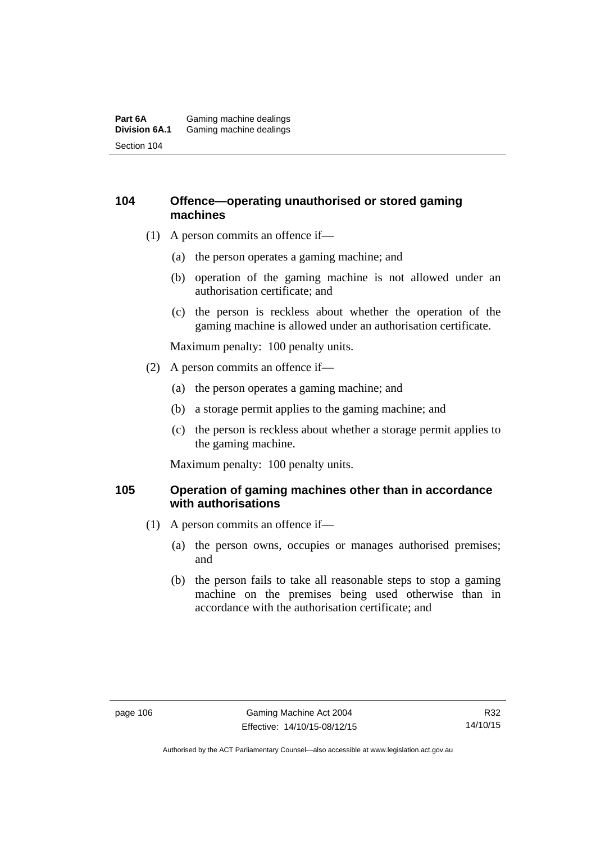#### **Part 6A** Gaming machine dealings<br>**Division 6A.1** Gaming machine dealings Gaming machine dealings Section 104

### **104 Offence—operating unauthorised or stored gaming machines**

- (1) A person commits an offence if—
	- (a) the person operates a gaming machine; and
	- (b) operation of the gaming machine is not allowed under an authorisation certificate; and
	- (c) the person is reckless about whether the operation of the gaming machine is allowed under an authorisation certificate.

Maximum penalty: 100 penalty units.

- (2) A person commits an offence if—
	- (a) the person operates a gaming machine; and
	- (b) a storage permit applies to the gaming machine; and
	- (c) the person is reckless about whether a storage permit applies to the gaming machine.

Maximum penalty: 100 penalty units.

### **105 Operation of gaming machines other than in accordance with authorisations**

- (1) A person commits an offence if—
	- (a) the person owns, occupies or manages authorised premises; and
	- (b) the person fails to take all reasonable steps to stop a gaming machine on the premises being used otherwise than in accordance with the authorisation certificate; and

Authorised by the ACT Parliamentary Counsel—also accessible at www.legislation.act.gov.au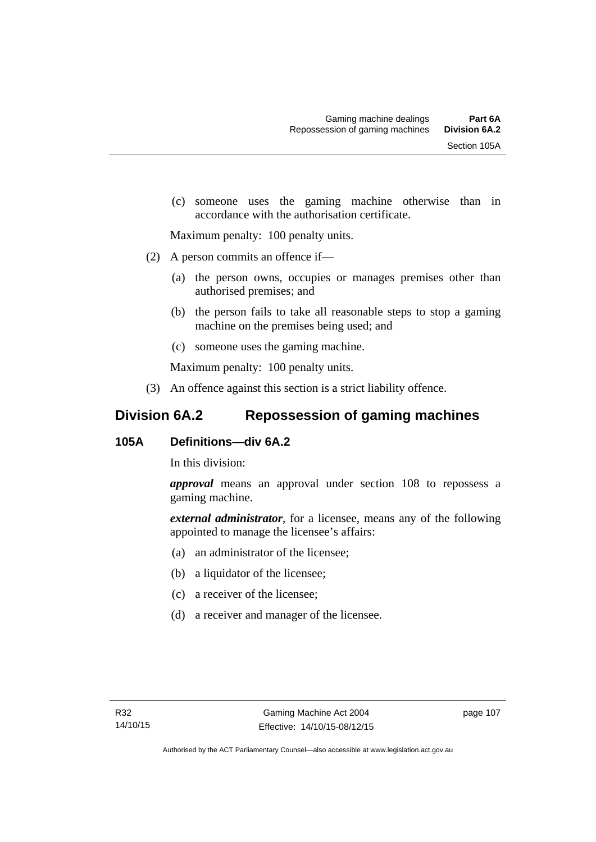(c) someone uses the gaming machine otherwise than in accordance with the authorisation certificate.

Maximum penalty: 100 penalty units.

- (2) A person commits an offence if—
	- (a) the person owns, occupies or manages premises other than authorised premises; and
	- (b) the person fails to take all reasonable steps to stop a gaming machine on the premises being used; and
	- (c) someone uses the gaming machine.

Maximum penalty: 100 penalty units.

(3) An offence against this section is a strict liability offence.

# **Division 6A.2 Repossession of gaming machines**

### **105A Definitions—div 6A.2**

In this division:

*approval* means an approval under section 108 to repossess a gaming machine.

*external administrator*, for a licensee, means any of the following appointed to manage the licensee's affairs:

- (a) an administrator of the licensee;
- (b) a liquidator of the licensee;
- (c) a receiver of the licensee;
- (d) a receiver and manager of the licensee.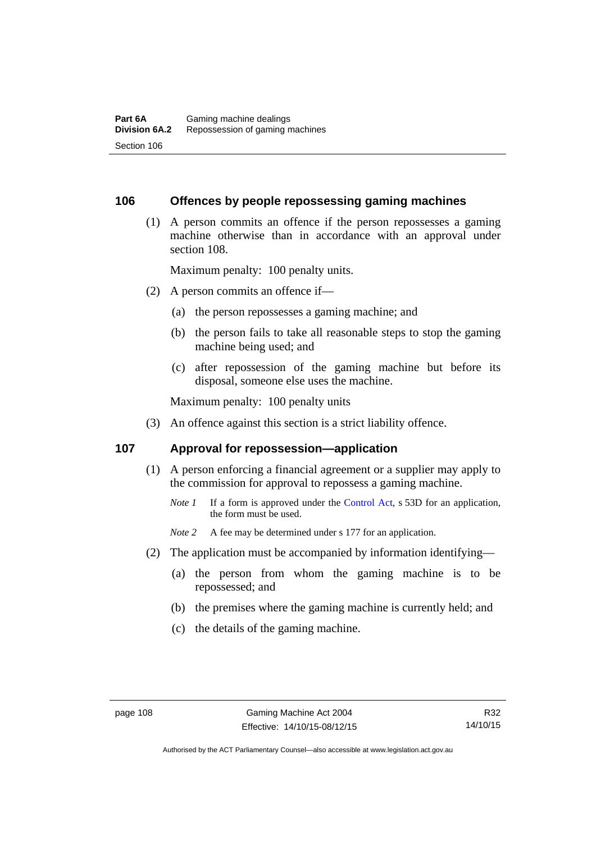#### **106 Offences by people repossessing gaming machines**

 (1) A person commits an offence if the person repossesses a gaming machine otherwise than in accordance with an approval under section 108.

Maximum penalty: 100 penalty units.

- (2) A person commits an offence if—
	- (a) the person repossesses a gaming machine; and
	- (b) the person fails to take all reasonable steps to stop the gaming machine being used; and
	- (c) after repossession of the gaming machine but before its disposal, someone else uses the machine.

Maximum penalty: 100 penalty units

(3) An offence against this section is a strict liability offence.

#### **107 Approval for repossession—application**

- (1) A person enforcing a financial agreement or a supplier may apply to the commission for approval to repossess a gaming machine.
	- *Note 1* If a form is approved under the [Control Act](http://www.legislation.act.gov.au/a/1999-46/default.asp), s 53D for an application, the form must be used.

*Note* 2 A fee may be determined under s 177 for an application.

- (2) The application must be accompanied by information identifying—
	- (a) the person from whom the gaming machine is to be repossessed; and
	- (b) the premises where the gaming machine is currently held; and
	- (c) the details of the gaming machine.

Authorised by the ACT Parliamentary Counsel—also accessible at www.legislation.act.gov.au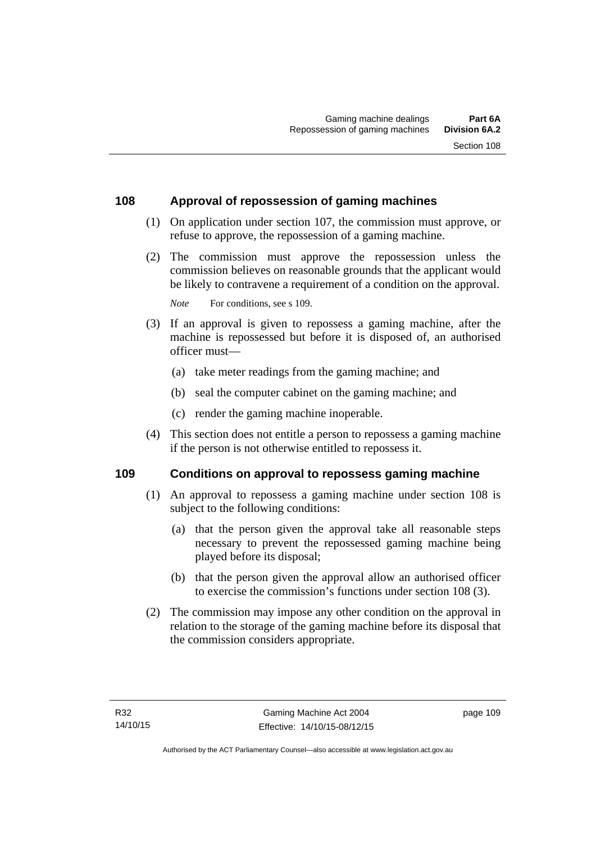### **108 Approval of repossession of gaming machines**

- (1) On application under section 107, the commission must approve, or refuse to approve, the repossession of a gaming machine.
- (2) The commission must approve the repossession unless the commission believes on reasonable grounds that the applicant would be likely to contravene a requirement of a condition on the approval.

*Note* For conditions, see s 109.

- (3) If an approval is given to repossess a gaming machine, after the machine is repossessed but before it is disposed of, an authorised officer must—
	- (a) take meter readings from the gaming machine; and
	- (b) seal the computer cabinet on the gaming machine; and
	- (c) render the gaming machine inoperable.
- (4) This section does not entitle a person to repossess a gaming machine if the person is not otherwise entitled to repossess it.

### **109 Conditions on approval to repossess gaming machine**

- (1) An approval to repossess a gaming machine under section 108 is subject to the following conditions:
	- (a) that the person given the approval take all reasonable steps necessary to prevent the repossessed gaming machine being played before its disposal;
	- (b) that the person given the approval allow an authorised officer to exercise the commission's functions under section 108 (3).
- (2) The commission may impose any other condition on the approval in relation to the storage of the gaming machine before its disposal that the commission considers appropriate.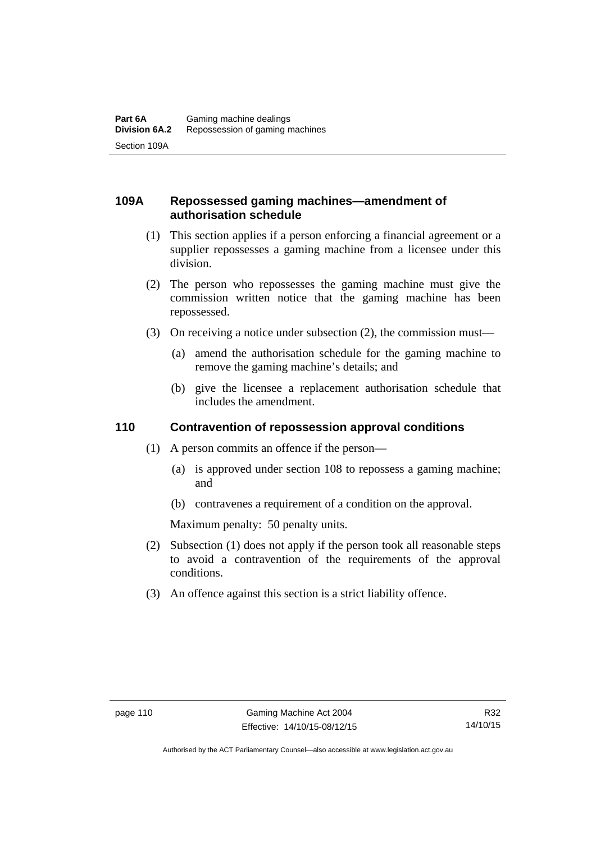# **109A Repossessed gaming machines—amendment of authorisation schedule**

- (1) This section applies if a person enforcing a financial agreement or a supplier repossesses a gaming machine from a licensee under this division.
- (2) The person who repossesses the gaming machine must give the commission written notice that the gaming machine has been repossessed.
- (3) On receiving a notice under subsection (2), the commission must—
	- (a) amend the authorisation schedule for the gaming machine to remove the gaming machine's details; and
	- (b) give the licensee a replacement authorisation schedule that includes the amendment.

### **110 Contravention of repossession approval conditions**

- (1) A person commits an offence if the person—
	- (a) is approved under section 108 to repossess a gaming machine; and
	- (b) contravenes a requirement of a condition on the approval.

Maximum penalty: 50 penalty units.

- (2) Subsection (1) does not apply if the person took all reasonable steps to avoid a contravention of the requirements of the approval conditions.
- (3) An offence against this section is a strict liability offence.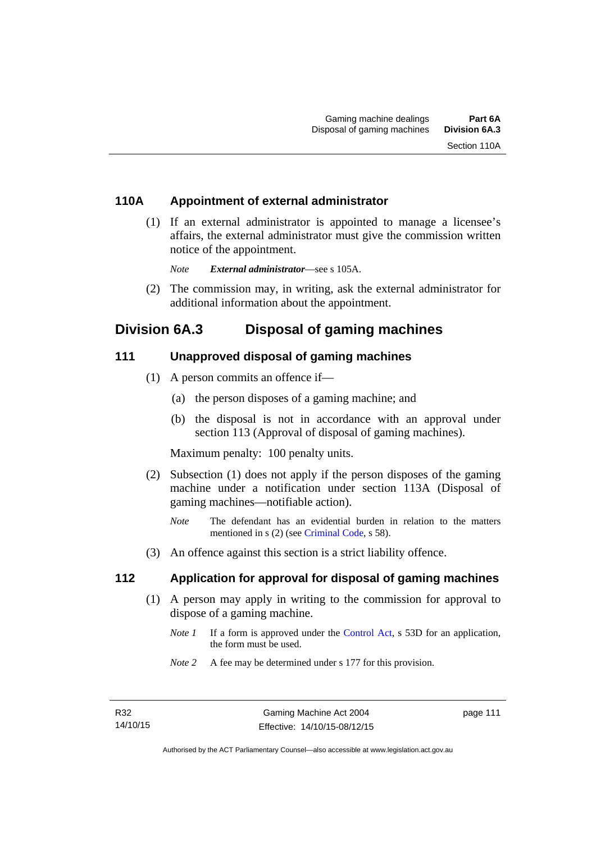### **110A Appointment of external administrator**

 (1) If an external administrator is appointed to manage a licensee's affairs, the external administrator must give the commission written notice of the appointment.

*Note External administrator*—see s 105A.

 (2) The commission may, in writing, ask the external administrator for additional information about the appointment.

# **Division 6A.3 Disposal of gaming machines**

### **111 Unapproved disposal of gaming machines**

- (1) A person commits an offence if—
	- (a) the person disposes of a gaming machine; and
	- (b) the disposal is not in accordance with an approval under section 113 (Approval of disposal of gaming machines).

Maximum penalty: 100 penalty units.

- (2) Subsection (1) does not apply if the person disposes of the gaming machine under a notification under section 113A (Disposal of gaming machines—notifiable action).
	- *Note* The defendant has an evidential burden in relation to the matters mentioned in s (2) (see [Criminal Code](http://www.legislation.act.gov.au/a/2002-51), s 58).
- (3) An offence against this section is a strict liability offence.

### **112 Application for approval for disposal of gaming machines**

- (1) A person may apply in writing to the commission for approval to dispose of a gaming machine.
	- *Note 1* If a form is approved under the [Control Act,](http://www.legislation.act.gov.au/a/1999-46) s 53D for an application, the form must be used.
	- *Note 2* A fee may be determined under s 177 for this provision.

page 111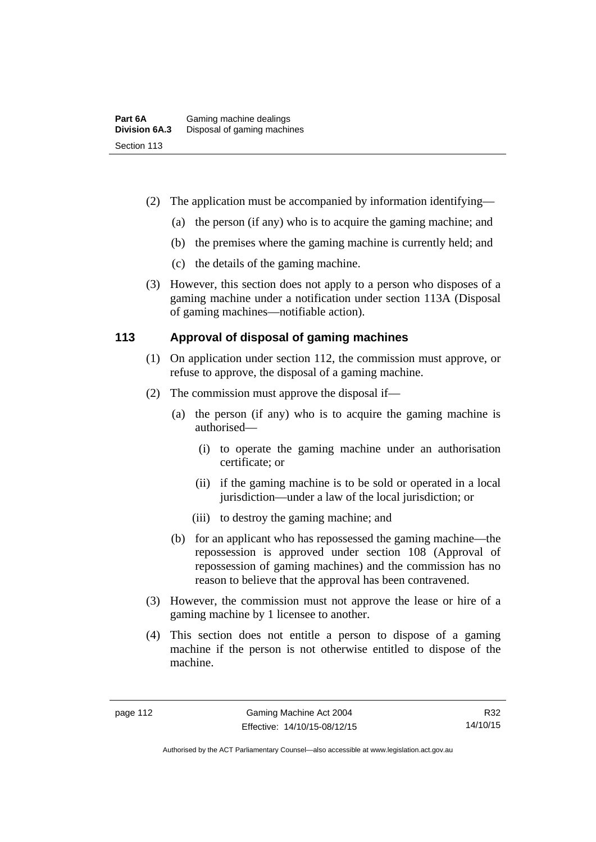- (2) The application must be accompanied by information identifying—
	- (a) the person (if any) who is to acquire the gaming machine; and
	- (b) the premises where the gaming machine is currently held; and
	- (c) the details of the gaming machine.
- (3) However, this section does not apply to a person who disposes of a gaming machine under a notification under section 113A (Disposal of gaming machines—notifiable action).

# **113 Approval of disposal of gaming machines**

- (1) On application under section 112, the commission must approve, or refuse to approve, the disposal of a gaming machine.
- (2) The commission must approve the disposal if—
	- (a) the person (if any) who is to acquire the gaming machine is authorised—
		- (i) to operate the gaming machine under an authorisation certificate; or
		- (ii) if the gaming machine is to be sold or operated in a local jurisdiction—under a law of the local jurisdiction; or
		- (iii) to destroy the gaming machine; and
	- (b) for an applicant who has repossessed the gaming machine—the repossession is approved under section 108 (Approval of repossession of gaming machines) and the commission has no reason to believe that the approval has been contravened.
- (3) However, the commission must not approve the lease or hire of a gaming machine by 1 licensee to another.
- (4) This section does not entitle a person to dispose of a gaming machine if the person is not otherwise entitled to dispose of the machine.

Authorised by the ACT Parliamentary Counsel—also accessible at www.legislation.act.gov.au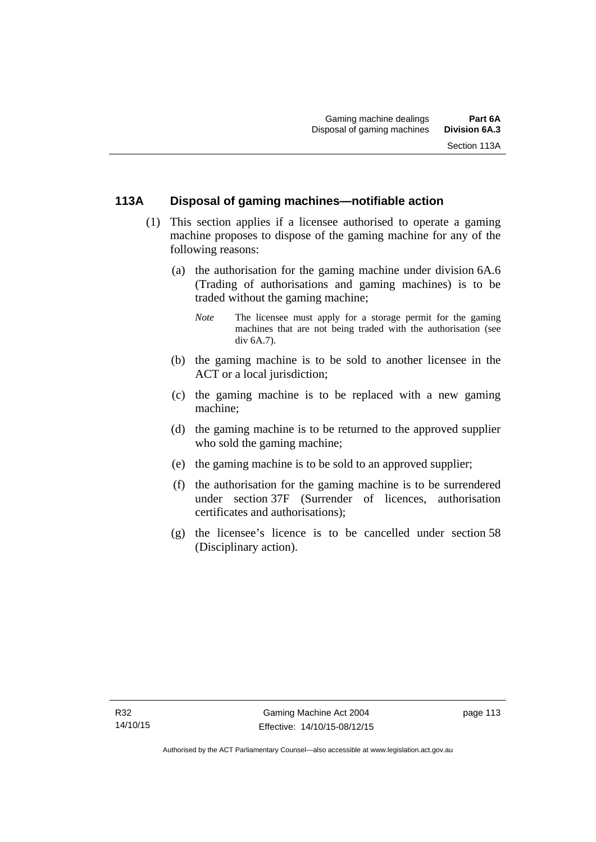# **113A Disposal of gaming machines—notifiable action**

- (1) This section applies if a licensee authorised to operate a gaming machine proposes to dispose of the gaming machine for any of the following reasons:
	- (a) the authorisation for the gaming machine under division 6A.6 (Trading of authorisations and gaming machines) is to be traded without the gaming machine;
		- *Note* The licensee must apply for a storage permit for the gaming machines that are not being traded with the authorisation (see div 6A.7).
	- (b) the gaming machine is to be sold to another licensee in the ACT or a local jurisdiction;
	- (c) the gaming machine is to be replaced with a new gaming machine;
	- (d) the gaming machine is to be returned to the approved supplier who sold the gaming machine;
	- (e) the gaming machine is to be sold to an approved supplier;
	- (f) the authorisation for the gaming machine is to be surrendered under section 37F (Surrender of licences, authorisation certificates and authorisations);
	- (g) the licensee's licence is to be cancelled under section 58 (Disciplinary action).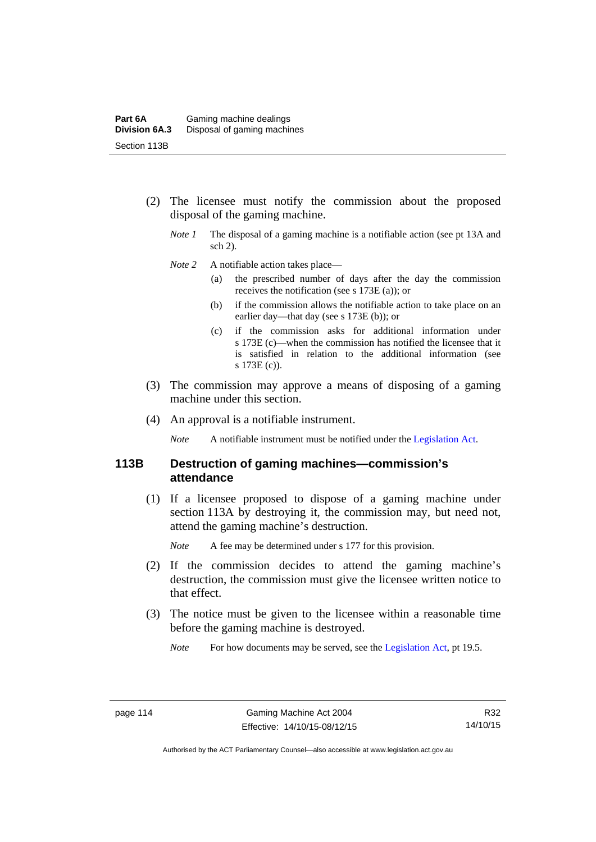- (2) The licensee must notify the commission about the proposed disposal of the gaming machine.
	- *Note 1* The disposal of a gaming machine is a notifiable action (see pt 13A and sch 2).
	- *Note* 2 A notifiable action takes place—
		- (a) the prescribed number of days after the day the commission receives the notification (see s 173E (a)); or
		- (b) if the commission allows the notifiable action to take place on an earlier day—that day (see s 173E (b)); or
		- (c) if the commission asks for additional information under s 173E (c)—when the commission has notified the licensee that it is satisfied in relation to the additional information (see s 173E (c)).
- (3) The commission may approve a means of disposing of a gaming machine under this section.
- (4) An approval is a notifiable instrument.

*Note* A notifiable instrument must be notified under the [Legislation Act](http://www.legislation.act.gov.au/a/2001-14).

### **113B Destruction of gaming machines—commission's attendance**

 (1) If a licensee proposed to dispose of a gaming machine under section 113A by destroying it, the commission may, but need not, attend the gaming machine's destruction.

*Note* A fee may be determined under s 177 for this provision.

- (2) If the commission decides to attend the gaming machine's destruction, the commission must give the licensee written notice to that effect.
- (3) The notice must be given to the licensee within a reasonable time before the gaming machine is destroyed.
	- *Note* For how documents may be served, see the [Legislation Act,](http://www.legislation.act.gov.au/a/2001-14) pt 19.5.

R32 14/10/15

Authorised by the ACT Parliamentary Counsel—also accessible at www.legislation.act.gov.au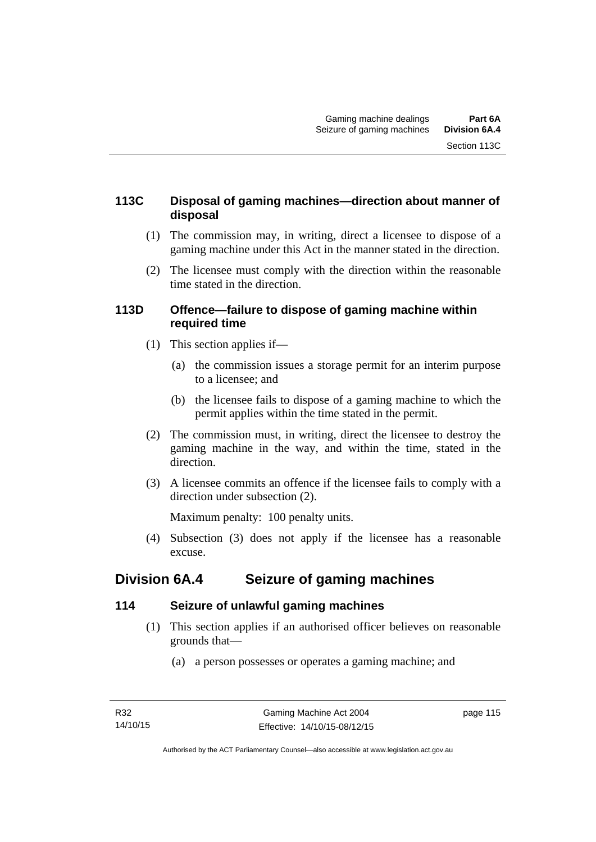# **113C Disposal of gaming machines—direction about manner of disposal**

- (1) The commission may, in writing, direct a licensee to dispose of a gaming machine under this Act in the manner stated in the direction.
- (2) The licensee must comply with the direction within the reasonable time stated in the direction.

### **113D Offence—failure to dispose of gaming machine within required time**

- (1) This section applies if—
	- (a) the commission issues a storage permit for an interim purpose to a licensee; and
	- (b) the licensee fails to dispose of a gaming machine to which the permit applies within the time stated in the permit.
- (2) The commission must, in writing, direct the licensee to destroy the gaming machine in the way, and within the time, stated in the direction.
- (3) A licensee commits an offence if the licensee fails to comply with a direction under subsection (2).

Maximum penalty: 100 penalty units.

 (4) Subsection (3) does not apply if the licensee has a reasonable excuse.

# **Division 6A.4 Seizure of gaming machines**

# **114 Seizure of unlawful gaming machines**

- (1) This section applies if an authorised officer believes on reasonable grounds that—
	- (a) a person possesses or operates a gaming machine; and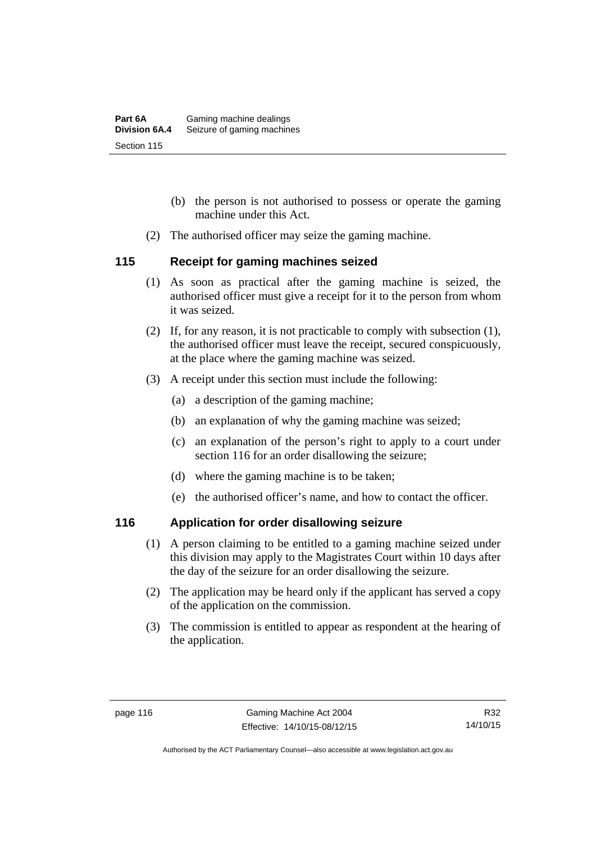- (b) the person is not authorised to possess or operate the gaming machine under this Act.
- (2) The authorised officer may seize the gaming machine.

### **115 Receipt for gaming machines seized**

- (1) As soon as practical after the gaming machine is seized, the authorised officer must give a receipt for it to the person from whom it was seized.
- (2) If, for any reason, it is not practicable to comply with subsection (1), the authorised officer must leave the receipt, secured conspicuously, at the place where the gaming machine was seized.
- (3) A receipt under this section must include the following:
	- (a) a description of the gaming machine;
	- (b) an explanation of why the gaming machine was seized;
	- (c) an explanation of the person's right to apply to a court under section 116 for an order disallowing the seizure;
	- (d) where the gaming machine is to be taken;
	- (e) the authorised officer's name, and how to contact the officer.

# **116 Application for order disallowing seizure**

- (1) A person claiming to be entitled to a gaming machine seized under this division may apply to the Magistrates Court within 10 days after the day of the seizure for an order disallowing the seizure.
- (2) The application may be heard only if the applicant has served a copy of the application on the commission.
- (3) The commission is entitled to appear as respondent at the hearing of the application.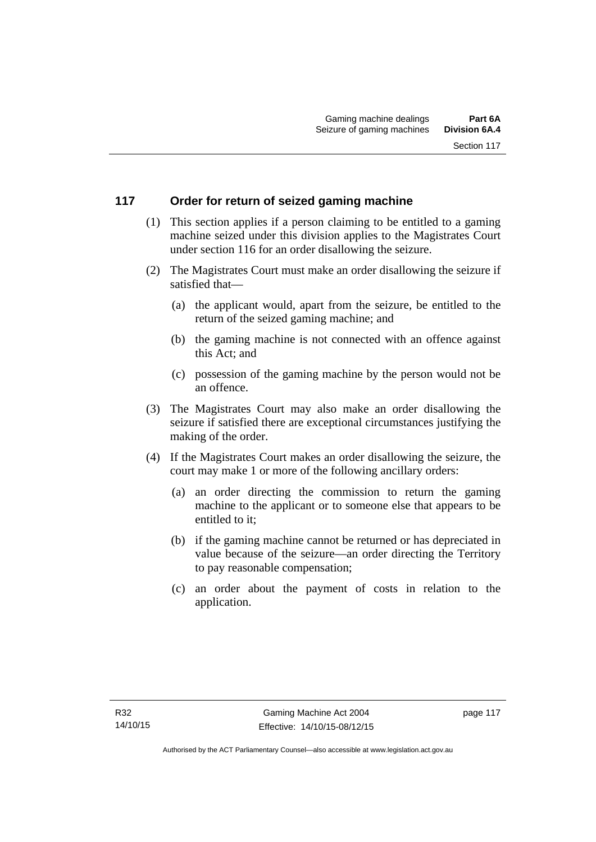# **117 Order for return of seized gaming machine**

- (1) This section applies if a person claiming to be entitled to a gaming machine seized under this division applies to the Magistrates Court under section 116 for an order disallowing the seizure.
- (2) The Magistrates Court must make an order disallowing the seizure if satisfied that—
	- (a) the applicant would, apart from the seizure, be entitled to the return of the seized gaming machine; and
	- (b) the gaming machine is not connected with an offence against this Act; and
	- (c) possession of the gaming machine by the person would not be an offence.
- (3) The Magistrates Court may also make an order disallowing the seizure if satisfied there are exceptional circumstances justifying the making of the order.
- (4) If the Magistrates Court makes an order disallowing the seizure, the court may make 1 or more of the following ancillary orders:
	- (a) an order directing the commission to return the gaming machine to the applicant or to someone else that appears to be entitled to it;
	- (b) if the gaming machine cannot be returned or has depreciated in value because of the seizure—an order directing the Territory to pay reasonable compensation;
	- (c) an order about the payment of costs in relation to the application.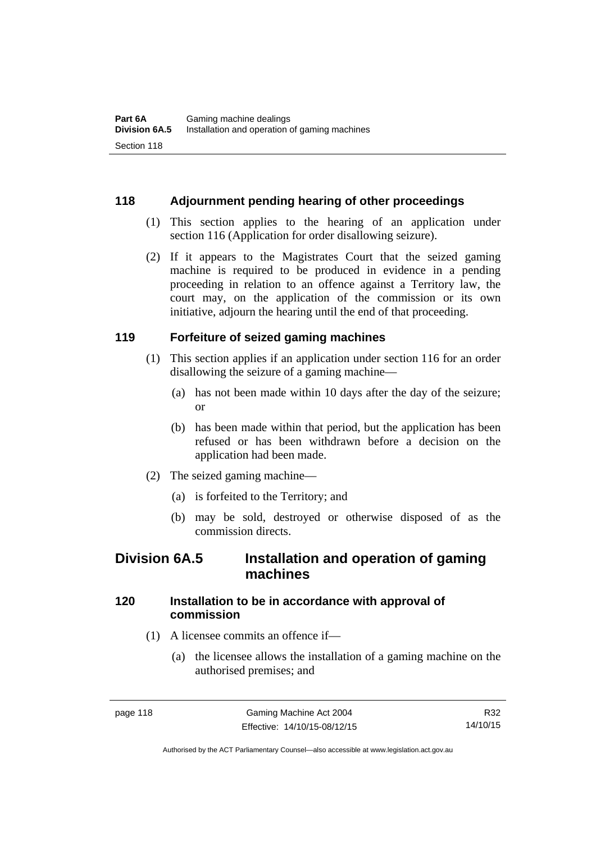### **118 Adjournment pending hearing of other proceedings**

- (1) This section applies to the hearing of an application under section 116 (Application for order disallowing seizure).
- (2) If it appears to the Magistrates Court that the seized gaming machine is required to be produced in evidence in a pending proceeding in relation to an offence against a Territory law, the court may, on the application of the commission or its own initiative, adjourn the hearing until the end of that proceeding.

### **119 Forfeiture of seized gaming machines**

- (1) This section applies if an application under section 116 for an order disallowing the seizure of a gaming machine—
	- (a) has not been made within 10 days after the day of the seizure; or
	- (b) has been made within that period, but the application has been refused or has been withdrawn before a decision on the application had been made.
- (2) The seized gaming machine—
	- (a) is forfeited to the Territory; and
	- (b) may be sold, destroyed or otherwise disposed of as the commission directs.

# **Division 6A.5 Installation and operation of gaming machines**

# **120 Installation to be in accordance with approval of commission**

- (1) A licensee commits an offence if—
	- (a) the licensee allows the installation of a gaming machine on the authorised premises; and

R32 14/10/15

Authorised by the ACT Parliamentary Counsel—also accessible at www.legislation.act.gov.au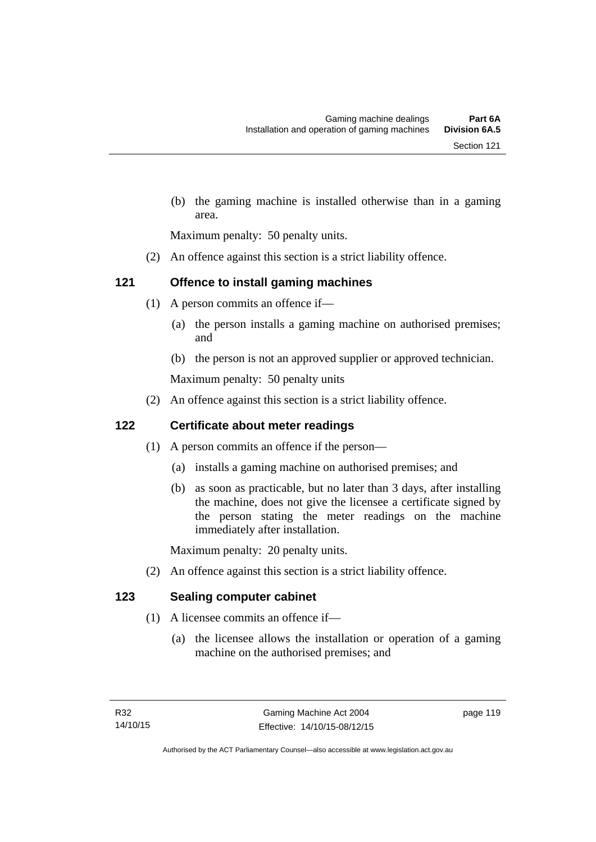(b) the gaming machine is installed otherwise than in a gaming area.

Maximum penalty: 50 penalty units.

(2) An offence against this section is a strict liability offence.

# **121 Offence to install gaming machines**

- (1) A person commits an offence if—
	- (a) the person installs a gaming machine on authorised premises; and
	- (b) the person is not an approved supplier or approved technician.

Maximum penalty: 50 penalty units

(2) An offence against this section is a strict liability offence.

# **122 Certificate about meter readings**

- (1) A person commits an offence if the person—
	- (a) installs a gaming machine on authorised premises; and
	- (b) as soon as practicable, but no later than 3 days, after installing the machine, does not give the licensee a certificate signed by the person stating the meter readings on the machine immediately after installation.

Maximum penalty: 20 penalty units.

(2) An offence against this section is a strict liability offence.

# **123 Sealing computer cabinet**

- (1) A licensee commits an offence if—
	- (a) the licensee allows the installation or operation of a gaming machine on the authorised premises; and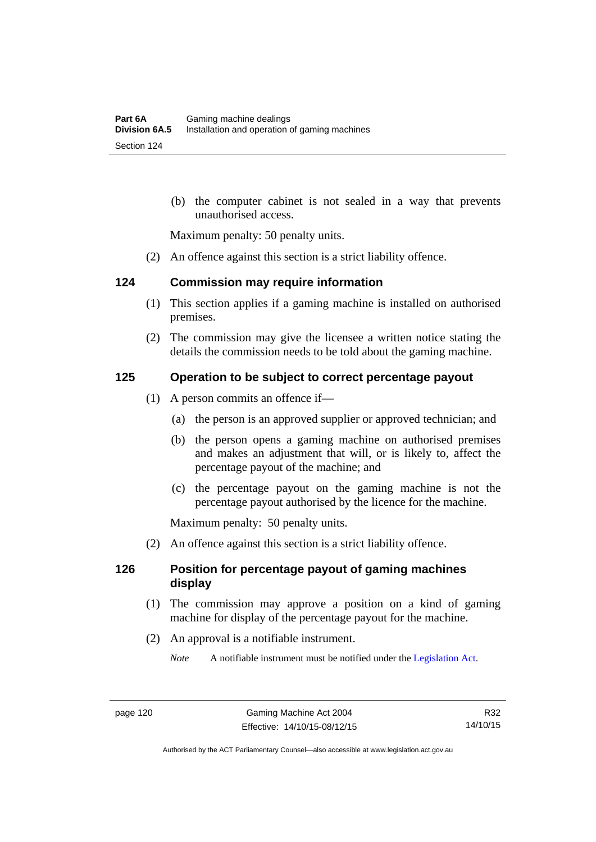(b) the computer cabinet is not sealed in a way that prevents unauthorised access.

Maximum penalty: 50 penalty units.

(2) An offence against this section is a strict liability offence.

#### **124 Commission may require information**

- (1) This section applies if a gaming machine is installed on authorised premises.
- (2) The commission may give the licensee a written notice stating the details the commission needs to be told about the gaming machine.

### **125 Operation to be subject to correct percentage payout**

- (1) A person commits an offence if—
	- (a) the person is an approved supplier or approved technician; and
	- (b) the person opens a gaming machine on authorised premises and makes an adjustment that will, or is likely to, affect the percentage payout of the machine; and
	- (c) the percentage payout on the gaming machine is not the percentage payout authorised by the licence for the machine.

Maximum penalty: 50 penalty units.

(2) An offence against this section is a strict liability offence.

### **126 Position for percentage payout of gaming machines display**

- (1) The commission may approve a position on a kind of gaming machine for display of the percentage payout for the machine.
- (2) An approval is a notifiable instrument.
	- *Note* A notifiable instrument must be notified under the [Legislation Act](http://www.legislation.act.gov.au/a/2001-14).

Authorised by the ACT Parliamentary Counsel—also accessible at www.legislation.act.gov.au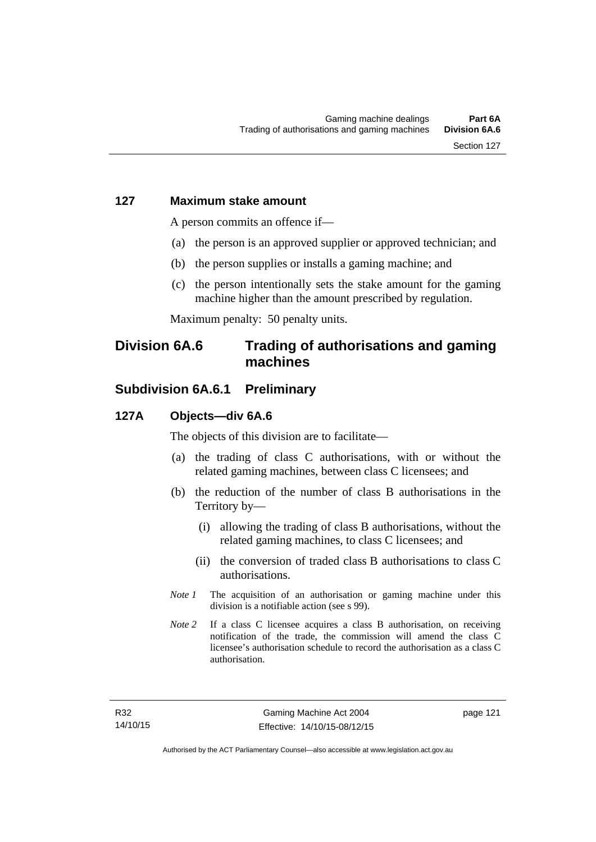### **127 Maximum stake amount**

A person commits an offence if—

- (a) the person is an approved supplier or approved technician; and
- (b) the person supplies or installs a gaming machine; and
- (c) the person intentionally sets the stake amount for the gaming machine higher than the amount prescribed by regulation.

Maximum penalty: 50 penalty units.

# **Division 6A.6 Trading of authorisations and gaming machines**

# **Subdivision 6A.6.1 Preliminary**

#### **127A Objects—div 6A.6**

The objects of this division are to facilitate—

- (a) the trading of class C authorisations, with or without the related gaming machines, between class C licensees; and
- (b) the reduction of the number of class B authorisations in the Territory by—
	- (i) allowing the trading of class B authorisations, without the related gaming machines, to class C licensees; and
	- (ii) the conversion of traded class B authorisations to class C authorisations.
- *Note 1* The acquisition of an authorisation or gaming machine under this division is a notifiable action (see s 99).
- *Note* 2 If a class C licensee acquires a class B authorisation, on receiving notification of the trade, the commission will amend the class C licensee's authorisation schedule to record the authorisation as a class C authorisation.

page 121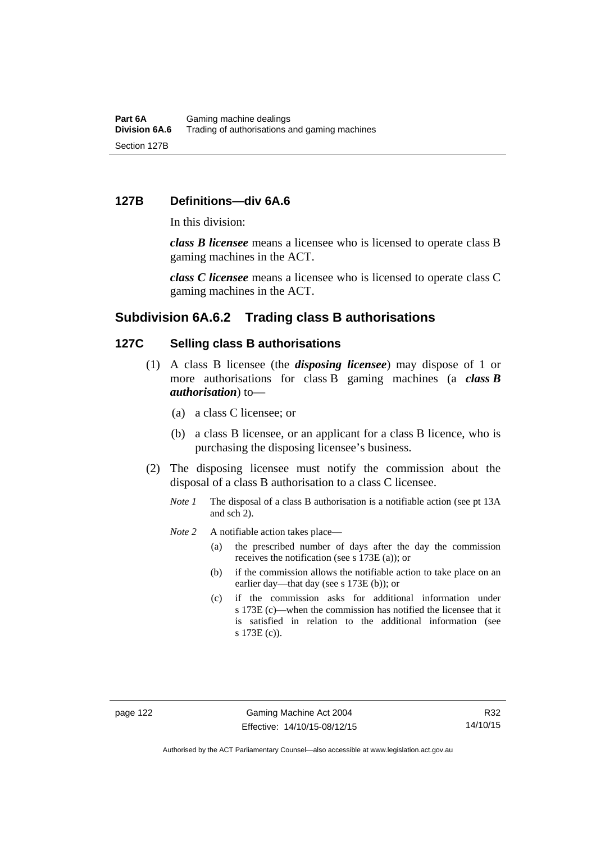#### **127B Definitions—div 6A.6**

In this division:

*class B licensee* means a licensee who is licensed to operate class B gaming machines in the ACT.

*class C licensee* means a licensee who is licensed to operate class C gaming machines in the ACT.

### **Subdivision 6A.6.2 Trading class B authorisations**

### **127C Selling class B authorisations**

- (1) A class B licensee (the *disposing licensee*) may dispose of 1 or more authorisations for class B gaming machines (a *class B authorisation*) to—
	- (a) a class C licensee; or
	- (b) a class B licensee, or an applicant for a class B licence, who is purchasing the disposing licensee's business.
- (2) The disposing licensee must notify the commission about the disposal of a class B authorisation to a class C licensee.
	- *Note 1* The disposal of a class B authorisation is a notifiable action (see pt 13A) and sch 2).
	- *Note* 2 A notifiable action takes place—
		- (a) the prescribed number of days after the day the commission receives the notification (see s 173E (a)); or
		- (b) if the commission allows the notifiable action to take place on an earlier day—that day (see s 173E (b)); or
		- (c) if the commission asks for additional information under s 173E (c)—when the commission has notified the licensee that it is satisfied in relation to the additional information (see s 173E (c)).

Authorised by the ACT Parliamentary Counsel—also accessible at www.legislation.act.gov.au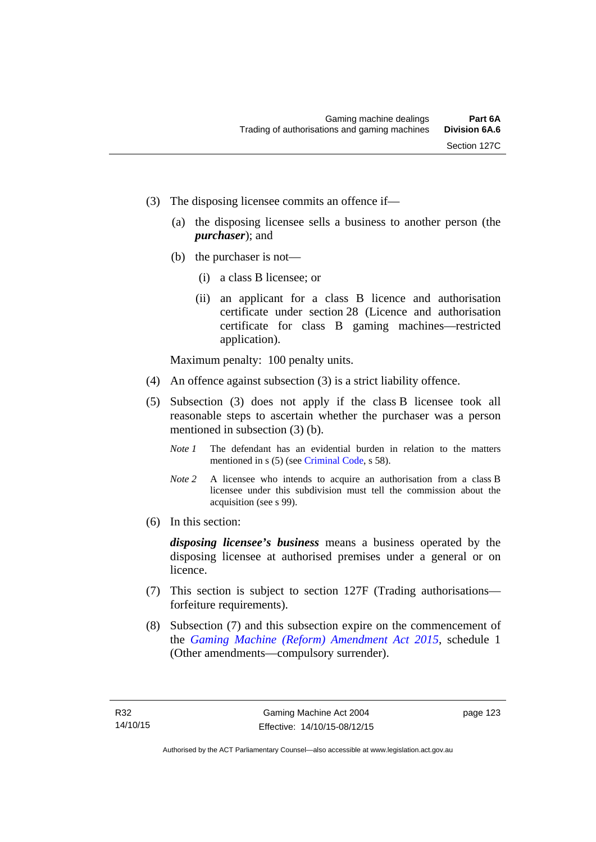- (3) The disposing licensee commits an offence if—
	- (a) the disposing licensee sells a business to another person (the *purchaser*); and
	- (b) the purchaser is not—
		- (i) a class B licensee; or
		- (ii) an applicant for a class B licence and authorisation certificate under section 28 (Licence and authorisation certificate for class B gaming machines—restricted application).

Maximum penalty: 100 penalty units.

- (4) An offence against subsection (3) is a strict liability offence.
- (5) Subsection (3) does not apply if the class B licensee took all reasonable steps to ascertain whether the purchaser was a person mentioned in subsection (3) (b).
	- *Note 1* The defendant has an evidential burden in relation to the matters mentioned in s (5) (see [Criminal Code](http://www.legislation.act.gov.au/a/2002-51), s 58).
	- *Note* 2 A licensee who intends to acquire an authorisation from a class B licensee under this subdivision must tell the commission about the acquisition (see s 99).
- (6) In this section:

*disposing licensee's business* means a business operated by the disposing licensee at authorised premises under a general or on licence.

- (7) This section is subject to section 127F (Trading authorisations forfeiture requirements).
- (8) Subsection (7) and this subsection expire on the commencement of the *[Gaming Machine \(Reform\) Amendment Act 2015](http://www.legislation.act.gov.au/a/2015-21/default.asp)*, schedule 1 (Other amendments—compulsory surrender).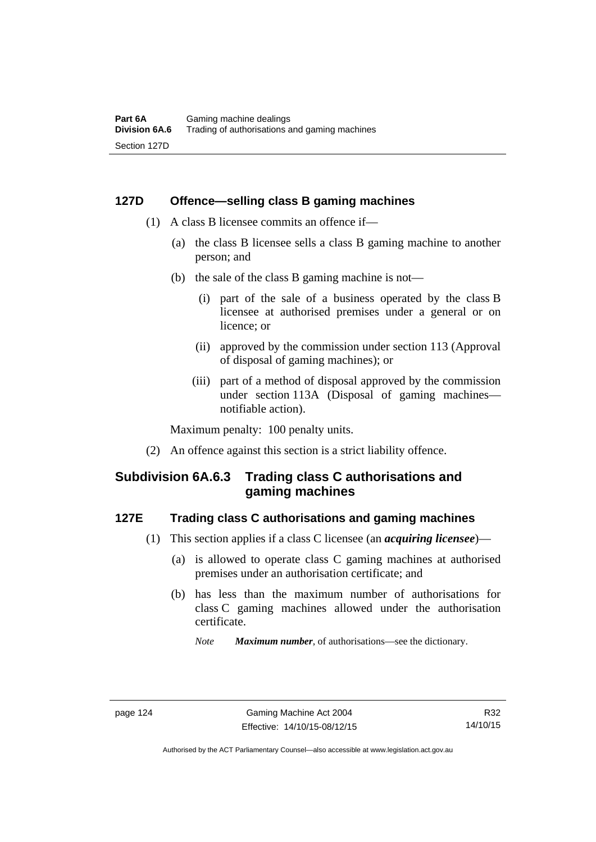### **127D Offence—selling class B gaming machines**

- (1) A class B licensee commits an offence if—
	- (a) the class B licensee sells a class B gaming machine to another person; and
	- (b) the sale of the class B gaming machine is not—
		- (i) part of the sale of a business operated by the class B licensee at authorised premises under a general or on licence; or
		- (ii) approved by the commission under section 113 (Approval of disposal of gaming machines); or
		- (iii) part of a method of disposal approved by the commission under section 113A (Disposal of gaming machines notifiable action).

Maximum penalty: 100 penalty units.

(2) An offence against this section is a strict liability offence.

# **Subdivision 6A.6.3 Trading class C authorisations and gaming machines**

### **127E Trading class C authorisations and gaming machines**

- (1) This section applies if a class C licensee (an *acquiring licensee*)—
	- (a) is allowed to operate class C gaming machines at authorised premises under an authorisation certificate; and
	- (b) has less than the maximum number of authorisations for class C gaming machines allowed under the authorisation certificate.
		- *Note Maximum number*, of authorisations—see the dictionary.

Authorised by the ACT Parliamentary Counsel—also accessible at www.legislation.act.gov.au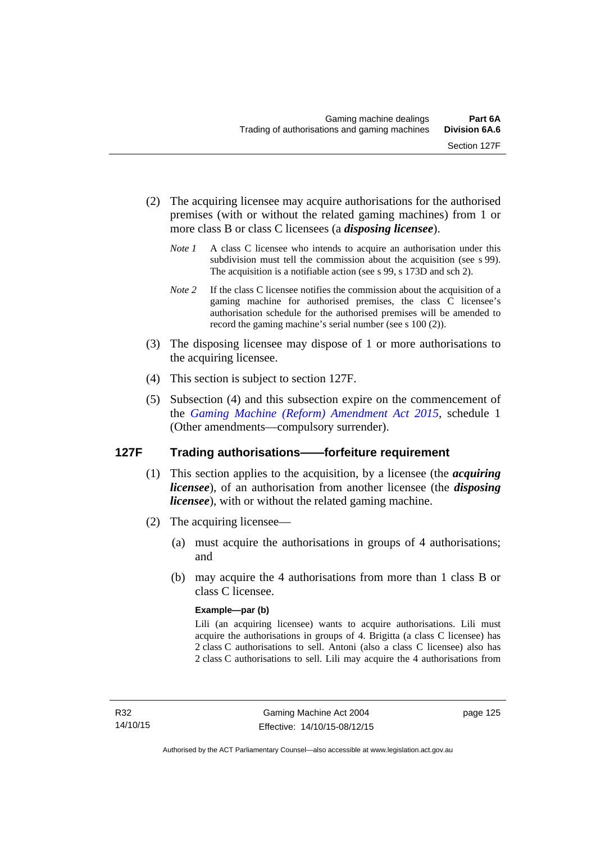- (2) The acquiring licensee may acquire authorisations for the authorised premises (with or without the related gaming machines) from 1 or more class B or class C licensees (a *disposing licensee*).
	- *Note 1* A class C licensee who intends to acquire an authorisation under this subdivision must tell the commission about the acquisition (see s 99). The acquisition is a notifiable action (see s 99, s 173D and sch 2).
	- *Note 2* If the class C licensee notifies the commission about the acquisition of a gaming machine for authorised premises, the class C licensee's authorisation schedule for the authorised premises will be amended to record the gaming machine's serial number (see s 100 (2)).
- (3) The disposing licensee may dispose of 1 or more authorisations to the acquiring licensee.
- (4) This section is subject to section 127F.
- (5) Subsection (4) and this subsection expire on the commencement of the *[Gaming Machine \(Reform\) Amendment Act 2015](http://www.legislation.act.gov.au/a/2015-21/default.asp)*, schedule 1 (Other amendments—compulsory surrender).

# **127F Trading authorisations——forfeiture requirement**

- (1) This section applies to the acquisition, by a licensee (the *acquiring licensee*), of an authorisation from another licensee (the *disposing licensee*), with or without the related gaming machine.
- (2) The acquiring licensee—
	- (a) must acquire the authorisations in groups of 4 authorisations; and
	- (b) may acquire the 4 authorisations from more than 1 class B or class C licensee.

### **Example—par (b)**

Lili (an acquiring licensee) wants to acquire authorisations. Lili must acquire the authorisations in groups of 4. Brigitta (a class C licensee) has 2 class C authorisations to sell. Antoni (also a class C licensee) also has 2 class C authorisations to sell. Lili may acquire the 4 authorisations from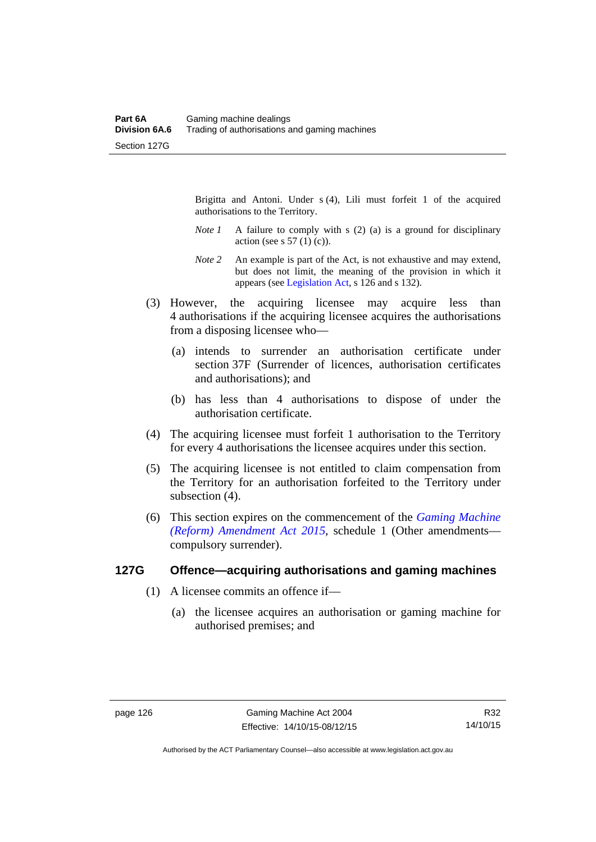Brigitta and Antoni. Under s (4), Lili must forfeit 1 of the acquired authorisations to the Territory.

- *Note 1* A failure to comply with s (2) (a) is a ground for disciplinary action (see s  $57(1)(c)$ ).
- *Note 2* An example is part of the Act, is not exhaustive and may extend, but does not limit, the meaning of the provision in which it appears (see [Legislation Act,](http://www.legislation.act.gov.au/a/2001-14) s 126 and s 132).
- (3) However, the acquiring licensee may acquire less than 4 authorisations if the acquiring licensee acquires the authorisations from a disposing licensee who—
	- (a) intends to surrender an authorisation certificate under section 37F (Surrender of licences, authorisation certificates and authorisations); and
	- (b) has less than 4 authorisations to dispose of under the authorisation certificate.
- (4) The acquiring licensee must forfeit 1 authorisation to the Territory for every 4 authorisations the licensee acquires under this section.
- (5) The acquiring licensee is not entitled to claim compensation from the Territory for an authorisation forfeited to the Territory under subsection  $(4)$ .
- (6) This section expires on the commencement of the *[Gaming Machine](http://www.legislation.act.gov.au/a/2015-21/default.asp)  [\(Reform\) Amendment Act 2015](http://www.legislation.act.gov.au/a/2015-21/default.asp)*, schedule 1 (Other amendments compulsory surrender).

#### **127G Offence—acquiring authorisations and gaming machines**

- (1) A licensee commits an offence if—
	- (a) the licensee acquires an authorisation or gaming machine for authorised premises; and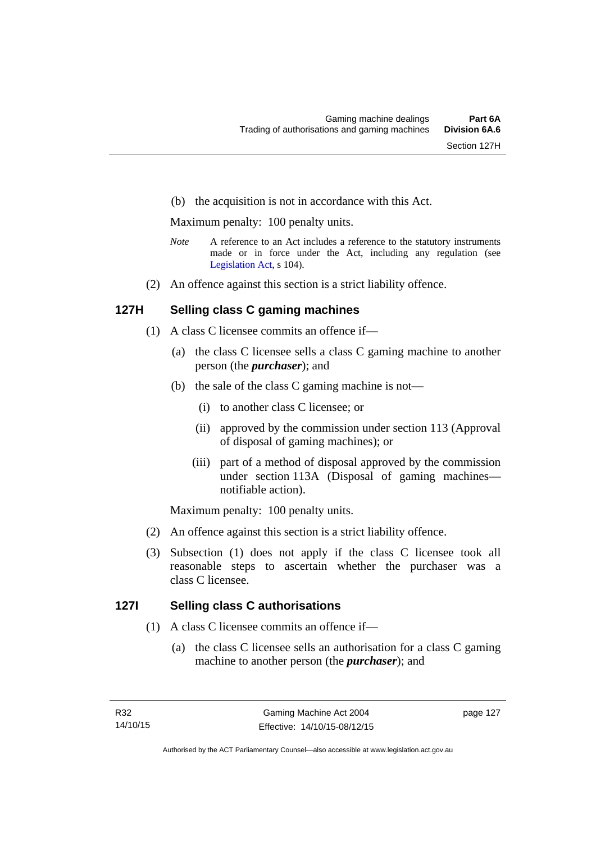(b) the acquisition is not in accordance with this Act.

Maximum penalty: 100 penalty units.

- *Note* A reference to an Act includes a reference to the statutory instruments made or in force under the Act, including any regulation (see [Legislation Act,](http://www.legislation.act.gov.au/a/2001-14) s 104).
- (2) An offence against this section is a strict liability offence.

### **127H Selling class C gaming machines**

- (1) A class C licensee commits an offence if—
	- (a) the class C licensee sells a class C gaming machine to another person (the *purchaser*); and
	- (b) the sale of the class C gaming machine is not—
		- (i) to another class C licensee; or
		- (ii) approved by the commission under section 113 (Approval of disposal of gaming machines); or
		- (iii) part of a method of disposal approved by the commission under section 113A (Disposal of gaming machines notifiable action).

Maximum penalty: 100 penalty units.

- (2) An offence against this section is a strict liability offence.
- (3) Subsection (1) does not apply if the class C licensee took all reasonable steps to ascertain whether the purchaser was a class C licensee.

### **127I Selling class C authorisations**

- (1) A class C licensee commits an offence if—
	- (a) the class C licensee sells an authorisation for a class C gaming machine to another person (the *purchaser*); and

page 127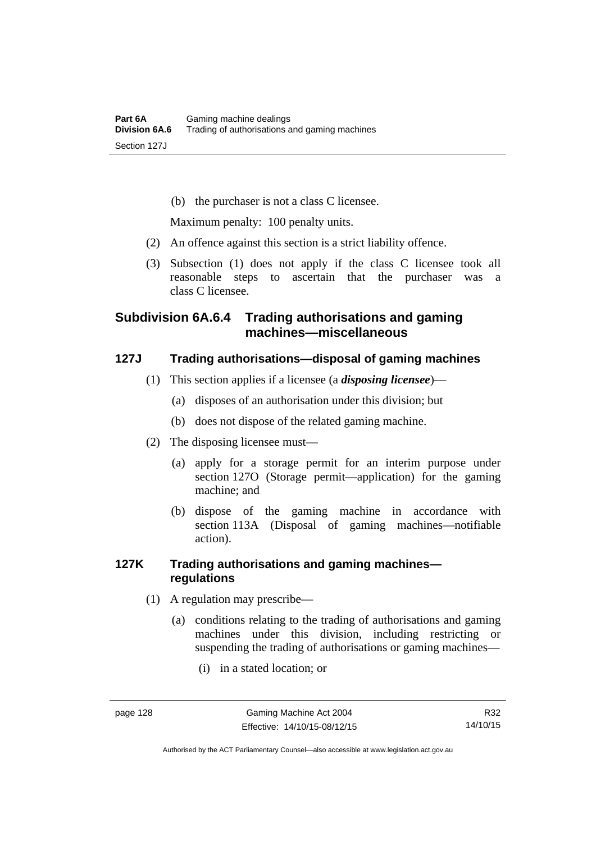(b) the purchaser is not a class C licensee.

Maximum penalty: 100 penalty units.

- (2) An offence against this section is a strict liability offence.
- (3) Subsection (1) does not apply if the class C licensee took all reasonable steps to ascertain that the purchaser was a class C licensee.

# **Subdivision 6A.6.4 Trading authorisations and gaming machines—miscellaneous**

# **127J Trading authorisations—disposal of gaming machines**

- (1) This section applies if a licensee (a *disposing licensee*)—
	- (a) disposes of an authorisation under this division; but
	- (b) does not dispose of the related gaming machine.
- (2) The disposing licensee must—
	- (a) apply for a storage permit for an interim purpose under section 127O (Storage permit—application) for the gaming machine; and
	- (b) dispose of the gaming machine in accordance with section 113A (Disposal of gaming machines—notifiable action).

# **127K Trading authorisations and gaming machines regulations**

- (1) A regulation may prescribe—
	- (a) conditions relating to the trading of authorisations and gaming machines under this division, including restricting or suspending the trading of authorisations or gaming machines—
		- (i) in a stated location; or

Authorised by the ACT Parliamentary Counsel—also accessible at www.legislation.act.gov.au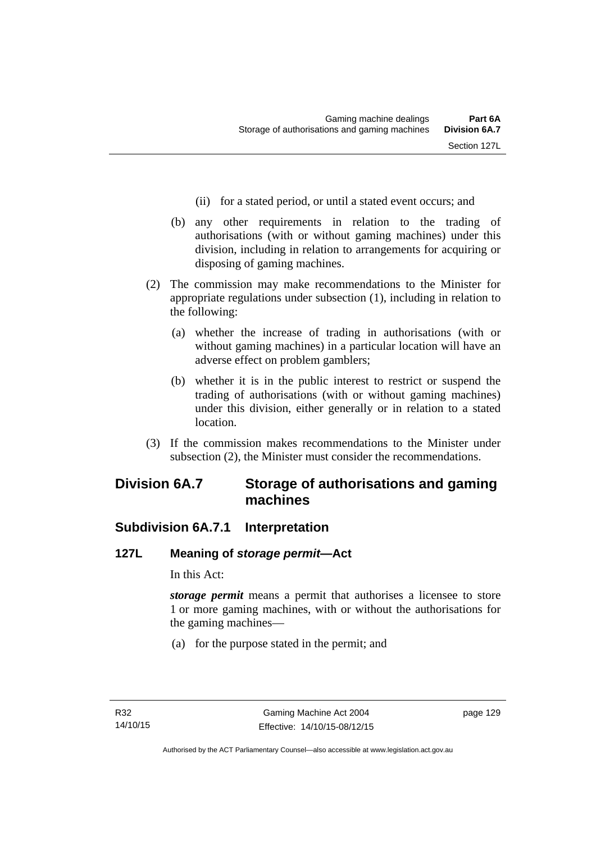- (ii) for a stated period, or until a stated event occurs; and
- (b) any other requirements in relation to the trading of authorisations (with or without gaming machines) under this division, including in relation to arrangements for acquiring or disposing of gaming machines.
- (2) The commission may make recommendations to the Minister for appropriate regulations under subsection (1), including in relation to the following:
	- (a) whether the increase of trading in authorisations (with or without gaming machines) in a particular location will have an adverse effect on problem gamblers;
	- (b) whether it is in the public interest to restrict or suspend the trading of authorisations (with or without gaming machines) under this division, either generally or in relation to a stated location.
- (3) If the commission makes recommendations to the Minister under subsection (2), the Minister must consider the recommendations.

# **Division 6A.7 Storage of authorisations and gaming machines**

# **Subdivision 6A.7.1 Interpretation**

# **127L Meaning of** *storage permit***—Act**

In this Act:

*storage permit* means a permit that authorises a licensee to store 1 or more gaming machines, with or without the authorisations for the gaming machines—

(a) for the purpose stated in the permit; and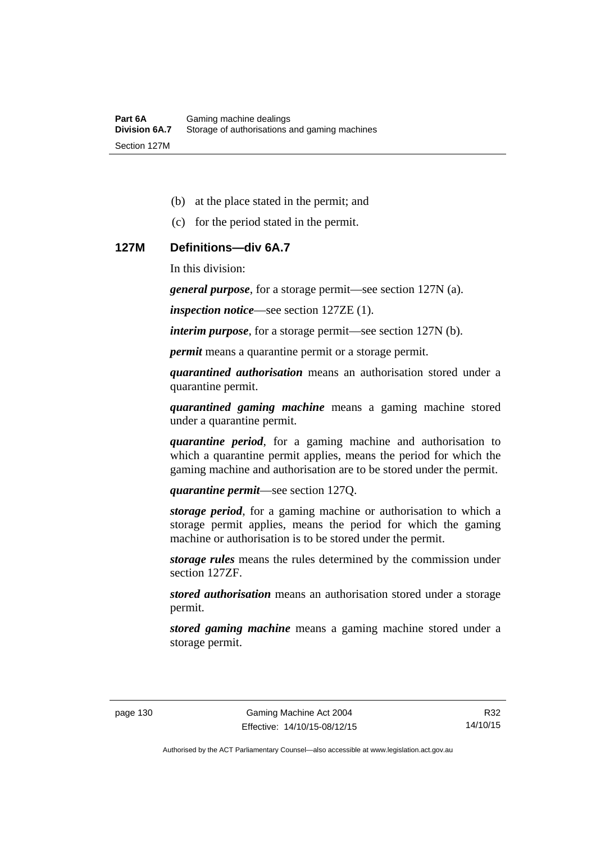- (b) at the place stated in the permit; and
- (c) for the period stated in the permit.

#### **127M Definitions—div 6A.7**

In this division:

*general purpose*, for a storage permit—see section 127N (a).

*inspection notice*—see section 127ZE (1).

*interim purpose*, for a storage permit—see section 127N (b).

*permit* means a quarantine permit or a storage permit.

*quarantined authorisation* means an authorisation stored under a quarantine permit.

*quarantined gaming machine* means a gaming machine stored under a quarantine permit.

*quarantine period*, for a gaming machine and authorisation to which a quarantine permit applies, means the period for which the gaming machine and authorisation are to be stored under the permit.

*quarantine permit*—see section 127Q.

*storage period*, for a gaming machine or authorisation to which a storage permit applies, means the period for which the gaming machine or authorisation is to be stored under the permit.

*storage rules* means the rules determined by the commission under section 127ZF.

*stored authorisation* means an authorisation stored under a storage permit.

*stored gaming machine* means a gaming machine stored under a storage permit.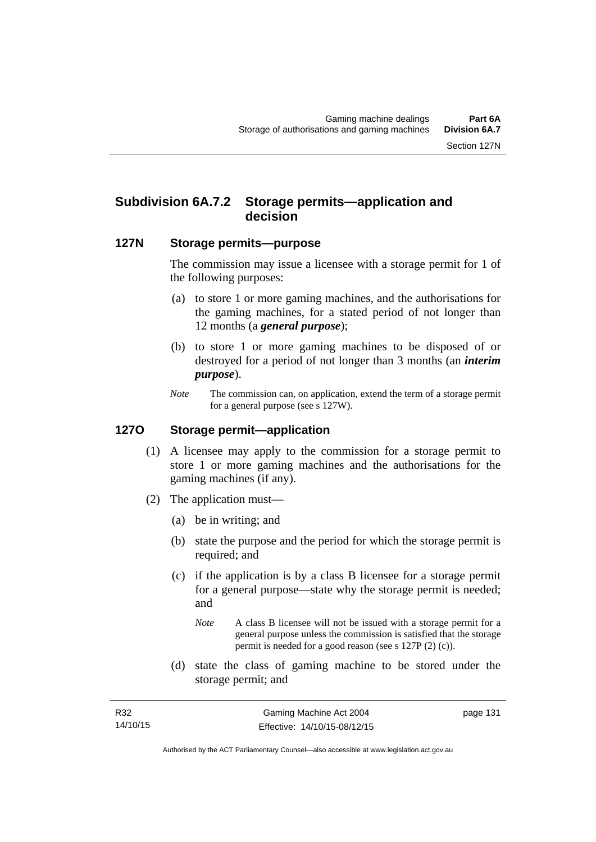# **Subdivision 6A.7.2 Storage permits—application and decision**

### **127N Storage permits—purpose**

The commission may issue a licensee with a storage permit for 1 of the following purposes:

- (a) to store 1 or more gaming machines, and the authorisations for the gaming machines, for a stated period of not longer than 12 months (a *general purpose*);
- (b) to store 1 or more gaming machines to be disposed of or destroyed for a period of not longer than 3 months (an *interim purpose*).
- *Note* The commission can, on application, extend the term of a storage permit for a general purpose (see s 127W).

#### **127O Storage permit—application**

- (1) A licensee may apply to the commission for a storage permit to store 1 or more gaming machines and the authorisations for the gaming machines (if any).
- (2) The application must—
	- (a) be in writing; and
	- (b) state the purpose and the period for which the storage permit is required; and
	- (c) if the application is by a class B licensee for a storage permit for a general purpose—state why the storage permit is needed; and
		- *Note* A class B licensee will not be issued with a storage permit for a general purpose unless the commission is satisfied that the storage permit is needed for a good reason (see s 127P (2) (c)).
	- (d) state the class of gaming machine to be stored under the storage permit; and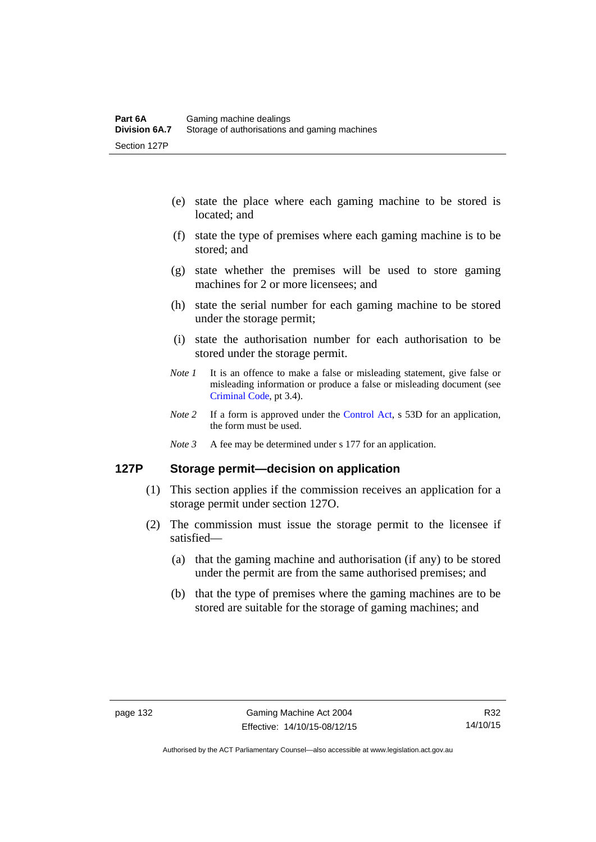- (e) state the place where each gaming machine to be stored is located; and
- (f) state the type of premises where each gaming machine is to be stored; and
- (g) state whether the premises will be used to store gaming machines for 2 or more licensees; and
- (h) state the serial number for each gaming machine to be stored under the storage permit;
- (i) state the authorisation number for each authorisation to be stored under the storage permit.
- *Note 1* It is an offence to make a false or misleading statement, give false or misleading information or produce a false or misleading document (see [Criminal Code](http://www.legislation.act.gov.au/a/2002-51), pt 3.4).
- *Note* 2 If a form is approved under the [Control Act,](http://www.legislation.act.gov.au/a/1999-46/default.asp) s 53D for an application, the form must be used.
- *Note 3* A fee may be determined under s 177 for an application.

## **127P Storage permit—decision on application**

- (1) This section applies if the commission receives an application for a storage permit under section 127O.
- (2) The commission must issue the storage permit to the licensee if satisfied—
	- (a) that the gaming machine and authorisation (if any) to be stored under the permit are from the same authorised premises; and
	- (b) that the type of premises where the gaming machines are to be stored are suitable for the storage of gaming machines; and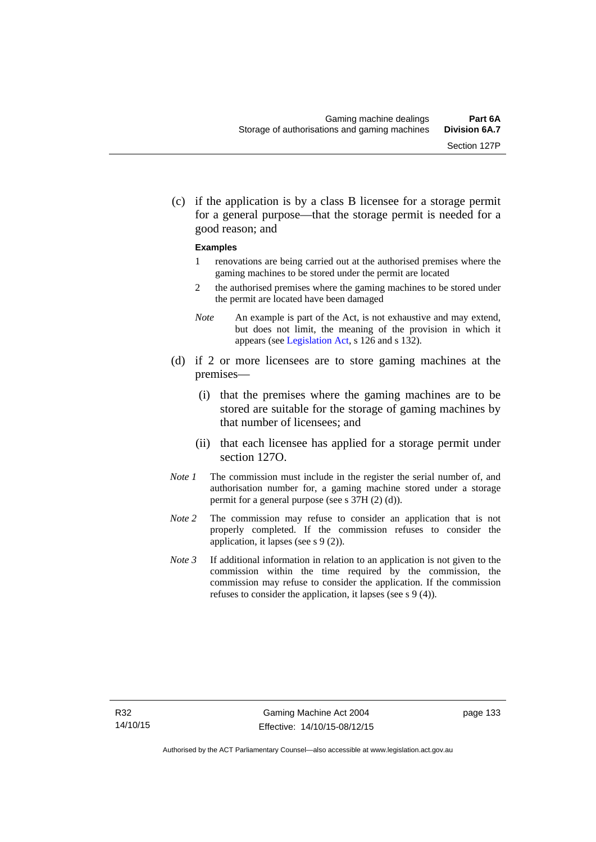(c) if the application is by a class B licensee for a storage permit for a general purpose—that the storage permit is needed for a good reason; and

#### **Examples**

- 1 renovations are being carried out at the authorised premises where the gaming machines to be stored under the permit are located
- 2 the authorised premises where the gaming machines to be stored under the permit are located have been damaged
- *Note* An example is part of the Act, is not exhaustive and may extend, but does not limit, the meaning of the provision in which it appears (see [Legislation Act,](http://www.legislation.act.gov.au/a/2001-14/default.asp) s 126 and s 132).
- (d) if 2 or more licensees are to store gaming machines at the premises—
	- (i) that the premises where the gaming machines are to be stored are suitable for the storage of gaming machines by that number of licensees; and
	- (ii) that each licensee has applied for a storage permit under section 127O.
- *Note 1* The commission must include in the register the serial number of, and authorisation number for, a gaming machine stored under a storage permit for a general purpose (see s 37H (2) (d)).
- *Note 2* The commission may refuse to consider an application that is not properly completed. If the commission refuses to consider the application, it lapses (see s 9 (2)).
- *Note 3* If additional information in relation to an application is not given to the commission within the time required by the commission, the commission may refuse to consider the application. If the commission refuses to consider the application, it lapses (see s 9 (4)).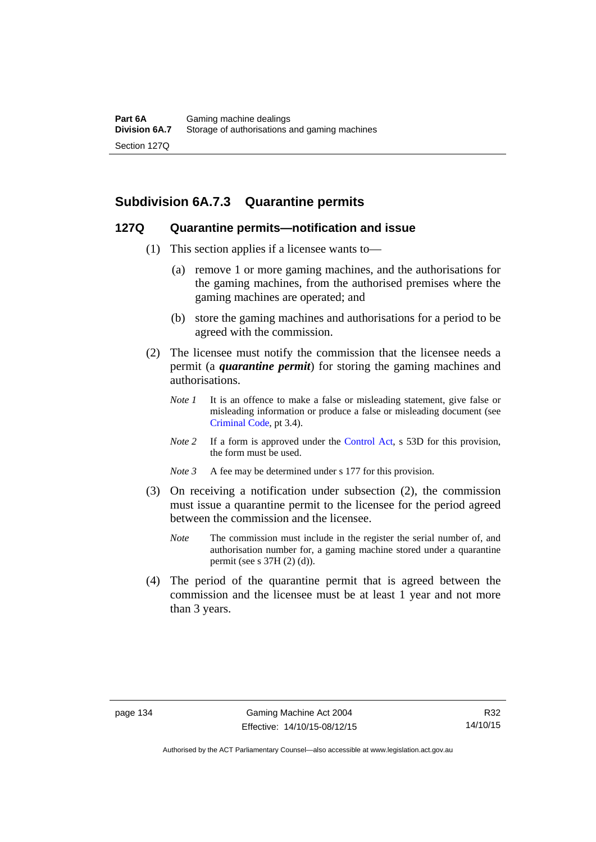# **Subdivision 6A.7.3 Quarantine permits**

#### **127Q Quarantine permits—notification and issue**

- (1) This section applies if a licensee wants to—
	- (a) remove 1 or more gaming machines, and the authorisations for the gaming machines, from the authorised premises where the gaming machines are operated; and
	- (b) store the gaming machines and authorisations for a period to be agreed with the commission.
- (2) The licensee must notify the commission that the licensee needs a permit (a *quarantine permit*) for storing the gaming machines and authorisations.
	- *Note 1* It is an offence to make a false or misleading statement, give false or misleading information or produce a false or misleading document (see [Criminal Code](http://www.legislation.act.gov.au/a/2002-51), pt 3.4).
	- *Note 2* If a form is approved under the [Control Act,](http://www.legislation.act.gov.au/a/1999-46/default.asp) s 53D for this provision, the form must be used.
	- *Note 3* A fee may be determined under s 177 for this provision.
- (3) On receiving a notification under subsection (2), the commission must issue a quarantine permit to the licensee for the period agreed between the commission and the licensee.
	- *Note* The commission must include in the register the serial number of, and authorisation number for, a gaming machine stored under a quarantine permit (see s 37H (2) (d)).
- (4) The period of the quarantine permit that is agreed between the commission and the licensee must be at least 1 year and not more than 3 years.

Authorised by the ACT Parliamentary Counsel—also accessible at www.legislation.act.gov.au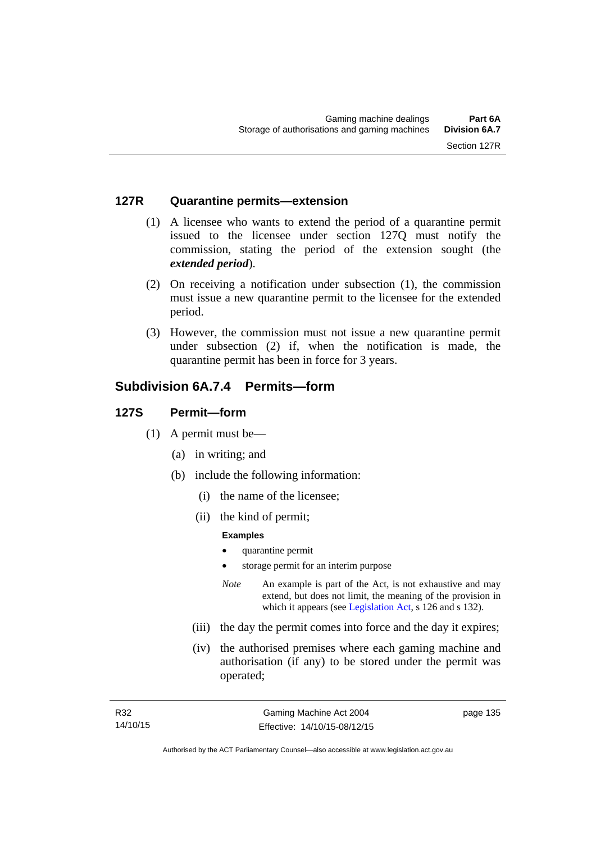#### **127R Quarantine permits—extension**

- (1) A licensee who wants to extend the period of a quarantine permit issued to the licensee under section 127Q must notify the commission, stating the period of the extension sought (the *extended period*).
- (2) On receiving a notification under subsection (1), the commission must issue a new quarantine permit to the licensee for the extended period.
- (3) However, the commission must not issue a new quarantine permit under subsection (2) if, when the notification is made, the quarantine permit has been in force for 3 years.

# **Subdivision 6A.7.4 Permits—form**

#### **127S Permit—form**

- (1) A permit must be—
	- (a) in writing; and
	- (b) include the following information:
		- (i) the name of the licensee;
		- (ii) the kind of permit;

#### **Examples**

- quarantine permit
- storage permit for an interim purpose
- *Note* An example is part of the Act, is not exhaustive and may extend, but does not limit, the meaning of the provision in which it appears (see [Legislation Act,](http://www.legislation.act.gov.au/a/2001-14) s 126 and s 132).
- (iii) the day the permit comes into force and the day it expires;
- (iv) the authorised premises where each gaming machine and authorisation (if any) to be stored under the permit was operated;

page 135

Authorised by the ACT Parliamentary Counsel—also accessible at www.legislation.act.gov.au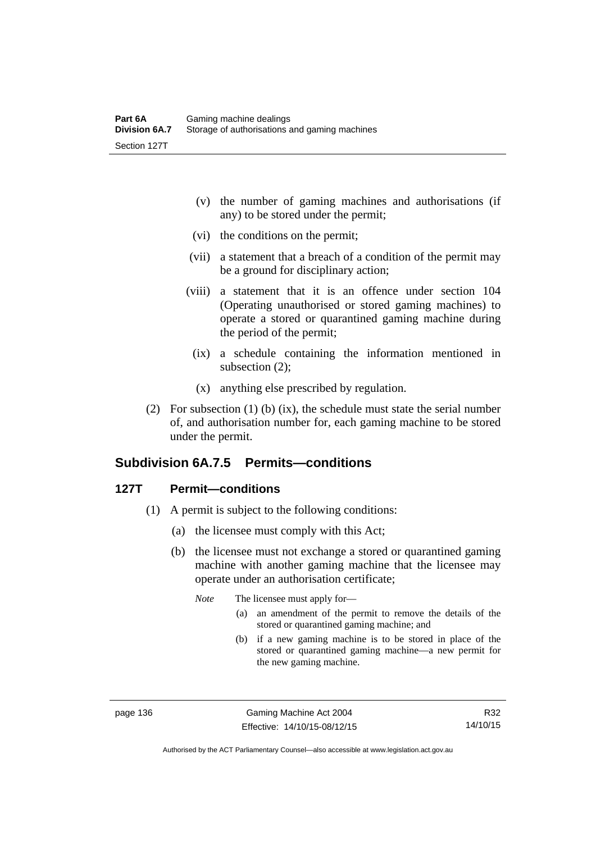- (v) the number of gaming machines and authorisations (if any) to be stored under the permit;
- (vi) the conditions on the permit;
- (vii) a statement that a breach of a condition of the permit may be a ground for disciplinary action;
- (viii) a statement that it is an offence under section 104 (Operating unauthorised or stored gaming machines) to operate a stored or quarantined gaming machine during the period of the permit;
	- (ix) a schedule containing the information mentioned in subsection (2);
	- (x) anything else prescribed by regulation.
- (2) For subsection (1) (b) (ix), the schedule must state the serial number of, and authorisation number for, each gaming machine to be stored under the permit.

# **Subdivision 6A.7.5 Permits—conditions**

### **127T Permit—conditions**

- (1) A permit is subject to the following conditions:
	- (a) the licensee must comply with this Act;
	- (b) the licensee must not exchange a stored or quarantined gaming machine with another gaming machine that the licensee may operate under an authorisation certificate;

*Note* The licensee must apply for—

- (a) an amendment of the permit to remove the details of the stored or quarantined gaming machine; and
- (b) if a new gaming machine is to be stored in place of the stored or quarantined gaming machine—a new permit for the new gaming machine.

page 136 Gaming Machine Act 2004 Effective: 14/10/15-08/12/15

R32 14/10/15

Authorised by the ACT Parliamentary Counsel—also accessible at www.legislation.act.gov.au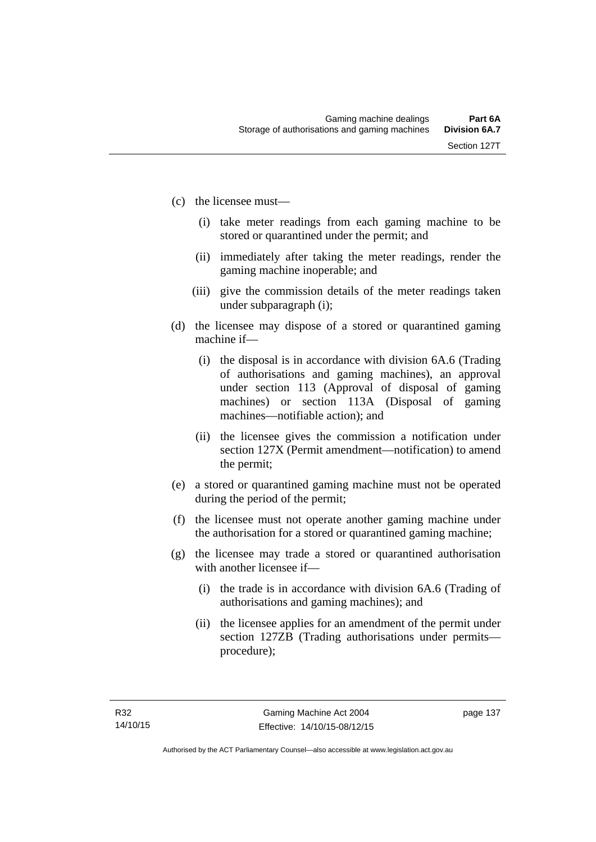- (c) the licensee must—
	- (i) take meter readings from each gaming machine to be stored or quarantined under the permit; and
	- (ii) immediately after taking the meter readings, render the gaming machine inoperable; and
	- (iii) give the commission details of the meter readings taken under subparagraph (i);
- (d) the licensee may dispose of a stored or quarantined gaming machine if—
	- (i) the disposal is in accordance with division 6A.6 (Trading of authorisations and gaming machines), an approval under section 113 (Approval of disposal of gaming machines) or section 113A (Disposal of gaming machines—notifiable action); and
	- (ii) the licensee gives the commission a notification under section 127X (Permit amendment—notification) to amend the permit;
- (e) a stored or quarantined gaming machine must not be operated during the period of the permit;
- (f) the licensee must not operate another gaming machine under the authorisation for a stored or quarantined gaming machine;
- (g) the licensee may trade a stored or quarantined authorisation with another licensee if-
	- (i) the trade is in accordance with division 6A.6 (Trading of authorisations and gaming machines); and
	- (ii) the licensee applies for an amendment of the permit under section 127ZB (Trading authorisations under permits procedure);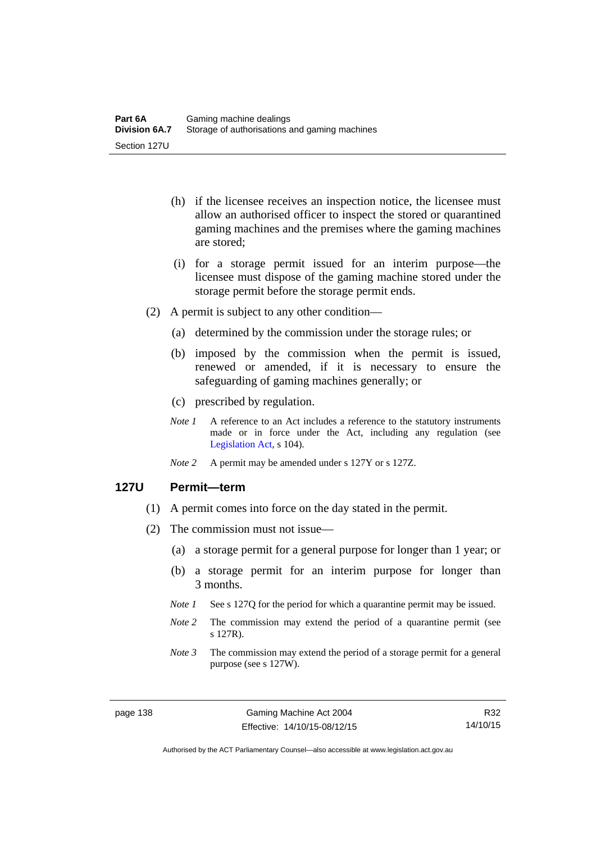- (h) if the licensee receives an inspection notice, the licensee must allow an authorised officer to inspect the stored or quarantined gaming machines and the premises where the gaming machines are stored;
- (i) for a storage permit issued for an interim purpose—the licensee must dispose of the gaming machine stored under the storage permit before the storage permit ends.
- (2) A permit is subject to any other condition—
	- (a) determined by the commission under the storage rules; or
	- (b) imposed by the commission when the permit is issued, renewed or amended, if it is necessary to ensure the safeguarding of gaming machines generally; or
	- (c) prescribed by regulation.
	- *Note 1* A reference to an Act includes a reference to the statutory instruments made or in force under the Act, including any regulation (see [Legislation Act,](http://www.legislation.act.gov.au/a/2001-14) s 104).
	- *Note 2* A permit may be amended under s 127Y or s 127Z.

#### **127U Permit—term**

- (1) A permit comes into force on the day stated in the permit.
- (2) The commission must not issue—
	- (a) a storage permit for a general purpose for longer than 1 year; or
	- (b) a storage permit for an interim purpose for longer than 3 months.
	- *Note 1* See s 127Q for the period for which a quarantine permit may be issued.
	- *Note* 2 The commission may extend the period of a quarantine permit (see s 127R).
	- *Note 3* The commission may extend the period of a storage permit for a general purpose (see s 127W).

R32 14/10/15

Authorised by the ACT Parliamentary Counsel—also accessible at www.legislation.act.gov.au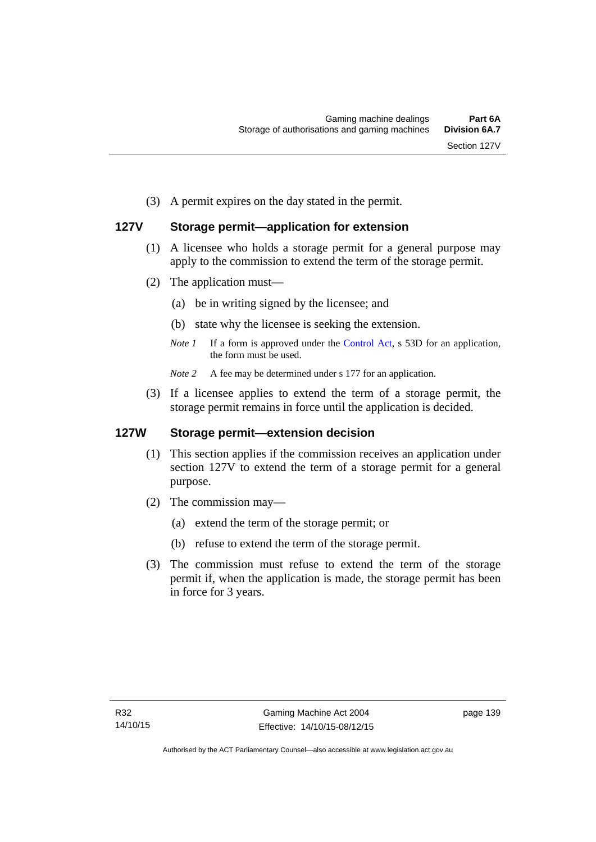(3) A permit expires on the day stated in the permit.

# **127V Storage permit—application for extension**

- (1) A licensee who holds a storage permit for a general purpose may apply to the commission to extend the term of the storage permit.
- (2) The application must—
	- (a) be in writing signed by the licensee; and
	- (b) state why the licensee is seeking the extension.
	- *Note 1* If a form is approved under the [Control Act,](http://www.legislation.act.gov.au/a/1999-46/default.asp) s 53D for an application, the form must be used.

*Note* 2 A fee may be determined under s 177 for an application.

 (3) If a licensee applies to extend the term of a storage permit, the storage permit remains in force until the application is decided.

### **127W Storage permit—extension decision**

- (1) This section applies if the commission receives an application under section 127V to extend the term of a storage permit for a general purpose.
- (2) The commission may—
	- (a) extend the term of the storage permit; or
	- (b) refuse to extend the term of the storage permit.
- (3) The commission must refuse to extend the term of the storage permit if, when the application is made, the storage permit has been in force for 3 years.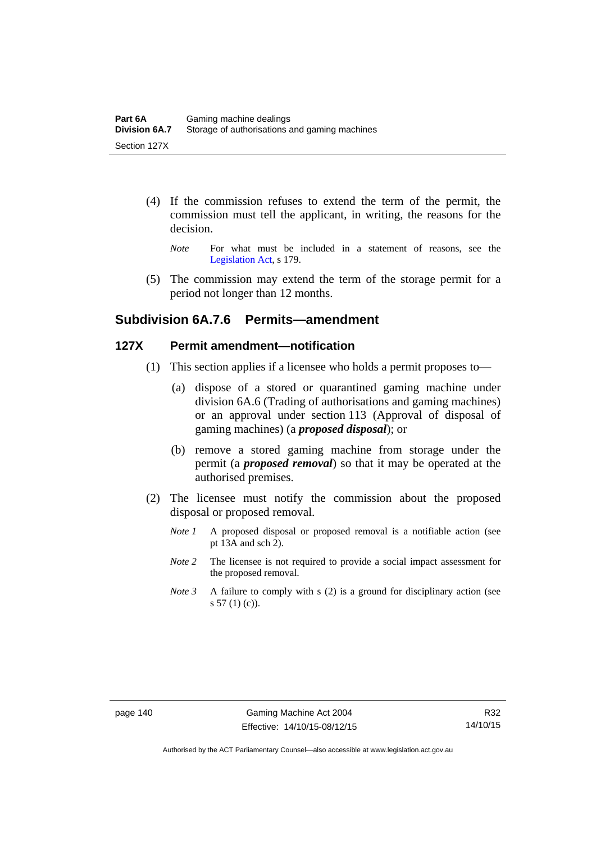- (4) If the commission refuses to extend the term of the permit, the commission must tell the applicant, in writing, the reasons for the decision.
	- *Note* For what must be included in a statement of reasons, see the [Legislation Act,](http://www.legislation.act.gov.au/a/2001-14) s 179.
- (5) The commission may extend the term of the storage permit for a period not longer than 12 months.

# **Subdivision 6A.7.6 Permits—amendment**

#### **127X Permit amendment—notification**

- (1) This section applies if a licensee who holds a permit proposes to—
	- (a) dispose of a stored or quarantined gaming machine under division 6A.6 (Trading of authorisations and gaming machines) or an approval under section 113 (Approval of disposal of gaming machines) (a *proposed disposal*); or
	- (b) remove a stored gaming machine from storage under the permit (a *proposed removal*) so that it may be operated at the authorised premises.
- (2) The licensee must notify the commission about the proposed disposal or proposed removal.
	- *Note 1* A proposed disposal or proposed removal is a notifiable action (see pt 13A and sch 2).
	- *Note* 2 The licensee is not required to provide a social impact assessment for the proposed removal.
	- *Note 3* A failure to comply with s (2) is a ground for disciplinary action (see  $s 57(1)(c)$ .

Authorised by the ACT Parliamentary Counsel—also accessible at www.legislation.act.gov.au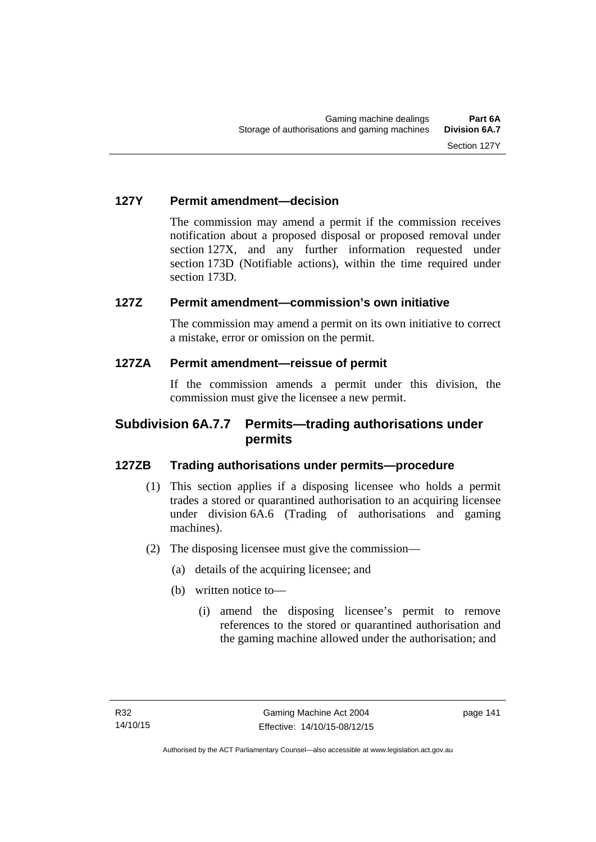### **127Y Permit amendment—decision**

The commission may amend a permit if the commission receives notification about a proposed disposal or proposed removal under section 127X, and any further information requested under section 173D (Notifiable actions), within the time required under section 173D.

# **127Z Permit amendment—commission's own initiative**

The commission may amend a permit on its own initiative to correct a mistake, error or omission on the permit.

# **127ZA Permit amendment—reissue of permit**

If the commission amends a permit under this division, the commission must give the licensee a new permit.

# **Subdivision 6A.7.7 Permits—trading authorisations under permits**

# **127ZB Trading authorisations under permits—procedure**

- (1) This section applies if a disposing licensee who holds a permit trades a stored or quarantined authorisation to an acquiring licensee under division 6A.6 (Trading of authorisations and gaming machines).
- (2) The disposing licensee must give the commission—
	- (a) details of the acquiring licensee; and
	- (b) written notice to—
		- (i) amend the disposing licensee's permit to remove references to the stored or quarantined authorisation and the gaming machine allowed under the authorisation; and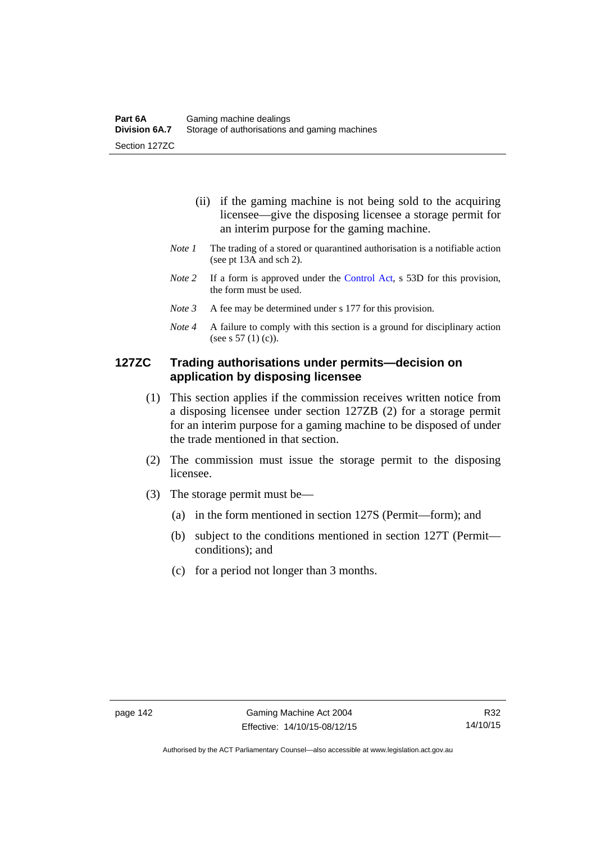- (ii) if the gaming machine is not being sold to the acquiring licensee—give the disposing licensee a storage permit for an interim purpose for the gaming machine.
- *Note 1* The trading of a stored or quarantined authorisation is a notifiable action (see pt 13A and sch 2).
- *Note 2* If a form is approved under the [Control Act,](http://www.legislation.act.gov.au/a/1999-46/default.asp) s 53D for this provision, the form must be used.
- *Note 3* A fee may be determined under s 177 for this provision.
- *Note 4* A failure to comply with this section is a ground for disciplinary action (see s 57 (1) (c)).

## **127ZC Trading authorisations under permits—decision on application by disposing licensee**

- (1) This section applies if the commission receives written notice from a disposing licensee under section 127ZB (2) for a storage permit for an interim purpose for a gaming machine to be disposed of under the trade mentioned in that section.
- (2) The commission must issue the storage permit to the disposing licensee.
- (3) The storage permit must be—
	- (a) in the form mentioned in section 127S (Permit—form); and
	- (b) subject to the conditions mentioned in section 127T (Permit conditions); and
	- (c) for a period not longer than 3 months.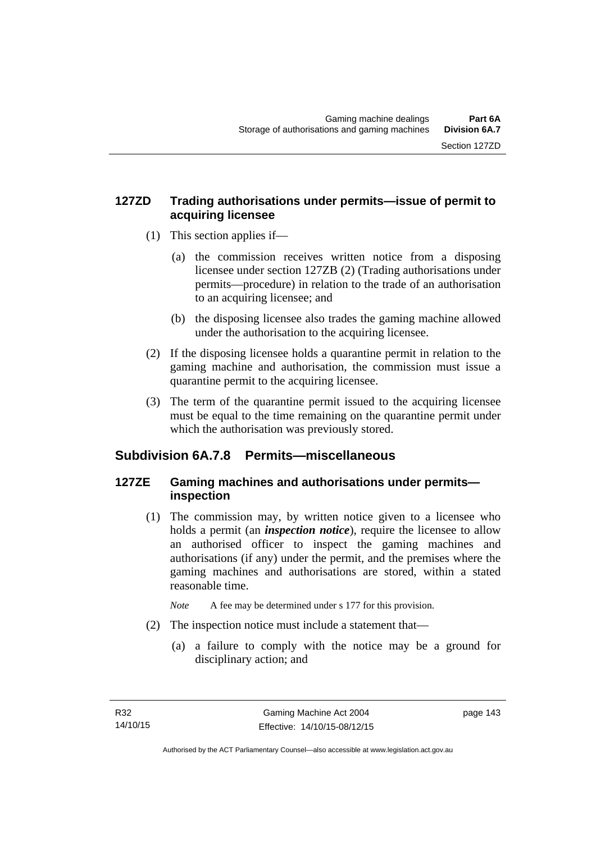# **127ZD Trading authorisations under permits—issue of permit to acquiring licensee**

- (1) This section applies if—
	- (a) the commission receives written notice from a disposing licensee under section 127ZB (2) (Trading authorisations under permits—procedure) in relation to the trade of an authorisation to an acquiring licensee; and
	- (b) the disposing licensee also trades the gaming machine allowed under the authorisation to the acquiring licensee.
- (2) If the disposing licensee holds a quarantine permit in relation to the gaming machine and authorisation, the commission must issue a quarantine permit to the acquiring licensee.
- (3) The term of the quarantine permit issued to the acquiring licensee must be equal to the time remaining on the quarantine permit under which the authorisation was previously stored.

# **Subdivision 6A.7.8 Permits—miscellaneous**

# **127ZE Gaming machines and authorisations under permits inspection**

 (1) The commission may, by written notice given to a licensee who holds a permit (an *inspection notice*), require the licensee to allow an authorised officer to inspect the gaming machines and authorisations (if any) under the permit, and the premises where the gaming machines and authorisations are stored, within a stated reasonable time.

*Note* A fee may be determined under s 177 for this provision.

- (2) The inspection notice must include a statement that—
	- (a) a failure to comply with the notice may be a ground for disciplinary action; and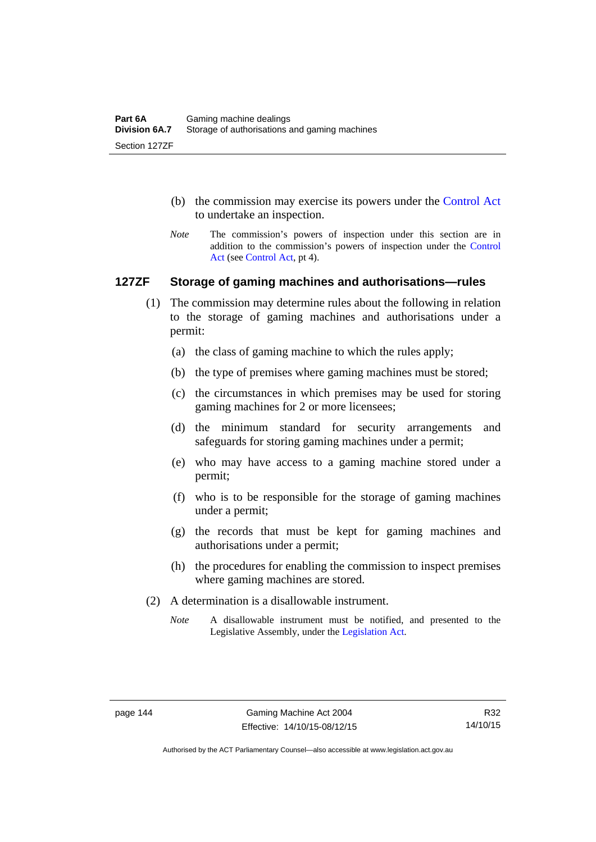- (b) the commission may exercise its powers under the [Control Act](http://www.legislation.act.gov.au/a/1999-46/default.asp) to undertake an inspection.
- *Note* The commission's powers of inspection under this section are in addition to the commission's powers of inspection under the [Control](http://www.legislation.act.gov.au/a/1999-46/default.asp)  [Act](http://www.legislation.act.gov.au/a/1999-46/default.asp) (see [Control Act](http://www.legislation.act.gov.au/a/1999-46/default.asp), pt 4).

#### **127ZF Storage of gaming machines and authorisations—rules**

- (1) The commission may determine rules about the following in relation to the storage of gaming machines and authorisations under a permit:
	- (a) the class of gaming machine to which the rules apply;
	- (b) the type of premises where gaming machines must be stored;
	- (c) the circumstances in which premises may be used for storing gaming machines for 2 or more licensees;
	- (d) the minimum standard for security arrangements and safeguards for storing gaming machines under a permit;
	- (e) who may have access to a gaming machine stored under a permit;
	- (f) who is to be responsible for the storage of gaming machines under a permit;
	- (g) the records that must be kept for gaming machines and authorisations under a permit;
	- (h) the procedures for enabling the commission to inspect premises where gaming machines are stored.
- (2) A determination is a disallowable instrument.
	- *Note* A disallowable instrument must be notified, and presented to the Legislative Assembly, under the [Legislation Act.](http://www.legislation.act.gov.au/a/2001-14)

Authorised by the ACT Parliamentary Counsel—also accessible at www.legislation.act.gov.au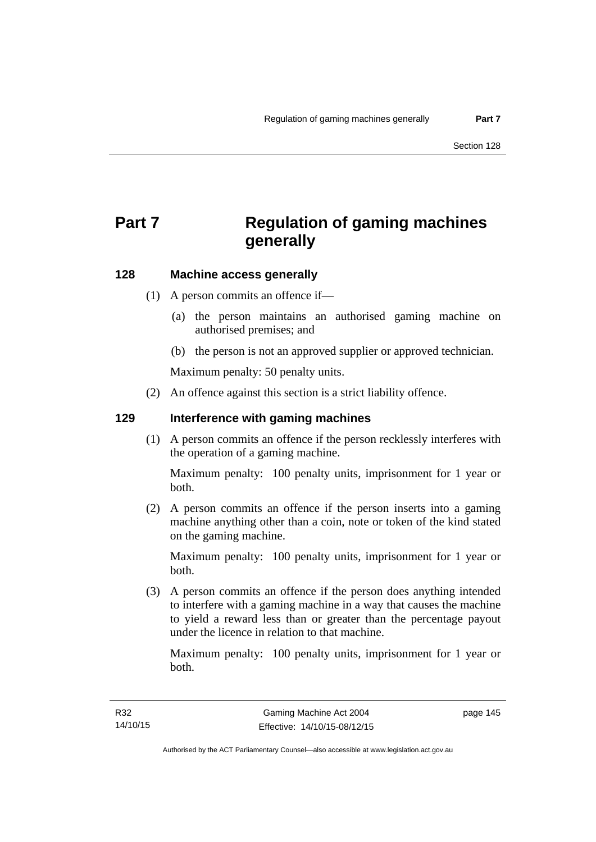# **Part 7 Regulation of gaming machines generally**

# **128 Machine access generally**

- (1) A person commits an offence if—
	- (a) the person maintains an authorised gaming machine on authorised premises; and
	- (b) the person is not an approved supplier or approved technician.

Maximum penalty: 50 penalty units.

(2) An offence against this section is a strict liability offence.

#### **129 Interference with gaming machines**

(1) A person commits an offence if the person recklessly interferes with the operation of a gaming machine.

Maximum penalty: 100 penalty units, imprisonment for 1 year or both.

 (2) A person commits an offence if the person inserts into a gaming machine anything other than a coin, note or token of the kind stated on the gaming machine.

Maximum penalty: 100 penalty units, imprisonment for 1 year or both.

 (3) A person commits an offence if the person does anything intended to interfere with a gaming machine in a way that causes the machine to yield a reward less than or greater than the percentage payout under the licence in relation to that machine.

Maximum penalty: 100 penalty units, imprisonment for 1 year or both.

page 145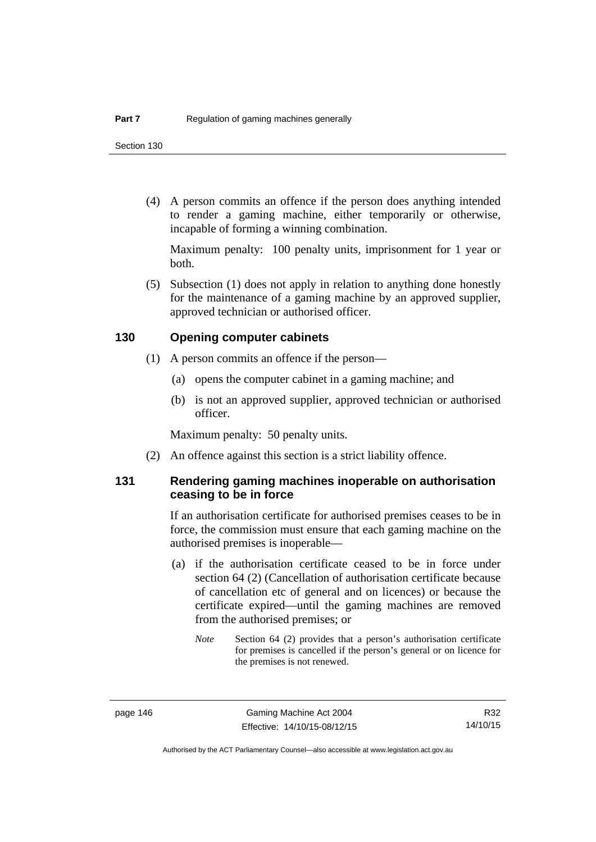(4) A person commits an offence if the person does anything intended to render a gaming machine, either temporarily or otherwise, incapable of forming a winning combination.

Maximum penalty: 100 penalty units, imprisonment for 1 year or both.

 (5) Subsection (1) does not apply in relation to anything done honestly for the maintenance of a gaming machine by an approved supplier, approved technician or authorised officer.

#### **130 Opening computer cabinets**

- (1) A person commits an offence if the person—
	- (a) opens the computer cabinet in a gaming machine; and
	- (b) is not an approved supplier, approved technician or authorised officer.

Maximum penalty: 50 penalty units.

(2) An offence against this section is a strict liability offence.

## **131 Rendering gaming machines inoperable on authorisation ceasing to be in force**

If an authorisation certificate for authorised premises ceases to be in force, the commission must ensure that each gaming machine on the authorised premises is inoperable—

- (a) if the authorisation certificate ceased to be in force under section 64 (2) (Cancellation of authorisation certificate because of cancellation etc of general and on licences) or because the certificate expired—until the gaming machines are removed from the authorised premises; or
	- *Note* Section 64 (2) provides that a person's authorisation certificate for premises is cancelled if the person's general or on licence for the premises is not renewed.

R32 14/10/15

Authorised by the ACT Parliamentary Counsel—also accessible at www.legislation.act.gov.au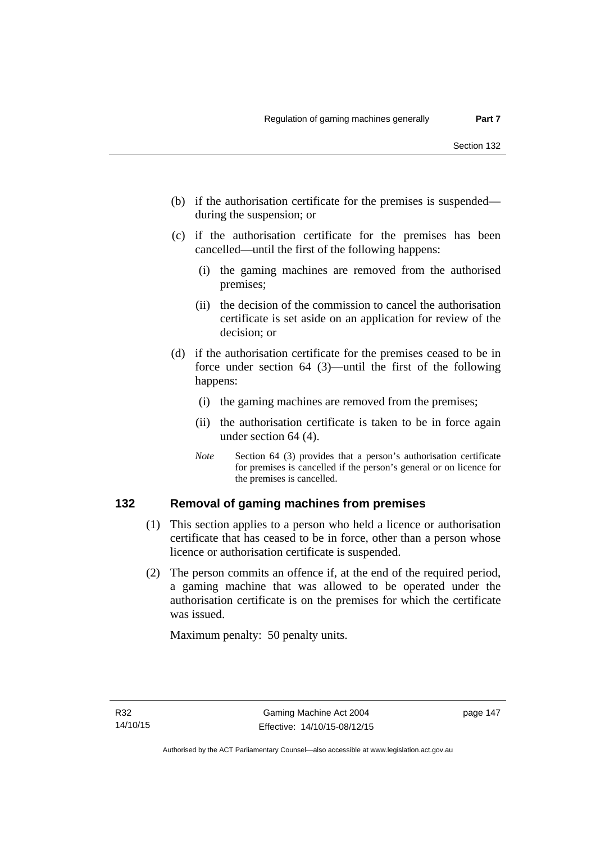- (b) if the authorisation certificate for the premises is suspended during the suspension; or
- (c) if the authorisation certificate for the premises has been cancelled—until the first of the following happens:
	- (i) the gaming machines are removed from the authorised premises;
	- (ii) the decision of the commission to cancel the authorisation certificate is set aside on an application for review of the decision; or
- (d) if the authorisation certificate for the premises ceased to be in force under section 64 (3)—until the first of the following happens:
	- (i) the gaming machines are removed from the premises;
	- (ii) the authorisation certificate is taken to be in force again under section 64 (4).
	- *Note* Section 64 (3) provides that a person's authorisation certificate for premises is cancelled if the person's general or on licence for the premises is cancelled.

### **132 Removal of gaming machines from premises**

- (1) This section applies to a person who held a licence or authorisation certificate that has ceased to be in force, other than a person whose licence or authorisation certificate is suspended.
- (2) The person commits an offence if, at the end of the required period, a gaming machine that was allowed to be operated under the authorisation certificate is on the premises for which the certificate was issued.

Maximum penalty: 50 penalty units.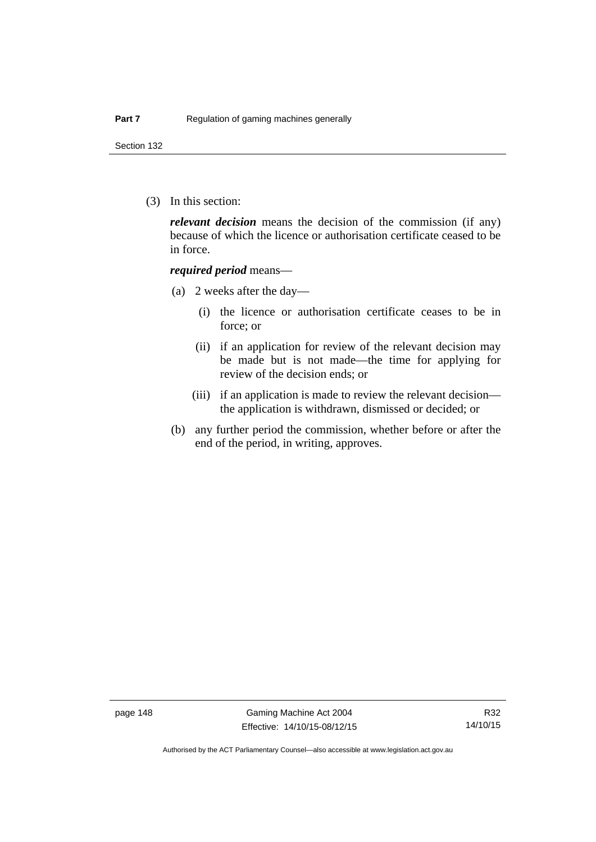Section 132

(3) In this section:

*relevant decision* means the decision of the commission (if any) because of which the licence or authorisation certificate ceased to be in force.

#### *required period* means—

- (a) 2 weeks after the day—
	- (i) the licence or authorisation certificate ceases to be in force; or
	- (ii) if an application for review of the relevant decision may be made but is not made—the time for applying for review of the decision ends; or
	- (iii) if an application is made to review the relevant decision the application is withdrawn, dismissed or decided; or
- (b) any further period the commission, whether before or after the end of the period, in writing, approves.

Authorised by the ACT Parliamentary Counsel—also accessible at www.legislation.act.gov.au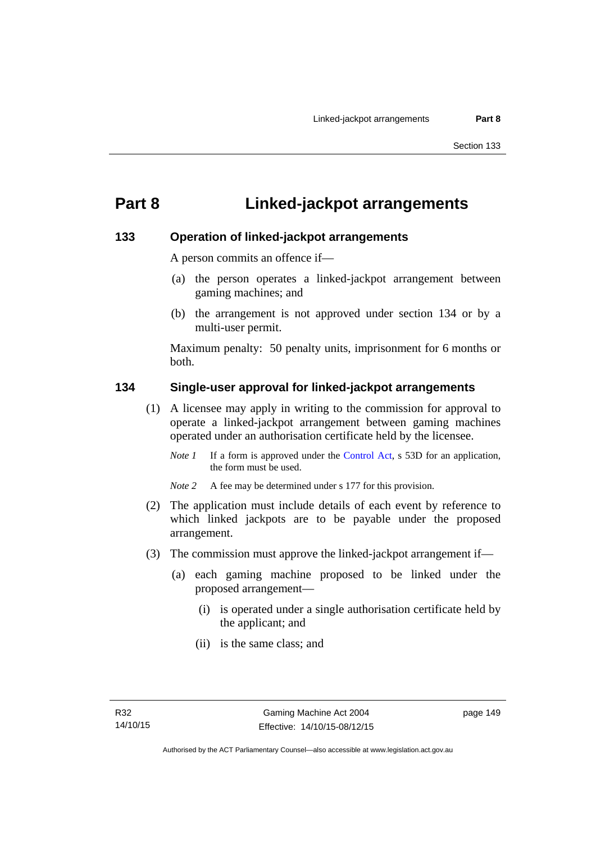# **Part 8 Linked-jackpot arrangements**

### **133 Operation of linked-jackpot arrangements**

A person commits an offence if—

- (a) the person operates a linked-jackpot arrangement between gaming machines; and
- (b) the arrangement is not approved under section 134 or by a multi-user permit.

Maximum penalty: 50 penalty units, imprisonment for 6 months or both.

### **134 Single-user approval for linked-jackpot arrangements**

- (1) A licensee may apply in writing to the commission for approval to operate a linked-jackpot arrangement between gaming machines operated under an authorisation certificate held by the licensee.
	- *Note 1* If a form is approved under the [Control Act,](http://www.legislation.act.gov.au/a/1999-46) s 53D for an application, the form must be used.
	- *Note 2* A fee may be determined under s 177 for this provision.
- (2) The application must include details of each event by reference to which linked jackpots are to be payable under the proposed arrangement.
- (3) The commission must approve the linked-jackpot arrangement if—
	- (a) each gaming machine proposed to be linked under the proposed arrangement—
		- (i) is operated under a single authorisation certificate held by the applicant; and
		- (ii) is the same class; and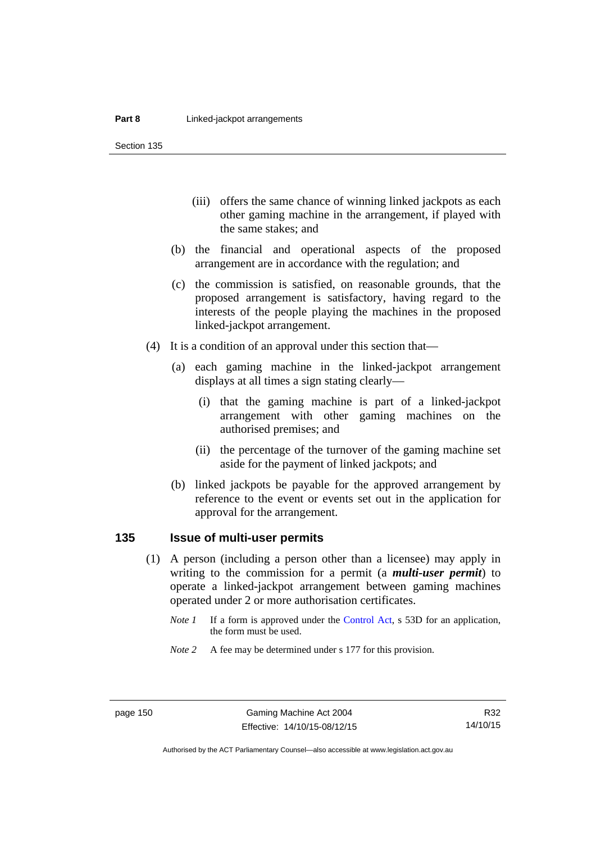Section 135

- (iii) offers the same chance of winning linked jackpots as each other gaming machine in the arrangement, if played with the same stakes; and
- (b) the financial and operational aspects of the proposed arrangement are in accordance with the regulation; and
- (c) the commission is satisfied, on reasonable grounds, that the proposed arrangement is satisfactory, having regard to the interests of the people playing the machines in the proposed linked-jackpot arrangement.
- (4) It is a condition of an approval under this section that—
	- (a) each gaming machine in the linked-jackpot arrangement displays at all times a sign stating clearly—
		- (i) that the gaming machine is part of a linked-jackpot arrangement with other gaming machines on the authorised premises; and
		- (ii) the percentage of the turnover of the gaming machine set aside for the payment of linked jackpots; and
	- (b) linked jackpots be payable for the approved arrangement by reference to the event or events set out in the application for approval for the arrangement.

# **135 Issue of multi-user permits**

- (1) A person (including a person other than a licensee) may apply in writing to the commission for a permit (a *multi-user permit*) to operate a linked-jackpot arrangement between gaming machines operated under 2 or more authorisation certificates.
	- *Note 1* If a form is approved under the [Control Act,](http://www.legislation.act.gov.au/a/1999-46) s 53D for an application, the form must be used.
	- *Note* 2 A fee may be determined under s 177 for this provision.

R32 14/10/15

Authorised by the ACT Parliamentary Counsel—also accessible at www.legislation.act.gov.au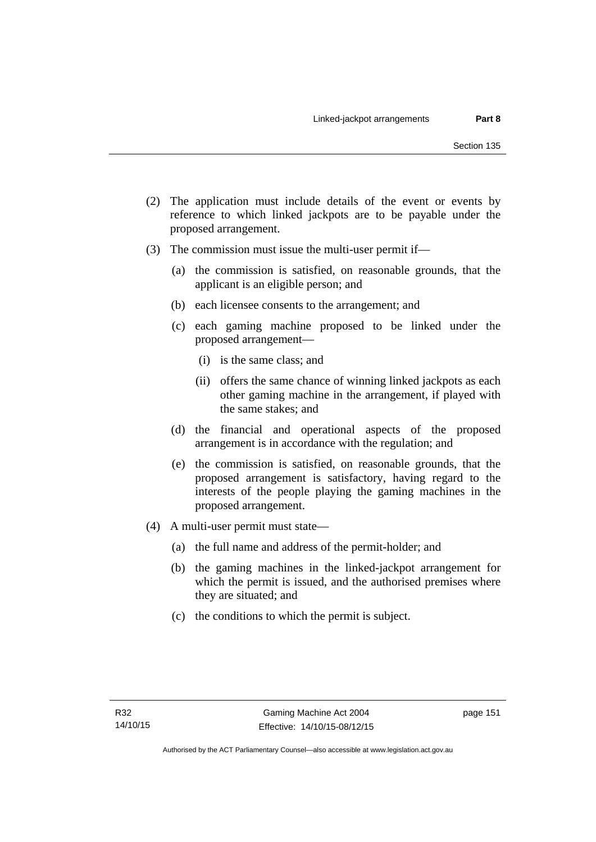- (2) The application must include details of the event or events by reference to which linked jackpots are to be payable under the proposed arrangement.
- (3) The commission must issue the multi-user permit if—
	- (a) the commission is satisfied, on reasonable grounds, that the applicant is an eligible person; and
	- (b) each licensee consents to the arrangement; and
	- (c) each gaming machine proposed to be linked under the proposed arrangement—
		- (i) is the same class; and
		- (ii) offers the same chance of winning linked jackpots as each other gaming machine in the arrangement, if played with the same stakes; and
	- (d) the financial and operational aspects of the proposed arrangement is in accordance with the regulation; and
	- (e) the commission is satisfied, on reasonable grounds, that the proposed arrangement is satisfactory, having regard to the interests of the people playing the gaming machines in the proposed arrangement.
- (4) A multi-user permit must state—
	- (a) the full name and address of the permit-holder; and
	- (b) the gaming machines in the linked-jackpot arrangement for which the permit is issued, and the authorised premises where they are situated; and
	- (c) the conditions to which the permit is subject.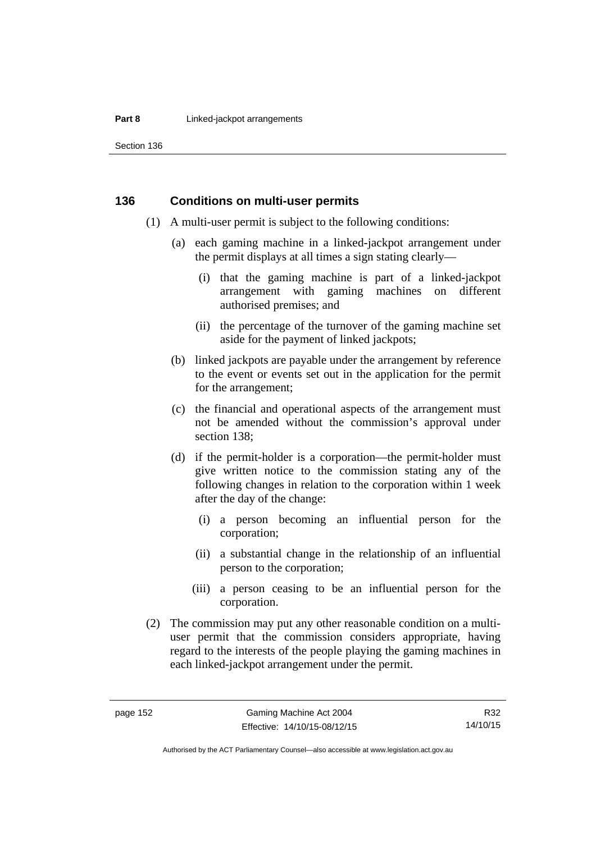#### **Part 8 Linked-jackpot arrangements**

Section 136

#### **136 Conditions on multi-user permits**

- (1) A multi-user permit is subject to the following conditions:
	- (a) each gaming machine in a linked-jackpot arrangement under the permit displays at all times a sign stating clearly—
		- (i) that the gaming machine is part of a linked-jackpot arrangement with gaming machines on different authorised premises; and
		- (ii) the percentage of the turnover of the gaming machine set aside for the payment of linked jackpots;
	- (b) linked jackpots are payable under the arrangement by reference to the event or events set out in the application for the permit for the arrangement;
	- (c) the financial and operational aspects of the arrangement must not be amended without the commission's approval under section 138;
	- (d) if the permit-holder is a corporation—the permit-holder must give written notice to the commission stating any of the following changes in relation to the corporation within 1 week after the day of the change:
		- (i) a person becoming an influential person for the corporation;
		- (ii) a substantial change in the relationship of an influential person to the corporation;
		- (iii) a person ceasing to be an influential person for the corporation.
- (2) The commission may put any other reasonable condition on a multiuser permit that the commission considers appropriate, having regard to the interests of the people playing the gaming machines in each linked-jackpot arrangement under the permit.

R32 14/10/15

Authorised by the ACT Parliamentary Counsel—also accessible at www.legislation.act.gov.au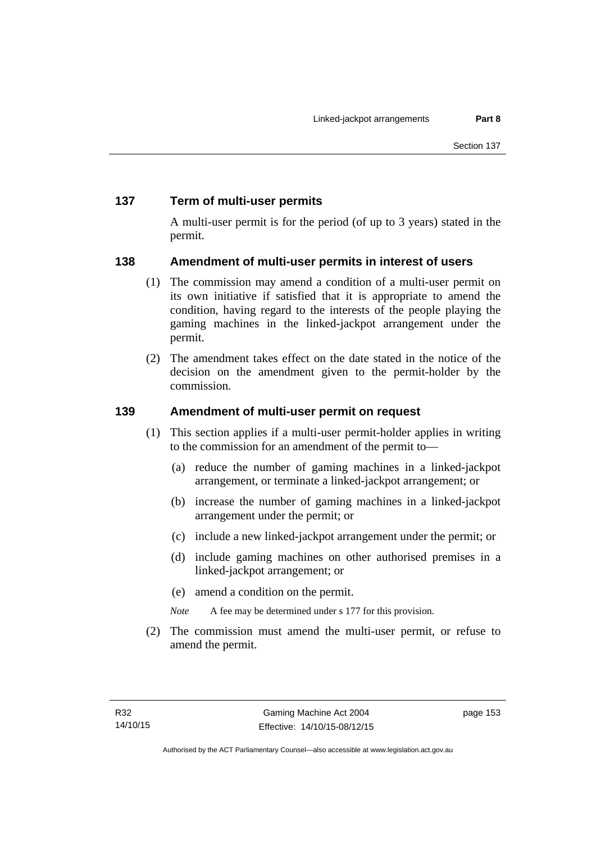# **137 Term of multi-user permits**

A multi-user permit is for the period (of up to 3 years) stated in the permit.

# **138 Amendment of multi-user permits in interest of users**

- (1) The commission may amend a condition of a multi-user permit on its own initiative if satisfied that it is appropriate to amend the condition, having regard to the interests of the people playing the gaming machines in the linked-jackpot arrangement under the permit.
- (2) The amendment takes effect on the date stated in the notice of the decision on the amendment given to the permit-holder by the commission.

# **139 Amendment of multi-user permit on request**

- (1) This section applies if a multi-user permit-holder applies in writing to the commission for an amendment of the permit to—
	- (a) reduce the number of gaming machines in a linked-jackpot arrangement, or terminate a linked-jackpot arrangement; or
	- (b) increase the number of gaming machines in a linked-jackpot arrangement under the permit; or
	- (c) include a new linked-jackpot arrangement under the permit; or
	- (d) include gaming machines on other authorised premises in a linked-jackpot arrangement; or
	- (e) amend a condition on the permit.
	- *Note* A fee may be determined under s 177 for this provision.
- (2) The commission must amend the multi-user permit, or refuse to amend the permit.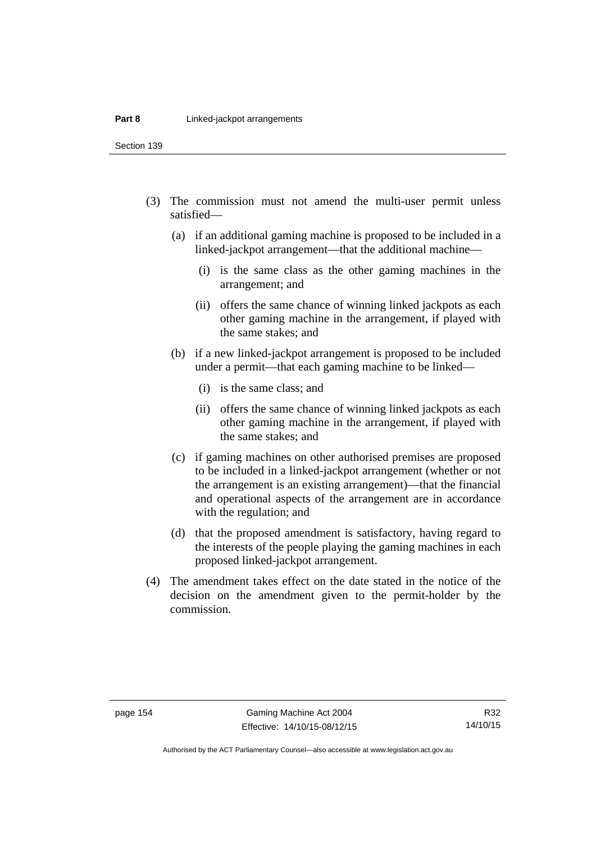Section 139

- (3) The commission must not amend the multi-user permit unless satisfied—
	- (a) if an additional gaming machine is proposed to be included in a linked-jackpot arrangement—that the additional machine—
		- (i) is the same class as the other gaming machines in the arrangement; and
		- (ii) offers the same chance of winning linked jackpots as each other gaming machine in the arrangement, if played with the same stakes; and
	- (b) if a new linked-jackpot arrangement is proposed to be included under a permit—that each gaming machine to be linked—
		- (i) is the same class; and
		- (ii) offers the same chance of winning linked jackpots as each other gaming machine in the arrangement, if played with the same stakes; and
	- (c) if gaming machines on other authorised premises are proposed to be included in a linked-jackpot arrangement (whether or not the arrangement is an existing arrangement)—that the financial and operational aspects of the arrangement are in accordance with the regulation; and
	- (d) that the proposed amendment is satisfactory, having regard to the interests of the people playing the gaming machines in each proposed linked-jackpot arrangement.
- (4) The amendment takes effect on the date stated in the notice of the decision on the amendment given to the permit-holder by the commission.

Authorised by the ACT Parliamentary Counsel—also accessible at www.legislation.act.gov.au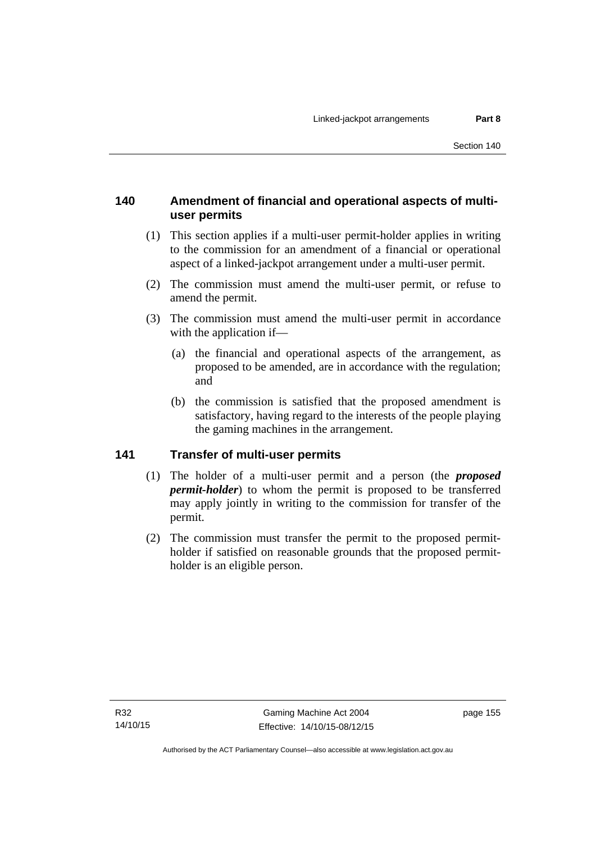# **140 Amendment of financial and operational aspects of multiuser permits**

- (1) This section applies if a multi-user permit-holder applies in writing to the commission for an amendment of a financial or operational aspect of a linked-jackpot arrangement under a multi-user permit.
- (2) The commission must amend the multi-user permit, or refuse to amend the permit.
- (3) The commission must amend the multi-user permit in accordance with the application if—
	- (a) the financial and operational aspects of the arrangement, as proposed to be amended, are in accordance with the regulation; and
	- (b) the commission is satisfied that the proposed amendment is satisfactory, having regard to the interests of the people playing the gaming machines in the arrangement.

# **141 Transfer of multi-user permits**

- (1) The holder of a multi-user permit and a person (the *proposed permit-holder*) to whom the permit is proposed to be transferred may apply jointly in writing to the commission for transfer of the permit.
- (2) The commission must transfer the permit to the proposed permitholder if satisfied on reasonable grounds that the proposed permitholder is an eligible person.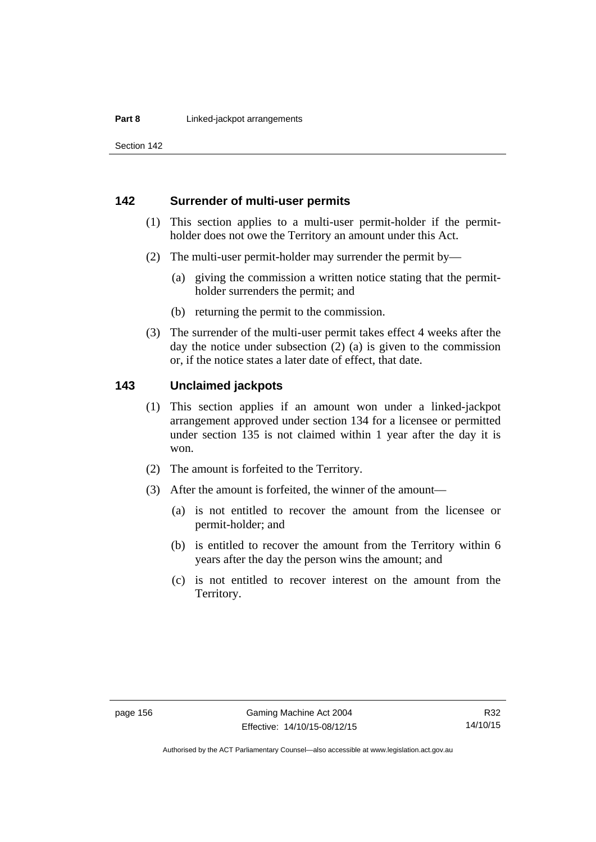Section 142

### **142 Surrender of multi-user permits**

- (1) This section applies to a multi-user permit-holder if the permitholder does not owe the Territory an amount under this Act.
- (2) The multi-user permit-holder may surrender the permit by—
	- (a) giving the commission a written notice stating that the permitholder surrenders the permit; and
	- (b) returning the permit to the commission.
- (3) The surrender of the multi-user permit takes effect 4 weeks after the day the notice under subsection (2) (a) is given to the commission or, if the notice states a later date of effect, that date.

#### **143 Unclaimed jackpots**

- (1) This section applies if an amount won under a linked-jackpot arrangement approved under section 134 for a licensee or permitted under section 135 is not claimed within 1 year after the day it is won.
- (2) The amount is forfeited to the Territory.
- (3) After the amount is forfeited, the winner of the amount—
	- (a) is not entitled to recover the amount from the licensee or permit-holder; and
	- (b) is entitled to recover the amount from the Territory within 6 years after the day the person wins the amount; and
	- (c) is not entitled to recover interest on the amount from the Territory.

Authorised by the ACT Parliamentary Counsel—also accessible at www.legislation.act.gov.au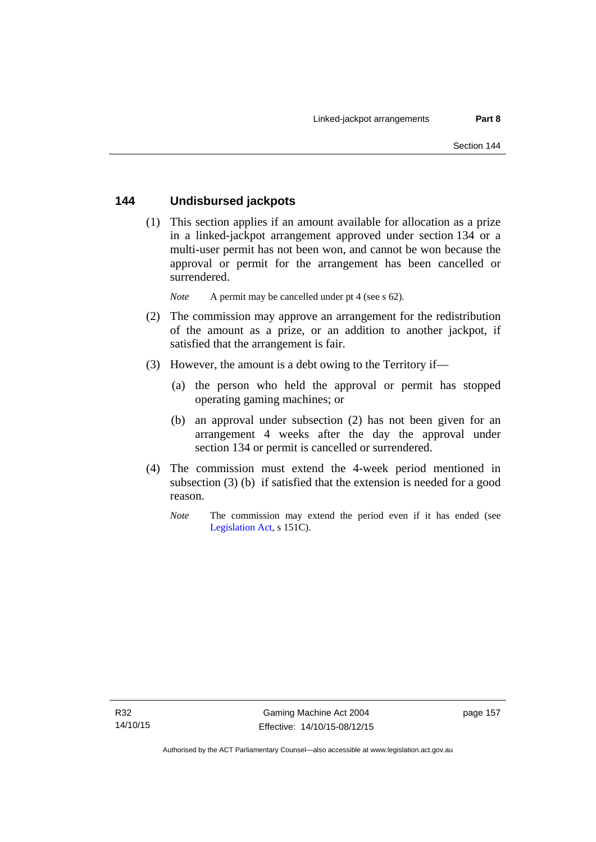## **144 Undisbursed jackpots**

 (1) This section applies if an amount available for allocation as a prize in a linked-jackpot arrangement approved under section 134 or a multi-user permit has not been won, and cannot be won because the approval or permit for the arrangement has been cancelled or surrendered.

*Note* A permit may be cancelled under pt 4 (see s 62).

- (2) The commission may approve an arrangement for the redistribution of the amount as a prize, or an addition to another jackpot, if satisfied that the arrangement is fair.
- (3) However, the amount is a debt owing to the Territory if—
	- (a) the person who held the approval or permit has stopped operating gaming machines; or
	- (b) an approval under subsection (2) has not been given for an arrangement 4 weeks after the day the approval under section 134 or permit is cancelled or surrendered.
- (4) The commission must extend the 4-week period mentioned in subsection (3) (b) if satisfied that the extension is needed for a good reason.
	- *Note* The commission may extend the period even if it has ended (see [Legislation Act,](http://www.legislation.act.gov.au/a/2001-14) s 151C).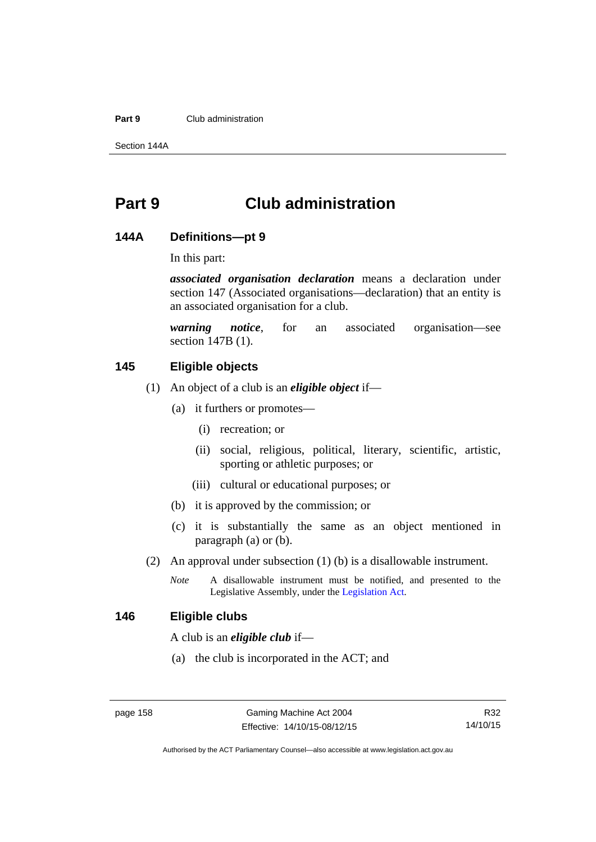#### **Part 9** Club administration

Section 144A

# **Part 9 Club administration**

#### **144A Definitions—pt 9**

In this part:

*associated organisation declaration* means a declaration under section 147 (Associated organisations—declaration) that an entity is an associated organisation for a club.

*warning notice*, for an associated organisation—see section 147B (1).

# **145 Eligible objects**

- (1) An object of a club is an *eligible object* if—
	- (a) it furthers or promotes—
		- (i) recreation; or
		- (ii) social, religious, political, literary, scientific, artistic, sporting or athletic purposes; or
		- (iii) cultural or educational purposes; or
	- (b) it is approved by the commission; or
	- (c) it is substantially the same as an object mentioned in paragraph (a) or (b).
- (2) An approval under subsection (1) (b) is a disallowable instrument.
	- *Note* A disallowable instrument must be notified, and presented to the Legislative Assembly, under the [Legislation Act.](http://www.legislation.act.gov.au/a/2001-14)

#### **146 Eligible clubs**

A club is an *eligible club* if—

(a) the club is incorporated in the ACT; and

R32 14/10/15

Authorised by the ACT Parliamentary Counsel—also accessible at www.legislation.act.gov.au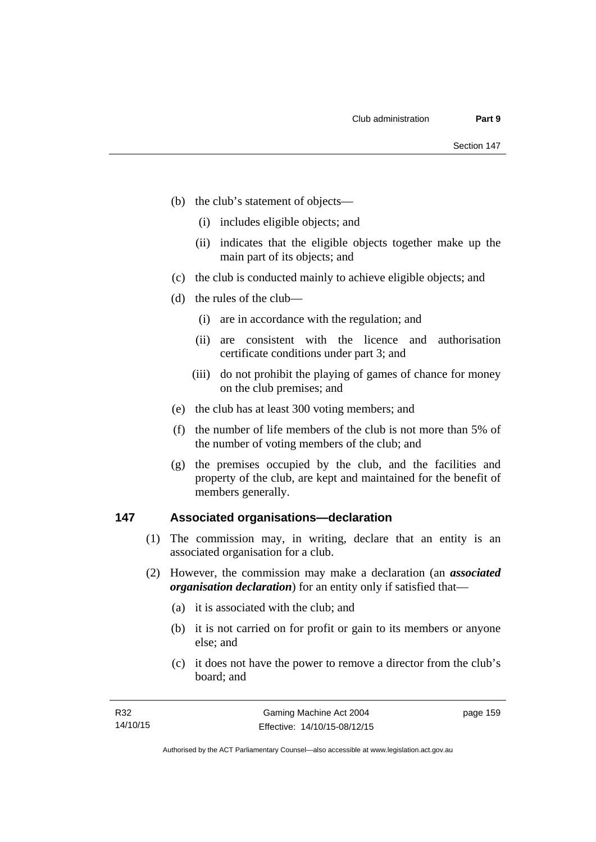- (b) the club's statement of objects—
	- (i) includes eligible objects; and
	- (ii) indicates that the eligible objects together make up the main part of its objects; and
- (c) the club is conducted mainly to achieve eligible objects; and
- (d) the rules of the club—
	- (i) are in accordance with the regulation; and
	- (ii) are consistent with the licence and authorisation certificate conditions under part 3; and
	- (iii) do not prohibit the playing of games of chance for money on the club premises; and
- (e) the club has at least 300 voting members; and
- (f) the number of life members of the club is not more than 5% of the number of voting members of the club; and
- (g) the premises occupied by the club, and the facilities and property of the club, are kept and maintained for the benefit of members generally.

### **147 Associated organisations—declaration**

- (1) The commission may, in writing, declare that an entity is an associated organisation for a club.
- (2) However, the commission may make a declaration (an *associated organisation declaration*) for an entity only if satisfied that—
	- (a) it is associated with the club; and
	- (b) it is not carried on for profit or gain to its members or anyone else; and
	- (c) it does not have the power to remove a director from the club's board; and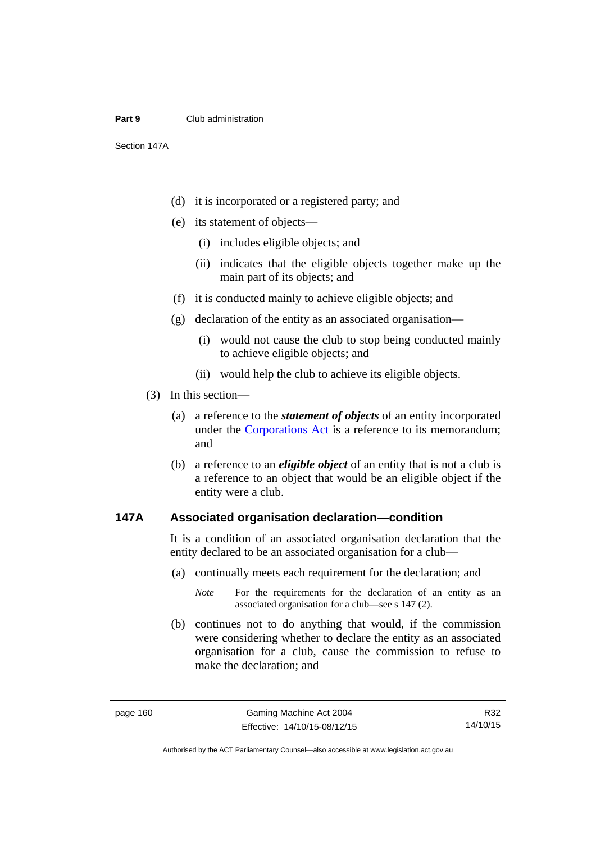#### **Part 9** Club administration

Section 147A

- (d) it is incorporated or a registered party; and
- (e) its statement of objects—
	- (i) includes eligible objects; and
	- (ii) indicates that the eligible objects together make up the main part of its objects; and
- (f) it is conducted mainly to achieve eligible objects; and
- (g) declaration of the entity as an associated organisation—
	- (i) would not cause the club to stop being conducted mainly to achieve eligible objects; and
	- (ii) would help the club to achieve its eligible objects.
- (3) In this section—
	- (a) a reference to the *statement of objects* of an entity incorporated under the [Corporations Act](http://www.comlaw.gov.au/Series/C2004A00818) is a reference to its memorandum; and
	- (b) a reference to an *eligible object* of an entity that is not a club is a reference to an object that would be an eligible object if the entity were a club.

#### **147A Associated organisation declaration—condition**

It is a condition of an associated organisation declaration that the entity declared to be an associated organisation for a club—

- (a) continually meets each requirement for the declaration; and
	- *Note* For the requirements for the declaration of an entity as an associated organisation for a club—see s 147 (2).
- (b) continues not to do anything that would, if the commission were considering whether to declare the entity as an associated organisation for a club, cause the commission to refuse to make the declaration; and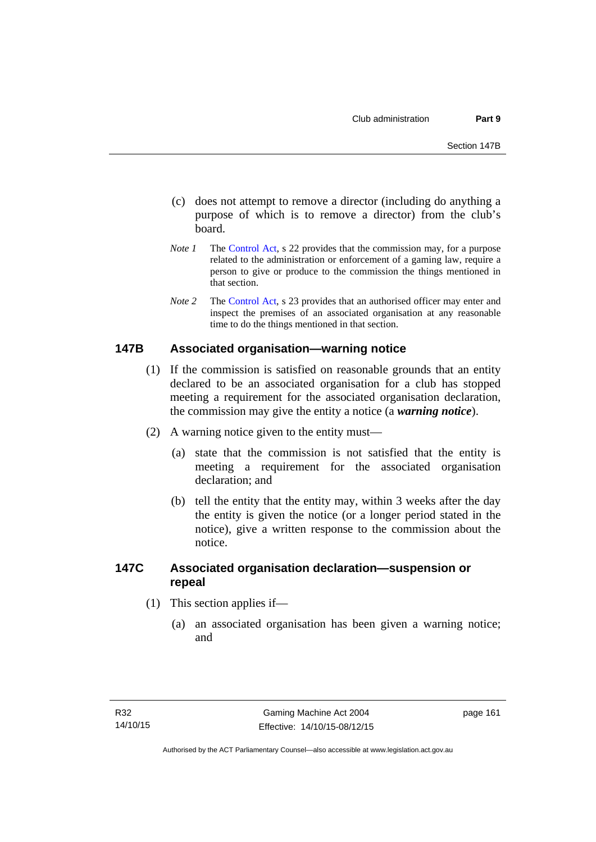- (c) does not attempt to remove a director (including do anything a purpose of which is to remove a director) from the club's board.
- *Note 1* The [Control Act,](http://www.legislation.act.gov.au/a/1999-46) s 22 provides that the commission may, for a purpose related to the administration or enforcement of a gaming law, require a person to give or produce to the commission the things mentioned in that section.
- *Note 2* The [Control Act](http://www.legislation.act.gov.au/a/1999-46), s 23 provides that an authorised officer may enter and inspect the premises of an associated organisation at any reasonable time to do the things mentioned in that section.

#### **147B Associated organisation—warning notice**

- (1) If the commission is satisfied on reasonable grounds that an entity declared to be an associated organisation for a club has stopped meeting a requirement for the associated organisation declaration, the commission may give the entity a notice (a *warning notice*).
- (2) A warning notice given to the entity must—
	- (a) state that the commission is not satisfied that the entity is meeting a requirement for the associated organisation declaration; and
	- (b) tell the entity that the entity may, within 3 weeks after the day the entity is given the notice (or a longer period stated in the notice), give a written response to the commission about the notice.

## **147C Associated organisation declaration—suspension or repeal**

- (1) This section applies if—
	- (a) an associated organisation has been given a warning notice; and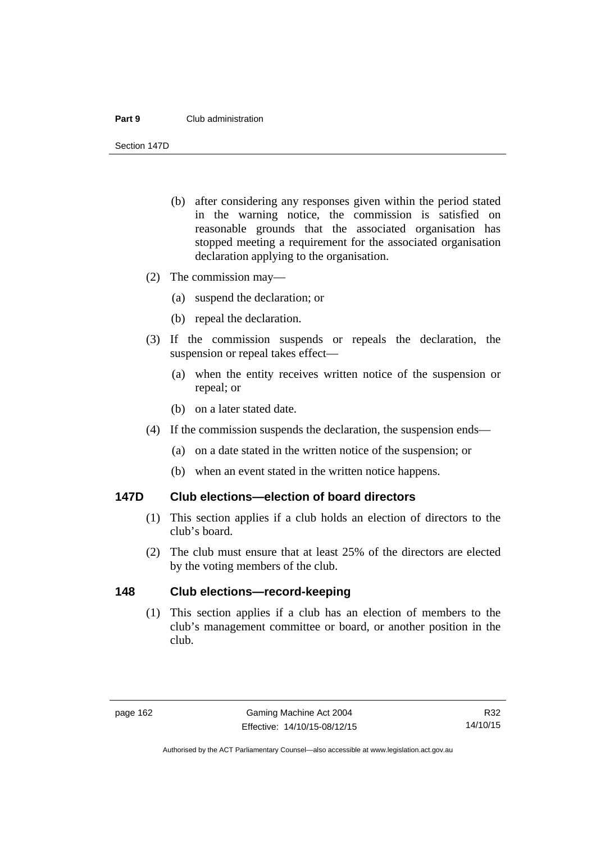#### **Part 9** Club administration

Section 147D

- (b) after considering any responses given within the period stated in the warning notice, the commission is satisfied on reasonable grounds that the associated organisation has stopped meeting a requirement for the associated organisation declaration applying to the organisation.
- (2) The commission may—
	- (a) suspend the declaration; or
	- (b) repeal the declaration.
- (3) If the commission suspends or repeals the declaration, the suspension or repeal takes effect—
	- (a) when the entity receives written notice of the suspension or repeal; or
	- (b) on a later stated date.
- (4) If the commission suspends the declaration, the suspension ends—
	- (a) on a date stated in the written notice of the suspension; or
	- (b) when an event stated in the written notice happens.

#### **147D Club elections—election of board directors**

- (1) This section applies if a club holds an election of directors to the club's board.
- (2) The club must ensure that at least 25% of the directors are elected by the voting members of the club.

### **148 Club elections—record-keeping**

(1) This section applies if a club has an election of members to the club's management committee or board, or another position in the club.

Authorised by the ACT Parliamentary Counsel—also accessible at www.legislation.act.gov.au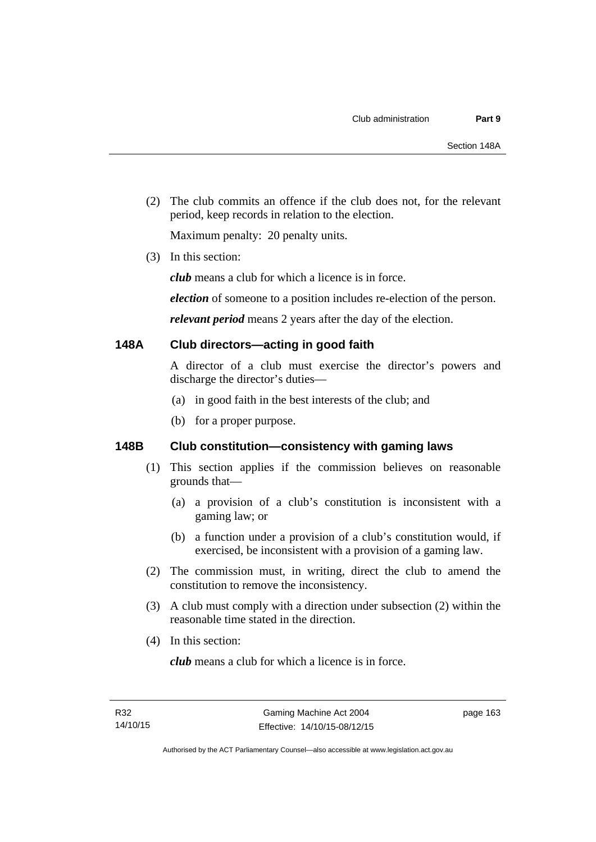(2) The club commits an offence if the club does not, for the relevant period, keep records in relation to the election.

Maximum penalty: 20 penalty units.

(3) In this section:

*club* means a club for which a licence is in force.

*election* of someone to a position includes re-election of the person.

*relevant period* means 2 years after the day of the election.

### **148A Club directors—acting in good faith**

A director of a club must exercise the director's powers and discharge the director's duties—

- (a) in good faith in the best interests of the club; and
- (b) for a proper purpose.

# **148B Club constitution—consistency with gaming laws**

- (1) This section applies if the commission believes on reasonable grounds that—
	- (a) a provision of a club's constitution is inconsistent with a gaming law; or
	- (b) a function under a provision of a club's constitution would, if exercised, be inconsistent with a provision of a gaming law.
- (2) The commission must, in writing, direct the club to amend the constitution to remove the inconsistency.
- (3) A club must comply with a direction under subsection (2) within the reasonable time stated in the direction.
- (4) In this section:

*club* means a club for which a licence is in force.

page 163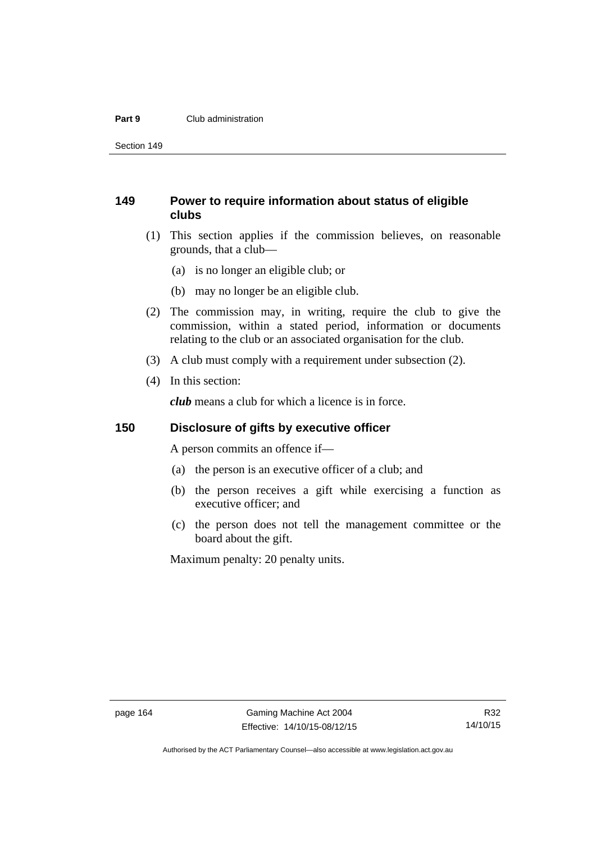#### **Part 9** Club administration

Section 149

# **149 Power to require information about status of eligible clubs**

- (1) This section applies if the commission believes, on reasonable grounds, that a club—
	- (a) is no longer an eligible club; or
	- (b) may no longer be an eligible club.
- (2) The commission may, in writing, require the club to give the commission, within a stated period, information or documents relating to the club or an associated organisation for the club.
- (3) A club must comply with a requirement under subsection (2).
- (4) In this section:

*club* means a club for which a licence is in force.

### **150 Disclosure of gifts by executive officer**

A person commits an offence if—

- (a) the person is an executive officer of a club; and
- (b) the person receives a gift while exercising a function as executive officer; and
- (c) the person does not tell the management committee or the board about the gift.

Maximum penalty: 20 penalty units.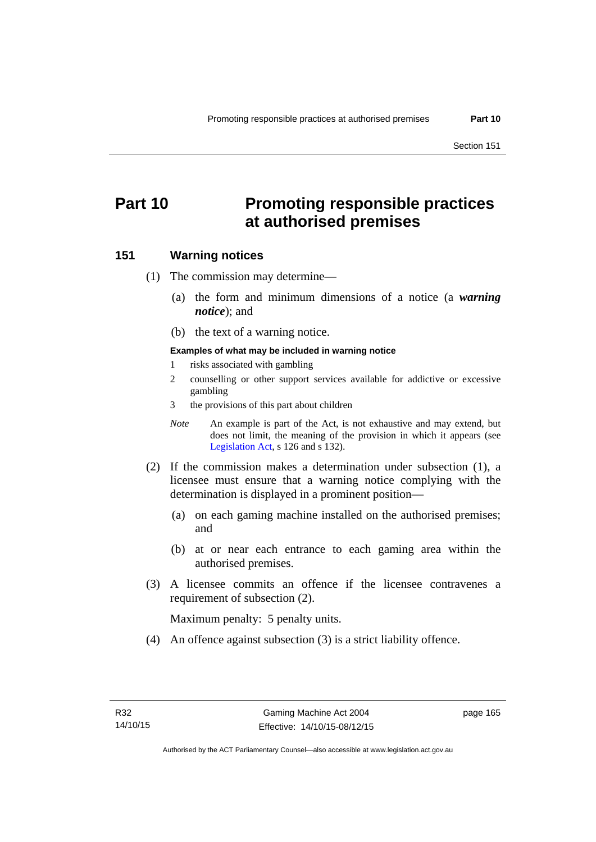# **Part 10 Promoting responsible practices at authorised premises**

#### **151 Warning notices**

(1) The commission may determine—

- (a) the form and minimum dimensions of a notice (a *warning notice*); and
- (b) the text of a warning notice.

#### **Examples of what may be included in warning notice**

- 1 risks associated with gambling
- 2 counselling or other support services available for addictive or excessive gambling
- 3 the provisions of this part about children
- *Note* An example is part of the Act, is not exhaustive and may extend, but does not limit, the meaning of the provision in which it appears (see [Legislation Act,](http://www.legislation.act.gov.au/a/2001-14) s 126 and s 132).
- (2) If the commission makes a determination under subsection (1), a licensee must ensure that a warning notice complying with the determination is displayed in a prominent position—
	- (a) on each gaming machine installed on the authorised premises; and
	- (b) at or near each entrance to each gaming area within the authorised premises.
- (3) A licensee commits an offence if the licensee contravenes a requirement of subsection (2).

Maximum penalty: 5 penalty units.

(4) An offence against subsection (3) is a strict liability offence.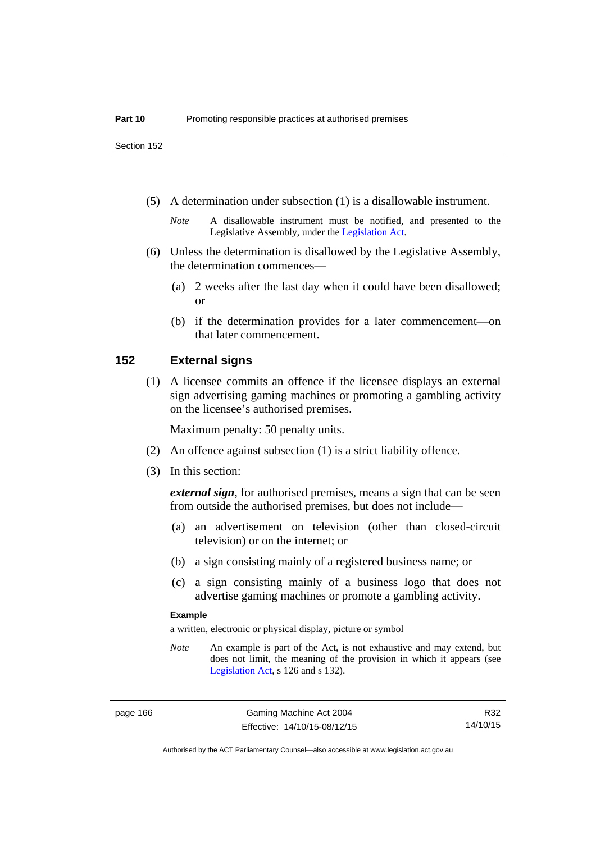Section 152

(5) A determination under subsection (1) is a disallowable instrument.

- (6) Unless the determination is disallowed by the Legislative Assembly, the determination commences—
	- (a) 2 weeks after the last day when it could have been disallowed; or
	- (b) if the determination provides for a later commencement—on that later commencement.

#### **152 External signs**

(1) A licensee commits an offence if the licensee displays an external sign advertising gaming machines or promoting a gambling activity on the licensee's authorised premises.

Maximum penalty: 50 penalty units.

- (2) An offence against subsection (1) is a strict liability offence.
- (3) In this section:

*external sign*, for authorised premises, means a sign that can be seen from outside the authorised premises, but does not include—

- (a) an advertisement on television (other than closed-circuit television) or on the internet; or
- (b) a sign consisting mainly of a registered business name; or
- (c) a sign consisting mainly of a business logo that does not advertise gaming machines or promote a gambling activity.

#### **Example**

a written, electronic or physical display, picture or symbol

*Note* An example is part of the Act, is not exhaustive and may extend, but does not limit, the meaning of the provision in which it appears (see [Legislation Act,](http://www.legislation.act.gov.au/a/2001-14) s 126 and s 132).

*Note* A disallowable instrument must be notified, and presented to the Legislative Assembly, under the [Legislation Act.](http://www.legislation.act.gov.au/a/2001-14)

R32 14/10/15

Authorised by the ACT Parliamentary Counsel—also accessible at www.legislation.act.gov.au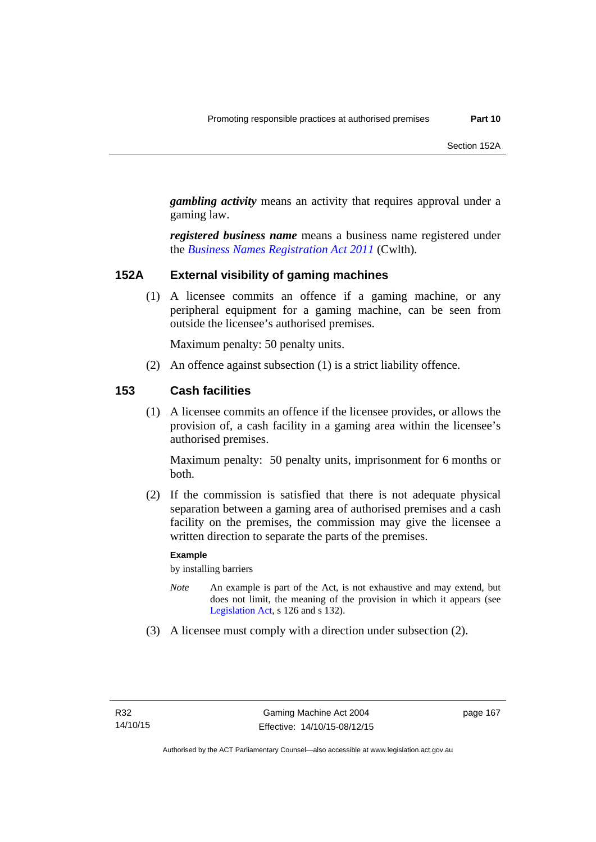*gambling activity* means an activity that requires approval under a gaming law.

*registered business name* means a business name registered under the *[Business Names Registration Act 2011](http://www.comlaw.gov.au/Series/C2011A00126)* (Cwlth)*.*

#### **152A External visibility of gaming machines**

(1) A licensee commits an offence if a gaming machine, or any peripheral equipment for a gaming machine, can be seen from outside the licensee's authorised premises.

Maximum penalty: 50 penalty units.

(2) An offence against subsection (1) is a strict liability offence.

#### **153 Cash facilities**

(1) A licensee commits an offence if the licensee provides, or allows the provision of, a cash facility in a gaming area within the licensee's authorised premises.

Maximum penalty: 50 penalty units, imprisonment for 6 months or both.

 (2) If the commission is satisfied that there is not adequate physical separation between a gaming area of authorised premises and a cash facility on the premises, the commission may give the licensee a written direction to separate the parts of the premises.

#### **Example**

by installing barriers

- *Note* An example is part of the Act, is not exhaustive and may extend, but does not limit, the meaning of the provision in which it appears (see [Legislation Act,](http://www.legislation.act.gov.au/a/2001-14) s 126 and s 132).
- (3) A licensee must comply with a direction under subsection (2).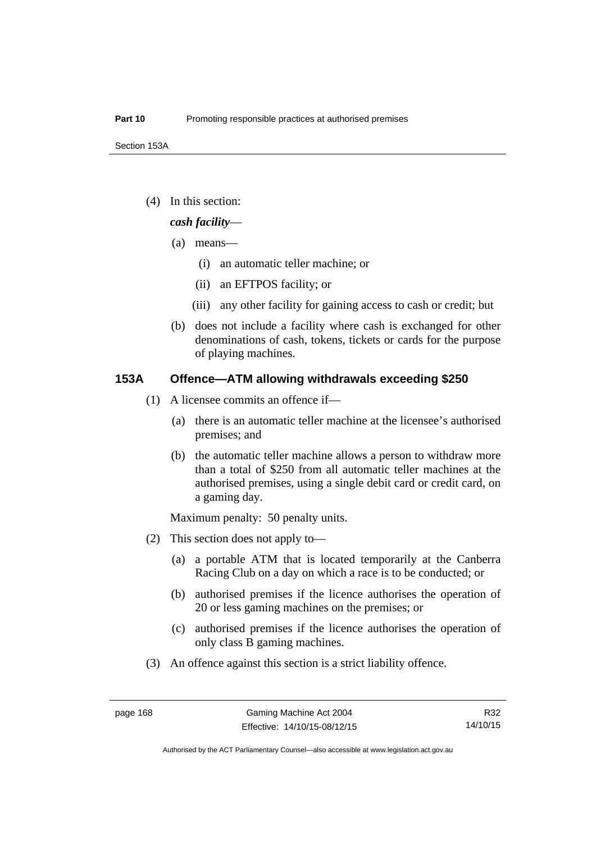(4) In this section:

#### *cash facility*—

- (a) means—
	- (i) an automatic teller machine; or
	- (ii) an EFTPOS facility; or
	- (iii) any other facility for gaining access to cash or credit; but
- (b) does not include a facility where cash is exchanged for other denominations of cash, tokens, tickets or cards for the purpose of playing machines.

### **153A Offence—ATM allowing withdrawals exceeding \$250**

- (1) A licensee commits an offence if—
	- (a) there is an automatic teller machine at the licensee's authorised premises; and
	- (b) the automatic teller machine allows a person to withdraw more than a total of \$250 from all automatic teller machines at the authorised premises, using a single debit card or credit card, on a gaming day.

Maximum penalty: 50 penalty units.

- (2) This section does not apply to—
	- (a) a portable ATM that is located temporarily at the Canberra Racing Club on a day on which a race is to be conducted; or
	- (b) authorised premises if the licence authorises the operation of 20 or less gaming machines on the premises; or
	- (c) authorised premises if the licence authorises the operation of only class B gaming machines.
- (3) An offence against this section is a strict liability offence.

R32 14/10/15

Authorised by the ACT Parliamentary Counsel—also accessible at www.legislation.act.gov.au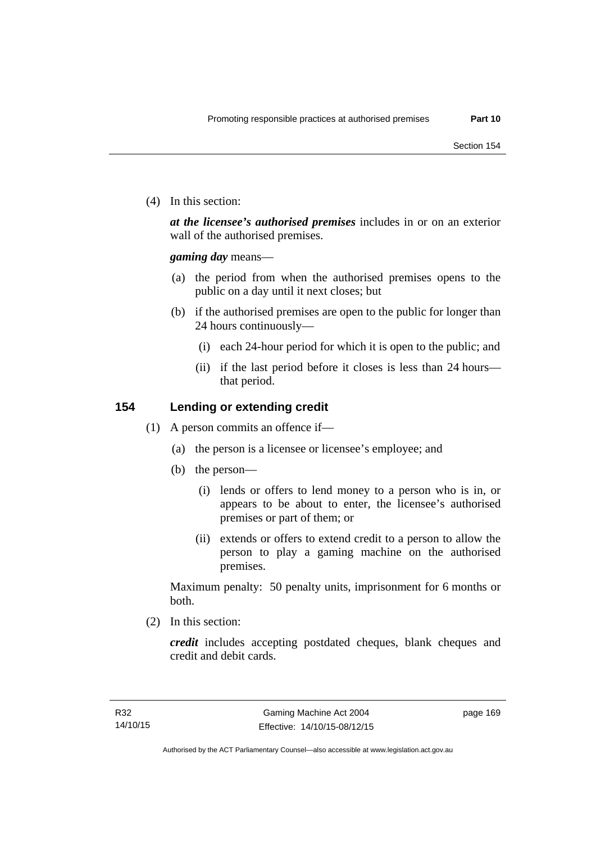(4) In this section:

*at the licensee's authorised premises* includes in or on an exterior wall of the authorised premises.

*gaming day* means—

- (a) the period from when the authorised premises opens to the public on a day until it next closes; but
- (b) if the authorised premises are open to the public for longer than 24 hours continuously—
	- (i) each 24-hour period for which it is open to the public; and
	- (ii) if the last period before it closes is less than 24 hours that period.

## **154 Lending or extending credit**

- (1) A person commits an offence if—
	- (a) the person is a licensee or licensee's employee; and
	- (b) the person—
		- (i) lends or offers to lend money to a person who is in, or appears to be about to enter, the licensee's authorised premises or part of them; or
		- (ii) extends or offers to extend credit to a person to allow the person to play a gaming machine on the authorised premises.

Maximum penalty: 50 penalty units, imprisonment for 6 months or both.

(2) In this section:

*credit* includes accepting postdated cheques, blank cheques and credit and debit cards.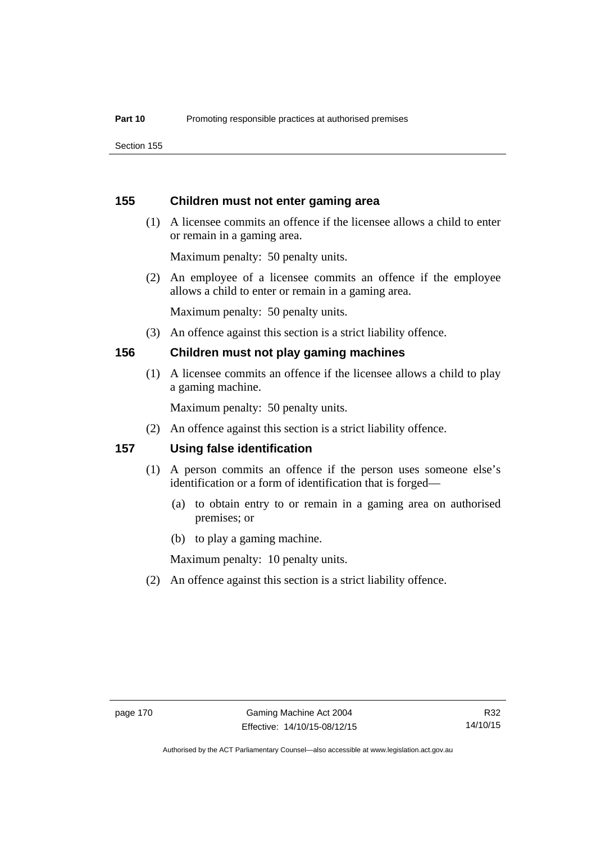Section 155

#### **155 Children must not enter gaming area**

 (1) A licensee commits an offence if the licensee allows a child to enter or remain in a gaming area.

Maximum penalty: 50 penalty units.

 (2) An employee of a licensee commits an offence if the employee allows a child to enter or remain in a gaming area.

Maximum penalty: 50 penalty units.

(3) An offence against this section is a strict liability offence.

#### **156 Children must not play gaming machines**

(1) A licensee commits an offence if the licensee allows a child to play a gaming machine.

Maximum penalty: 50 penalty units.

(2) An offence against this section is a strict liability offence.

#### **157 Using false identification**

- (1) A person commits an offence if the person uses someone else's identification or a form of identification that is forged—
	- (a) to obtain entry to or remain in a gaming area on authorised premises; or
	- (b) to play a gaming machine.

Maximum penalty: 10 penalty units.

(2) An offence against this section is a strict liability offence.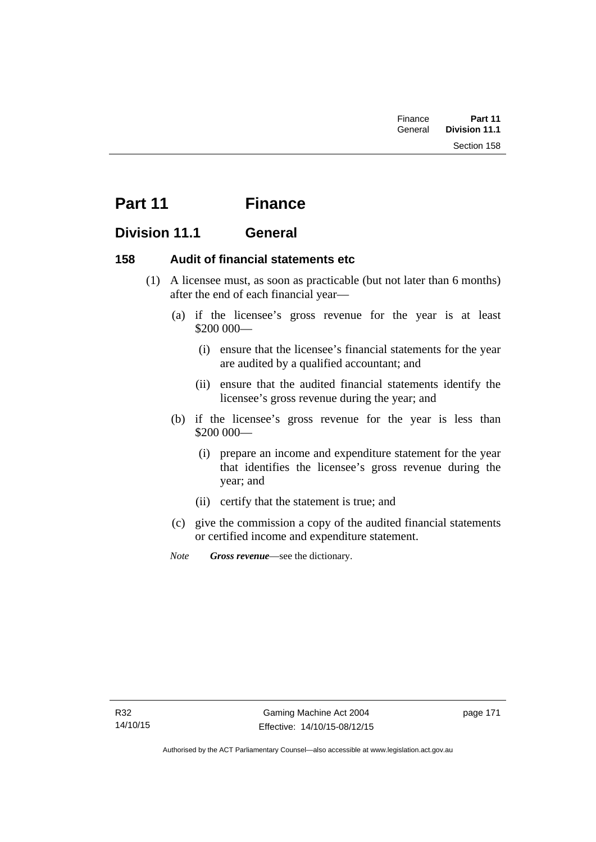| Finance | Part 11              |  |
|---------|----------------------|--|
| General | <b>Division 11.1</b> |  |
|         | Section 158          |  |

# **Part 11 Finance**

# **Division 11.1 General**

## **158 Audit of financial statements etc**

- (1) A licensee must, as soon as practicable (but not later than 6 months) after the end of each financial year—
	- (a) if the licensee's gross revenue for the year is at least \$200 000—
		- (i) ensure that the licensee's financial statements for the year are audited by a qualified accountant; and
		- (ii) ensure that the audited financial statements identify the licensee's gross revenue during the year; and
	- (b) if the licensee's gross revenue for the year is less than \$200 000—
		- (i) prepare an income and expenditure statement for the year that identifies the licensee's gross revenue during the year; and
		- (ii) certify that the statement is true; and
	- (c) give the commission a copy of the audited financial statements or certified income and expenditure statement.
	- *Note Gross revenue*—see the dictionary.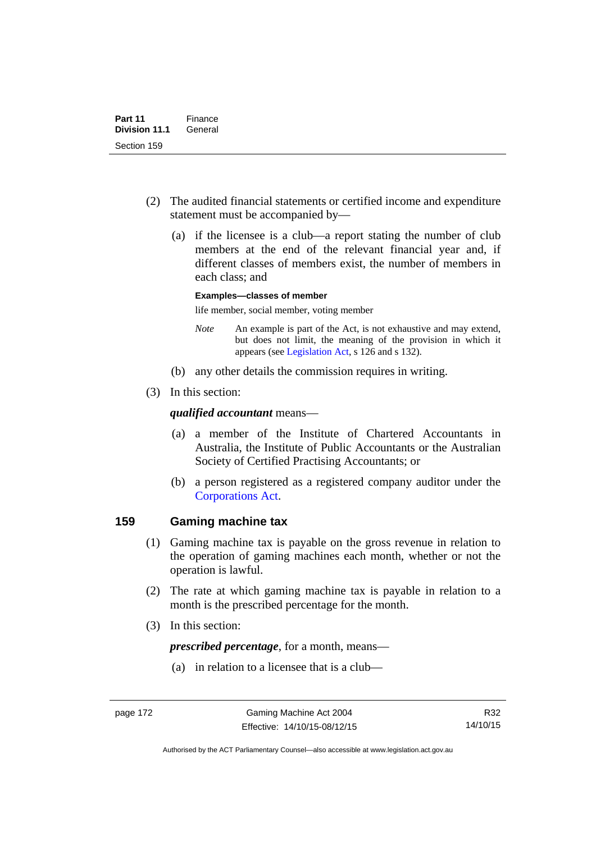- (2) The audited financial statements or certified income and expenditure statement must be accompanied by—
	- (a) if the licensee is a club—a report stating the number of club members at the end of the relevant financial year and, if different classes of members exist, the number of members in each class; and

#### **Examples—classes of member**

life member, social member, voting member

- *Note* An example is part of the Act, is not exhaustive and may extend, but does not limit, the meaning of the provision in which it appears (see [Legislation Act,](http://www.legislation.act.gov.au/a/2001-14) s 126 and s 132).
- (b) any other details the commission requires in writing.
- (3) In this section:

#### *qualified accountant* means—

- (a) a member of the Institute of Chartered Accountants in Australia, the Institute of Public Accountants or the Australian Society of Certified Practising Accountants; or
- (b) a person registered as a registered company auditor under the [Corporations Act.](http://www.comlaw.gov.au/Series/C2004A00818)

#### **159 Gaming machine tax**

- (1) Gaming machine tax is payable on the gross revenue in relation to the operation of gaming machines each month, whether or not the operation is lawful.
- (2) The rate at which gaming machine tax is payable in relation to a month is the prescribed percentage for the month.
- (3) In this section:

*prescribed percentage*, for a month, means—

(a) in relation to a licensee that is a club—

R32 14/10/15

Authorised by the ACT Parliamentary Counsel—also accessible at www.legislation.act.gov.au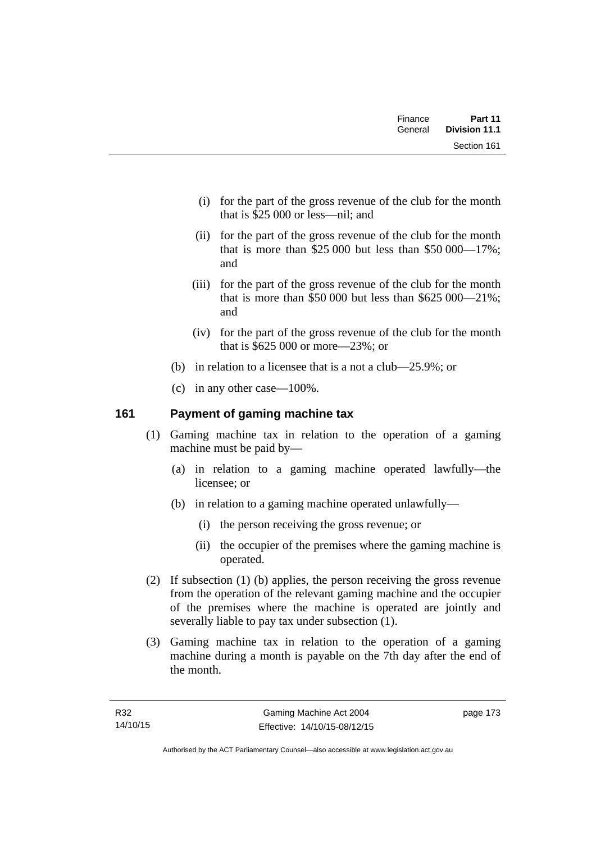| Finance | Part 11              |
|---------|----------------------|
| General | <b>Division 11.1</b> |
|         | Section 161          |

- (i) for the part of the gross revenue of the club for the month that is \$25 000 or less—nil; and
- (ii) for the part of the gross revenue of the club for the month that is more than \$25,000 but less than \$50,000  $-17\%$ ; and
- (iii) for the part of the gross revenue of the club for the month that is more than \$50,000 but less than  $$625,000-21\%$ ; and
- (iv) for the part of the gross revenue of the club for the month that is \$625 000 or more—23%; or
- (b) in relation to a licensee that is a not a club—25.9%; or
- (c) in any other case—100%.

# **161 Payment of gaming machine tax**

- (1) Gaming machine tax in relation to the operation of a gaming machine must be paid by—
	- (a) in relation to a gaming machine operated lawfully—the licensee; or
	- (b) in relation to a gaming machine operated unlawfully—
		- (i) the person receiving the gross revenue; or
		- (ii) the occupier of the premises where the gaming machine is operated.
- (2) If subsection (1) (b) applies, the person receiving the gross revenue from the operation of the relevant gaming machine and the occupier of the premises where the machine is operated are jointly and severally liable to pay tax under subsection (1).
- (3) Gaming machine tax in relation to the operation of a gaming machine during a month is payable on the 7th day after the end of the month.

page 173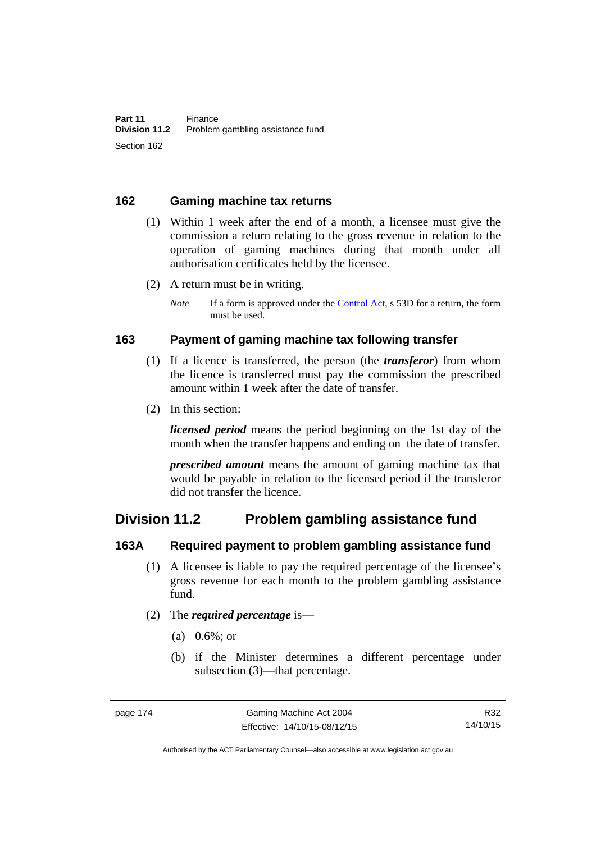#### **162 Gaming machine tax returns**

- (1) Within 1 week after the end of a month, a licensee must give the commission a return relating to the gross revenue in relation to the operation of gaming machines during that month under all authorisation certificates held by the licensee.
- (2) A return must be in writing.
	- *Note* If a form is approved under the [Control Act,](http://www.legislation.act.gov.au/a/1999-46) s 53D for a return, the form must be used.

## **163 Payment of gaming machine tax following transfer**

- (1) If a licence is transferred, the person (the *transferor*) from whom the licence is transferred must pay the commission the prescribed amount within 1 week after the date of transfer.
- (2) In this section:

*licensed period* means the period beginning on the 1st day of the month when the transfer happens and ending on the date of transfer.

*prescribed amount* means the amount of gaming machine tax that would be payable in relation to the licensed period if the transferor did not transfer the licence.

# **Division 11.2 Problem gambling assistance fund**

#### **163A Required payment to problem gambling assistance fund**

- (1) A licensee is liable to pay the required percentage of the licensee's gross revenue for each month to the problem gambling assistance fund.
- (2) The *required percentage* is—
	- (a) 0.6%; or
	- (b) if the Minister determines a different percentage under subsection (3)—that percentage.

R32 14/10/15

Authorised by the ACT Parliamentary Counsel—also accessible at www.legislation.act.gov.au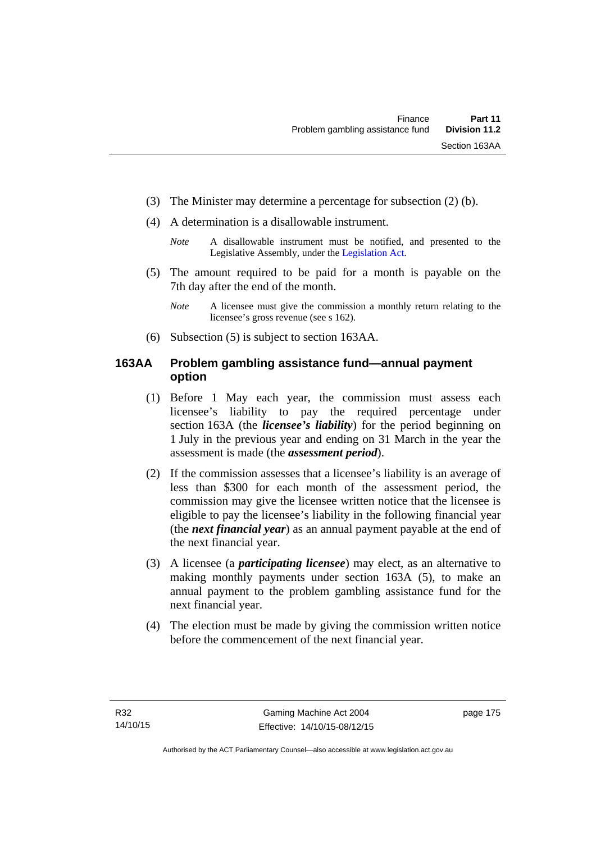- (3) The Minister may determine a percentage for subsection (2) (b).
- (4) A determination is a disallowable instrument.
	- *Note* A disallowable instrument must be notified, and presented to the Legislative Assembly, under the [Legislation Act.](http://www.legislation.act.gov.au/a/2001-14)
- (5) The amount required to be paid for a month is payable on the 7th day after the end of the month.
	- *Note* A licensee must give the commission a monthly return relating to the licensee's gross revenue (see s 162).
- (6) Subsection (5) is subject to section 163AA.

# **163AA Problem gambling assistance fund—annual payment option**

- (1) Before 1 May each year, the commission must assess each licensee's liability to pay the required percentage under section 163A (the *licensee's liability*) for the period beginning on 1 July in the previous year and ending on 31 March in the year the assessment is made (the *assessment period*).
- (2) If the commission assesses that a licensee's liability is an average of less than \$300 for each month of the assessment period, the commission may give the licensee written notice that the licensee is eligible to pay the licensee's liability in the following financial year (the *next financial year*) as an annual payment payable at the end of the next financial year.
- (3) A licensee (a *participating licensee*) may elect, as an alternative to making monthly payments under section 163A (5), to make an annual payment to the problem gambling assistance fund for the next financial year.
- (4) The election must be made by giving the commission written notice before the commencement of the next financial year.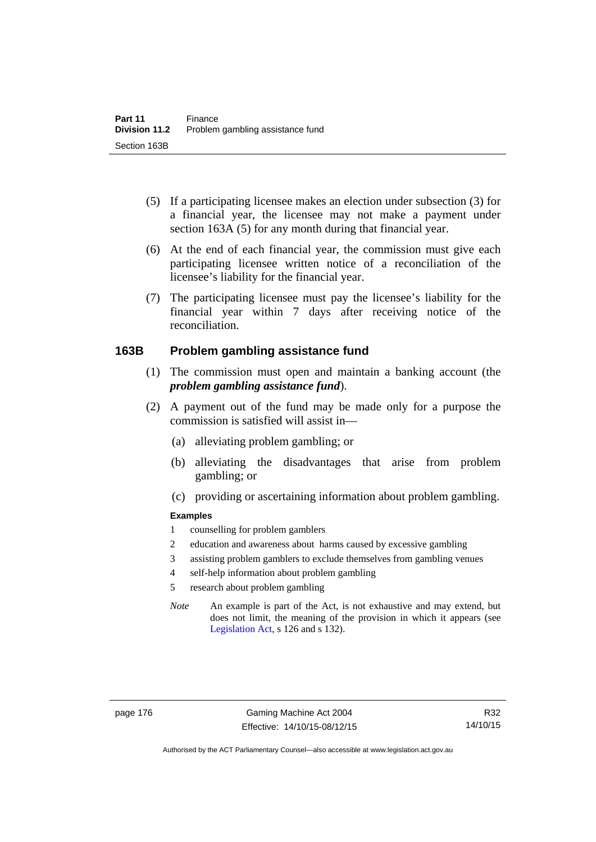- (5) If a participating licensee makes an election under subsection (3) for a financial year, the licensee may not make a payment under section 163A (5) for any month during that financial year.
- (6) At the end of each financial year, the commission must give each participating licensee written notice of a reconciliation of the licensee's liability for the financial year.
- (7) The participating licensee must pay the licensee's liability for the financial year within 7 days after receiving notice of the reconciliation.

#### **163B Problem gambling assistance fund**

- (1) The commission must open and maintain a banking account (the *problem gambling assistance fund*).
- (2) A payment out of the fund may be made only for a purpose the commission is satisfied will assist in—
	- (a) alleviating problem gambling; or
	- (b) alleviating the disadvantages that arise from problem gambling; or
	- (c) providing or ascertaining information about problem gambling.

#### **Examples**

- 1 counselling for problem gamblers
- 2 education and awareness about harms caused by excessive gambling
- 3 assisting problem gamblers to exclude themselves from gambling venues
- 4 self-help information about problem gambling
- 5 research about problem gambling
- *Note* An example is part of the Act, is not exhaustive and may extend, but does not limit, the meaning of the provision in which it appears (see [Legislation Act,](http://www.legislation.act.gov.au/a/2001-14) s 126 and s 132).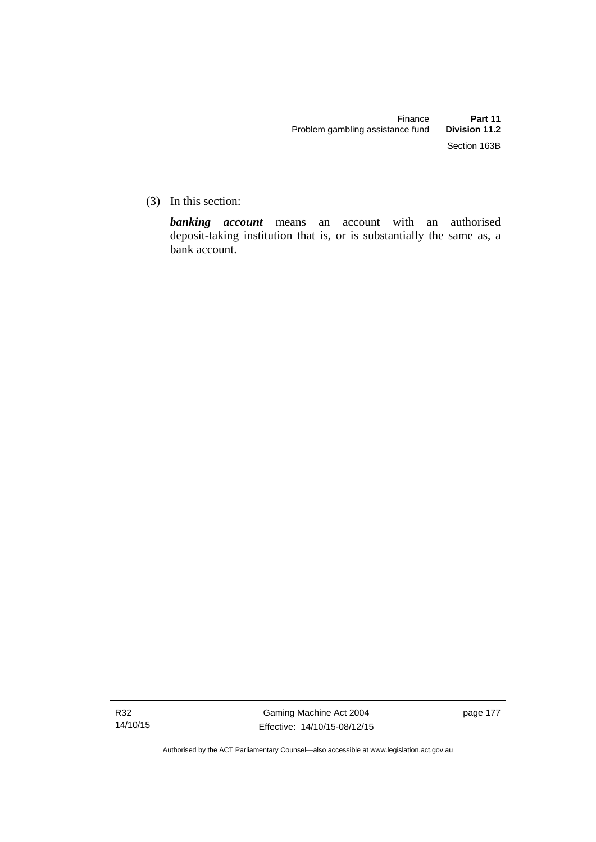(3) In this section:

*banking account* means an account with an authorised deposit-taking institution that is, or is substantially the same as, a bank account.

Authorised by the ACT Parliamentary Counsel—also accessible at www.legislation.act.gov.au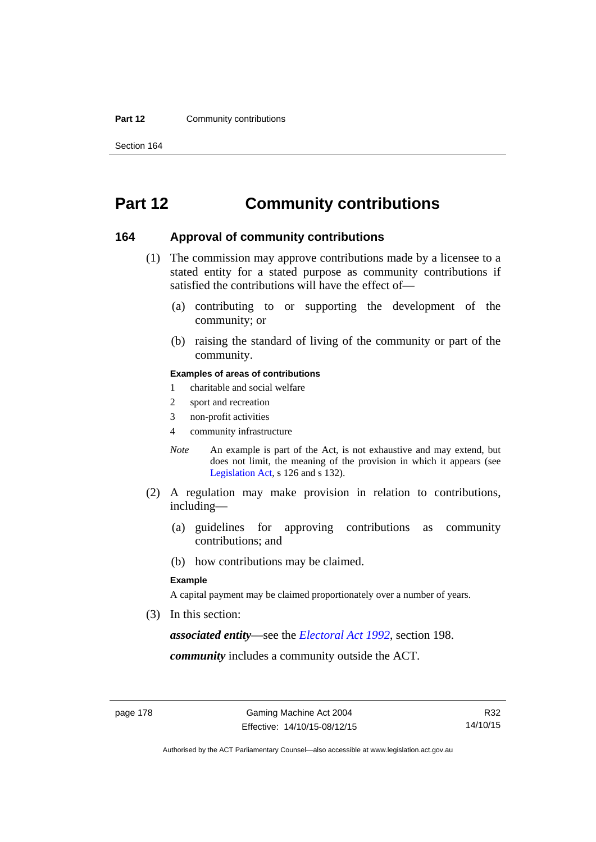#### **Part 12 Community contributions**

Section 164

# **Part 12 Community contributions**

#### **164 Approval of community contributions**

- (1) The commission may approve contributions made by a licensee to a stated entity for a stated purpose as community contributions if satisfied the contributions will have the effect of—
	- (a) contributing to or supporting the development of the community; or
	- (b) raising the standard of living of the community or part of the community.

#### **Examples of areas of contributions**

- 1 charitable and social welfare
- 2 sport and recreation
- 3 non-profit activities
- 4 community infrastructure
- *Note* An example is part of the Act, is not exhaustive and may extend, but does not limit, the meaning of the provision in which it appears (see [Legislation Act,](http://www.legislation.act.gov.au/a/2001-14) s 126 and s 132).
- (2) A regulation may make provision in relation to contributions, including—
	- (a) guidelines for approving contributions as community contributions; and
	- (b) how contributions may be claimed.

#### **Example**

A capital payment may be claimed proportionately over a number of years.

(3) In this section:

*associated entity*—see the *[Electoral Act 1992](http://www.legislation.act.gov.au/a/1992-71)*, section 198.

*community* includes a community outside the ACT.

Authorised by the ACT Parliamentary Counsel—also accessible at www.legislation.act.gov.au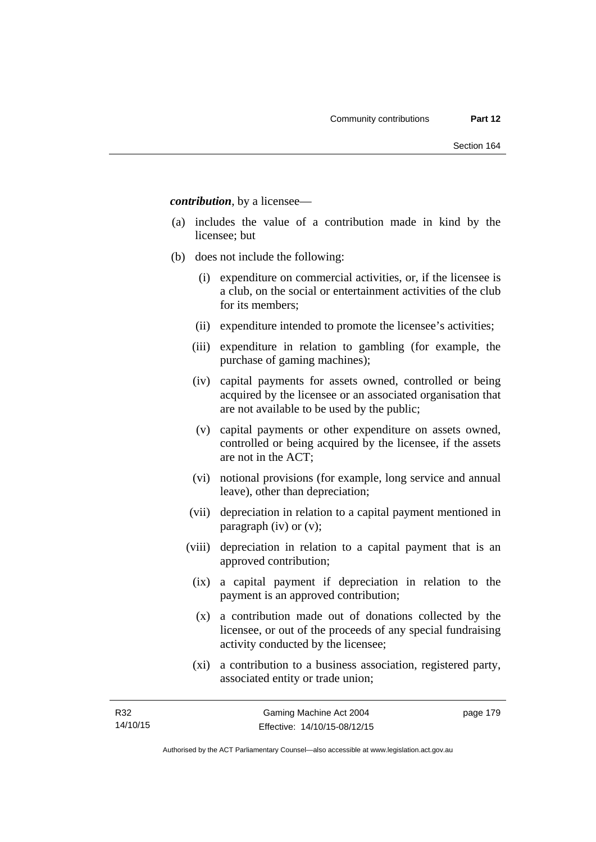*contribution*, by a licensee—

- (a) includes the value of a contribution made in kind by the licensee; but
- (b) does not include the following:
	- (i) expenditure on commercial activities, or, if the licensee is a club, on the social or entertainment activities of the club for its members;
	- (ii) expenditure intended to promote the licensee's activities;
	- (iii) expenditure in relation to gambling (for example, the purchase of gaming machines);
	- (iv) capital payments for assets owned, controlled or being acquired by the licensee or an associated organisation that are not available to be used by the public;
	- (v) capital payments or other expenditure on assets owned, controlled or being acquired by the licensee, if the assets are not in the ACT;
	- (vi) notional provisions (for example, long service and annual leave), other than depreciation;
	- (vii) depreciation in relation to a capital payment mentioned in paragraph (iv) or (v);
	- (viii) depreciation in relation to a capital payment that is an approved contribution;
		- (ix) a capital payment if depreciation in relation to the payment is an approved contribution;
		- (x) a contribution made out of donations collected by the licensee, or out of the proceeds of any special fundraising activity conducted by the licensee;
		- (xi) a contribution to a business association, registered party, associated entity or trade union;

page 179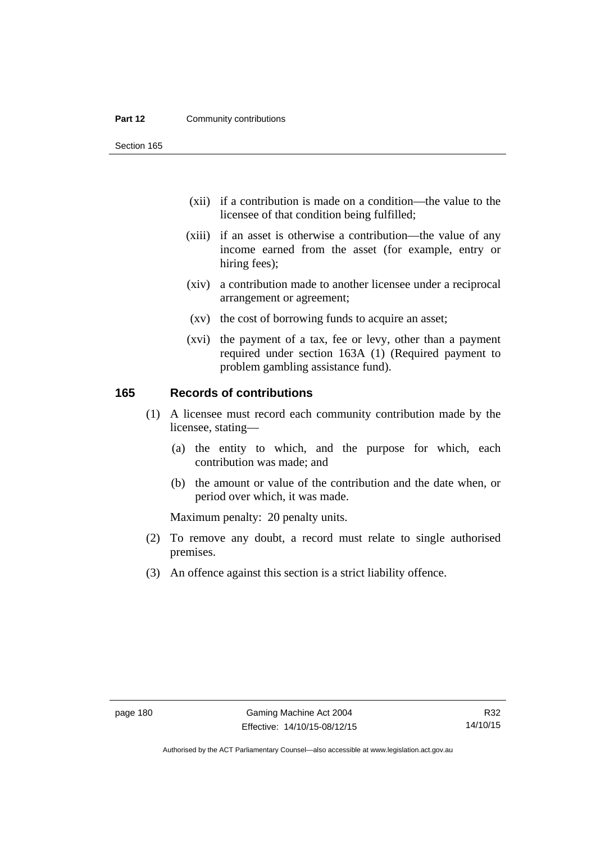#### **Part 12 Community contributions**

Section 165

- (xii) if a contribution is made on a condition—the value to the licensee of that condition being fulfilled;
- (xiii) if an asset is otherwise a contribution—the value of any income earned from the asset (for example, entry or hiring fees);
- (xiv) a contribution made to another licensee under a reciprocal arrangement or agreement;
- (xv) the cost of borrowing funds to acquire an asset;
- (xvi) the payment of a tax, fee or levy, other than a payment required under section 163A (1) (Required payment to problem gambling assistance fund).

#### **165 Records of contributions**

- (1) A licensee must record each community contribution made by the licensee, stating—
	- (a) the entity to which, and the purpose for which, each contribution was made; and
	- (b) the amount or value of the contribution and the date when, or period over which, it was made.

Maximum penalty: 20 penalty units.

- (2) To remove any doubt, a record must relate to single authorised premises.
- (3) An offence against this section is a strict liability offence.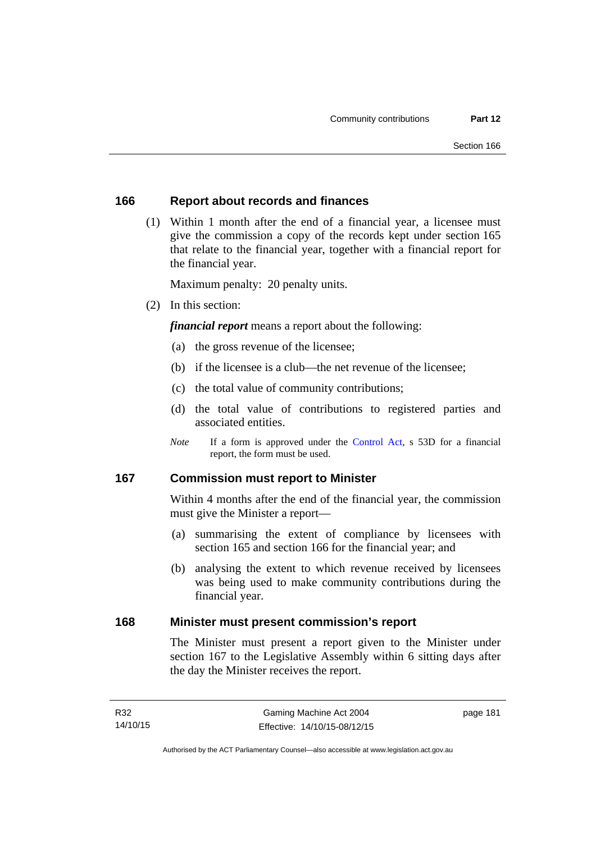#### **166 Report about records and finances**

 (1) Within 1 month after the end of a financial year, a licensee must give the commission a copy of the records kept under section 165 that relate to the financial year, together with a financial report for the financial year.

Maximum penalty: 20 penalty units.

(2) In this section:

*financial report* means a report about the following:

- (a) the gross revenue of the licensee;
- (b) if the licensee is a club—the net revenue of the licensee;
- (c) the total value of community contributions;
- (d) the total value of contributions to registered parties and associated entities.
- *Note* If a form is approved under the [Control Act](http://www.legislation.act.gov.au/a/1999-46), s 53D for a financial report, the form must be used.

#### **167 Commission must report to Minister**

Within 4 months after the end of the financial year, the commission must give the Minister a report—

- (a) summarising the extent of compliance by licensees with section 165 and section 166 for the financial year; and
- (b) analysing the extent to which revenue received by licensees was being used to make community contributions during the financial year.

#### **168 Minister must present commission's report**

The Minister must present a report given to the Minister under section 167 to the Legislative Assembly within 6 sitting days after the day the Minister receives the report.

page 181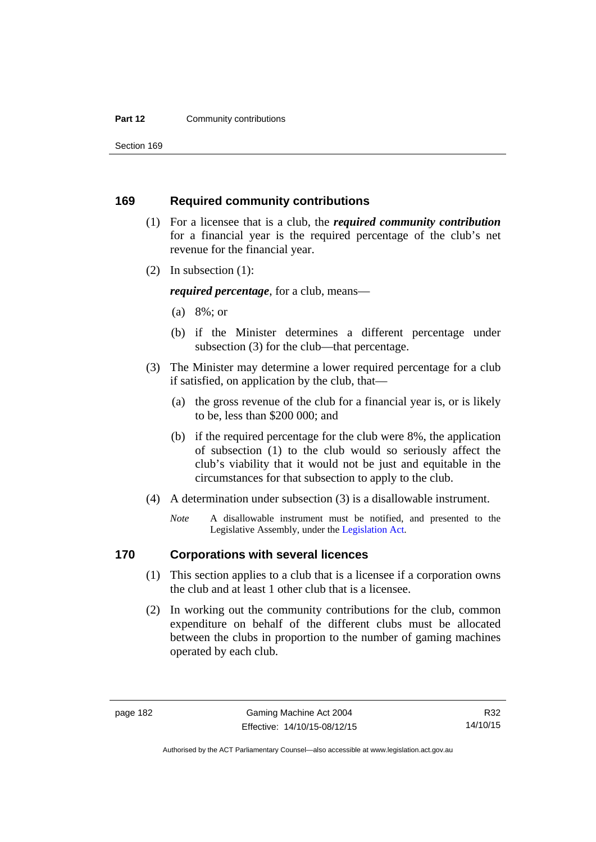#### **Part 12 Community contributions**

Section 169

#### **169 Required community contributions**

- (1) For a licensee that is a club, the *required community contribution* for a financial year is the required percentage of the club's net revenue for the financial year.
- (2) In subsection (1):

*required percentage*, for a club, means—

- (a) 8%; or
- (b) if the Minister determines a different percentage under subsection (3) for the club—that percentage.
- (3) The Minister may determine a lower required percentage for a club if satisfied, on application by the club, that—
	- (a) the gross revenue of the club for a financial year is, or is likely to be, less than \$200 000; and
	- (b) if the required percentage for the club were 8%, the application of subsection (1) to the club would so seriously affect the club's viability that it would not be just and equitable in the circumstances for that subsection to apply to the club.
- (4) A determination under subsection (3) is a disallowable instrument.
	- *Note* A disallowable instrument must be notified, and presented to the Legislative Assembly, under the [Legislation Act.](http://www.legislation.act.gov.au/a/2001-14)

# **170 Corporations with several licences**

- (1) This section applies to a club that is a licensee if a corporation owns the club and at least 1 other club that is a licensee.
- (2) In working out the community contributions for the club, common expenditure on behalf of the different clubs must be allocated between the clubs in proportion to the number of gaming machines operated by each club.

R32 14/10/15

Authorised by the ACT Parliamentary Counsel—also accessible at www.legislation.act.gov.au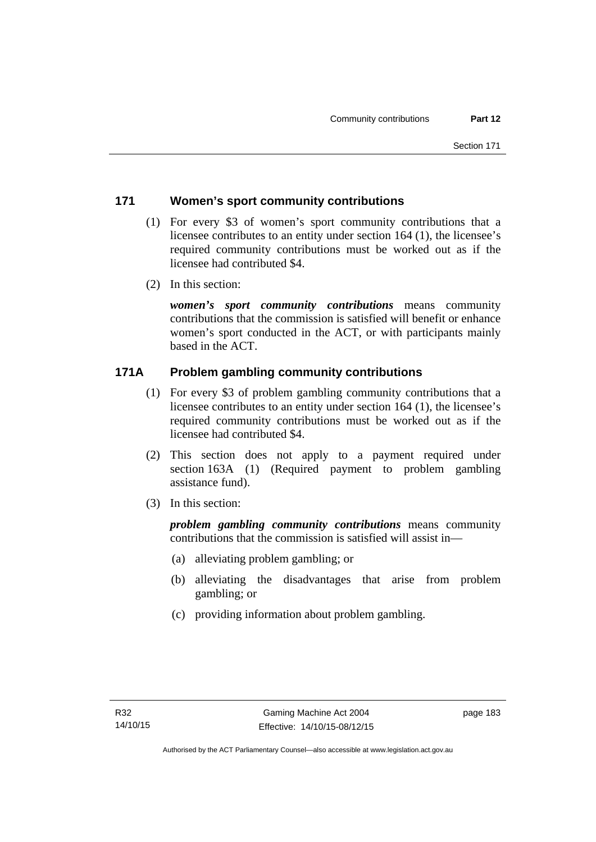# **171 Women's sport community contributions**

- (1) For every \$3 of women's sport community contributions that a licensee contributes to an entity under section 164 (1), the licensee's required community contributions must be worked out as if the licensee had contributed \$4.
- (2) In this section:

*women's sport community contributions* means community contributions that the commission is satisfied will benefit or enhance women's sport conducted in the ACT, or with participants mainly based in the ACT.

# **171A Problem gambling community contributions**

- (1) For every \$3 of problem gambling community contributions that a licensee contributes to an entity under section 164 (1), the licensee's required community contributions must be worked out as if the licensee had contributed \$4.
- (2) This section does not apply to a payment required under section 163A (1) (Required payment to problem gambling assistance fund).
- (3) In this section:

*problem gambling community contributions* means community contributions that the commission is satisfied will assist in—

- (a) alleviating problem gambling; or
- (b) alleviating the disadvantages that arise from problem gambling; or
- (c) providing information about problem gambling.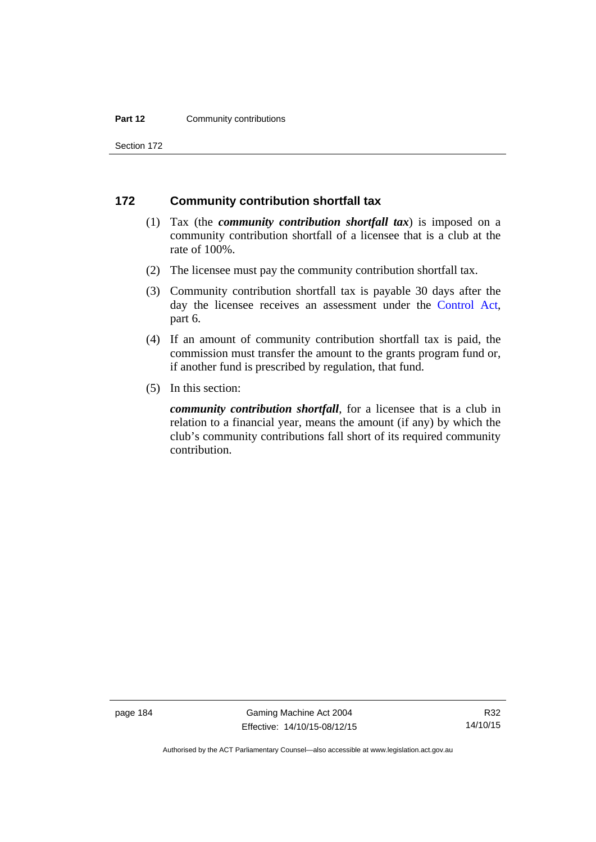#### **Part 12 Community contributions**

Section 172

#### **172 Community contribution shortfall tax**

- (1) Tax (the *community contribution shortfall tax*) is imposed on a community contribution shortfall of a licensee that is a club at the rate of 100%.
- (2) The licensee must pay the community contribution shortfall tax.
- (3) Community contribution shortfall tax is payable 30 days after the day the licensee receives an assessment under the [Control Act](http://www.legislation.act.gov.au/a/1999-46), part 6.
- (4) If an amount of community contribution shortfall tax is paid, the commission must transfer the amount to the grants program fund or, if another fund is prescribed by regulation, that fund.
- (5) In this section:

*community contribution shortfall*, for a licensee that is a club in relation to a financial year, means the amount (if any) by which the club's community contributions fall short of its required community contribution.

page 184 Gaming Machine Act 2004 Effective: 14/10/15-08/12/15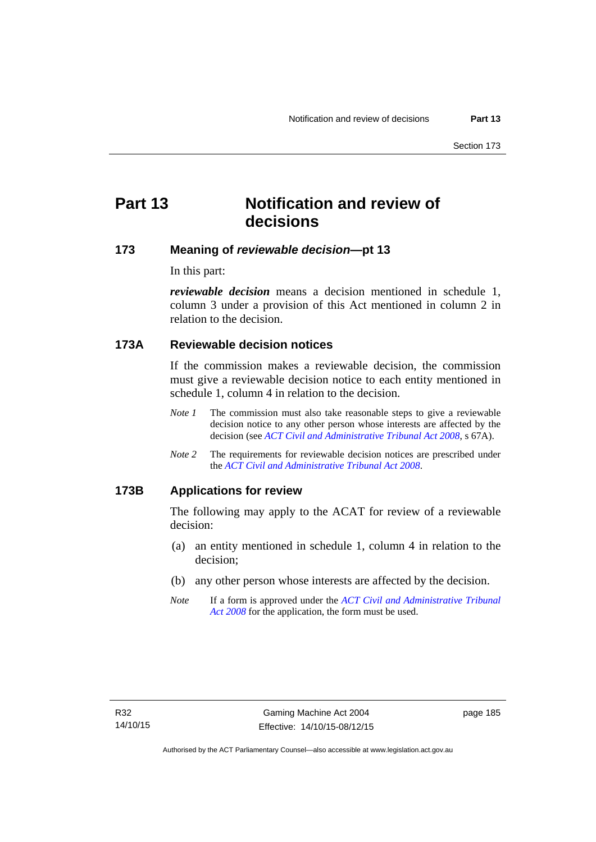# **Part 13 Notification and review of decisions**

# **173 Meaning of** *reviewable decision***—pt 13**

In this part:

*reviewable decision* means a decision mentioned in schedule 1, column 3 under a provision of this Act mentioned in column 2 in relation to the decision.

## **173A Reviewable decision notices**

If the commission makes a reviewable decision, the commission must give a reviewable decision notice to each entity mentioned in schedule 1, column 4 in relation to the decision.

- *Note 1* The commission must also take reasonable steps to give a reviewable decision notice to any other person whose interests are affected by the decision (see *[ACT Civil and Administrative Tribunal Act 2008](http://www.legislation.act.gov.au/a/2008-35)*, s 67A).
- *Note 2* The requirements for reviewable decision notices are prescribed under the *[ACT Civil and Administrative Tribunal Act 2008](http://www.legislation.act.gov.au/a/2008-35)*.

#### **173B Applications for review**

The following may apply to the ACAT for review of a reviewable decision:

- (a) an entity mentioned in schedule 1, column 4 in relation to the decision;
- (b) any other person whose interests are affected by the decision.
- *Note* If a form is approved under the *[ACT Civil and Administrative Tribunal](http://www.legislation.act.gov.au/a/2008-35)  [Act 2008](http://www.legislation.act.gov.au/a/2008-35)* for the application, the form must be used.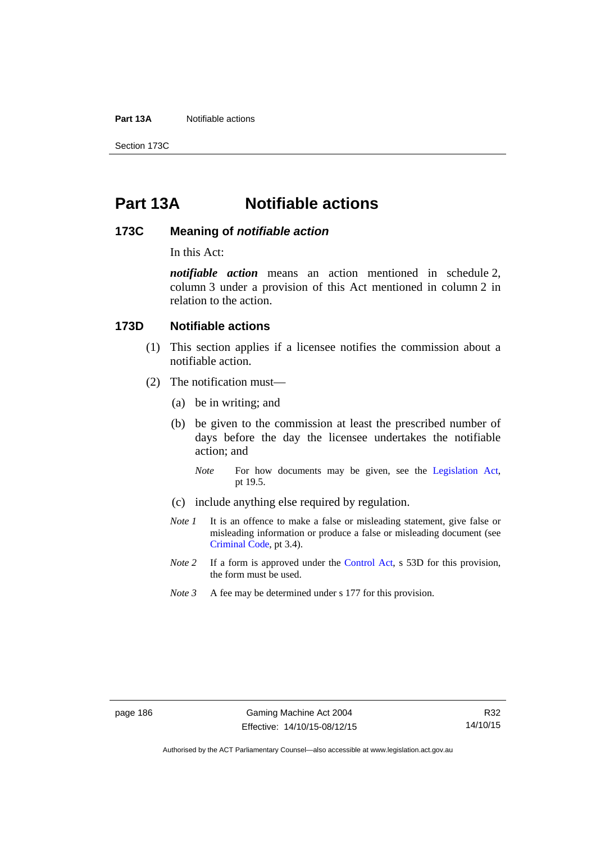**Part 13A** Notifiable actions

Section 173C

# **Part 13A Notifiable actions**

#### **173C Meaning of** *notifiable action*

In this Act:

*notifiable action* means an action mentioned in schedule 2, column 3 under a provision of this Act mentioned in column 2 in relation to the action.

#### **173D Notifiable actions**

- (1) This section applies if a licensee notifies the commission about a notifiable action.
- (2) The notification must—
	- (a) be in writing; and
	- (b) be given to the commission at least the prescribed number of days before the day the licensee undertakes the notifiable action; and
		- *Note* For how documents may be given, see the [Legislation Act,](http://www.legislation.act.gov.au/a/2001-14) pt 19.5.
	- (c) include anything else required by regulation.
	- *Note 1* It is an offence to make a false or misleading statement, give false or misleading information or produce a false or misleading document (see [Criminal Code](http://www.legislation.act.gov.au/a/2002-51), pt 3.4).
	- *Note 2* If a form is approved under the [Control Act,](http://www.legislation.act.gov.au/a/1999-46/default.asp) s 53D for this provision, the form must be used.
	- *Note 3* A fee may be determined under s 177 for this provision.

Authorised by the ACT Parliamentary Counsel—also accessible at www.legislation.act.gov.au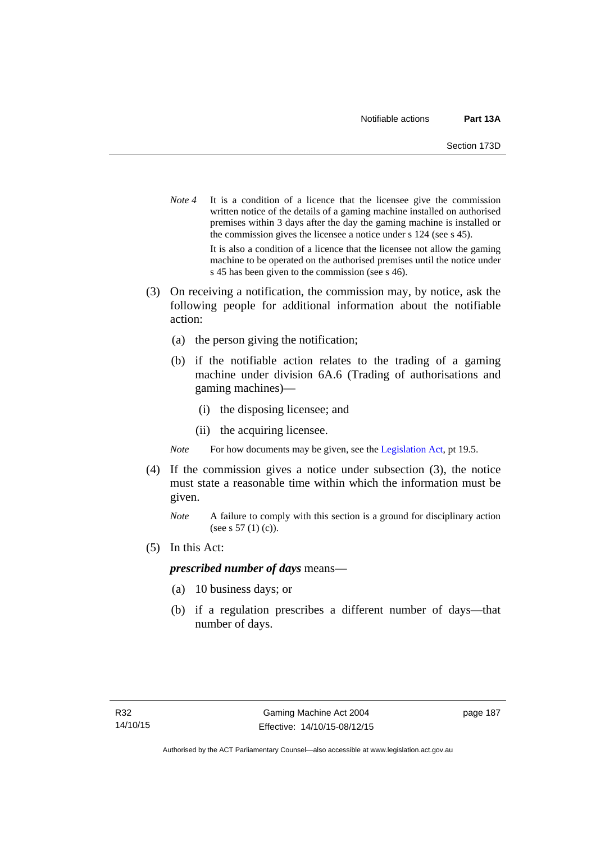- *Note* 4 It is a condition of a licence that the licensee give the commission written notice of the details of a gaming machine installed on authorised premises within 3 days after the day the gaming machine is installed or the commission gives the licensee a notice under s 124 (see s 45). It is also a condition of a licence that the licensee not allow the gaming machine to be operated on the authorised premises until the notice under s 45 has been given to the commission (see s 46).
- (3) On receiving a notification, the commission may, by notice, ask the following people for additional information about the notifiable action:
	- (a) the person giving the notification;
	- (b) if the notifiable action relates to the trading of a gaming machine under division 6A.6 (Trading of authorisations and gaming machines)—
		- (i) the disposing licensee; and
		- (ii) the acquiring licensee.

*Note* For how documents may be given, see the [Legislation Act,](http://www.legislation.act.gov.au/a/2001-14) pt 19.5.

- (4) If the commission gives a notice under subsection (3), the notice must state a reasonable time within which the information must be given.
	- *Note* A failure to comply with this section is a ground for disciplinary action (see s 57 (1) (c)).
- (5) In this Act:

#### *prescribed number of days* means—

- (a) 10 business days; or
- (b) if a regulation prescribes a different number of days—that number of days.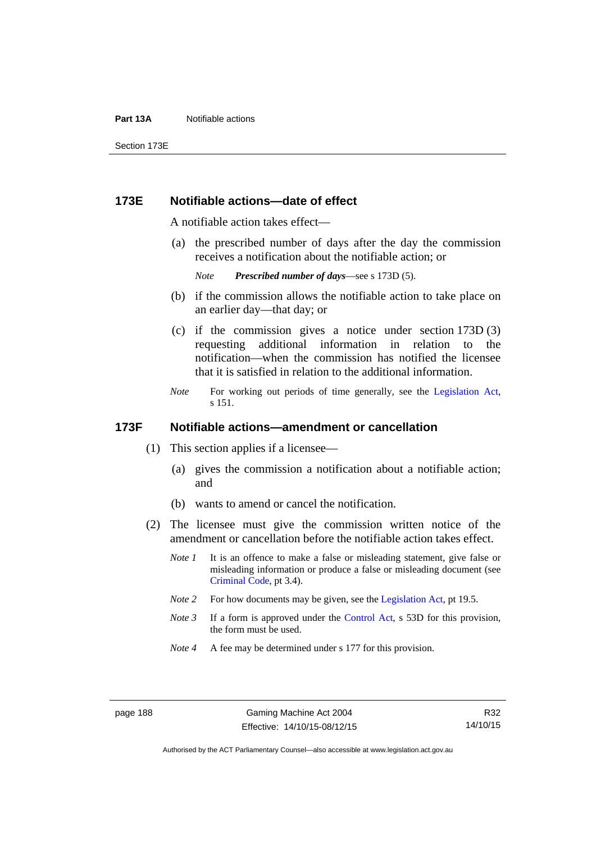#### **Part 13A** Notifiable actions

Section 173E

#### **173E Notifiable actions—date of effect**

A notifiable action takes effect—

 (a) the prescribed number of days after the day the commission receives a notification about the notifiable action; or

*Note Prescribed number of days*—see s 173D (5).

- (b) if the commission allows the notifiable action to take place on an earlier day—that day; or
- (c) if the commission gives a notice under section 173D (3) requesting additional information in relation to the notification—when the commission has notified the licensee that it is satisfied in relation to the additional information.
- *Note* For working out periods of time generally, see the [Legislation Act,](http://www.legislation.act.gov.au/a/2001-14) s 151.

#### **173F Notifiable actions—amendment or cancellation**

- (1) This section applies if a licensee—
	- (a) gives the commission a notification about a notifiable action; and
	- (b) wants to amend or cancel the notification.
- (2) The licensee must give the commission written notice of the amendment or cancellation before the notifiable action takes effect.
	- *Note 1* It is an offence to make a false or misleading statement, give false or misleading information or produce a false or misleading document (see [Criminal Code](http://www.legislation.act.gov.au/a/2002-51), pt 3.4).
	- *Note 2* For how documents may be given, see the [Legislation Act,](http://www.legislation.act.gov.au/a/2001-14) pt 19.5.
	- *Note 3* If a form is approved under the [Control Act,](http://www.legislation.act.gov.au/a/1999-46/default.asp) s 53D for this provision, the form must be used.
	- *Note 4* A fee may be determined under s 177 for this provision.

R32 14/10/15

Authorised by the ACT Parliamentary Counsel—also accessible at www.legislation.act.gov.au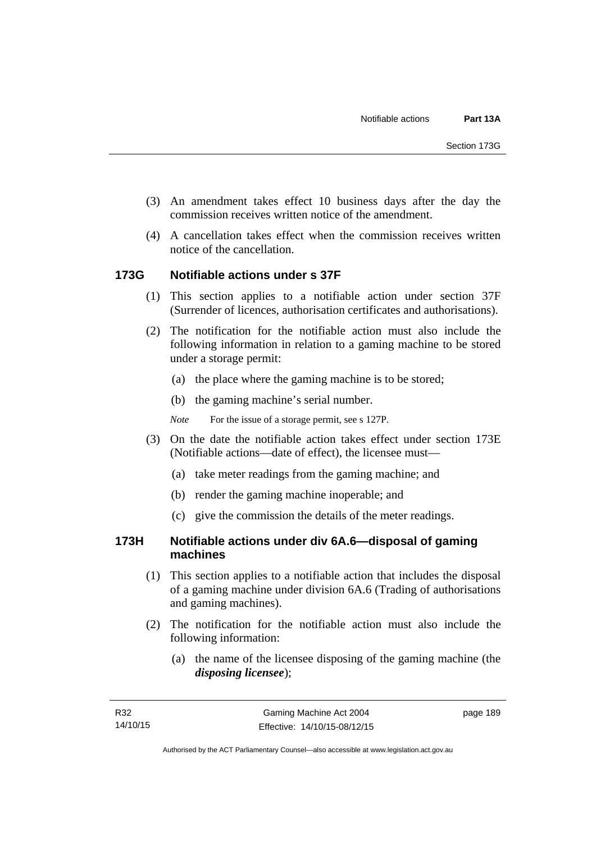- (3) An amendment takes effect 10 business days after the day the commission receives written notice of the amendment.
- (4) A cancellation takes effect when the commission receives written notice of the cancellation.

## **173G Notifiable actions under s 37F**

- (1) This section applies to a notifiable action under section 37F (Surrender of licences, authorisation certificates and authorisations).
- (2) The notification for the notifiable action must also include the following information in relation to a gaming machine to be stored under a storage permit:
	- (a) the place where the gaming machine is to be stored;
	- (b) the gaming machine's serial number.
	- *Note* For the issue of a storage permit, see s 127P.
- (3) On the date the notifiable action takes effect under section 173E (Notifiable actions—date of effect), the licensee must—
	- (a) take meter readings from the gaming machine; and
	- (b) render the gaming machine inoperable; and
	- (c) give the commission the details of the meter readings.

## **173H Notifiable actions under div 6A.6—disposal of gaming machines**

- (1) This section applies to a notifiable action that includes the disposal of a gaming machine under division 6A.6 (Trading of authorisations and gaming machines).
- (2) The notification for the notifiable action must also include the following information:
	- (a) the name of the licensee disposing of the gaming machine (the *disposing licensee*);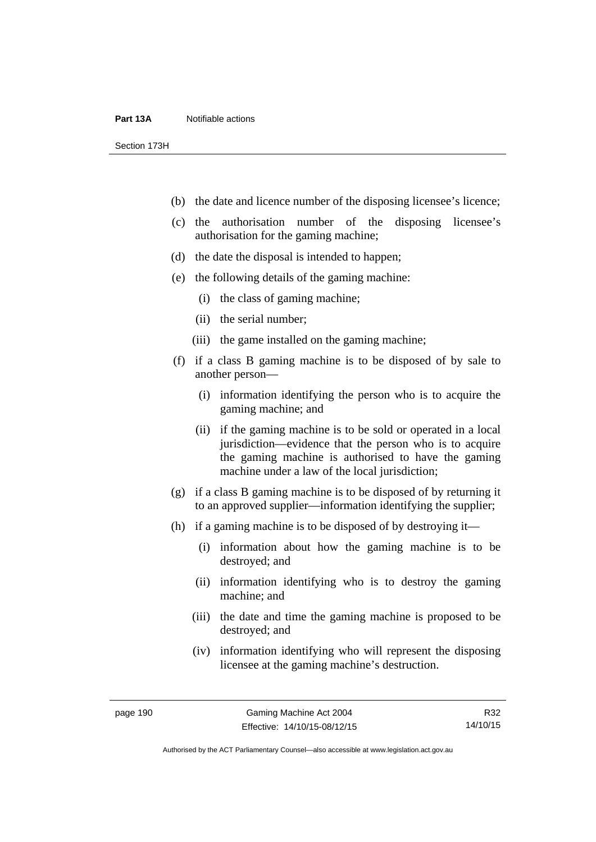#### **Part 13A** Notifiable actions

Section 173H

- (b) the date and licence number of the disposing licensee's licence;
- (c) the authorisation number of the disposing licensee's authorisation for the gaming machine;
- (d) the date the disposal is intended to happen;
- (e) the following details of the gaming machine:
	- (i) the class of gaming machine;
	- (ii) the serial number;
	- (iii) the game installed on the gaming machine;
- (f) if a class B gaming machine is to be disposed of by sale to another person—
	- (i) information identifying the person who is to acquire the gaming machine; and
	- (ii) if the gaming machine is to be sold or operated in a local jurisdiction—evidence that the person who is to acquire the gaming machine is authorised to have the gaming machine under a law of the local jurisdiction;
- (g) if a class B gaming machine is to be disposed of by returning it to an approved supplier—information identifying the supplier;
- (h) if a gaming machine is to be disposed of by destroying it—
	- (i) information about how the gaming machine is to be destroyed; and
	- (ii) information identifying who is to destroy the gaming machine; and
	- (iii) the date and time the gaming machine is proposed to be destroyed; and
	- (iv) information identifying who will represent the disposing licensee at the gaming machine's destruction.

R32 14/10/15

Authorised by the ACT Parliamentary Counsel—also accessible at www.legislation.act.gov.au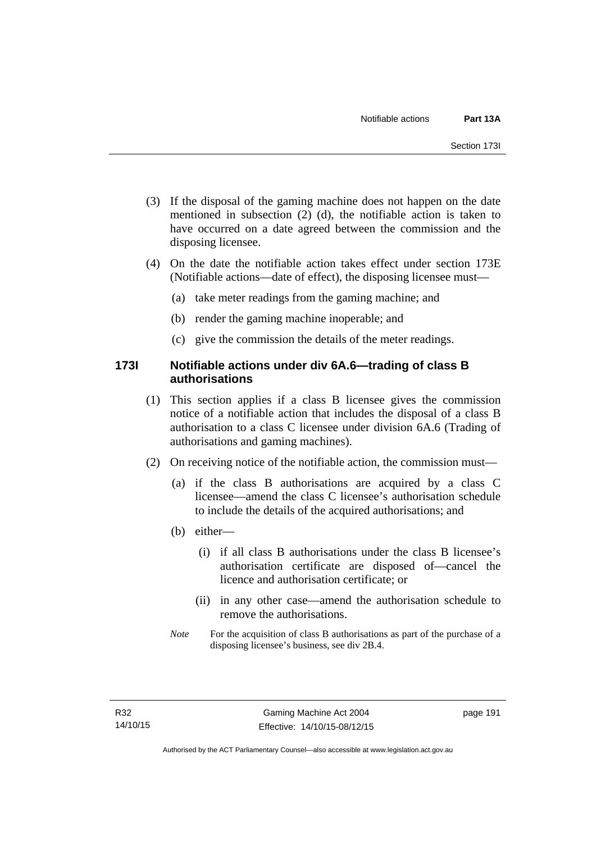- (3) If the disposal of the gaming machine does not happen on the date mentioned in subsection (2) (d), the notifiable action is taken to have occurred on a date agreed between the commission and the disposing licensee.
- (4) On the date the notifiable action takes effect under section 173E (Notifiable actions—date of effect), the disposing licensee must—
	- (a) take meter readings from the gaming machine; and
	- (b) render the gaming machine inoperable; and
	- (c) give the commission the details of the meter readings.

## **173I Notifiable actions under div 6A.6—trading of class B authorisations**

- (1) This section applies if a class B licensee gives the commission notice of a notifiable action that includes the disposal of a class B authorisation to a class C licensee under division 6A.6 (Trading of authorisations and gaming machines).
- (2) On receiving notice of the notifiable action, the commission must—
	- (a) if the class B authorisations are acquired by a class C licensee—amend the class C licensee's authorisation schedule to include the details of the acquired authorisations; and
	- (b) either—
		- (i) if all class B authorisations under the class B licensee's authorisation certificate are disposed of—cancel the licence and authorisation certificate; or
		- (ii) in any other case—amend the authorisation schedule to remove the authorisations.
	- *Note* For the acquisition of class B authorisations as part of the purchase of a disposing licensee's business, see div 2B.4.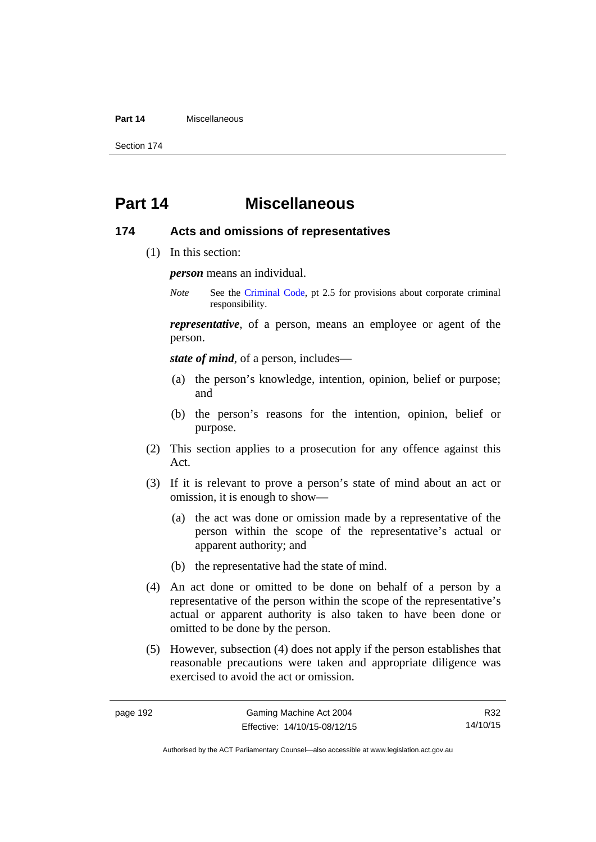#### **Part 14** Miscellaneous

Section 174

# **Part 14 Miscellaneous**

#### **174 Acts and omissions of representatives**

(1) In this section:

*person* means an individual.

*Note* See the [Criminal Code,](http://www.legislation.act.gov.au/a/2002-51) pt 2.5 for provisions about corporate criminal responsibility.

*representative*, of a person, means an employee or agent of the person.

*state of mind*, of a person, includes—

- (a) the person's knowledge, intention, opinion, belief or purpose; and
- (b) the person's reasons for the intention, opinion, belief or purpose.
- (2) This section applies to a prosecution for any offence against this Act.
- (3) If it is relevant to prove a person's state of mind about an act or omission, it is enough to show—
	- (a) the act was done or omission made by a representative of the person within the scope of the representative's actual or apparent authority; and
	- (b) the representative had the state of mind.
- (4) An act done or omitted to be done on behalf of a person by a representative of the person within the scope of the representative's actual or apparent authority is also taken to have been done or omitted to be done by the person.
- (5) However, subsection (4) does not apply if the person establishes that reasonable precautions were taken and appropriate diligence was exercised to avoid the act or omission.

R32 14/10/15

Authorised by the ACT Parliamentary Counsel—also accessible at www.legislation.act.gov.au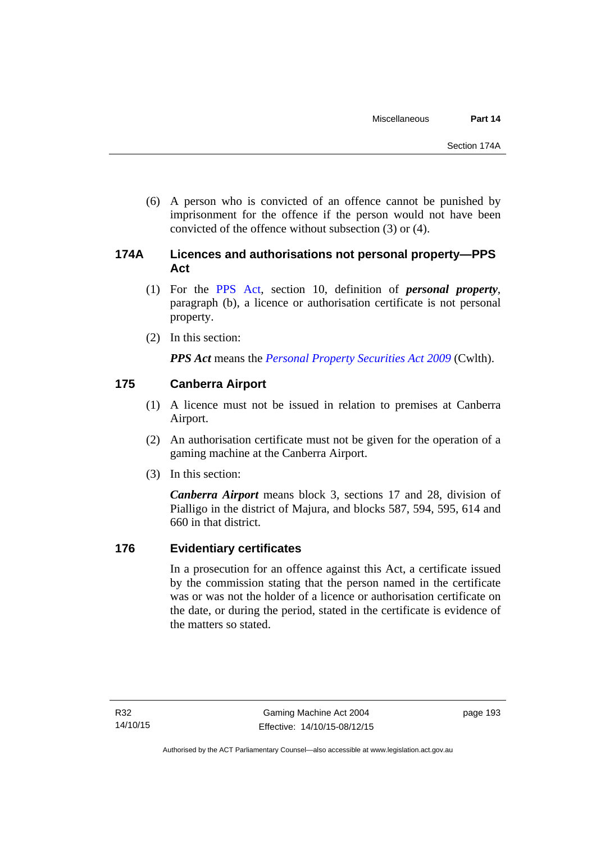(6) A person who is convicted of an offence cannot be punished by imprisonment for the offence if the person would not have been convicted of the offence without subsection (3) or (4).

# **174A Licences and authorisations not personal property—PPS Act**

- (1) For the [PPS Act,](http://www.comlaw.gov.au/Series/C2009A00130) section 10, definition of *personal property*, paragraph (b), a licence or authorisation certificate is not personal property.
- (2) In this section:

*PPS Act* means the *[Personal Property Securities Act 2009](http://www.comlaw.gov.au/Series/C2009A00130)* (Cwlth).

# **175 Canberra Airport**

- (1) A licence must not be issued in relation to premises at Canberra Airport.
- (2) An authorisation certificate must not be given for the operation of a gaming machine at the Canberra Airport.
- (3) In this section:

*Canberra Airport* means block 3, sections 17 and 28, division of Pialligo in the district of Majura, and blocks 587, 594, 595, 614 and 660 in that district.

# **176 Evidentiary certificates**

In a prosecution for an offence against this Act, a certificate issued by the commission stating that the person named in the certificate was or was not the holder of a licence or authorisation certificate on the date, or during the period, stated in the certificate is evidence of the matters so stated.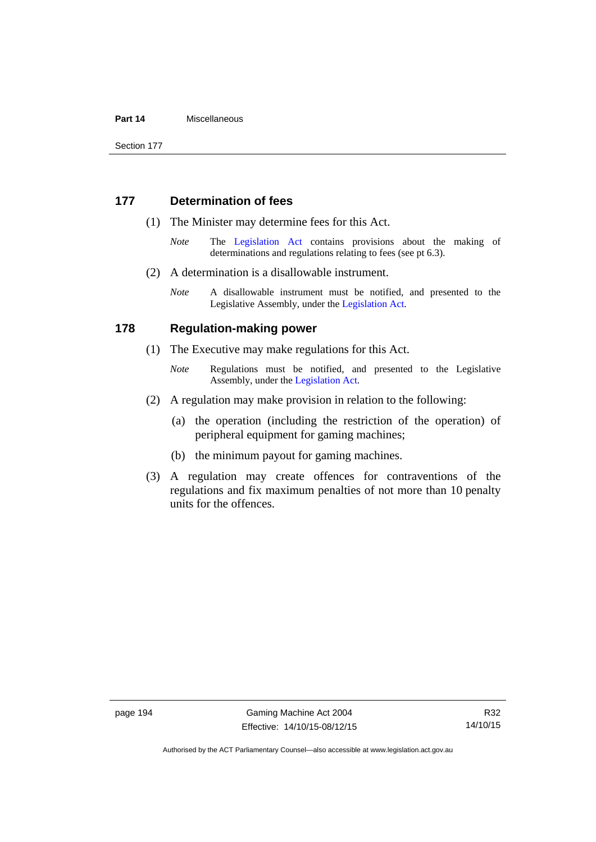#### **Part 14** Miscellaneous

Section 177

#### **177 Determination of fees**

- (1) The Minister may determine fees for this Act.
	- *Note* The [Legislation Act](http://www.legislation.act.gov.au/a/2001-14) contains provisions about the making of determinations and regulations relating to fees (see pt 6.3).
- (2) A determination is a disallowable instrument.
	- *Note* A disallowable instrument must be notified, and presented to the Legislative Assembly, under the [Legislation Act.](http://www.legislation.act.gov.au/a/2001-14)

#### **178 Regulation-making power**

- (1) The Executive may make regulations for this Act.
	- *Note* **Regulations** must be notified, and presented to the Legislative Assembly, under the [Legislation Act](http://www.legislation.act.gov.au/a/2001-14).
- (2) A regulation may make provision in relation to the following:
	- (a) the operation (including the restriction of the operation) of peripheral equipment for gaming machines;
	- (b) the minimum payout for gaming machines.
- (3) A regulation may create offences for contraventions of the regulations and fix maximum penalties of not more than 10 penalty units for the offences.

Authorised by the ACT Parliamentary Counsel—also accessible at www.legislation.act.gov.au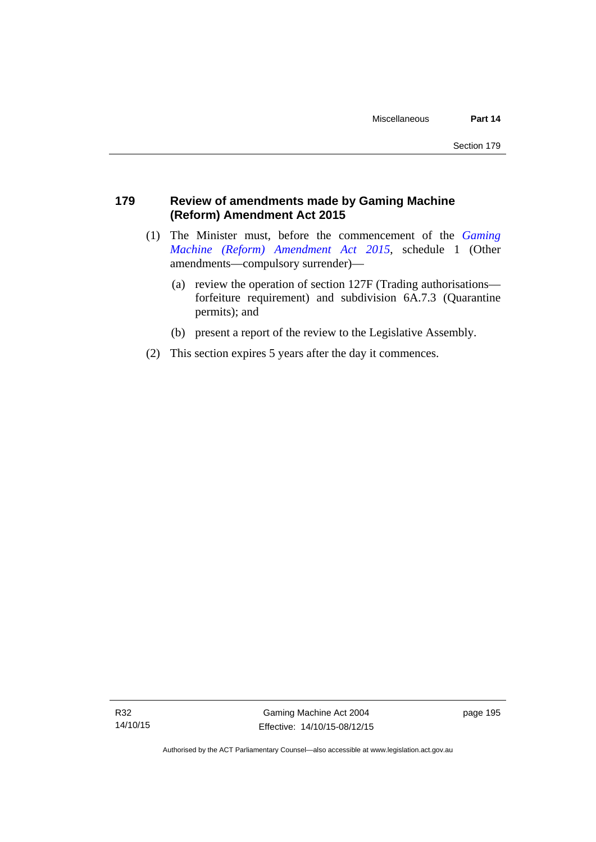# **179 Review of amendments made by Gaming Machine (Reform) Amendment Act 2015**

- (1) The Minister must, before the commencement of the *[Gaming](http://www.legislation.act.gov.au/a/2015-21/default.asp)  [Machine \(Reform\) Amendment Act 2015](http://www.legislation.act.gov.au/a/2015-21/default.asp)*, schedule 1 (Other amendments—compulsory surrender)—
	- (a) review the operation of section 127F (Trading authorisations forfeiture requirement) and subdivision 6A.7.3 (Quarantine permits); and
	- (b) present a report of the review to the Legislative Assembly.
- (2) This section expires 5 years after the day it commences.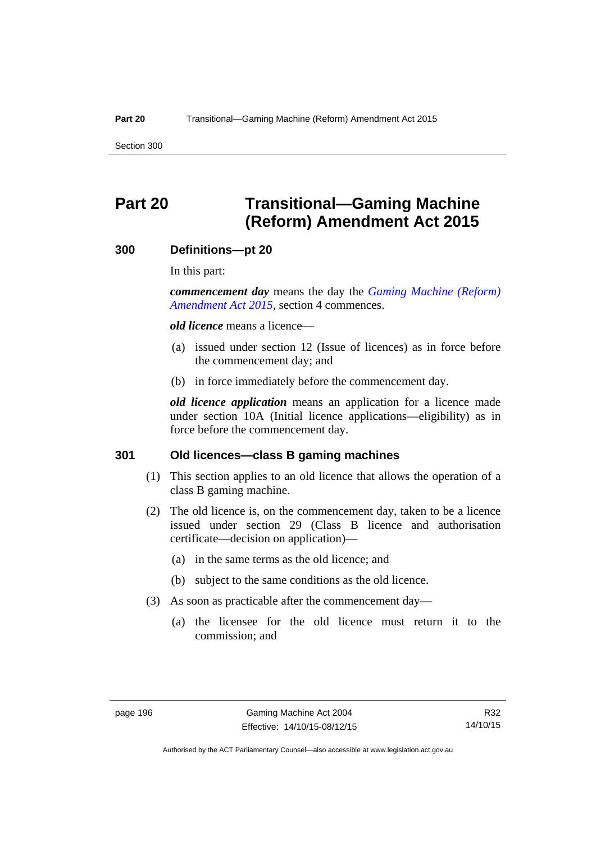Section 300

# **Part 20 Transitional—Gaming Machine (Reform) Amendment Act 2015**

#### **300 Definitions—pt 20**

In this part:

*commencement day* means the day the *[Gaming Machine \(Reform\)](http://www.legislation.act.gov.au/a/2015-21/default.asp)  [Amendment Act 2015](http://www.legislation.act.gov.au/a/2015-21/default.asp)*, section 4 commences.

*old licence* means a licence—

- (a) issued under section 12 (Issue of licences) as in force before the commencement day; and
- (b) in force immediately before the commencement day.

*old licence application* means an application for a licence made under section 10A (Initial licence applications—eligibility) as in force before the commencement day.

#### **301 Old licences—class B gaming machines**

- (1) This section applies to an old licence that allows the operation of a class B gaming machine.
- (2) The old licence is, on the commencement day, taken to be a licence issued under section 29 (Class B licence and authorisation certificate—decision on application)—
	- (a) in the same terms as the old licence; and
	- (b) subject to the same conditions as the old licence.
- (3) As soon as practicable after the commencement day—
	- (a) the licensee for the old licence must return it to the commission; and

R32 14/10/15

Authorised by the ACT Parliamentary Counsel—also accessible at www.legislation.act.gov.au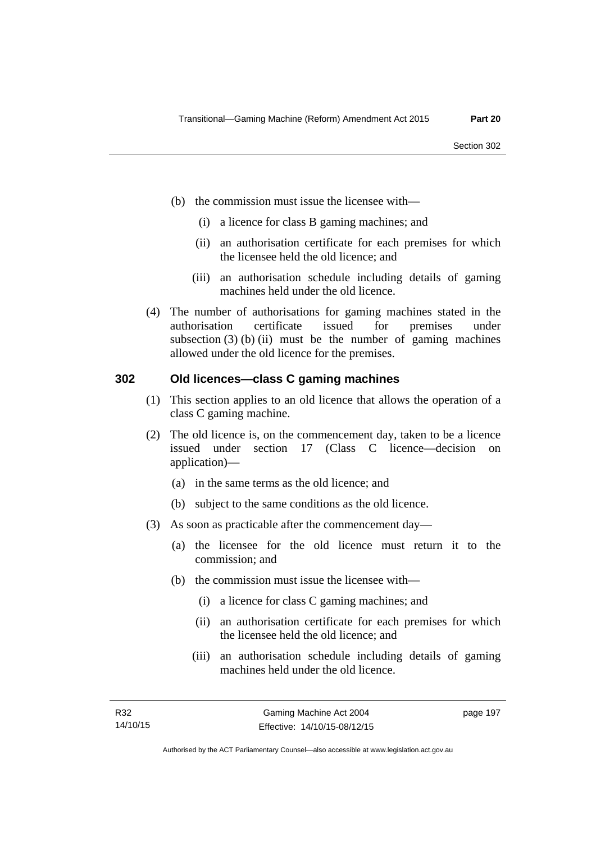- (b) the commission must issue the licensee with—
	- (i) a licence for class B gaming machines; and
	- (ii) an authorisation certificate for each premises for which the licensee held the old licence; and
	- (iii) an authorisation schedule including details of gaming machines held under the old licence.
- (4) The number of authorisations for gaming machines stated in the authorisation certificate issued for premises under subsection  $(3)$  (b) (ii) must be the number of gaming machines allowed under the old licence for the premises.

#### **302 Old licences—class C gaming machines**

- (1) This section applies to an old licence that allows the operation of a class C gaming machine.
- (2) The old licence is, on the commencement day, taken to be a licence issued under section 17 (Class C licence—decision on application)—
	- (a) in the same terms as the old licence; and
	- (b) subject to the same conditions as the old licence.
- (3) As soon as practicable after the commencement day—
	- (a) the licensee for the old licence must return it to the commission; and
	- (b) the commission must issue the licensee with—
		- (i) a licence for class C gaming machines; and
		- (ii) an authorisation certificate for each premises for which the licensee held the old licence; and
		- (iii) an authorisation schedule including details of gaming machines held under the old licence.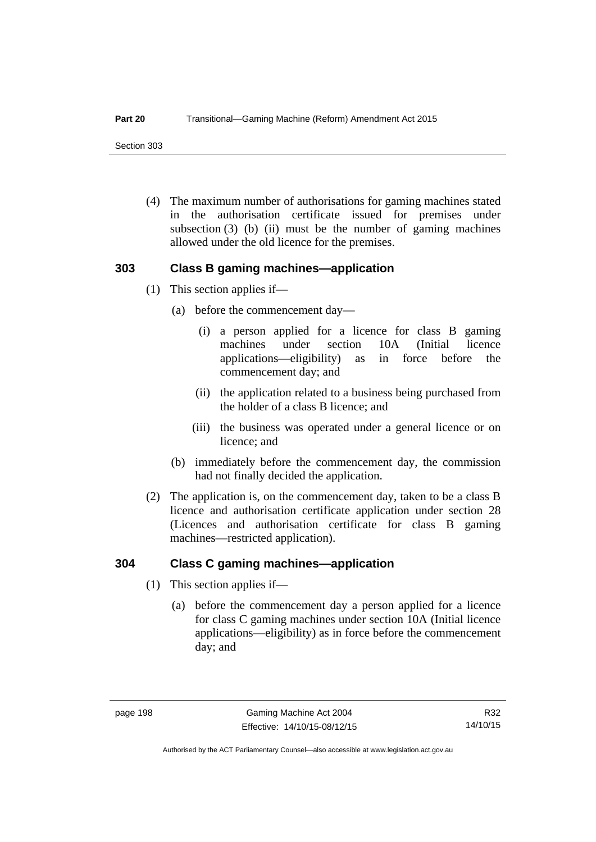Section 303

 (4) The maximum number of authorisations for gaming machines stated in the authorisation certificate issued for premises under subsection  $(3)$  (b) (ii) must be the number of gaming machines allowed under the old licence for the premises.

#### **303 Class B gaming machines—application**

- (1) This section applies if—
	- (a) before the commencement day—
		- (i) a person applied for a licence for class B gaming machines under section 10A (Initial licence applications—eligibility) as in force before the commencement day; and
		- (ii) the application related to a business being purchased from the holder of a class B licence; and
		- (iii) the business was operated under a general licence or on licence; and
	- (b) immediately before the commencement day, the commission had not finally decided the application.
- (2) The application is, on the commencement day, taken to be a class B licence and authorisation certificate application under section 28 (Licences and authorisation certificate for class B gaming machines—restricted application).

#### **304 Class C gaming machines—application**

- (1) This section applies if—
	- (a) before the commencement day a person applied for a licence for class C gaming machines under section 10A (Initial licence applications—eligibility) as in force before the commencement day; and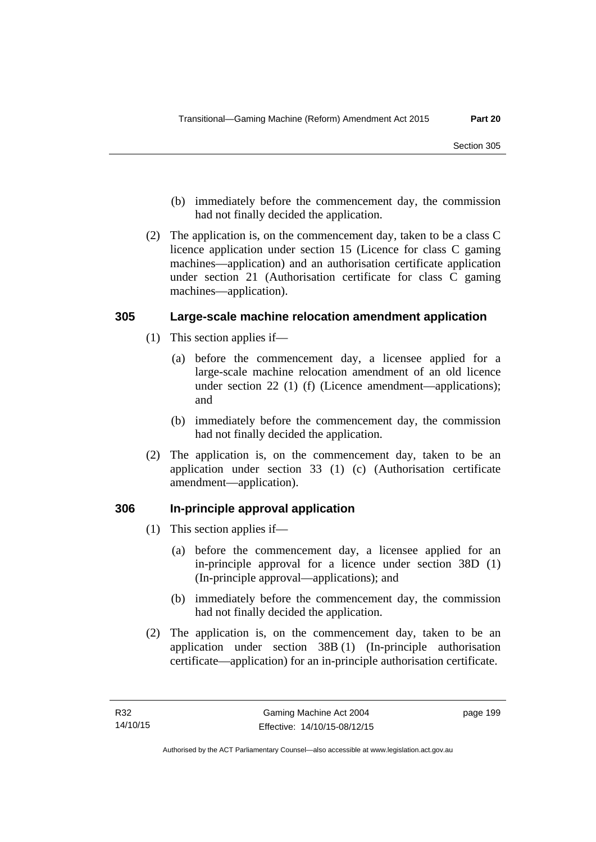- (b) immediately before the commencement day, the commission had not finally decided the application.
- (2) The application is, on the commencement day, taken to be a class C licence application under section 15 (Licence for class C gaming machines—application) and an authorisation certificate application under section 21 (Authorisation certificate for class C gaming machines—application).

#### **305 Large-scale machine relocation amendment application**

- (1) This section applies if—
	- (a) before the commencement day, a licensee applied for a large-scale machine relocation amendment of an old licence under section 22 (1) (f) (Licence amendment—applications); and
	- (b) immediately before the commencement day, the commission had not finally decided the application.
- (2) The application is, on the commencement day, taken to be an application under section 33 (1) (c) (Authorisation certificate amendment—application).

#### **306 In-principle approval application**

- (1) This section applies if—
	- (a) before the commencement day, a licensee applied for an in-principle approval for a licence under section 38D (1) (In-principle approval—applications); and
	- (b) immediately before the commencement day, the commission had not finally decided the application.
- (2) The application is, on the commencement day, taken to be an application under section 38B (1) (In-principle authorisation certificate—application) for an in-principle authorisation certificate.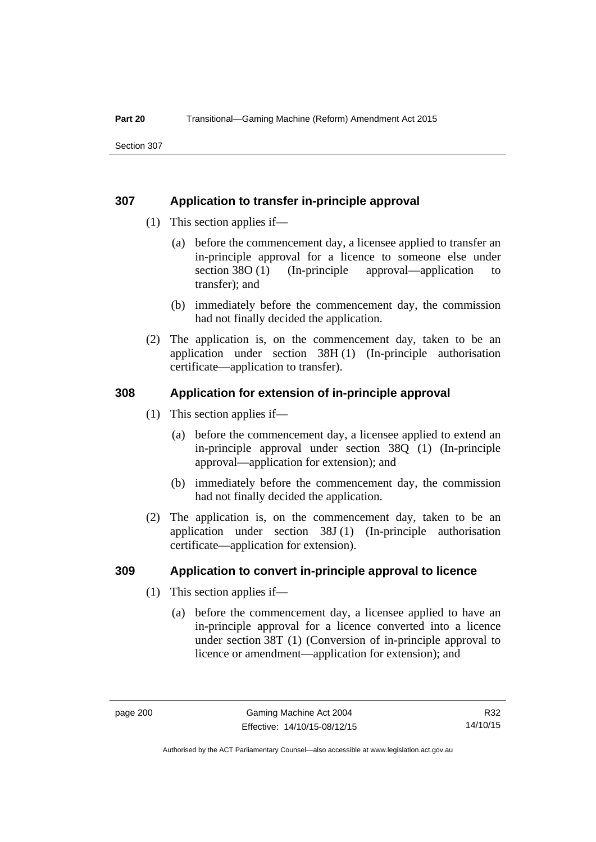#### **307 Application to transfer in-principle approval**

- (1) This section applies if—
	- (a) before the commencement day, a licensee applied to transfer an in-principle approval for a licence to someone else under section 38O (1) (In-principle approval—application to transfer); and
	- (b) immediately before the commencement day, the commission had not finally decided the application.
- (2) The application is, on the commencement day, taken to be an application under section 38H (1) (In-principle authorisation certificate—application to transfer).

#### **308 Application for extension of in-principle approval**

- (1) This section applies if—
	- (a) before the commencement day, a licensee applied to extend an in-principle approval under section 38Q (1) (In-principle approval—application for extension); and
	- (b) immediately before the commencement day, the commission had not finally decided the application.
- (2) The application is, on the commencement day, taken to be an application under section 38J (1) (In-principle authorisation certificate—application for extension).

#### **309 Application to convert in-principle approval to licence**

- (1) This section applies if—
	- (a) before the commencement day, a licensee applied to have an in-principle approval for a licence converted into a licence under section 38T (1) (Conversion of in-principle approval to licence or amendment—application for extension); and

Authorised by the ACT Parliamentary Counsel—also accessible at www.legislation.act.gov.au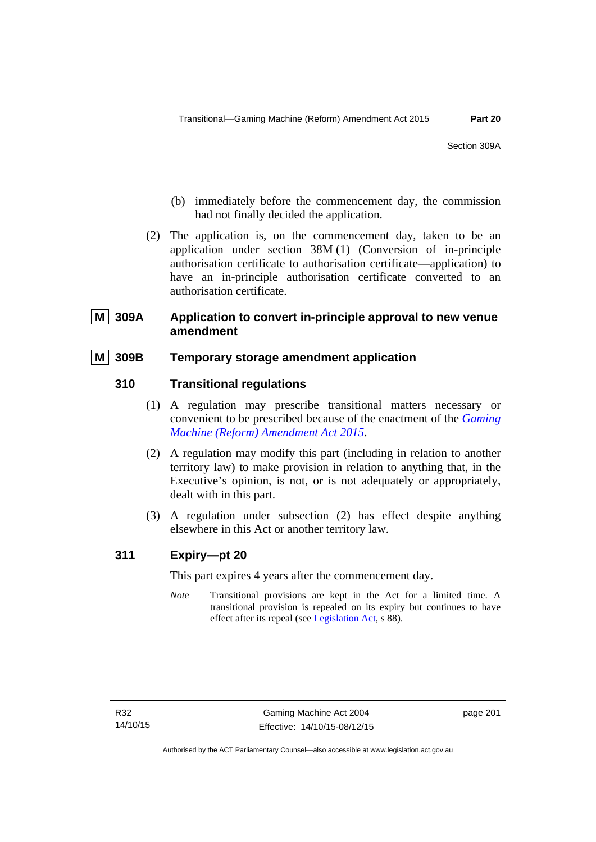- (b) immediately before the commencement day, the commission had not finally decided the application.
- (2) The application is, on the commencement day, taken to be an application under section 38M (1) (Conversion of in-principle authorisation certificate to authorisation certificate—application) to have an in-principle authorisation certificate converted to an authorisation certificate.

# **809A** Application to convert in-principle approval to new venue **amendment**

# **M 309B Temporary storage amendment application**

# **310 Transitional regulations**

- (1) A regulation may prescribe transitional matters necessary or convenient to be prescribed because of the enactment of the *[Gaming](http://www.legislation.act.gov.au/a/2015-21/default.asp)  [Machine \(Reform\) Amendment Act 2015](http://www.legislation.act.gov.au/a/2015-21/default.asp)*.
- (2) A regulation may modify this part (including in relation to another territory law) to make provision in relation to anything that, in the Executive's opinion, is not, or is not adequately or appropriately, dealt with in this part.
- (3) A regulation under subsection (2) has effect despite anything elsewhere in this Act or another territory law.

# **311 Expiry—pt 20**

This part expires 4 years after the commencement day.

*Note* Transitional provisions are kept in the Act for a limited time. A transitional provision is repealed on its expiry but continues to have effect after its repeal (see [Legislation Act,](http://www.legislation.act.gov.au/a/2001-14) s 88).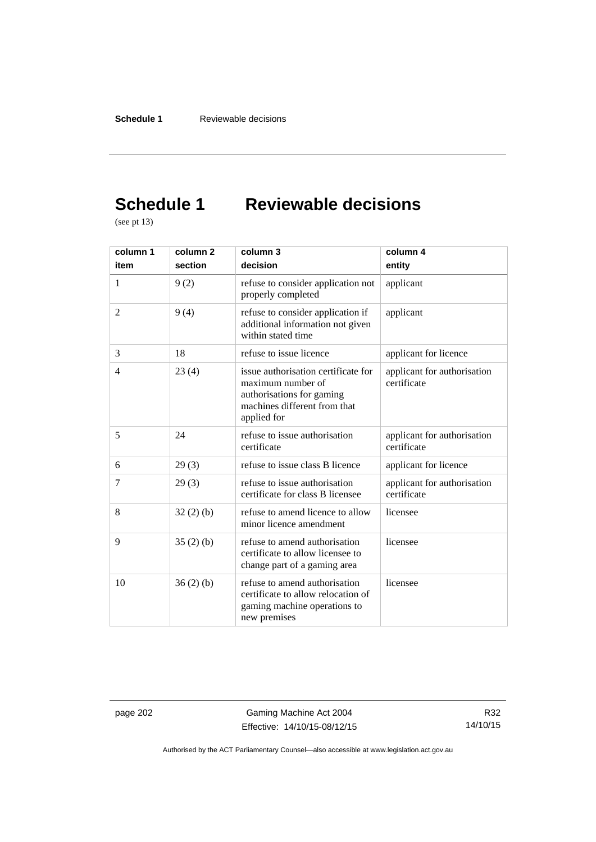# **Schedule 1 Reviewable decisions**

(see pt 13)

| column 1       | column <sub>2</sub> | column 3                                                                                                                             | column 4                                   |
|----------------|---------------------|--------------------------------------------------------------------------------------------------------------------------------------|--------------------------------------------|
| item           | section             | decision                                                                                                                             | entity                                     |
| 1              | 9(2)                | refuse to consider application not<br>properly completed                                                                             | applicant                                  |
| $\overline{2}$ | 9(4)                | refuse to consider application if<br>additional information not given<br>within stated time                                          | applicant                                  |
| 3              | 18                  | refuse to issue licence                                                                                                              | applicant for licence                      |
| 4              | 23(4)               | issue authorisation certificate for<br>maximum number of<br>authorisations for gaming<br>machines different from that<br>applied for | applicant for authorisation<br>certificate |
| 5              | 24                  | refuse to issue authorisation<br>certificate                                                                                         | applicant for authorisation<br>certificate |
| 6              | 29(3)               | refuse to issue class B licence                                                                                                      | applicant for licence                      |
| 7              | 29(3)               | refuse to issue authorisation<br>certificate for class B licensee                                                                    | applicant for authorisation<br>certificate |
| 8              | 32(2)(b)            | refuse to amend licence to allow<br>minor licence amendment                                                                          | licensee                                   |
| 9              | 35(2)(b)            | refuse to amend authorisation<br>certificate to allow licensee to<br>change part of a gaming area                                    | licensee                                   |
| 10             | 36(2)(b)            | refuse to amend authorisation<br>certificate to allow relocation of<br>gaming machine operations to<br>new premises                  | licensee                                   |

page 202 Gaming Machine Act 2004 Effective: 14/10/15-08/12/15

R32 14/10/15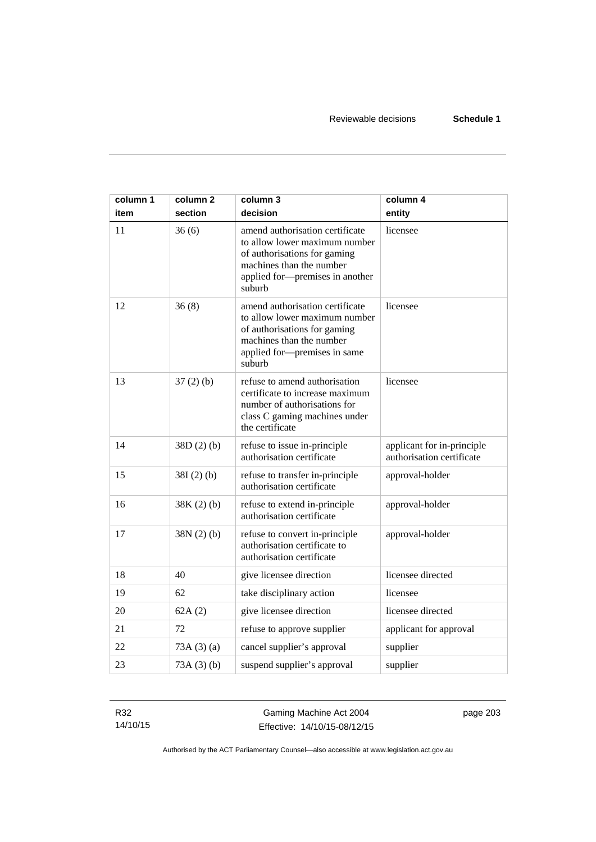| column 1 | column <sub>2</sub> | column 3                                                                                                                                                                  | column 4                                                |
|----------|---------------------|---------------------------------------------------------------------------------------------------------------------------------------------------------------------------|---------------------------------------------------------|
| item     | section             | decision                                                                                                                                                                  | entity                                                  |
| 11       | 36(6)               | amend authorisation certificate<br>to allow lower maximum number<br>of authorisations for gaming<br>machines than the number<br>applied for-premises in another<br>suburb | licensee                                                |
| 12       | 36(8)               | amend authorisation certificate<br>to allow lower maximum number<br>of authorisations for gaming<br>machines than the number<br>applied for-premises in same<br>suburb    | licensee                                                |
| 13       | $37(2)$ (b)         | refuse to amend authorisation<br>certificate to increase maximum<br>number of authorisations for<br>class C gaming machines under<br>the certificate                      | licensee                                                |
| 14       | 38D(2)(b)           | refuse to issue in-principle<br>authorisation certificate                                                                                                                 | applicant for in-principle<br>authorisation certificate |
| 15       | $38I(2)$ (b)        | refuse to transfer in-principle<br>authorisation certificate                                                                                                              | approval-holder                                         |
| 16       | $38K(2)$ (b)        | refuse to extend in-principle<br>authorisation certificate                                                                                                                | approval-holder                                         |
| 17       | 38N(2)(b)           | refuse to convert in-principle<br>authorisation certificate to<br>authorisation certificate                                                                               | approval-holder                                         |
| 18       | 40                  | give licensee direction                                                                                                                                                   | licensee directed                                       |
| 19       | 62                  | take disciplinary action                                                                                                                                                  | licensee                                                |
| 20       | 62A(2)              | give licensee direction                                                                                                                                                   | licensee directed                                       |
| 21       | 72                  | refuse to approve supplier                                                                                                                                                | applicant for approval                                  |
| 22       | 73A(3)(a)           | cancel supplier's approval                                                                                                                                                | supplier                                                |
| 23       | 73A(3)(b)           | suspend supplier's approval                                                                                                                                               | supplier                                                |

R32 14/10/15

Gaming Machine Act 2004 Effective: 14/10/15-08/12/15 page 203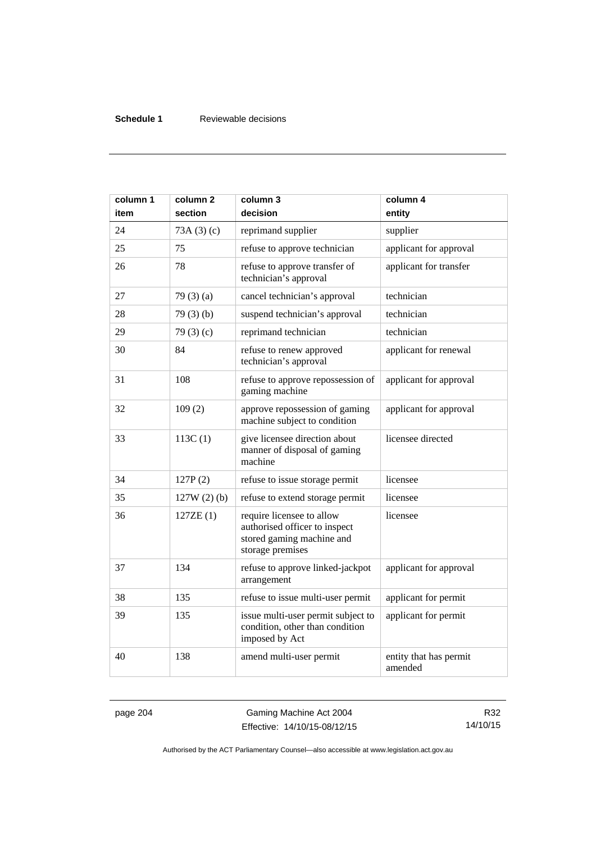# **Schedule 1** Reviewable decisions

| column 1<br>item | column 2<br>section | column 3<br>decision                                                                                        | column 4<br>entity                |
|------------------|---------------------|-------------------------------------------------------------------------------------------------------------|-----------------------------------|
| 24               | 73A(3)(c)           | reprimand supplier                                                                                          | supplier                          |
| 25               | 75                  | refuse to approve technician                                                                                | applicant for approval            |
| 26               | 78                  | refuse to approve transfer of<br>technician's approval                                                      | applicant for transfer            |
| 27               | 79 $(3)(a)$         | cancel technician's approval                                                                                | technician                        |
| 28               | 79(3)(b)            | suspend technician's approval                                                                               | technician                        |
| 29               | 79 $(3)(c)$         | reprimand technician                                                                                        | technician                        |
| 30               | 84                  | refuse to renew approved<br>technician's approval                                                           | applicant for renewal             |
| 31               | 108                 | refuse to approve repossession of<br>gaming machine                                                         | applicant for approval            |
| 32               | 109(2)              | approve repossession of gaming<br>machine subject to condition                                              | applicant for approval            |
| 33               | 113C(1)             | give licensee direction about<br>manner of disposal of gaming<br>machine                                    | licensee directed                 |
| 34               | 127P(2)             | refuse to issue storage permit                                                                              | licensee                          |
| 35               | $127W(2)$ (b)       | refuse to extend storage permit                                                                             | licensee                          |
| 36               | 127ZE(1)            | require licensee to allow<br>authorised officer to inspect<br>stored gaming machine and<br>storage premises | licensee                          |
| 37               | 134                 | refuse to approve linked-jackpot<br>arrangement                                                             | applicant for approval            |
| 38               | 135                 | refuse to issue multi-user permit                                                                           | applicant for permit              |
| 39               | 135                 | issue multi-user permit subject to<br>condition, other than condition<br>imposed by Act                     | applicant for permit              |
| 40               | 138                 | amend multi-user permit                                                                                     | entity that has permit<br>amended |

page 204 Gaming Machine Act 2004 Effective: 14/10/15-08/12/15

R32 14/10/15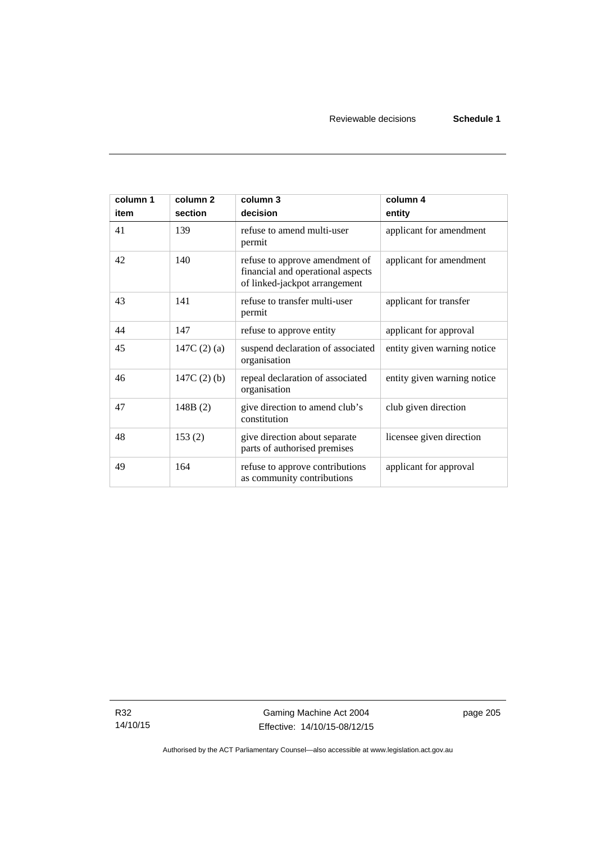| column 1<br>item | column <sub>2</sub><br>section | column 3<br>decision                                                                                 | column 4<br>entity          |
|------------------|--------------------------------|------------------------------------------------------------------------------------------------------|-----------------------------|
| 41               | 139                            | refuse to amend multi-user<br>permit                                                                 | applicant for amendment     |
| 42               | 140                            | refuse to approve amendment of<br>financial and operational aspects<br>of linked-jackpot arrangement | applicant for amendment     |
| 43               | 141                            | refuse to transfer multi-user<br>permit                                                              | applicant for transfer      |
| 44               | 147                            | refuse to approve entity                                                                             | applicant for approval      |
| 45               | 147C $(2)(a)$                  | suspend declaration of associated<br>organisation                                                    | entity given warning notice |
| 46               | $147C(2)$ (b)                  | repeal declaration of associated<br>organisation                                                     | entity given warning notice |
| 47               | 148B(2)                        | give direction to amend club's<br>constitution                                                       | club given direction        |
| 48               | 153(2)                         | give direction about separate<br>parts of authorised premises                                        | licensee given direction    |
| 49               | 164                            | refuse to approve contributions<br>as community contributions                                        | applicant for approval      |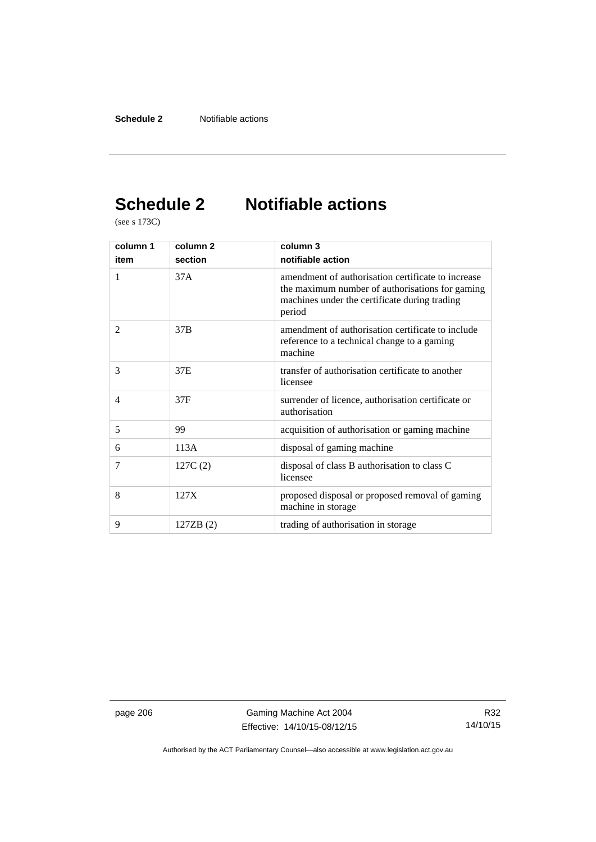# **Schedule 2 Notifiable actions**

(see s 173C)

| column 1       | column <sub>2</sub> | column 3                                                                                                                                                         |  |
|----------------|---------------------|------------------------------------------------------------------------------------------------------------------------------------------------------------------|--|
| item           | section             | notifiable action                                                                                                                                                |  |
| 1              | 37A                 | amendment of authorisation certificate to increase<br>the maximum number of authorisations for gaming<br>machines under the certificate during trading<br>period |  |
| $\overline{2}$ | 37B                 | amendment of authorisation certificate to include<br>reference to a technical change to a gaming<br>machine                                                      |  |
| 3              | 37E                 | transfer of authorisation certificate to another<br>licensee                                                                                                     |  |
| 4              | 37F                 | surrender of licence, authorisation certificate or<br>authorisation                                                                                              |  |
| 5              | 99                  | acquisition of authorisation or gaming machine                                                                                                                   |  |
| 6              | 113A                | disposal of gaming machine                                                                                                                                       |  |
| $\tau$         | 127C(2)             | disposal of class B authorisation to class C<br>licensee                                                                                                         |  |
| 8              | 127X                | proposed disposal or proposed removal of gaming<br>machine in storage                                                                                            |  |
| 9              | 127ZB (2)           | trading of authorisation in storage                                                                                                                              |  |

page 206 Gaming Machine Act 2004 Effective: 14/10/15-08/12/15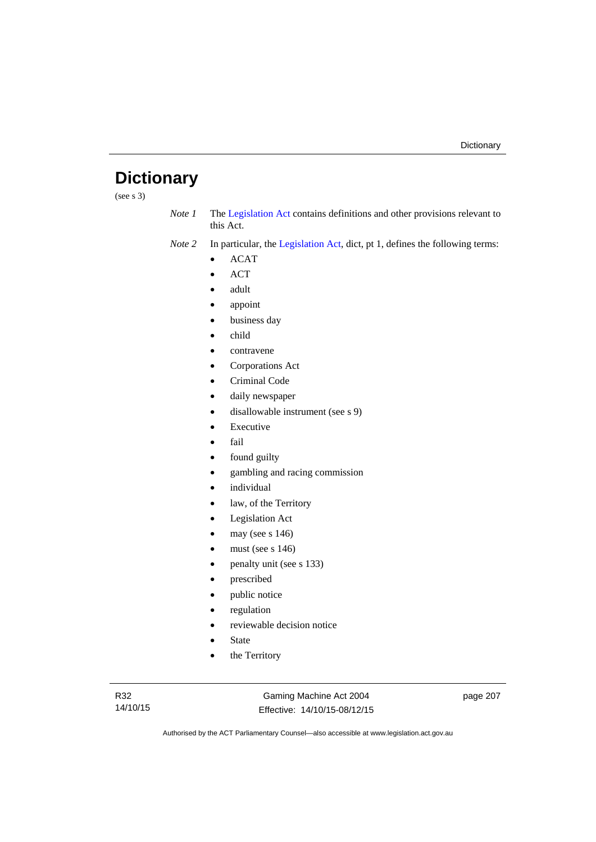# **Dictionary**

(see s 3)

*Note 1* The [Legislation Act](http://www.legislation.act.gov.au/a/2001-14) contains definitions and other provisions relevant to this Act.

*Note 2* In particular, the [Legislation Act,](http://www.legislation.act.gov.au/a/2001-14) dict, pt 1, defines the following terms:

- ACAT
- ACT
- adult
- appoint
- business day
- child
- contravene
- Corporations Act
- Criminal Code
- daily newspaper
- disallowable instrument (see s 9)
- Executive
- fail
- found guilty
- gambling and racing commission
- individual
- law, of the Territory
- Legislation Act
- may (see s 146)
- must (see s 146)
- penalty unit (see s 133)
- prescribed
- public notice
- regulation
- reviewable decision notice
- State
- the Territory

Gaming Machine Act 2004 Effective: 14/10/15-08/12/15 page 207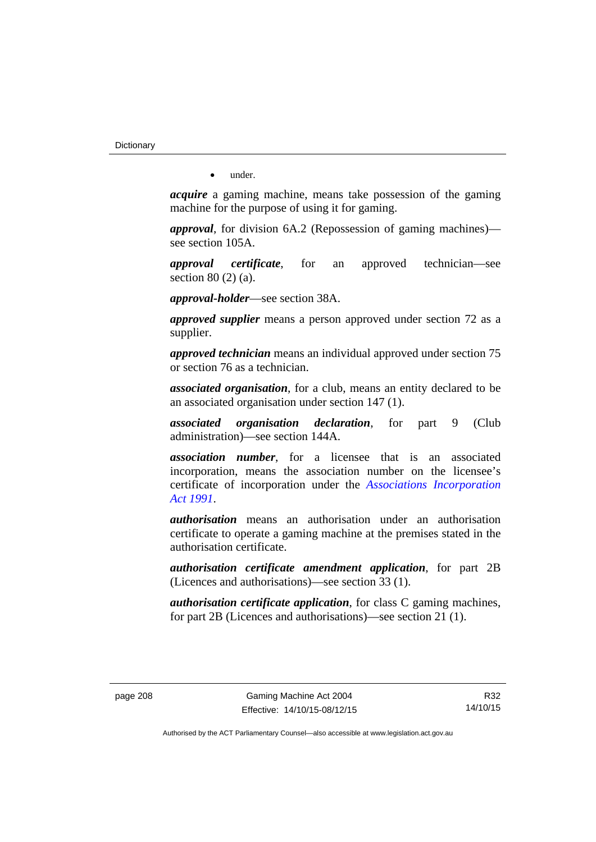**Dictionary** 

• under.

*acquire* a gaming machine, means take possession of the gaming machine for the purpose of using it for gaming.

*approval*, for division 6A.2 (Repossession of gaming machines) see section 105A.

*approval certificate*, for an approved technician—see section 80 (2) (a).

*approval-holder*—see section 38A.

*approved supplier* means a person approved under section 72 as a supplier.

*approved technician* means an individual approved under section 75 or section 76 as a technician.

*associated organisation*, for a club, means an entity declared to be an associated organisation under section 147 (1).

*associated organisation declaration*, for part 9 (Club administration)—see section 144A.

*association number*, for a licensee that is an associated incorporation, means the association number on the licensee's certificate of incorporation under the *[Associations Incorporation](http://www.legislation.act.gov.au/a/1991-46)  [Act 1991](http://www.legislation.act.gov.au/a/1991-46)*.

*authorisation* means an authorisation under an authorisation certificate to operate a gaming machine at the premises stated in the authorisation certificate.

*authorisation certificate amendment application*, for part 2B (Licences and authorisations)—see section 33 (1).

*authorisation certificate application*, for class C gaming machines, for part 2B (Licences and authorisations)—see section 21 (1).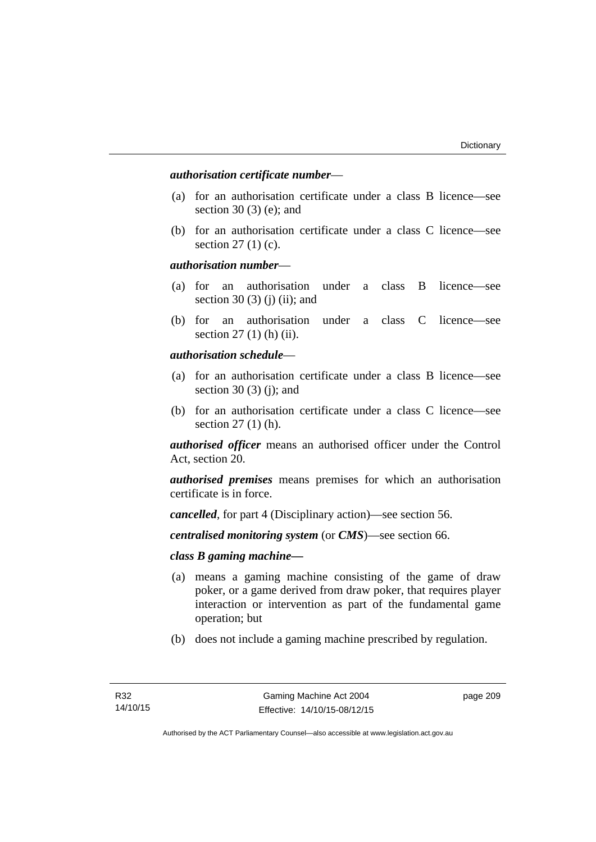# *authorisation certificate number*—

- (a) for an authorisation certificate under a class B licence—see section 30 (3) (e); and
- (b) for an authorisation certificate under a class C licence—see section 27 (1) (c).

## *authorisation number*—

- (a) for an authorisation under a class B licence—see section 30 (3) (j) (ii); and
- (b) for an authorisation under a class C licence—see section 27 (1) (h) (ii).

# *authorisation schedule*—

- (a) for an authorisation certificate under a class B licence—see section 30 $(3)$  $(i)$ ; and
- (b) for an authorisation certificate under a class C licence—see section 27 (1) (h).

*authorised officer* means an authorised officer under the Control Act, section 20.

*authorised premises* means premises for which an authorisation certificate is in force.

*cancelled*, for part 4 (Disciplinary action)—see section 56.

*centralised monitoring system* (or *CMS*)—see section 66.

# *class B gaming machine—*

- (a) means a gaming machine consisting of the game of draw poker, or a game derived from draw poker, that requires player interaction or intervention as part of the fundamental game operation; but
- (b) does not include a gaming machine prescribed by regulation.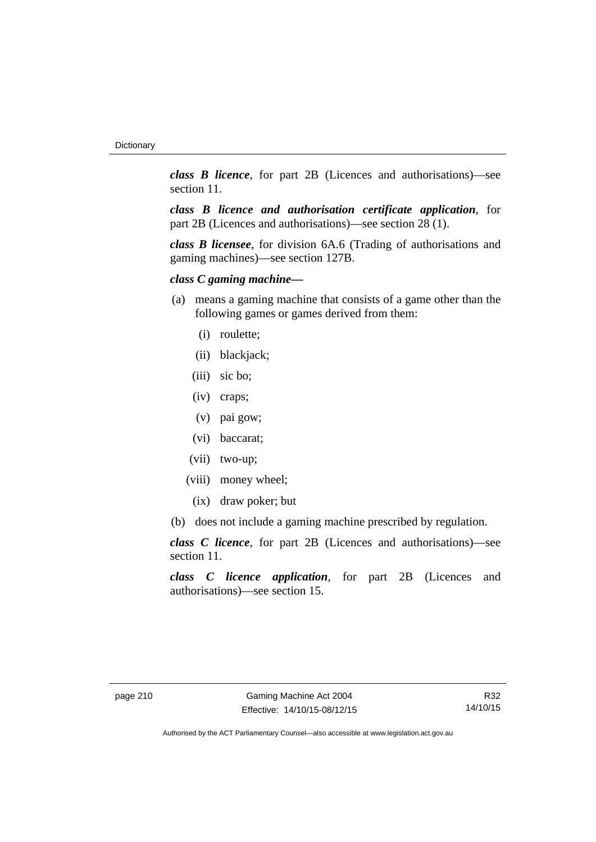*class B licence*, for part 2B (Licences and authorisations)—see section 11.

*class B licence and authorisation certificate application*, for part 2B (Licences and authorisations)—see section 28 (1).

*class B licensee*, for division 6A.6 (Trading of authorisations and gaming machines)—see section 127B.

# *class C gaming machine—*

- (a) means a gaming machine that consists of a game other than the following games or games derived from them:
	- (i) roulette;
	- (ii) blackjack;
	- (iii) sic bo;
	- (iv) craps;
	- (v) pai gow;
	- (vi) baccarat;
	- (vii) two-up;
	- (viii) money wheel;
		- (ix) draw poker; but
- (b) does not include a gaming machine prescribed by regulation.

*class C licence*, for part 2B (Licences and authorisations)—see section 11.

*class C licence application*, for part 2B (Licences and authorisations)—see section 15.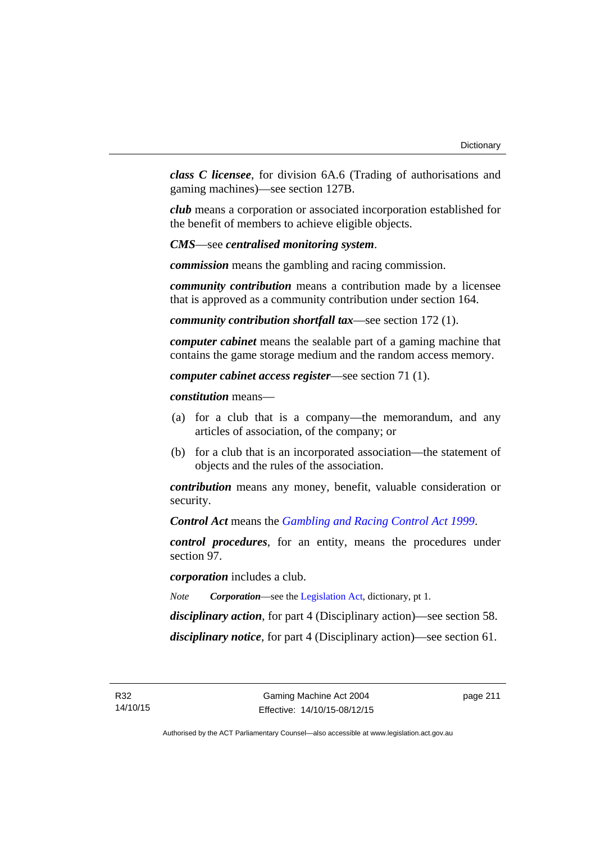*class C licensee*, for division 6A.6 (Trading of authorisations and gaming machines)—see section 127B.

*club* means a corporation or associated incorporation established for the benefit of members to achieve eligible objects.

*CMS*—see *centralised monitoring system*.

*commission* means the gambling and racing commission.

*community contribution* means a contribution made by a licensee that is approved as a community contribution under section 164.

*community contribution shortfall tax*—see section 172 (1).

*computer cabinet* means the sealable part of a gaming machine that contains the game storage medium and the random access memory.

*computer cabinet access register*—see section 71 (1).

*constitution* means—

- (a) for a club that is a company—the memorandum, and any articles of association, of the company; or
- (b) for a club that is an incorporated association—the statement of objects and the rules of the association.

*contribution* means any money, benefit, valuable consideration or security.

*Control Act* means the *[Gambling and Racing Control Act 1999](http://www.legislation.act.gov.au/a/1999-46)*.

*control procedures*, for an entity, means the procedures under section 97.

*corporation* includes a club.

*Note Corporation*—see the [Legislation Act,](http://www.legislation.act.gov.au/a/2001-14) dictionary, pt 1.

*disciplinary action*, for part 4 (Disciplinary action)—see section 58.

*disciplinary notice*, for part 4 (Disciplinary action)—see section 61.

page 211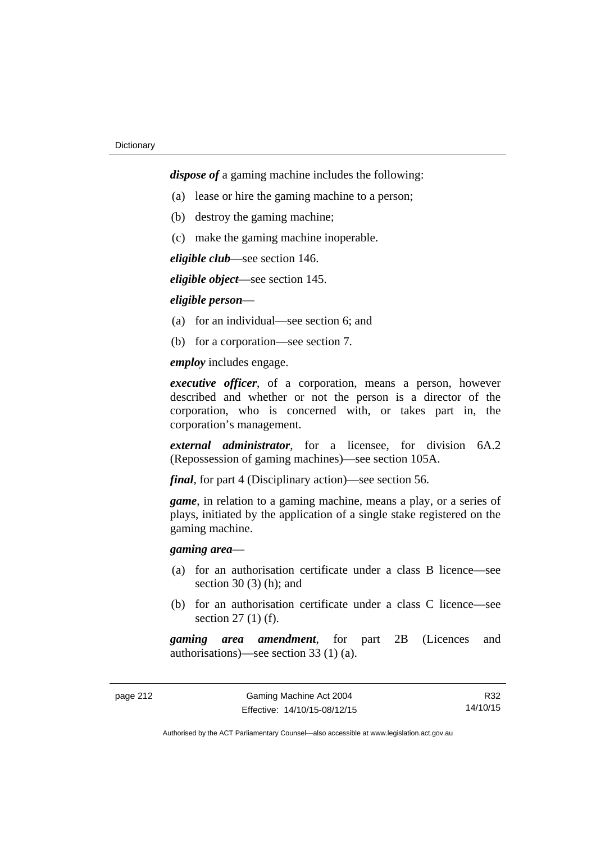*dispose of* a gaming machine includes the following:

- (a) lease or hire the gaming machine to a person;
- (b) destroy the gaming machine;
- (c) make the gaming machine inoperable.

*eligible club*—see section 146.

*eligible object*—see section 145.

# *eligible person*—

- (a) for an individual—see section 6; and
- (b) for a corporation—see section 7.

*employ* includes engage.

*executive officer*, of a corporation, means a person, however described and whether or not the person is a director of the corporation, who is concerned with, or takes part in, the corporation's management.

*external administrator*, for a licensee, for division 6A.2 (Repossession of gaming machines)—see section 105A.

*final*, for part 4 (Disciplinary action)—see section 56.

*game*, in relation to a gaming machine, means a play, or a series of plays, initiated by the application of a single stake registered on the gaming machine.

# *gaming area*—

- (a) for an authorisation certificate under a class B licence—see section  $30(3)$  (h); and
- (b) for an authorisation certificate under a class C licence—see section 27 (1) (f).

*gaming area amendment*, for part 2B (Licences and authorisations)—see section 33 (1) (a).

R32 14/10/15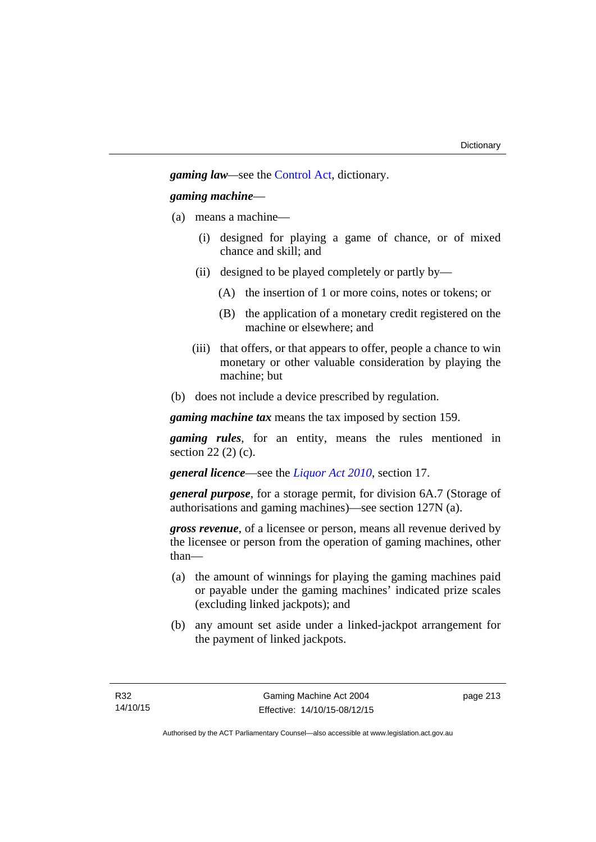*gaming law—*see the [Control Act](http://www.legislation.act.gov.au/a/1999-46/default.asp), dictionary.

# *gaming machine*—

- (a) means a machine—
	- (i) designed for playing a game of chance, or of mixed chance and skill; and
	- (ii) designed to be played completely or partly by—
		- (A) the insertion of 1 or more coins, notes or tokens; or
		- (B) the application of a monetary credit registered on the machine or elsewhere; and
	- (iii) that offers, or that appears to offer, people a chance to win monetary or other valuable consideration by playing the machine; but
- (b) does not include a device prescribed by regulation.

*gaming machine tax* means the tax imposed by section 159.

*gaming rules*, for an entity, means the rules mentioned in section 22 (2) (c).

*general licence*—see the *[Liquor Act 2010](http://www.legislation.act.gov.au/a/2010-35)*, section 17.

*general purpose*, for a storage permit, for division 6A.7 (Storage of authorisations and gaming machines)—see section 127N (a).

*gross revenue*, of a licensee or person, means all revenue derived by the licensee or person from the operation of gaming machines, other than—

- (a) the amount of winnings for playing the gaming machines paid or payable under the gaming machines' indicated prize scales (excluding linked jackpots); and
- (b) any amount set aside under a linked-jackpot arrangement for the payment of linked jackpots.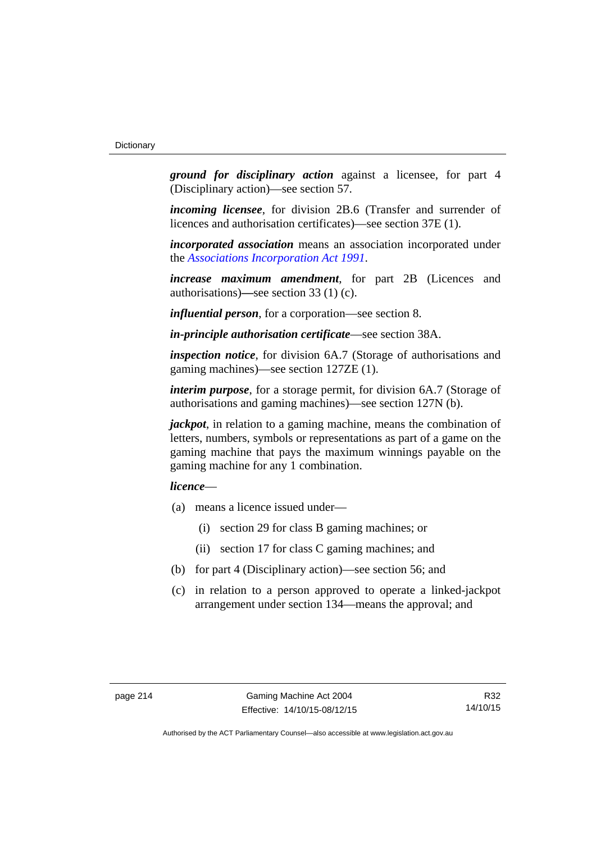*ground for disciplinary action* against a licensee, for part 4 (Disciplinary action)—see section 57.

*incoming licensee*, for division 2B.6 (Transfer and surrender of licences and authorisation certificates)—see section 37E (1).

*incorporated association* means an association incorporated under the *[Associations Incorporation Act 1991](http://www.legislation.act.gov.au/a/1991-46)*.

*increase maximum amendment*, for part 2B (Licences and authorisations)**—**see section 33 (1) (c).

*influential person*, for a corporation—see section 8.

*in-principle authorisation certificate*—see section 38A.

*inspection notice*, for division 6A.7 (Storage of authorisations and gaming machines)—see section 127ZE (1).

*interim purpose*, for a storage permit, for division 6A.7 (Storage of authorisations and gaming machines)—see section 127N (b).

*jackpot*, in relation to a gaming machine, means the combination of letters, numbers, symbols or representations as part of a game on the gaming machine that pays the maximum winnings payable on the gaming machine for any 1 combination.

# *licence*—

- (a) means a licence issued under—
	- (i) section 29 for class B gaming machines; or
	- (ii) section 17 for class C gaming machines; and
- (b) for part 4 (Disciplinary action)—see section 56; and
- (c) in relation to a person approved to operate a linked-jackpot arrangement under section 134—means the approval; and

R32 14/10/15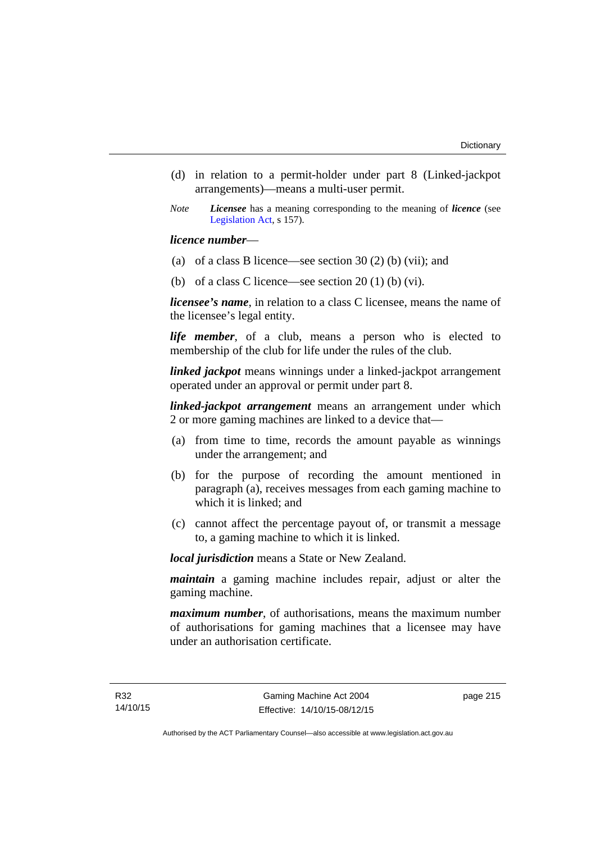- (d) in relation to a permit-holder under part 8 (Linked-jackpot arrangements)—means a multi-user permit.
- *Note Licensee* has a meaning corresponding to the meaning of *licence* (see [Legislation Act,](http://www.legislation.act.gov.au/a/2001-14) s 157).

## *licence number*—

- (a) of a class B licence—see section 30 (2) (b) (vii); and
- (b) of a class C licence—see section  $20(1)$  (b) (vi).

*licensee's name*, in relation to a class C licensee, means the name of the licensee's legal entity.

*life member*, of a club, means a person who is elected to membership of the club for life under the rules of the club.

*linked jackpot* means winnings under a linked-jackpot arrangement operated under an approval or permit under part 8.

*linked-jackpot arrangement* means an arrangement under which 2 or more gaming machines are linked to a device that—

- (a) from time to time, records the amount payable as winnings under the arrangement; and
- (b) for the purpose of recording the amount mentioned in paragraph (a), receives messages from each gaming machine to which it is linked; and
- (c) cannot affect the percentage payout of, or transmit a message to, a gaming machine to which it is linked.

*local jurisdiction* means a State or New Zealand.

*maintain* a gaming machine includes repair, adjust or alter the gaming machine.

*maximum number*, of authorisations, means the maximum number of authorisations for gaming machines that a licensee may have under an authorisation certificate.

page 215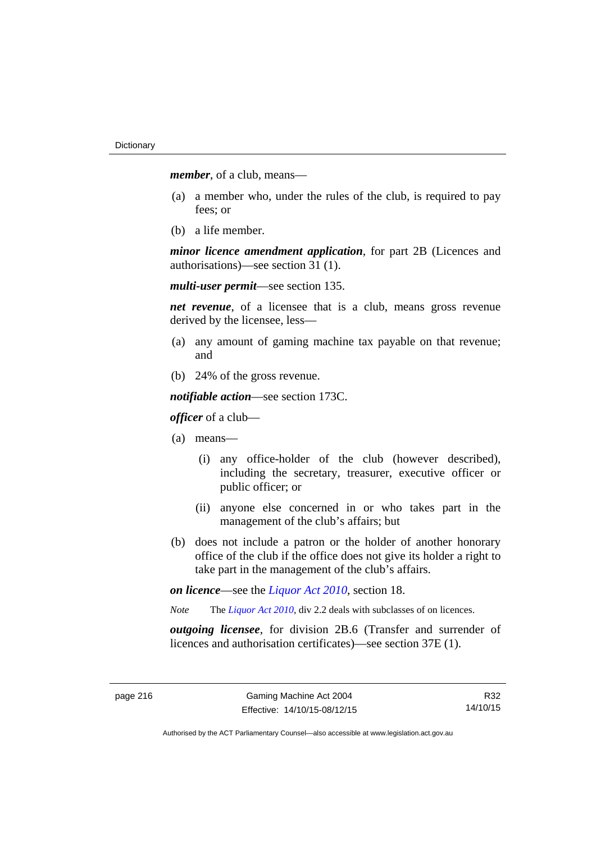*member*, of a club, means—

- (a) a member who, under the rules of the club, is required to pay fees; or
- (b) a life member.

*minor licence amendment application*, for part 2B (Licences and authorisations)—see section 31 (1).

*multi-user permit*—see section 135.

*net revenue*, of a licensee that is a club, means gross revenue derived by the licensee, less—

- (a) any amount of gaming machine tax payable on that revenue; and
- (b) 24% of the gross revenue.

*notifiable action*—see section 173C.

*officer* of a club—

- (a) means—
	- (i) any office-holder of the club (however described), including the secretary, treasurer, executive officer or public officer; or
	- (ii) anyone else concerned in or who takes part in the management of the club's affairs; but
- (b) does not include a patron or the holder of another honorary office of the club if the office does not give its holder a right to take part in the management of the club's affairs.

*on licence*—see the *[Liquor Act 2010](http://www.legislation.act.gov.au/a/2010-35)*, section 18.

*Note* The *[Liquor Act 2010](http://www.legislation.act.gov.au/a/2010-35)*, div 2.2 deals with subclasses of on licences.

*outgoing licensee*, for division 2B.6 (Transfer and surrender of licences and authorisation certificates)—see section 37E (1).

R32 14/10/15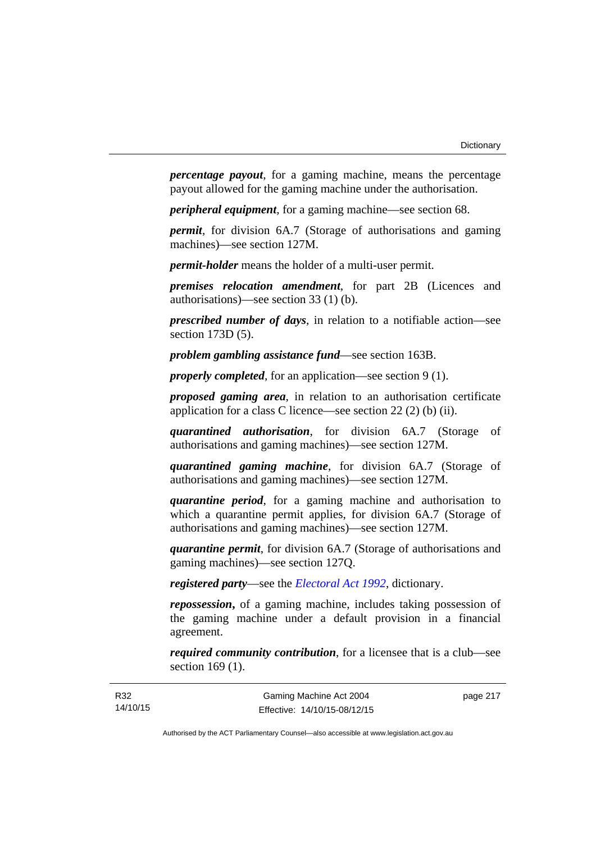*percentage payout*, for a gaming machine, means the percentage payout allowed for the gaming machine under the authorisation.

*peripheral equipment*, for a gaming machine—see section 68.

*permit*, for division 6A.7 (Storage of authorisations and gaming machines)—see section 127M.

*permit-holder* means the holder of a multi-user permit.

*premises relocation amendment*, for part 2B (Licences and authorisations)—see section 33 (1) (b).

*prescribed number of days*, in relation to a notifiable action—see section 173D (5).

*problem gambling assistance fund*—see section 163B.

*properly completed*, for an application—see section 9 (1).

*proposed gaming area*, in relation to an authorisation certificate application for a class C licence—see section 22 (2) (b) (ii).

*quarantined authorisation*, for division 6A.7 (Storage of authorisations and gaming machines)—see section 127M.

*quarantined gaming machine*, for division 6A.7 (Storage of authorisations and gaming machines)—see section 127M.

*quarantine period*, for a gaming machine and authorisation to which a quarantine permit applies, for division 6A.7 (Storage of authorisations and gaming machines)—see section 127M.

*quarantine permit*, for division 6A.7 (Storage of authorisations and gaming machines)—see section 127Q.

*registered party*—see the *[Electoral Act 1992](http://www.legislation.act.gov.au/a/1992-71)*, dictionary.

*repossession***,** of a gaming machine, includes taking possession of the gaming machine under a default provision in a financial agreement.

*required community contribution*, for a licensee that is a club—see section 169 (1).

page 217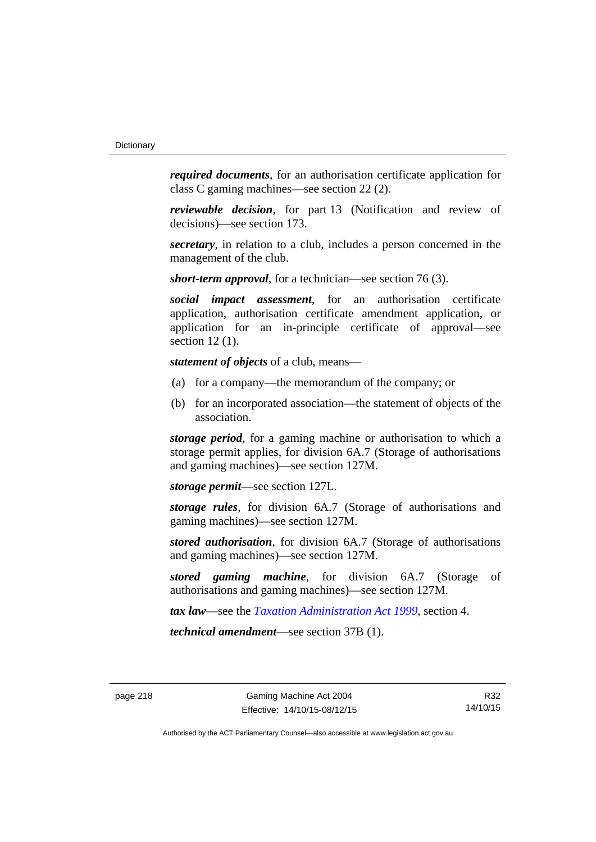*required documents*, for an authorisation certificate application for class C gaming machines—see section 22 (2).

*reviewable decision*, for part 13 (Notification and review of decisions)—see section 173.

*secretary*, in relation to a club, includes a person concerned in the management of the club.

*short-term approval*, for a technician—see section 76 (3).

*social impact assessment*, for an authorisation certificate application, authorisation certificate amendment application, or application for an in-principle certificate of approval—see section 12 (1).

*statement of objects* of a club, means—

- (a) for a company—the memorandum of the company; or
- (b) for an incorporated association—the statement of objects of the association.

*storage period*, for a gaming machine or authorisation to which a storage permit applies, for division 6A.7 (Storage of authorisations and gaming machines)—see section 127M.

*storage permit*—see section 127L.

*storage rules*, for division 6A.7 (Storage of authorisations and gaming machines)—see section 127M.

*stored authorisation*, for division 6A.7 (Storage of authorisations and gaming machines)—see section 127M.

*stored gaming machine*, for division 6A.7 (Storage of authorisations and gaming machines)—see section 127M.

*tax law*—see the *[Taxation Administration Act 1999](http://www.legislation.act.gov.au/a/1999-4)*, section 4.

*technical amendment*—see section 37B (1).

R32 14/10/15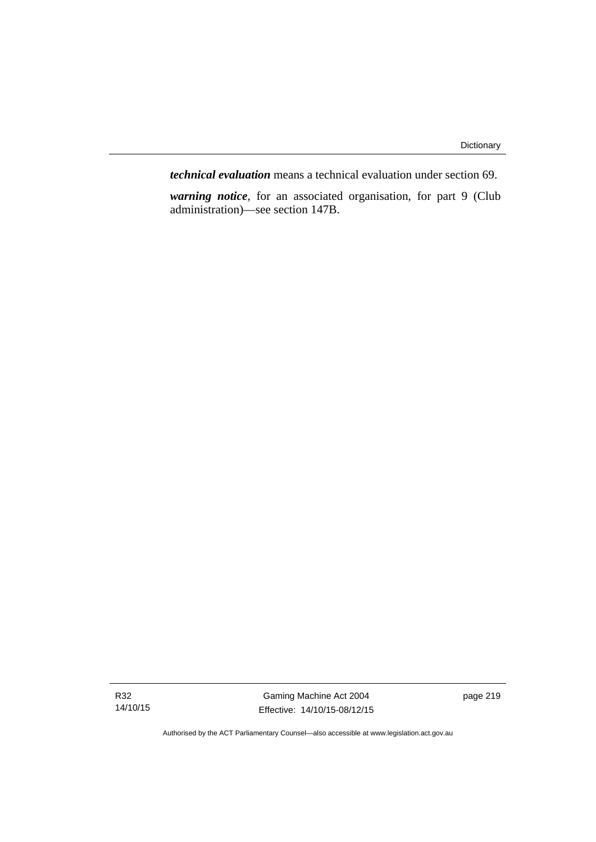*technical evaluation* means a technical evaluation under section 69.

*warning notice*, for an associated organisation, for part 9 (Club administration)—see section 147B.

R32 14/10/15

Gaming Machine Act 2004 Effective: 14/10/15-08/12/15 page 219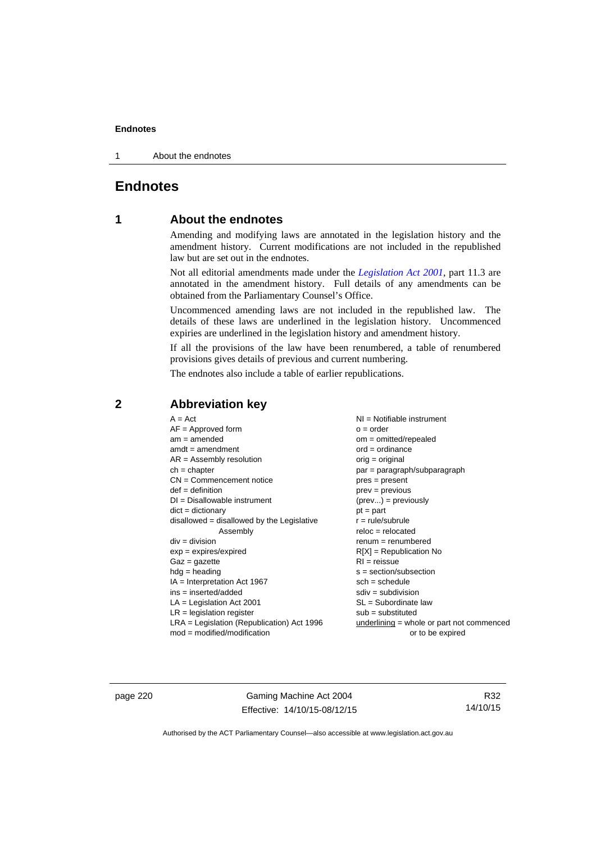1 About the endnotes

# **Endnotes**

# **1 About the endnotes**

Amending and modifying laws are annotated in the legislation history and the amendment history. Current modifications are not included in the republished law but are set out in the endnotes.

Not all editorial amendments made under the *[Legislation Act 2001](http://www.legislation.act.gov.au/a/2001-14)*, part 11.3 are annotated in the amendment history. Full details of any amendments can be obtained from the Parliamentary Counsel's Office.

Uncommenced amending laws are not included in the republished law. The details of these laws are underlined in the legislation history. Uncommenced expiries are underlined in the legislation history and amendment history.

If all the provisions of the law have been renumbered, a table of renumbered provisions gives details of previous and current numbering.

The endnotes also include a table of earlier republications.

| $A = Act$                                    | NI = Notifiable instrument                  |
|----------------------------------------------|---------------------------------------------|
| $AF =$ Approved form                         | $o = order$                                 |
| $am = amended$                               | $om = omitted/repealed$                     |
| $amdt = amendment$                           | $ord = ordinance$                           |
| $AR = Assembly$ resolution                   | $orig = original$                           |
| $ch = chapter$                               | $par = paragraph/subparagraph$              |
| $CN =$ Commencement notice                   | $pres = present$                            |
| $def = definition$                           | $prev = previous$                           |
| $DI = Disallowable instrument$               | $(\text{prev}) = \text{previously}$         |
| $dict = dictionary$                          | $pt = part$                                 |
| $disallowed = disallowed by the Legislative$ | $r = rule/subrule$                          |
| Assembly                                     | $reloc = relocated$                         |
| $div = division$                             | $renum = renumbered$                        |
| $exp = expires/expired$                      | $R[X]$ = Republication No                   |
| $Gaz = gazette$                              | $RI = reissue$                              |
| $hdg = heading$                              | $s = section/subsection$                    |
| $IA = Interpretation Act 1967$               | $sch = schedule$                            |
| ins = inserted/added                         | $sdiv = subdivision$                        |
| $LA =$ Legislation Act 2001                  | $SL = Subordinate$ law                      |
| $LR =$ legislation register                  | $sub =$ substituted                         |
| LRA = Legislation (Republication) Act 1996   | underlining $=$ whole or part not commenced |
| $mod = modified/modification$                | or to be expired                            |

# **2 Abbreviation key**

page 220 Gaming Machine Act 2004 Effective: 14/10/15-08/12/15

R32 14/10/15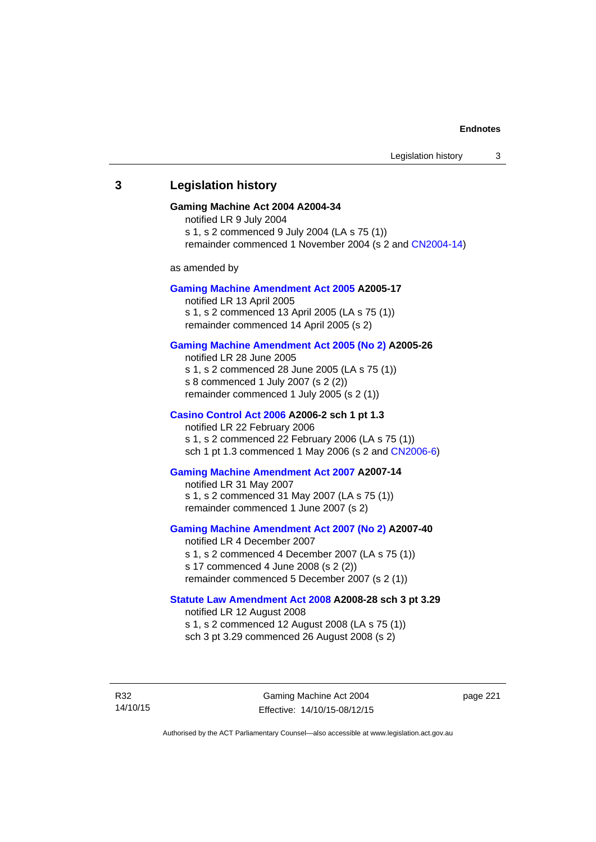# **3 Legislation history**

#### **Gaming Machine Act 2004 A2004-34**

notified LR 9 July 2004 s 1, s 2 commenced 9 July 2004 (LA s 75 (1)) remainder commenced 1 November 2004 (s 2 and [CN2004-14](http://www.legislation.act.gov.au/cn/2004-14/default.asp))

as amended by

#### **[Gaming Machine Amendment Act 2005](http://www.legislation.act.gov.au/a/2005-17) A2005-17**

notified LR 13 April 2005 s 1, s 2 commenced 13 April 2005 (LA s 75 (1)) remainder commenced 14 April 2005 (s 2)

## **[Gaming Machine Amendment Act 2005 \(No 2\)](http://www.legislation.act.gov.au/a/2005-26) A2005-26**

notified LR 28 June 2005 s 1, s 2 commenced 28 June 2005 (LA s 75 (1)) s 8 commenced 1 July 2007 (s 2 (2)) remainder commenced 1 July 2005 (s 2 (1))

#### **[Casino Control Act 2006](http://www.legislation.act.gov.au/a/2006-2) A2006-2 sch 1 pt 1.3**

notified LR 22 February 2006 s 1, s 2 commenced 22 February 2006 (LA s 75 (1)) sch 1 pt 1.3 commenced 1 May 2006 (s 2 and [CN2006-6](http://www.legislation.act.gov.au/cn/2006-6/default.asp))

## **[Gaming Machine Amendment Act 2007](http://www.legislation.act.gov.au/a/2007-14) A2007-14**

notified LR 31 May 2007 s 1, s 2 commenced 31 May 2007 (LA s 75 (1)) remainder commenced 1 June 2007 (s 2)

#### **[Gaming Machine Amendment Act 2007 \(No 2\)](http://www.legislation.act.gov.au/a/2007-40) A2007-40**

notified LR 4 December 2007 s 1, s 2 commenced 4 December 2007 (LA s 75 (1)) s 17 commenced 4 June 2008 (s 2 (2)) remainder commenced 5 December 2007 (s 2 (1))

## **[Statute Law Amendment Act 2008](http://www.legislation.act.gov.au/a/2008-28) A2008-28 sch 3 pt 3.29**

notified LR 12 August 2008 s 1, s 2 commenced 12 August 2008 (LA s 75 (1)) sch 3 pt 3.29 commenced 26 August 2008 (s 2)

R32 14/10/15 page 221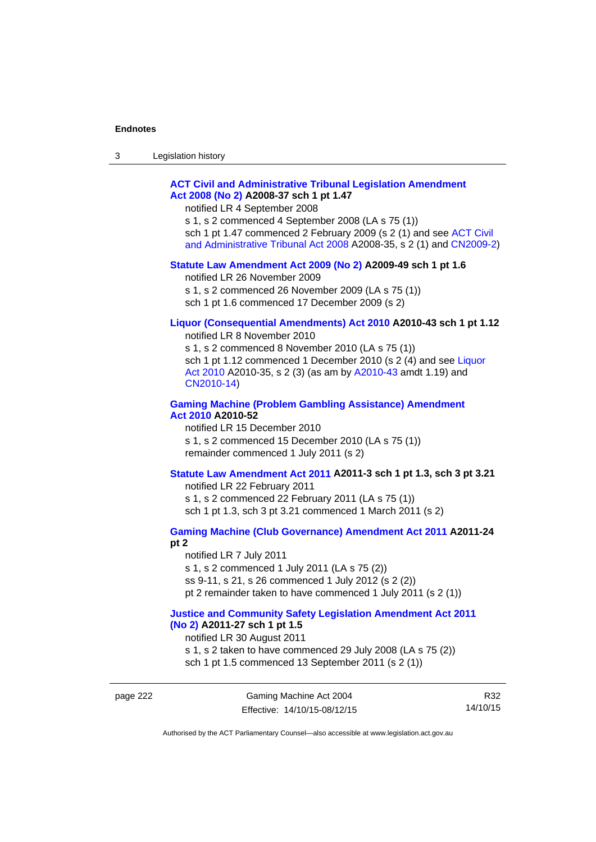| 3 | Legislation history |  |
|---|---------------------|--|
|---|---------------------|--|

# **[ACT Civil and Administrative Tribunal Legislation Amendment](http://www.legislation.act.gov.au/a/2008-37)  [Act 2008 \(No 2\)](http://www.legislation.act.gov.au/a/2008-37) A2008-37 sch 1 pt 1.47**

notified LR 4 September 2008

s 1, s 2 commenced 4 September 2008 (LA s 75 (1)) sch 1 pt 1.47 commenced 2 February 2009 (s 2 (1) and see [ACT Civil](http://www.legislation.act.gov.au/a/2008-35)  [and Administrative Tribunal Act 2008](http://www.legislation.act.gov.au/a/2008-35) A2008-35, s 2 (1) and [CN2009-2](http://www.legislation.act.gov.au/cn/2009-2/default.asp))

#### **[Statute Law Amendment Act 2009 \(No 2\)](http://www.legislation.act.gov.au/a/2009-49) A2009-49 sch 1 pt 1.6**

notified LR 26 November 2009

s 1, s 2 commenced 26 November 2009 (LA s 75 (1))

sch 1 pt 1.6 commenced 17 December 2009 (s 2)

# **[Liquor \(Consequential Amendments\) Act 2010](http://www.legislation.act.gov.au/a/2010-43) A2010-43 sch 1 pt 1.12**

notified LR 8 November 2010

s 1, s 2 commenced 8 November 2010 (LA s 75 (1)) sch 1 pt 1.12 commenced 1 December 2010 (s 2 (4) and see Liquor [Act 2010](http://www.legislation.act.gov.au/a/2010-35) A2010-35, s 2 (3) (as am by [A2010-43](http://www.legislation.act.gov.au/a/2010-43) amdt 1.19) and [CN2010-14](http://www.legislation.act.gov.au/cn/2010-14/default.asp))

## **[Gaming Machine \(Problem Gambling Assistance\) Amendment](http://www.legislation.act.gov.au/a/2010-52)  [Act 2010](http://www.legislation.act.gov.au/a/2010-52) A2010-52**

notified LR 15 December 2010 s 1, s 2 commenced 15 December 2010 (LA s 75 (1)) remainder commenced 1 July 2011 (s 2)

## **[Statute Law Amendment Act 2011](http://www.legislation.act.gov.au/a/2011-3) A2011-3 sch 1 pt 1.3, sch 3 pt 3.21**

notified LR 22 February 2011 s 1, s 2 commenced 22 February 2011 (LA s 75 (1)) sch 1 pt 1.3, sch 3 pt 3.21 commenced 1 March 2011 (s 2)

# **[Gaming Machine \(Club Governance\) Amendment Act 2011](http://www.legislation.act.gov.au/a/2011-24) A2011-24**

**pt 2** 

notified LR 7 July 2011 s 1, s 2 commenced 1 July 2011 (LA s 75 (2)) ss 9-11, s 21, s 26 commenced 1 July 2012 (s 2 (2)) pt 2 remainder taken to have commenced 1 July 2011 (s 2 (1))

#### **[Justice and Community Safety Legislation Amendment Act 2011](http://www.legislation.act.gov.au/a/2011-27)  [\(No 2\)](http://www.legislation.act.gov.au/a/2011-27) A2011-27 sch 1 pt 1.5**

notified LR 30 August 2011

s 1, s 2 taken to have commenced 29 July 2008 (LA s 75 (2)) sch 1 pt 1.5 commenced 13 September 2011 (s 2 (1))

page 222 Gaming Machine Act 2004 Effective: 14/10/15-08/12/15

R32 14/10/15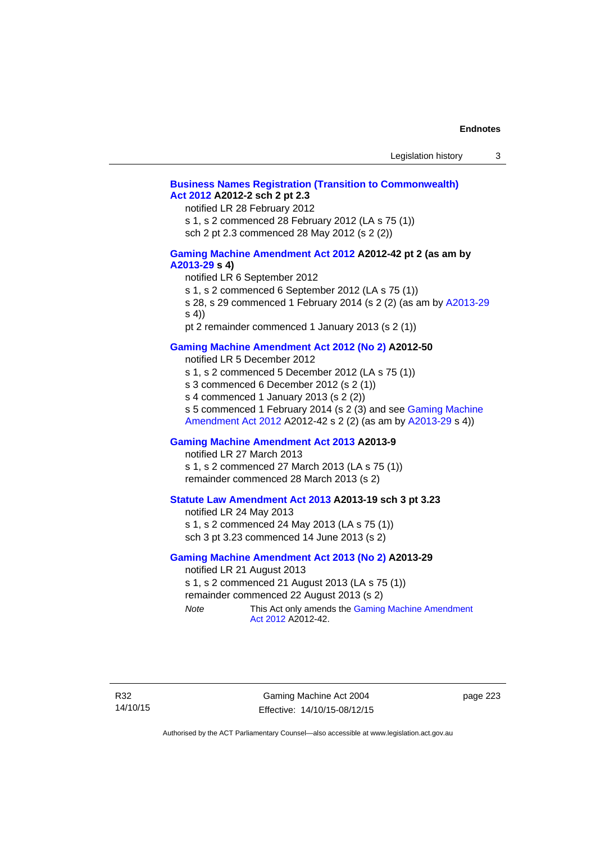# **[Business Names Registration \(Transition to Commonwealth\)](http://www.legislation.act.gov.au/a/2012-2)  [Act 2012](http://www.legislation.act.gov.au/a/2012-2) A2012-2 sch 2 pt 2.3**

notified LR 28 February 2012

s 1, s 2 commenced 28 February 2012 (LA s 75 (1))

sch 2 pt 2.3 commenced 28 May 2012 (s 2 (2))

## **[Gaming Machine Amendment Act 2012](http://www.legislation.act.gov.au/a/2012-42) A2012-42 pt 2 (as am by [A2013-29](http://www.legislation.act.gov.au/a/2013-29) s 4)**

notified LR 6 September 2012

s 1, s 2 commenced 6 September 2012 (LA s 75 (1))

s 28, s 29 commenced 1 February 2014 (s 2 (2) (as am by [A2013-29](http://www.legislation.act.gov.au/a/2013-29) s 4))

pt 2 remainder commenced 1 January 2013 (s 2 (1))

# **[Gaming Machine Amendment Act 2012 \(No 2\)](http://www.legislation.act.gov.au/a/2012-50/default.asp) A2012-50**

notified LR 5 December 2012

s 1, s 2 commenced 5 December 2012 (LA s 75 (1))

s 3 commenced 6 December 2012 (s 2 (1))

s 4 commenced 1 January 2013 (s 2 (2))

s 5 commenced 1 February 2014 (s 2 (3) and see [Gaming Machine](http://www.legislation.act.gov.au/a/2012-42)  [Amendment Act 2012](http://www.legislation.act.gov.au/a/2012-42) A2012-42 s 2 (2) (as am by [A2013-29](http://www.legislation.act.gov.au/a/2013-29) s 4))

# **[Gaming Machine Amendment Act 2013](http://www.legislation.act.gov.au/a/2013-9) A2013-9**

notified LR 27 March 2013

s 1, s 2 commenced 27 March 2013 (LA s 75 (1)) remainder commenced 28 March 2013 (s 2)

# **[Statute Law Amendment Act 2013](http://www.legislation.act.gov.au/a/2013-19) A2013-19 sch 3 pt 3.23**

notified LR 24 May 2013 s 1, s 2 commenced 24 May 2013 (LA s 75 (1)) sch 3 pt 3.23 commenced 14 June 2013 (s 2)

#### **[Gaming Machine Amendment Act 2013 \(No 2\)](http://www.legislation.act.gov.au/a/2013-29) A2013-29**

notified LR 21 August 2013 s 1, s 2 commenced 21 August 2013 (LA s 75 (1)) remainder commenced 22 August 2013 (s 2)

*Note* This Act only amends the Gaming Machine Amendment [Act 2012](http://www.legislation.act.gov.au/a/2012-42) A2012-42.

Gaming Machine Act 2004 Effective: 14/10/15-08/12/15

page 223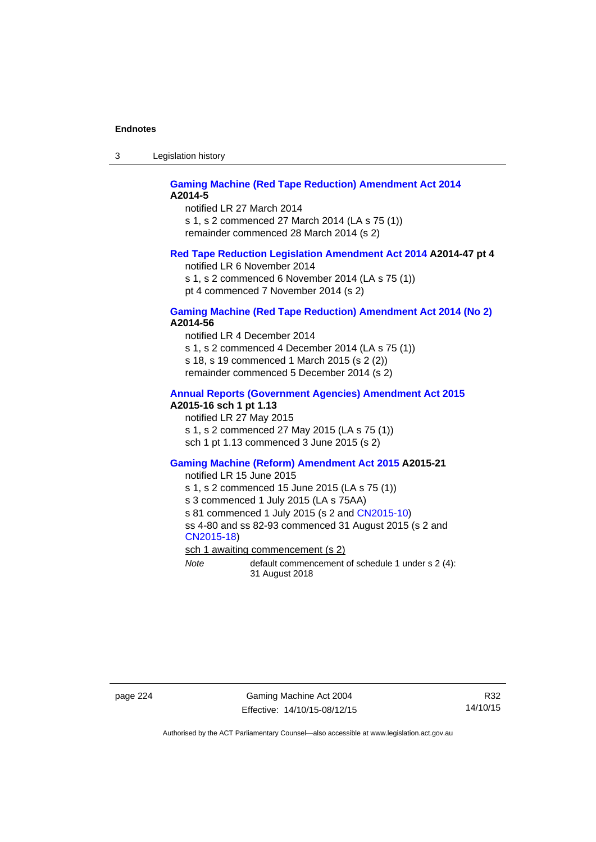3 Legislation history

## **[Gaming Machine \(Red Tape Reduction\) Amendment Act 2014](http://www.legislation.act.gov.au/a/2014-5) A2014-5**

notified LR 27 March 2014 s 1, s 2 commenced 27 March 2014 (LA s 75 (1)) remainder commenced 28 March 2014 (s 2)

# **[Red Tape Reduction Legislation Amendment Act 2014](http://www.legislation.act.gov.au/a/2014-47) A2014-47 pt 4**

notified LR 6 November 2014

s 1, s 2 commenced 6 November 2014 (LA s 75 (1)) pt 4 commenced 7 November 2014 (s 2)

## **[Gaming Machine \(Red Tape Reduction\) Amendment Act 2014 \(No 2\)](http://www.legislation.act.gov.au/a/2014-56) A2014-56**

notified LR 4 December 2014

s 1, s 2 commenced 4 December 2014 (LA s 75 (1))

s 18, s 19 commenced 1 March 2015 (s 2 (2))

remainder commenced 5 December 2014 (s 2)

# **[Annual Reports \(Government Agencies\) Amendment Act 2015](http://www.legislation.act.gov.au/a/2015-16)**

**A2015-16 sch 1 pt 1.13** 

notified LR 27 May 2015 s 1, s 2 commenced 27 May 2015 (LA s 75 (1)) sch 1 pt 1.13 commenced 3 June 2015 (s 2)

#### **[Gaming Machine \(Reform\) Amendment Act 2015](http://www.legislation.act.gov.au/a/2015-21/default.asp) A2015-21**

notified LR 15 June 2015

s 1, s 2 commenced 15 June 2015 (LA s 75 (1))

s 3 commenced 1 July 2015 (LA s 75AA)

s 81 commenced 1 July 2015 (s 2 and [CN2015-10\)](http://www.legislation.act.gov.au/cn/2015-10/default.asp)

ss 4-80 and ss 82-93 commenced 31 August 2015 (s 2 and [CN2015-18](http://www.legislation.act.gov.au/cn/2015-18/default.asp))

sch 1 awaiting commencement (s 2)

*Note* default commencement of schedule 1 under s 2 (4): 31 August 2018

page 224 Gaming Machine Act 2004 Effective: 14/10/15-08/12/15

R32 14/10/15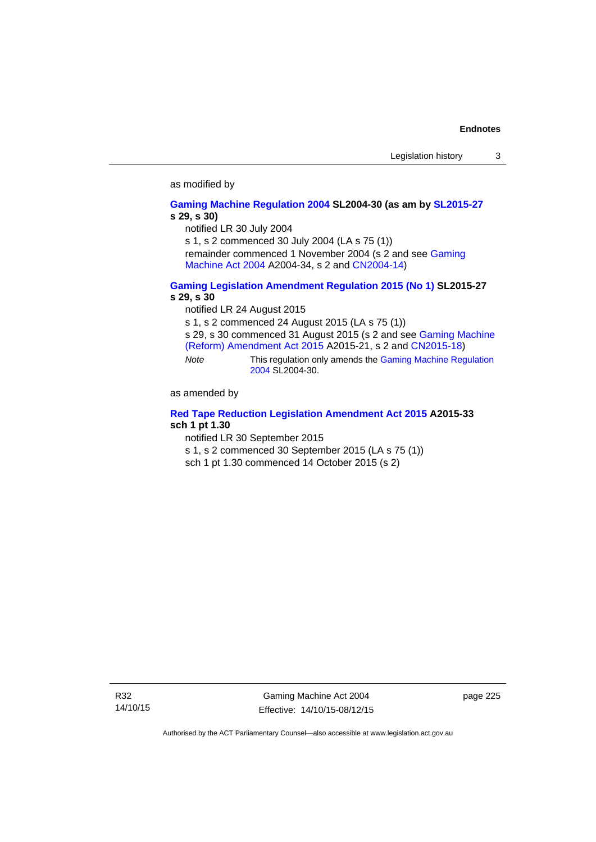#### as modified by

#### **[Gaming Machine Regulation 2004](http://www.legislation.act.gov.au/sl/2004-30/default.asp) SL2004-30 (as am by [SL2015-27](http://www.legislation.act.gov.au/sl/2015-27/default.asp) s 29, s 30)**

notified LR 30 July 2004

s 1, s 2 commenced 30 July 2004 (LA s 75 (1))

remainder commenced 1 November 2004 (s 2 and see [Gaming](http://www.legislation.act.gov.au/a/2004-34)  [Machine Act 2004](http://www.legislation.act.gov.au/a/2004-34) A2004-34, s 2 and [CN2004-14](http://www.legislation.act.gov.au/cn/2004-14/default.asp))

# **[Gaming Legislation Amendment Regulation 2015 \(No 1\)](http://www.legislation.act.gov.au/sl/2015-27/default.asp) SL2015-27 s 29, s 30**

notified LR 24 August 2015

s 1, s 2 commenced 24 August 2015 (LA s 75 (1))

s 29, s 30 commenced 31 August 2015 (s 2 and see [Gaming Machine](http://www.legislation.act.gov.au/a/2015-21/default.asp)  [\(Reform\) Amendment Act 2015](http://www.legislation.act.gov.au/a/2015-21/default.asp) A2015-21, s 2 and [CN2015-18\)](http://www.legislation.act.gov.au/cn/2015-18/default.asp)

*Note* This regulation only amends the [Gaming Machine Regulation](http://www.legislation.act.gov.au/sl/2004-30/default.asp)  [2004](http://www.legislation.act.gov.au/sl/2004-30/default.asp) SL2004-30.

as amended by

## **[Red Tape Reduction Legislation Amendment Act 2015](http://www.legislation.act.gov.au/a/2015-33/default.asp) A2015-33 sch 1 pt 1.30**

notified LR 30 September 2015

s 1, s 2 commenced 30 September 2015 (LA s 75 (1))

sch 1 pt 1.30 commenced 14 October 2015 (s 2)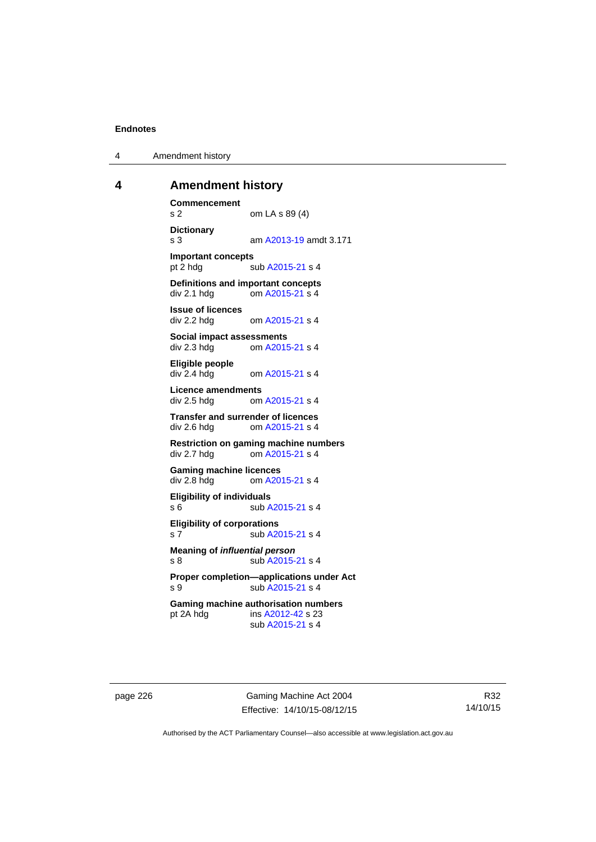4 Amendment history

# **4 Amendment history**

**Commencement**  s 2 om LA s 89 (4) **Dictionary**  s 3 am [A2013-19](http://www.legislation.act.gov.au/a/2013-19) amdt 3.171 **Important concepts**  pt 2 hdg sub [A2015-21](http://www.legislation.act.gov.au/a/2015-21) s 4 **Definitions and important concepts**  div 2.1 hdg om [A2015-21](http://www.legislation.act.gov.au/a/2015-21) s 4 **Issue of licences**  div 2.2 hdg om [A2015-21](http://www.legislation.act.gov.au/a/2015-21) s 4 **Social impact assessments**  div 2.3 hdg om [A2015-21](http://www.legislation.act.gov.au/a/2015-21) s 4 **Eligible people**  om [A2015-21](http://www.legislation.act.gov.au/a/2015-21) s 4 **Licence amendments**  div 2.5 hdg om [A2015-21](http://www.legislation.act.gov.au/a/2015-21) s 4 **Transfer and surrender of licences**  div 2.6 hdg om [A2015-21](http://www.legislation.act.gov.au/a/2015-21) s 4 **Restriction on gaming machine numbers**  div 2.7 hdg om [A2015-21](http://www.legislation.act.gov.au/a/2015-21) s 4 **Gaming machine licences**<br>div 2.8 hdg om A20 om [A2015-21](http://www.legislation.act.gov.au/a/2015-21) s 4 **Eligibility of individuals**  s 6 sub [A2015-21](http://www.legislation.act.gov.au/a/2015-21) s 4 **Eligibility of corporations**  s 7 sub [A2015-21](http://www.legislation.act.gov.au/a/2015-21) s 4 **Meaning of** *influential person* s 8 sub [A2015-21](http://www.legislation.act.gov.au/a/2015-21) s 4 **Proper completion—applications under Act**  s 9 sub [A2015-21](http://www.legislation.act.gov.au/a/2015-21) s 4 **Gaming machine authorisation numbers**  pt 2A hdg ins [A2012-42](http://www.legislation.act.gov.au/a/2012-42) s 23 sub [A2015-21](http://www.legislation.act.gov.au/a/2015-21) s 4

page 226 Gaming Machine Act 2004 Effective: 14/10/15-08/12/15

R32 14/10/15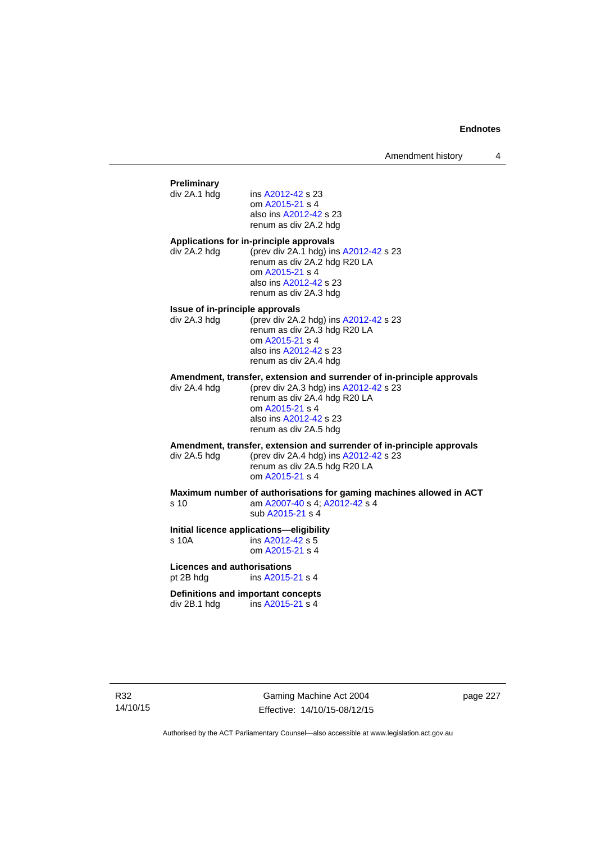# **Preliminary**  ins [A2012-42](http://www.legislation.act.gov.au/a/2012-42) s 23 om [A2015-21](http://www.legislation.act.gov.au/a/2015-21) s 4 also ins [A2012-42](http://www.legislation.act.gov.au/a/2012-42) s 23 renum as div 2A.2 hdg **Applications for in-principle approvals**  div 2A.2 hdg (prev div 2A.1 hdg) ins [A2012-42](http://www.legislation.act.gov.au/a/2012-42) s 23 renum as div 2A.2 hdg R20 LA om [A2015-21](http://www.legislation.act.gov.au/a/2015-21) s 4 also ins [A2012-42](http://www.legislation.act.gov.au/a/2012-42) s 23 renum as div 2A.3 hdg **Issue of in-principle approvals**  div 2A.3 hdg (prev div 2A.2 hdg) ins [A2012-42](http://www.legislation.act.gov.au/a/2012-42) s 23 renum as div 2A.3 hdg R20 LA om [A2015-21](http://www.legislation.act.gov.au/a/2015-21) s 4 also ins [A2012-42](http://www.legislation.act.gov.au/a/2012-42) s 23 renum as div 2A.4 hdg **Amendment, transfer, extension and surrender of in-principle approvals div 2A.4 hdg (prev div 2A.3 hdg) ins A2012-42 s 23** (prev div 2A.3 hdg) ins  $A2012-42$  s 23 renum as div 2A.4 hdg R20 LA om [A2015-21](http://www.legislation.act.gov.au/a/2015-21) s 4 also ins [A2012-42](http://www.legislation.act.gov.au/a/2012-42) s 23 renum as div 2A.5 hdg **Amendment, transfer, extension and surrender of in-principle approvals div 2A.5 hdd (prev div 2A.4 hdd) ins A2012-42 s 23** (prev div 2A.4 hdg) ins  $A2012-42$  s 23 renum as div 2A.5 hdg R20 LA om [A2015-21](http://www.legislation.act.gov.au/a/2015-21) s 4 **Maximum number of authorisations for gaming machines allowed in ACT**  s 10 am [A2007-40](http://www.legislation.act.gov.au/a/2007-40) s 4; [A2012-42](http://www.legislation.act.gov.au/a/2012-42) s 4 sub [A2015-21](http://www.legislation.act.gov.au/a/2015-21) s 4 **Initial licence applications—eligibility**  s 10A ins [A2012-42](http://www.legislation.act.gov.au/a/2012-42) s 5 om [A2015-21](http://www.legislation.act.gov.au/a/2015-21) s 4 **Licences and authorisations**  pt 2B hdg ins [A2015-21](http://www.legislation.act.gov.au/a/2015-21) s 4 **Definitions and important concepts**  div 2B.1 hdg ins [A2015-21](http://www.legislation.act.gov.au/a/2015-21) s 4

Gaming Machine Act 2004 Effective: 14/10/15-08/12/15 page 227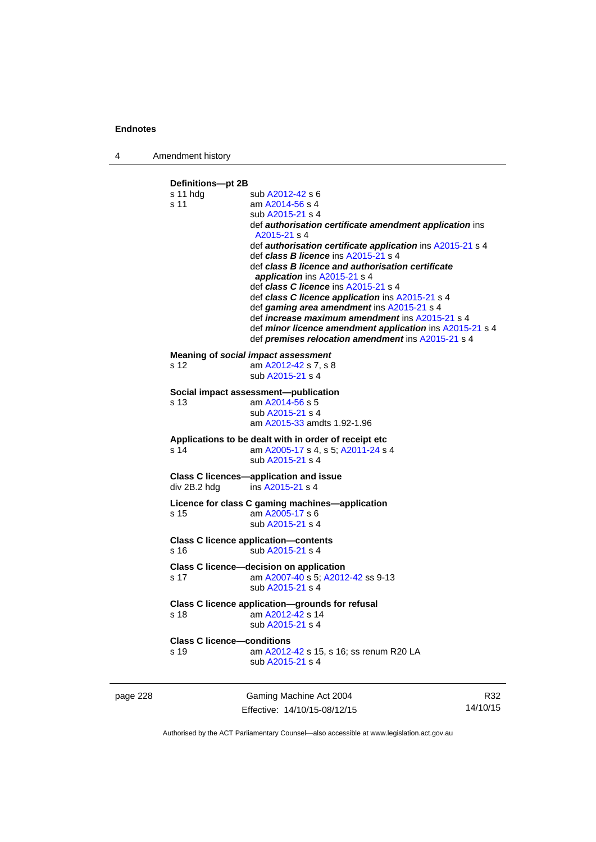4 Amendment history

**Definitions—pt 2B**  s 11 hdg sub [A2012-42](http://www.legislation.act.gov.au/a/2012-42) s 6 s 11 am [A2014-56](http://www.legislation.act.gov.au/a/2014-56) s 4 sub [A2015-21](http://www.legislation.act.gov.au/a/2015-21) s 4 def *authorisation certificate amendment application* ins [A2015-21](http://www.legislation.act.gov.au/a/2015-21) s 4 def *authorisation certificate application* ins [A2015-21](http://www.legislation.act.gov.au/a/2015-21) s 4 def *class B licence* ins [A2015-21](http://www.legislation.act.gov.au/a/2015-21) s 4 def *class B licence and authorisation certificate application* ins [A2015-21](http://www.legislation.act.gov.au/a/2015-21) s 4 def *class C licence* ins [A2015-21](http://www.legislation.act.gov.au/a/2015-21) s 4 def *class C licence application* ins [A2015-21](http://www.legislation.act.gov.au/a/2015-21) s 4 def *gaming area amendment* ins [A2015-21](http://www.legislation.act.gov.au/a/2015-21) s 4 def *increase maximum amendment* ins [A2015-21](http://www.legislation.act.gov.au/a/2015-21) s 4 def *minor licence amendment application* ins [A2015-21](http://www.legislation.act.gov.au/a/2015-21) s 4 def *premises relocation amendment* ins [A2015-21](http://www.legislation.act.gov.au/a/2015-21) s 4 **Meaning of** *social impact assessment*<br>s 12 am  $\frac{\text{A2012-42 s}}{7}$ , s 8 am [A2012-42](http://www.legislation.act.gov.au/a/2012-42) s 7, s 8 sub [A2015-21](http://www.legislation.act.gov.au/a/2015-21) s 4 **Social impact assessment—publication**  s 13 am [A2014-56](http://www.legislation.act.gov.au/a/2014-56) s 5 sub [A2015-21](http://www.legislation.act.gov.au/a/2015-21) s 4 am [A2015-33](http://www.legislation.act.gov.au/a/2015-33) amdts 1.92-1.96 **Applications to be dealt with in order of receipt etc**  s 14 am [A2005-17](http://www.legislation.act.gov.au/a/2005-17) s 4, s 5; [A2011-24](http://www.legislation.act.gov.au/a/2011-24) s 4 sub [A2015-21](http://www.legislation.act.gov.au/a/2015-21) s 4 **Class C licences—application and issue**  div 2B.2 hdg ins [A2015-21](http://www.legislation.act.gov.au/a/2015-21) s 4 **Licence for class C gaming machines—application**  s 15 am [A2005-17](http://www.legislation.act.gov.au/a/2005-17) s 6 sub [A2015-21](http://www.legislation.act.gov.au/a/2015-21) s 4 **Class C licence application—contents**  s 16 sub [A2015-21](http://www.legislation.act.gov.au/a/2015-21) s 4 **Class C licence—decision on application**  s 17 am [A2007-40](http://www.legislation.act.gov.au/a/2007-40) s 5; [A2012-42](http://www.legislation.act.gov.au/a/2012-42) ss 9-13 sub [A2015-21](http://www.legislation.act.gov.au/a/2015-21) s 4 **Class C licence application—grounds for refusal**  s 18 am [A2012-42](http://www.legislation.act.gov.au/a/2012-42) s 14 sub [A2015-21](http://www.legislation.act.gov.au/a/2015-21) s 4 **Class C licence—conditions**  s 19 am [A2012-42](http://www.legislation.act.gov.au/a/2012-42) s 15, s 16; ss renum R20 LA sub [A2015-21](http://www.legislation.act.gov.au/a/2015-21) s 4

page 228 Gaming Machine Act 2004 Effective: 14/10/15-08/12/15

R32 14/10/15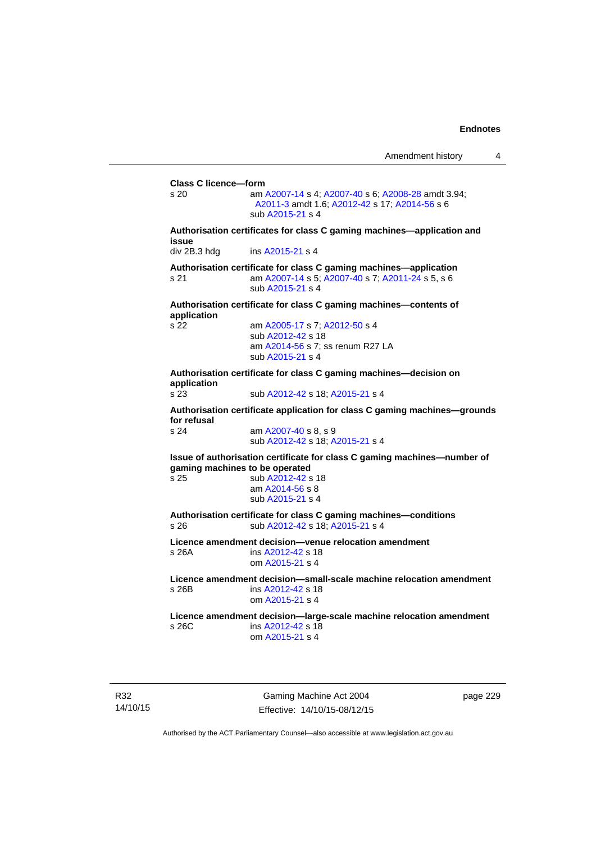**Class C licence—form**  s 20 am [A2007-14](http://www.legislation.act.gov.au/a/2007-14) s 4; [A2007-40](http://www.legislation.act.gov.au/a/2007-40) s 6; [A2008-28](http://www.legislation.act.gov.au/a/2008-28) amdt 3.94; [A2011-3](http://www.legislation.act.gov.au/a/2011-3) amdt 1.6; [A2012-42](http://www.legislation.act.gov.au/a/2012-42) s 17; [A2014-56](http://www.legislation.act.gov.au/a/2014-56) s 6 sub [A2015-21](http://www.legislation.act.gov.au/a/2015-21) s 4 **Authorisation certificates for class C gaming machines—application and issue**  div 2B.3 hdg ins [A2015-21](http://www.legislation.act.gov.au/a/2015-21) s 4 **Authorisation certificate for class C gaming machines—application**  s 21 am [A2007-14](http://www.legislation.act.gov.au/a/2007-14) s 5; [A2007-40](http://www.legislation.act.gov.au/a/2007-40) s 7; [A2011-24](http://www.legislation.act.gov.au/a/2011-24) s 5, s 6 sub [A2015-21](http://www.legislation.act.gov.au/a/2015-21) s 4 **Authorisation certificate for class C gaming machines—contents of application**  s 22 am [A2005-17](http://www.legislation.act.gov.au/a/2005-17) s 7; [A2012-50](http://www.legislation.act.gov.au/a/2012-50/default.asp) s 4 sub [A2012-42](http://www.legislation.act.gov.au/a/2012-42) s 18 am [A2014-56](http://www.legislation.act.gov.au/a/2014-56) s 7; ss renum R27 LA sub [A2015-21](http://www.legislation.act.gov.au/a/2015-21) s 4 **Authorisation certificate for class C gaming machines—decision on application**  s 23 sub [A2012-42](http://www.legislation.act.gov.au/a/2012-42) s 18; [A2015-21](http://www.legislation.act.gov.au/a/2015-21) s 4 **Authorisation certificate application for class C gaming machines—grounds for refusal**  am [A2007-40](http://www.legislation.act.gov.au/a/2007-40) s 8, s 9 sub [A2012-42](http://www.legislation.act.gov.au/a/2012-42) s 18; [A2015-21](http://www.legislation.act.gov.au/a/2015-21) s 4 **Issue of authorisation certificate for class C gaming machines—number of gaming machines to be operated**<br>s 25 **b** A2012-42 **s** sub [A2012-42](http://www.legislation.act.gov.au/a/2012-42) s 18 am [A2014-56](http://www.legislation.act.gov.au/a/2014-56) s 8 sub [A2015-21](http://www.legislation.act.gov.au/a/2015-21) s 4 **Authorisation certificate for class C gaming machines—conditions**  s 26 sub [A2012-42](http://www.legislation.act.gov.au/a/2012-42) s 18; [A2015-21](http://www.legislation.act.gov.au/a/2015-21) s 4 **Licence amendment decision—venue relocation amendment**  s 26A ins [A2012-42](http://www.legislation.act.gov.au/a/2012-42) s 18 om [A2015-21](http://www.legislation.act.gov.au/a/2015-21) s 4 **Licence amendment decision—small-scale machine relocation amendment**  s 26B ins [A2012-42](http://www.legislation.act.gov.au/a/2012-42) s 18 om [A2015-21](http://www.legislation.act.gov.au/a/2015-21) s 4 **Licence amendment decision—large-scale machine relocation amendment**  s 26C ins [A2012-42](http://www.legislation.act.gov.au/a/2012-42) s 18 om [A2015-21](http://www.legislation.act.gov.au/a/2015-21) s 4

R32 14/10/15

Gaming Machine Act 2004 Effective: 14/10/15-08/12/15 page 229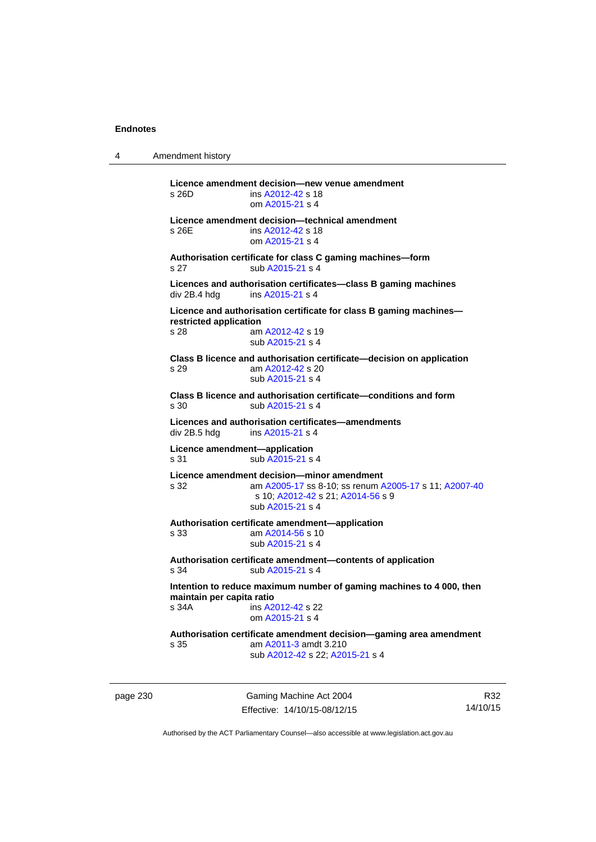4 Amendment history page 230 Gaming Machine Act 2004 **Licence amendment decision—new venue amendment**  s 26D ins [A2012-42](http://www.legislation.act.gov.au/a/2012-42) s 18 om [A2015-21](http://www.legislation.act.gov.au/a/2015-21) s 4 **Licence amendment decision—technical amendment**  s 26E ins [A2012-42](http://www.legislation.act.gov.au/a/2012-42) s 18 om [A2015-21](http://www.legislation.act.gov.au/a/2015-21) s 4 **Authorisation certificate for class C gaming machines—form**  s 27 sub [A2015-21](http://www.legislation.act.gov.au/a/2015-21) s 4 **Licences and authorisation certificates—class B gaming machines**  div 2B.4 hdg ins [A2015-21](http://www.legislation.act.gov.au/a/2015-21) s 4 **Licence and authorisation certificate for class B gaming machines restricted application**  s 28 am [A2012-42](http://www.legislation.act.gov.au/a/2012-42) s 19 sub [A2015-21](http://www.legislation.act.gov.au/a/2015-21) s 4 **Class B licence and authorisation certificate—decision on application**  s 29 am [A2012-42](http://www.legislation.act.gov.au/a/2012-42) s 20 sub [A2015-21](http://www.legislation.act.gov.au/a/2015-21) s 4 **Class B licence and authorisation certificate—conditions and form**  s 30 sub [A2015-21](http://www.legislation.act.gov.au/a/2015-21) s 4 **Licences and authorisation certificates—amendments**  ins [A2015-21](http://www.legislation.act.gov.au/a/2015-21) s 4 **Licence amendment—application**  s 31 sub [A2015-21](http://www.legislation.act.gov.au/a/2015-21) s 4 **Licence amendment decision—minor amendment**  s 32 am [A2005-17](http://www.legislation.act.gov.au/a/2005-17) ss 8-10; ss renum [A2005-17](http://www.legislation.act.gov.au/a/2005-17) s 11; [A2007-40](http://www.legislation.act.gov.au/a/2007-40) s 10; [A2012-42](http://www.legislation.act.gov.au/a/2012-42) s 21; [A2014-56](http://www.legislation.act.gov.au/a/2014-56) s 9 sub [A2015-21](http://www.legislation.act.gov.au/a/2015-21) s 4 **Authorisation certificate amendment—application**  s 33 am [A2014-56](http://www.legislation.act.gov.au/a/2014-56) s 10 sub [A2015-21](http://www.legislation.act.gov.au/a/2015-21) s 4 **Authorisation certificate amendment—contents of application**  s 34 sub [A2015-21](http://www.legislation.act.gov.au/a/2015-21) s 4 **Intention to reduce maximum number of gaming machines to 4 000, then maintain per capita ratio**<br>s 34A **ins A2** ins [A2012-42](http://www.legislation.act.gov.au/a/2012-42) s 22 om [A2015-21](http://www.legislation.act.gov.au/a/2015-21) s 4 **Authorisation certificate amendment decision—gaming area amendment**  s 35 am [A2011-3](http://www.legislation.act.gov.au/a/2011-3) amdt 3.210 sub [A2012-42](http://www.legislation.act.gov.au/a/2012-42) s 22; [A2015-21](http://www.legislation.act.gov.au/a/2015-21) s 4

Effective: 14/10/15-08/12/15

R32 14/10/15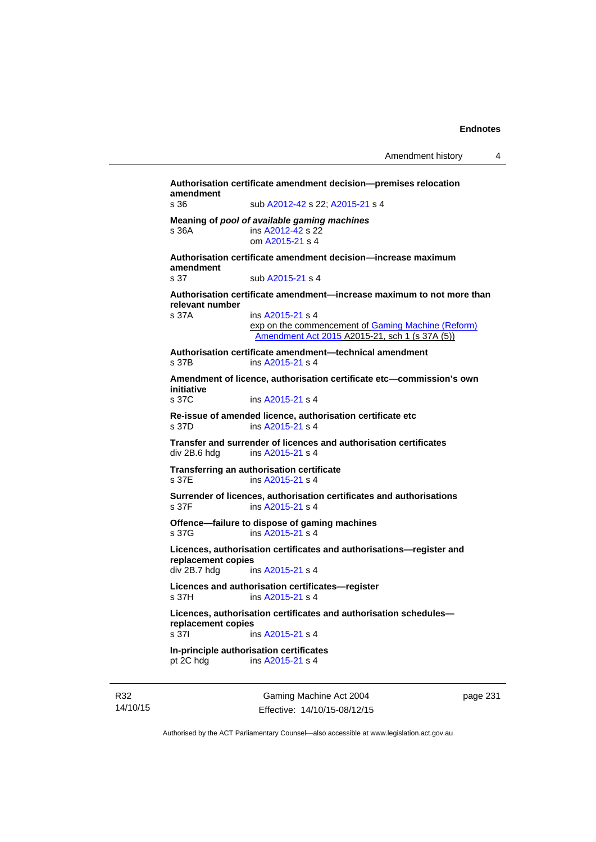**Authorisation certificate amendment decision—premises relocation amendment**  s 36 sub [A2012-42](http://www.legislation.act.gov.au/a/2012-42) s 22; [A2015-21](http://www.legislation.act.gov.au/a/2015-21) s 4 **Meaning of** *pool of available gaming machines* s 36A ins [A2012-42](http://www.legislation.act.gov.au/a/2012-42) s 22 om [A2015-21](http://www.legislation.act.gov.au/a/2015-21) s 4 **Authorisation certificate amendment decision—increase maximum amendment**  sub [A2015-21](http://www.legislation.act.gov.au/a/2015-21) s 4 **Authorisation certificate amendment—increase maximum to not more than relevant number**  ins [A2015-21](http://www.legislation.act.gov.au/a/2015-21) s 4 exp on the commencement of [Gaming Machine \(Reform\)](http://www.legislation.act.gov.au/a/2015-21/default.asp)  [Amendment Act 2015](http://www.legislation.act.gov.au/a/2015-21/default.asp) A2015-21, sch 1 (s 37A (5)) **Authorisation certificate amendment—technical amendment**  s 37B ins [A2015-21](http://www.legislation.act.gov.au/a/2015-21) s 4 **Amendment of licence, authorisation certificate etc—commission's own initiative**  ins [A2015-21](http://www.legislation.act.gov.au/a/2015-21) s 4 **Re-issue of amended licence, authorisation certificate etc**  s 37D ins [A2015-21](http://www.legislation.act.gov.au/a/2015-21) s 4 **Transfer and surrender of licences and authorisation certificates**  div 2B.6 hdg ins [A2015-21](http://www.legislation.act.gov.au/a/2015-21) s 4 **Transferring an authorisation certificate**  s 37E ins [A2015-21](http://www.legislation.act.gov.au/a/2015-21) s 4 **Surrender of licences, authorisation certificates and authorisations**  s 37F ins [A2015-21](http://www.legislation.act.gov.au/a/2015-21) s 4 **Offence—failure to dispose of gaming machines**  s 37G ins [A2015-21](http://www.legislation.act.gov.au/a/2015-21) s 4 **Licences, authorisation certificates and authorisations—register and replacement copies**  div 2B.7 hdg ins [A2015-21](http://www.legislation.act.gov.au/a/2015-21) s 4 **Licences and authorisation certificates—register**  s 37H ins [A2015-21](http://www.legislation.act.gov.au/a/2015-21) s 4 **Licences, authorisation certificates and authorisation schedules replacement copies**  s 37I ins [A2015-21](http://www.legislation.act.gov.au/a/2015-21) s 4 **In-principle authorisation certificates**  pt 2C hdg ins [A2015-21](http://www.legislation.act.gov.au/a/2015-21) s 4

R32 14/10/15

Gaming Machine Act 2004 Effective: 14/10/15-08/12/15 page 231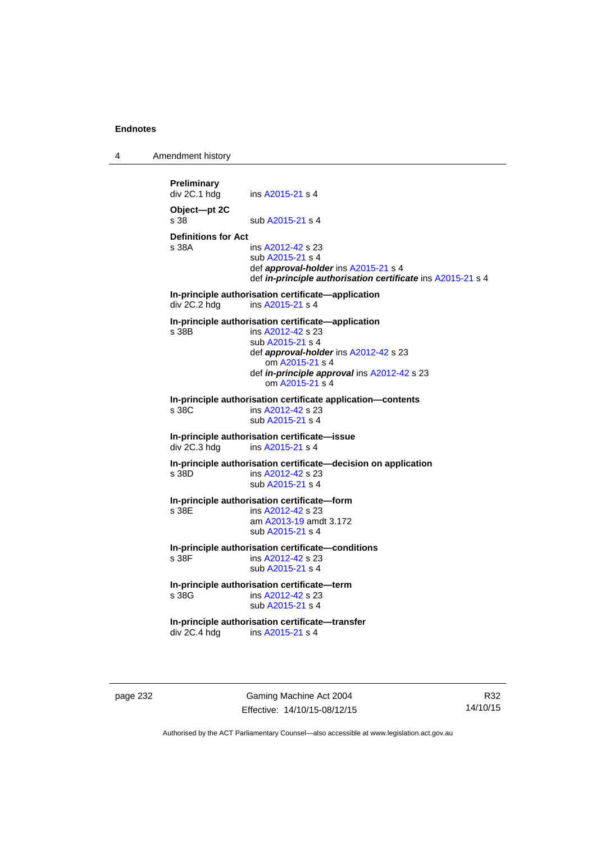4 Amendment history

**Preliminary**  ins [A2015-21](http://www.legislation.act.gov.au/a/2015-21) s 4 **Object—pt 2C**  s 38 sub [A2015-21](http://www.legislation.act.gov.au/a/2015-21) s 4 **Definitions for Act**  ins [A2012-42](http://www.legislation.act.gov.au/a/2012-42) s 23 sub [A2015-21](http://www.legislation.act.gov.au/a/2015-21) s 4 def *approval-holder* ins [A2015-21](http://www.legislation.act.gov.au/a/2015-21) s 4 def *in-principle authorisation certificate* ins [A2015-21](http://www.legislation.act.gov.au/a/2015-21) s 4 **In-principle authorisation certificate—application**  div 2C.2 hdg ins [A2015-21](http://www.legislation.act.gov.au/a/2015-21) s 4 **In-principle authorisation certificate—application**  s 38B ins [A2012-42](http://www.legislation.act.gov.au/a/2012-42) s 23 sub [A2015-21](http://www.legislation.act.gov.au/a/2015-21) s 4 def *approval-holder* ins [A2012-42](http://www.legislation.act.gov.au/a/2012-42) s 23 om [A2015-21](http://www.legislation.act.gov.au/a/2015-21) s 4 def *in-principle approval* ins [A2012-42](http://www.legislation.act.gov.au/a/2012-42) s 23 om [A2015-21](http://www.legislation.act.gov.au/a/2015-21) s 4 **In-principle authorisation certificate application—contents**  ins [A2012-42](http://www.legislation.act.gov.au/a/2012-42) s 23 sub [A2015-21](http://www.legislation.act.gov.au/a/2015-21) s 4 **In-principle authorisation certificate—issue**  div 2C.3 hdg ins [A2015-21](http://www.legislation.act.gov.au/a/2015-21) s 4 **In-principle authorisation certificate—decision on application**  s 38D ins [A2012-42](http://www.legislation.act.gov.au/a/2012-42) s 23 sub [A2015-21](http://www.legislation.act.gov.au/a/2015-21) s 4 **In-principle authorisation certificate—form**  ins [A2012-42](http://www.legislation.act.gov.au/a/2012-42) s 23 am [A2013-19](http://www.legislation.act.gov.au/a/2013-19) amdt 3.172 sub [A2015-21](http://www.legislation.act.gov.au/a/2015-21) s 4 **In-principle authorisation certificate—conditions**  s 38F ins [A2012-42](http://www.legislation.act.gov.au/a/2012-42) s 23 sub [A2015-21](http://www.legislation.act.gov.au/a/2015-21) s 4 **In-principle authorisation certificate—term**  ins [A2012-42](http://www.legislation.act.gov.au/a/2012-42) s 23 sub [A2015-21](http://www.legislation.act.gov.au/a/2015-21) s 4 **In-principle authorisation certificate—transfer**<br>div 2C.4 hdg ins A2015-21 s 4 ins [A2015-21](http://www.legislation.act.gov.au/a/2015-21) s 4

page 232 Gaming Machine Act 2004 Effective: 14/10/15-08/12/15

R32 14/10/15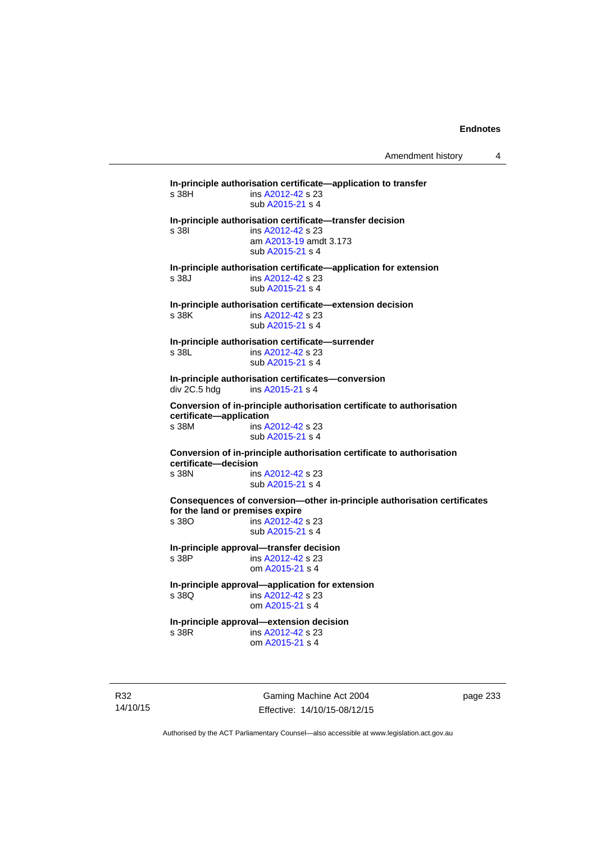**In-principle authorisation certificate—application to transfer**  s 38H ins [A2012-42](http://www.legislation.act.gov.au/a/2012-42) s 23 sub [A2015-21](http://www.legislation.act.gov.au/a/2015-21) s 4 **In-principle authorisation certificate—transfer decision**  s 38I ins [A2012-42](http://www.legislation.act.gov.au/a/2012-42) s 23 am [A2013-19](http://www.legislation.act.gov.au/a/2013-19) amdt 3.173 sub [A2015-21](http://www.legislation.act.gov.au/a/2015-21) s 4 **In-principle authorisation certificate—application for extension**  s 38J ins [A2012-42](http://www.legislation.act.gov.au/a/2012-42) s 23 sub [A2015-21](http://www.legislation.act.gov.au/a/2015-21) s 4 **In-principle authorisation certificate—extension decision**  s 38K ins [A2012-42](http://www.legislation.act.gov.au/a/2012-42) s 23 sub [A2015-21](http://www.legislation.act.gov.au/a/2015-21) s 4 **In-principle authorisation certificate—surrender**  s 38L ins [A2012-42](http://www.legislation.act.gov.au/a/2012-42) s 23 sub [A2015-21](http://www.legislation.act.gov.au/a/2015-21) s 4 **In-principle authorisation certificates—conversion**  div 2C.5 hdg ins [A2015-21](http://www.legislation.act.gov.au/a/2015-21) s 4 **Conversion of in-principle authorisation certificate to authorisation certificate—application**  s 38M ins [A2012-42](http://www.legislation.act.gov.au/a/2012-42) s 23 sub [A2015-21](http://www.legislation.act.gov.au/a/2015-21) s 4 **Conversion of in-principle authorisation certificate to authorisation certificate—decision**  s 38N ins [A2012-42](http://www.legislation.act.gov.au/a/2012-42) s 23 sub [A2015-21](http://www.legislation.act.gov.au/a/2015-21) s 4 **Consequences of conversion—other in-principle authorisation certificates for the land or premises expire**  s 38O ins [A2012-42](http://www.legislation.act.gov.au/a/2012-42) s 23 sub [A2015-21](http://www.legislation.act.gov.au/a/2015-21) s 4 **In-principle approval—transfer decision**  s 38P ins [A2012-42](http://www.legislation.act.gov.au/a/2012-42) s 23 om [A2015-21](http://www.legislation.act.gov.au/a/2015-21) s 4 **In-principle approval—application for extension**  ins [A2012-42](http://www.legislation.act.gov.au/a/2012-42) s 23 om [A2015-21](http://www.legislation.act.gov.au/a/2015-21) s 4 **In-principle approval—extension decision**  s 38R ins [A2012-42](http://www.legislation.act.gov.au/a/2012-42) s 23 om [A2015-21](http://www.legislation.act.gov.au/a/2015-21) s 4

R32 14/10/15

Gaming Machine Act 2004 Effective: 14/10/15-08/12/15 page 233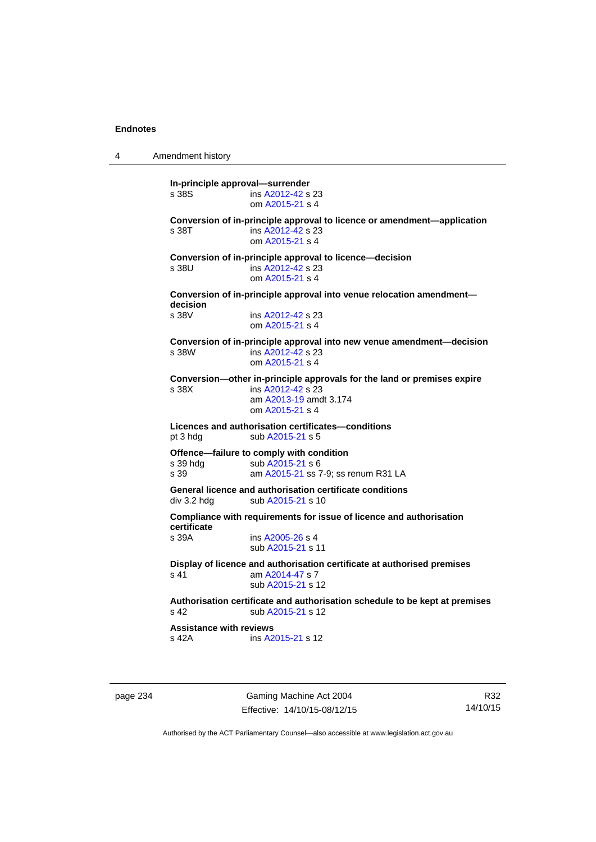4 Amendment history **In-principle approval—surrender**  s 38S ins [A2012-42](http://www.legislation.act.gov.au/a/2012-42) s 23 om [A2015-21](http://www.legislation.act.gov.au/a/2015-21) s 4 **Conversion of in-principle approval to licence or amendment—application**  s 38T ins [A2012-42](http://www.legislation.act.gov.au/a/2012-42) s 23 om [A2015-21](http://www.legislation.act.gov.au/a/2015-21) s 4 **Conversion of in-principle approval to licence—decision**  s 38U ins [A2012-42](http://www.legislation.act.gov.au/a/2012-42) s 23 om [A2015-21](http://www.legislation.act.gov.au/a/2015-21) s 4 **Conversion of in-principle approval into venue relocation amendment decision**  ins [A2012-42](http://www.legislation.act.gov.au/a/2012-42) s 23 om [A2015-21](http://www.legislation.act.gov.au/a/2015-21) s 4 **Conversion of in-principle approval into new venue amendment—decision**  s 38W ins [A2012-42](http://www.legislation.act.gov.au/a/2012-42) s 23 om [A2015-21](http://www.legislation.act.gov.au/a/2015-21) s 4 **Conversion—other in-principle approvals for the land or premises expire**  s 38X ins [A2012-42](http://www.legislation.act.gov.au/a/2012-42) s 23 am [A2013-19](http://www.legislation.act.gov.au/a/2013-19) amdt 3.174 om [A2015-21](http://www.legislation.act.gov.au/a/2015-21) s 4 **Licences and authorisation certificates—conditions**  pt 3 hdg sub [A2015-21](http://www.legislation.act.gov.au/a/2015-21) s 5 **Offence—failure to comply with condition**<br>s 39 hdg sub A2015-21 s 6 sub [A2015-21](http://www.legislation.act.gov.au/a/2015-21) s 6 s 39 am [A2015-21](http://www.legislation.act.gov.au/a/2015-21) ss 7-9; ss renum R31 LA **General licence and authorisation certificate conditions**  div 3.2 hdg sub [A2015-21](http://www.legislation.act.gov.au/a/2015-21) s 10 **Compliance with requirements for issue of licence and authorisation certificate**  s 39A ins [A2005-26](http://www.legislation.act.gov.au/a/2005-26) s 4 sub [A2015-21](http://www.legislation.act.gov.au/a/2015-21) s 11 **Display of licence and authorisation certificate at authorised premises**  s 41 am [A2014-47](http://www.legislation.act.gov.au/a/2014-47) s 7 sub [A2015-21](http://www.legislation.act.gov.au/a/2015-21) s 12 **Authorisation certificate and authorisation schedule to be kept at premises**  s 42 sub [A2015-21](http://www.legislation.act.gov.au/a/2015-21) s 12 **Assistance with reviews**  s 42A ins [A2015-21](http://www.legislation.act.gov.au/a/2015-21) s 12

page 234 Gaming Machine Act 2004 Effective: 14/10/15-08/12/15

R32 14/10/15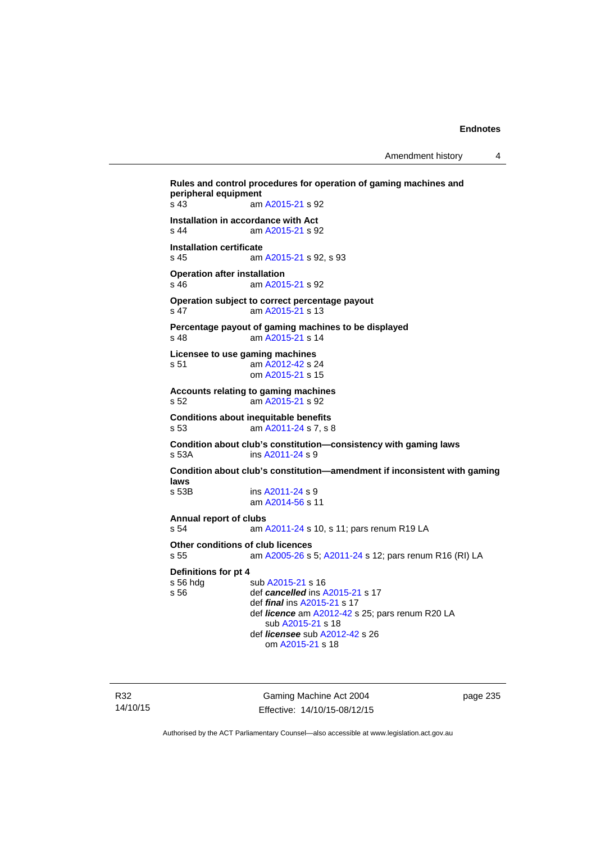Amendment history 4

```
Rules and control procedures for operation of gaming machines and 
peripheral equipment 
s 43 am A2015-21 s 92 
Installation in accordance with Act 
s 44 am A2015-21 s 92 
Installation certificate 
s 45 am A2015-21 s 92, s 93 
Operation after installation 
s 46 am A2015-21 s 92 
Operation subject to correct percentage payout 
s 47 am A2015-21 s 13 
Percentage payout of gaming machines to be displayed 
s 48 am A2015-21 s 14 
Licensee to use gaming machines 
s 51 am A2012-42 s 24 
                 om A2015-21 s 15 
Accounts relating to gaming machines 
s 52 am A2015-21 s 92 
Conditions about inequitable benefits 
s 53 am A2011-24 s 7, s 8 
Condition about club's constitution—consistency with gaming laws 
s 53A ins A2011-24 s 9
Condition about club's constitution—amendment if inconsistent with gaming 
laws 
                A2011-24 s 9 am A2014-56 s 11 
Annual report of clubs 
s 54 am A2011-24 s 10, s 11; pars renum R19 LA 
Other conditions of club licences 
s 55 am A2005-26 s 5; A2011-24 s 12; pars renum R16 (RI) LA 
Definitions for pt 4 
A2015-21 s 16<br>s 56 def cancelled ins A
                def cancelledA2015-21 s 17
                 def final ins A2015-21 s 17 
                 def licence am A2012-42 s 25; pars renum R20 LA 
                     sub A2015-21 s 18 
                 def licensee sub A2012-42 s 26 
                     om A2015-21 s 18
```
R32 14/10/15

Gaming Machine Act 2004 Effective: 14/10/15-08/12/15 page 235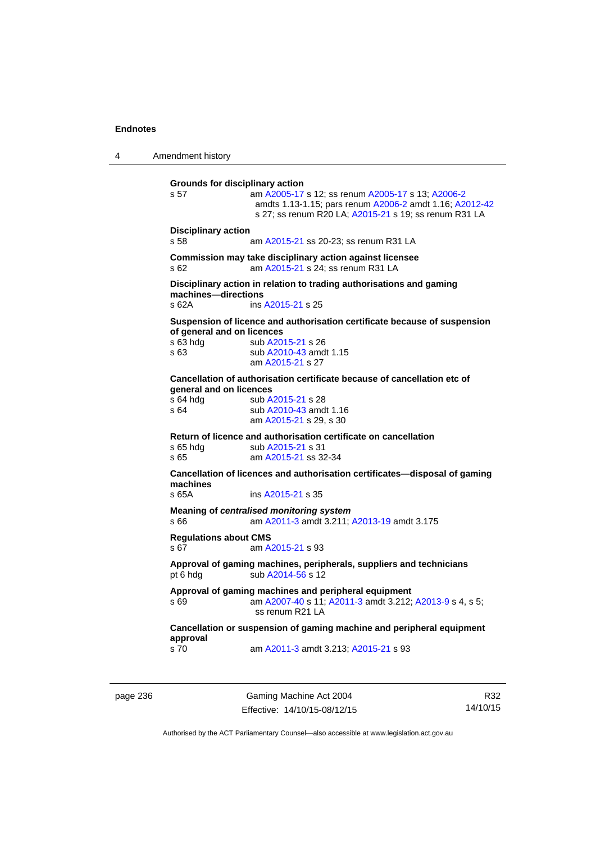4 Amendment history **Grounds for disciplinary action**  s 57 am [A2005-17](http://www.legislation.act.gov.au/a/2005-17) s 12; ss renum [A2005-17](http://www.legislation.act.gov.au/a/2005-17) s 13; [A2006-2](http://www.legislation.act.gov.au/a/2006-2) amdts 1.13-1.15; pars renum [A2006-2](http://www.legislation.act.gov.au/a/2006-2) amdt 1.16; [A2012-42](http://www.legislation.act.gov.au/a/2012-42) s 27; ss renum R20 LA; [A2015-21](http://www.legislation.act.gov.au/a/2015-21) s 19; ss renum R31 LA **Disciplinary action**  am [A2015-21](http://www.legislation.act.gov.au/a/2015-21) ss 20-23; ss renum R31 LA **Commission may take disciplinary action against licensee**  s 62 am [A2015-21](http://www.legislation.act.gov.au/a/2015-21) s 24; ss renum R31 LA **Disciplinary action in relation to trading authorisations and gaming machines—directions**  s 62A ins [A2015-21](http://www.legislation.act.gov.au/a/2015-21) s 25 **Suspension of licence and authorisation certificate because of suspension of general and on licences**  s 63 hdg sub [A2015-21](http://www.legislation.act.gov.au/a/2015-21) s 26 s 63 **Sub A2010-43** amdt 1.15 am [A2015-21](http://www.legislation.act.gov.au/a/2015-21) s 27 **Cancellation of authorisation certificate because of cancellation etc of general and on licences**<br>s 64 hda sub A s 64 hdg sub [A2015-21](http://www.legislation.act.gov.au/a/2015-21) s 28<br>s 64 sub A2010-43 amd sub [A2010-43](http://www.legislation.act.gov.au/a/2010-43) amdt 1.16 am [A2015-21](http://www.legislation.act.gov.au/a/2015-21) s 29, s 30 **Return of licence and authorisation certificate on cancellation**  s 65 hdg sub [A2015-21](http://www.legislation.act.gov.au/a/2015-21) s 31 s 65 am [A2015-21](http://www.legislation.act.gov.au/a/2015-21) ss 32-34 **Cancellation of licences and authorisation certificates—disposal of gaming machines**  s 65A ins [A2015-21](http://www.legislation.act.gov.au/a/2015-21) s 35 **Meaning of** *centralised monitoring system* s 66 am [A2011-3](http://www.legislation.act.gov.au/a/2011-3) amdt 3.211; [A2013-19](http://www.legislation.act.gov.au/a/2013-19) amdt 3.175 **Regulations about CMS**  s 67 am [A2015-21](http://www.legislation.act.gov.au/a/2015-21) s 93 **Approval of gaming machines, peripherals, suppliers and technicians**  pt 6 hdg sub [A2014-56](http://www.legislation.act.gov.au/a/2014-56) s 12 **Approval of gaming machines and peripheral equipment**  s 69 am [A2007-40](http://www.legislation.act.gov.au/a/2007-40) s 11; [A2011-3](http://www.legislation.act.gov.au/a/2011-3) amdt 3.212; [A2013-9](http://www.legislation.act.gov.au/a/2013-9) s 4, s 5; ss renum R21 LA **Cancellation or suspension of gaming machine and peripheral equipment approval**  s 70 am [A2011-3](http://www.legislation.act.gov.au/a/2011-3) amdt 3.213; [A2015-21](http://www.legislation.act.gov.au/a/2015-21) s 93

page 236 Gaming Machine Act 2004 Effective: 14/10/15-08/12/15

R32 14/10/15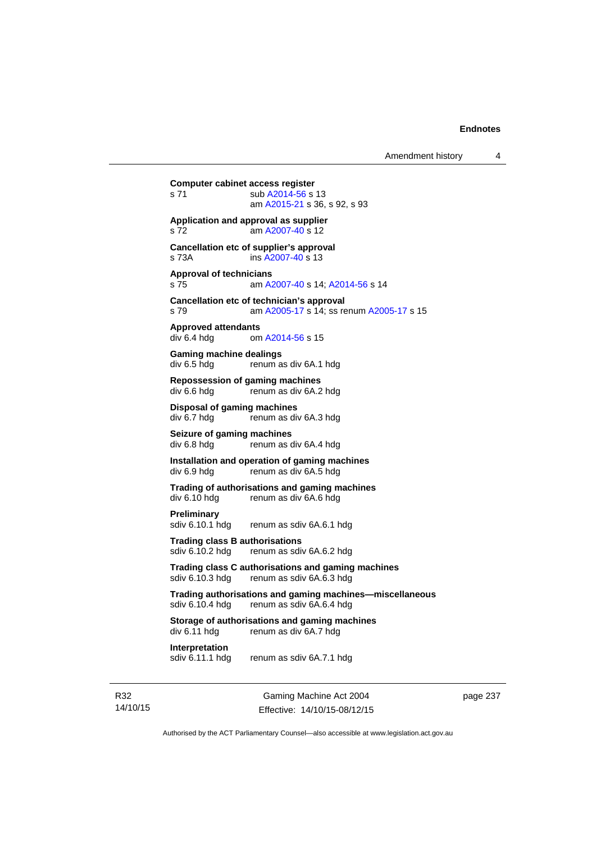Gaming Machine Act 2004 **Computer cabinet access register**  s 71 sub [A2014-56](http://www.legislation.act.gov.au/a/2014-56) s 13 am [A2015-21](http://www.legislation.act.gov.au/a/2015-21) s 36, s 92, s 93 **Application and approval as supplier**  s 72 am [A2007-40](http://www.legislation.act.gov.au/a/2007-40) s 12 **Cancellation etc of supplier's approval**  s 73A ins [A2007-40](http://www.legislation.act.gov.au/a/2007-40) s 13 **Approval of technicians**  s 75 am [A2007-40](http://www.legislation.act.gov.au/a/2007-40) s 14; [A2014-56](http://www.legislation.act.gov.au/a/2014-56) s 14 **Cancellation etc of technician's approval**  s 79 am [A2005-17](http://www.legislation.act.gov.au/a/2005-17) s 14; ss renum [A2005-17](http://www.legislation.act.gov.au/a/2005-17) s 15 **Approved attendants**  om [A2014-56](http://www.legislation.act.gov.au/a/2014-56) s 15 **Gaming machine dealings**  div 6.5 hdg renum as div 6A.1 hdg **Repossession of gaming machines**  div 6.6 hdg renum as div 6A.2 hdg **Disposal of gaming machines**  div 6.7 hdg renum as div 6A.3 hdg **Seizure of gaming machines**<br>div 6.8 hdg renum as d renum as div 6A.4 hdg **Installation and operation of gaming machines**  div 6.9 hdg renum as div 6A.5 hdg **Trading of authorisations and gaming machines**  renum as div 6A.6 hdg **Preliminary**  sdiv 6.10.1 hdg renum as sdiv 6A.6.1 hdg **Trading class B authorisations**  sdiv 6.10.2 hdg renum as sdiv 6A.6.2 hdg **Trading class C authorisations and gaming machines**  sdiv 6.10.3 hdg renum as sdiv 6A.6.3 hdg **Trading authorisations and gaming machines—miscellaneous**  sdiv 6.10.4 hdg renum as sdiv 6A.6.4 hdg **Storage of authorisations and gaming machines**  div 6.11 hdg renum as div 6A.7 hdg **Interpretation**  sdiv 6.11.1 hdg renum as sdiv 6A.7.1 hdg

R32 14/10/15

Effective: 14/10/15-08/12/15

page 237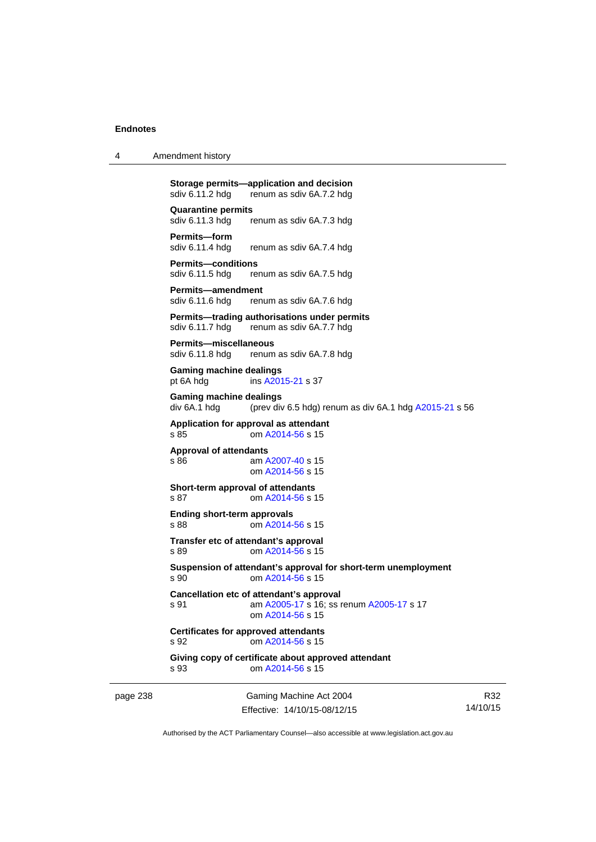| 4 | Amendment history |
|---|-------------------|
|---|-------------------|

**Storage permits—application and decision**<br>sdiv 6.11.2 hdg renum as sdiv 6A.7.2 hdg sdiv 6.11.2 hdg renum as sdiv 6A.7.2 hdg

**Quarantine permits**  sdiv 6.11.3 hdg renum as sdiv 6A.7.3 hdg

**Permits—form**  renum as sdiv 6A.7.4 hdg

**Permits—conditions**  sdiv 6.11.5 hdg renum as sdiv 6A.7.5 hdg

**Permits—amendment**  sdiv 6.11.6 hdg renum as sdiv 6A.7.6 hdg

**Permits—trading authorisations under permits**  sdiv 6.11.7 hdg renum as sdiv 6A.7.7 hdg

**Permits—miscellaneous**  sdiv 6.11.8 hdg renum as sdiv 6A.7.8 hdg

**Gaming machine dealings**  pt 6A hdg ins [A2015-21](http://www.legislation.act.gov.au/a/2015-21) s 37

**Gaming machine dealings**  div 6A.1 hdg (prev div 6.5 hdg) renum as div 6A.1 hdg [A2015-21](http://www.legislation.act.gov.au/a/2015-21) s 56

**Application for approval as attendant**  s 85 om [A2014-56](http://www.legislation.act.gov.au/a/2014-56) s 15

**Approval of attendants** 

s 86 am [A2007-40](http://www.legislation.act.gov.au/a/2007-40) s 15 om [A2014-56](http://www.legislation.act.gov.au/a/2014-56) s 15

**Short-term approval of attendants**  s 87 **cm [A2014-56](http://www.legislation.act.gov.au/a/2014-56) s 15** 

**Ending short-term approvals**  s 88 om [A2014-56](http://www.legislation.act.gov.au/a/2014-56) s 15

**Transfer etc of attendant's approval**  s 89 om [A2014-56](http://www.legislation.act.gov.au/a/2014-56) s 15

**Suspension of attendant's approval for short-term unemployment**  s 90 om [A2014-56](http://www.legislation.act.gov.au/a/2014-56) s 15

**Cancellation etc of attendant's approval**  s 91 am [A2005-17](http://www.legislation.act.gov.au/a/2005-17) s 16; ss renum [A2005-17](http://www.legislation.act.gov.au/a/2005-17) s 17 om [A2014-56](http://www.legislation.act.gov.au/a/2014-56) s 15

**Certificates for approved attendants**  s 92 om [A2014-56](http://www.legislation.act.gov.au/a/2014-56) s 15

**Giving copy of certificate about approved attendant**  s 93 om [A2014-56](http://www.legislation.act.gov.au/a/2014-56) s 15

page 238 Gaming Machine Act 2004 Effective: 14/10/15-08/12/15

R32 14/10/15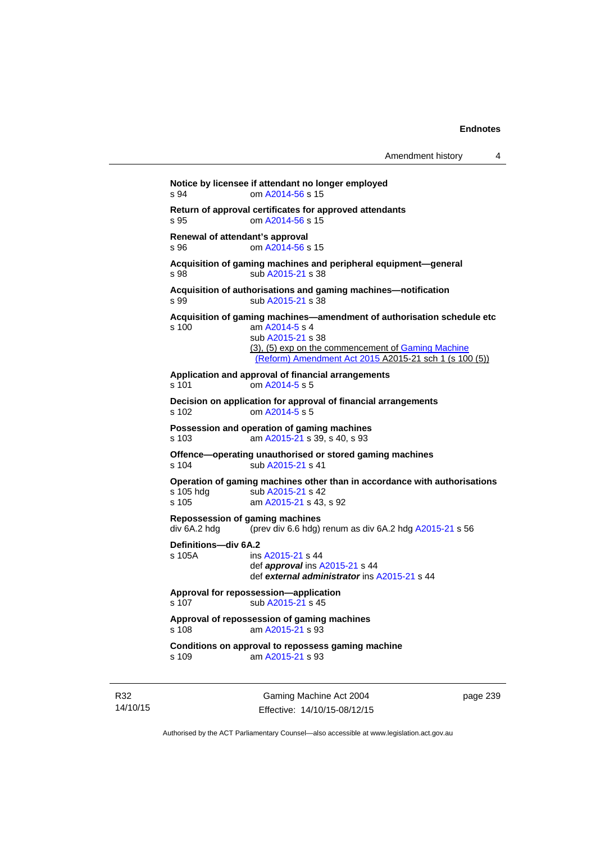```
Notice by licensee if attendant no longer employed 
s 94 om A2014-56 s 15 
Return of approval certificates for approved attendants 
s 95 om A2014-56 s 15 
Renewal of attendant's approval 
s 96 om A2014-56 s 15 
Acquisition of gaming machines and peripheral equipment—general 
A2015-21 s 38
Acquisition of authorisations and gaming machines—notification 
A2015-21 s 38
Acquisition of gaming machines—amendment of authorisation schedule etc 
s 100 am A2014-5 s 4 
                sub A2015-21 s 38 
               (3), (5) exp on the commencement of Gaming Machine 
                (Reform) Amendment Act 2015 A2015-21 sch 1 (s 100 (5))
Application and approval of financial arrangements 
s 101 om A2014-5 s 5 
Decision on application for approval of financial arrangements 
s 102 om A2014-5 s 5 
Possession and operation of gaming machines 
s 103 am A2015-21 s 39, s 40, s 93 
Offence—operating unauthorised or stored gaming machines 
A2015-21 s 41
Operation of gaming machines other than in accordance with authorisations 
A2015-21 s 42
s 105 am A2015-21 s 43, s 92 
Repossession of gaming machines 
div 6A.2 hdg (prev div 6.6 hdg) renum as div 6A.2 hdg A2015-21 s 56 
Definitions—div 6A.2 
s 105A ins A2015-21 s 44 
                def approval ins A2015-21 s 44 
                def external administrator ins A2015-21 s 44 
Approval for repossession—application 
A2015-21 s 45
Approval of repossession of gaming machines 
s 108 am A2015-21 s 93 
Conditions on approval to repossess gaming machine 
s 109 am A2015-21 s 93
```
R32 14/10/15

Gaming Machine Act 2004 Effective: 14/10/15-08/12/15 page 239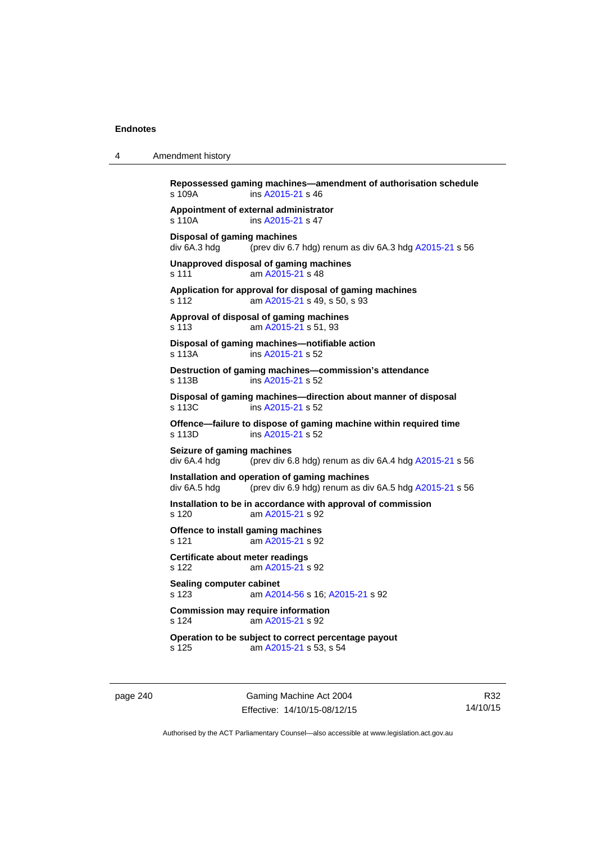4 Amendment history

| s 109A                                             | ins A2015-21 s 46                                                                                       |
|----------------------------------------------------|---------------------------------------------------------------------------------------------------------|
| s 110A                                             | Appointment of external administrator<br>ins A2015-21 s 47                                              |
| <b>Disposal of gaming machines</b><br>div 6A.3 hdg | (prev div 6.7 hdg) renum as div 6A.3 hdg A2015-21 s 56                                                  |
| s 111                                              | Unapproved disposal of gaming machines<br>am A2015-21 s 48                                              |
| s 112                                              | Application for approval for disposal of gaming machines<br>am A2015-21 s 49, s 50, s 93                |
| s 113                                              | Approval of disposal of gaming machines<br>am A2015-21 s 51, 93                                         |
| s 113A                                             | Disposal of gaming machines-notifiable action<br>ins A2015-21 s 52                                      |
| s 113B                                             | Destruction of gaming machines-commission's attendance<br>ins A2015-21 s 52                             |
| s 113C                                             | Disposal of gaming machines-direction about manner of disposal<br>ins A2015-21 s 52                     |
| s 113D                                             | Offence-failure to dispose of gaming machine within required time<br>ins A2015-21 s 52                  |
| Seizure of gaming machines<br>div 6A.4 hdg         | (prev div 6.8 hdg) renum as div 6A.4 hdg A2015-21 s 56                                                  |
| div 6A.5 hdg                                       | Installation and operation of gaming machines<br>(prev div 6.9 hdg) renum as div 6A.5 hdg A2015-21 s 56 |
| s 120                                              | Installation to be in accordance with approval of commission<br>am A2015-21 s 92                        |
| s 121                                              | Offence to install gaming machines<br>am A2015-21 s 92                                                  |
| s 122                                              | Certificate about meter readings<br>am A2015-21 s 92                                                    |
| <b>Sealing computer cabinet</b><br>s 123           | am A2014-56 s 16; A2015-21 s 92                                                                         |
| s 124                                              | <b>Commission may require information</b><br>am A2015-21 s 92                                           |
| s 125                                              | Operation to be subject to correct percentage payout<br>am A2015-21 s 53, s 54                          |

page 240 Gaming Machine Act 2004 Effective: 14/10/15-08/12/15

R32 14/10/15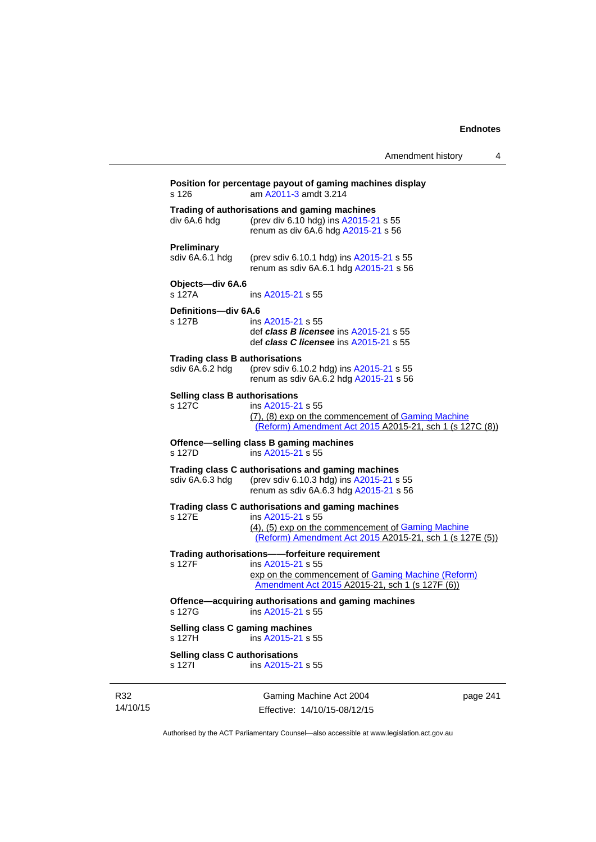|                                                          | Amendment history                                                                                                                                                                         | 4        |
|----------------------------------------------------------|-------------------------------------------------------------------------------------------------------------------------------------------------------------------------------------------|----------|
| s 126                                                    | Position for percentage payout of gaming machines display<br>am A2011-3 amdt 3.214                                                                                                        |          |
| div 6A.6 hdg                                             | Trading of authorisations and gaming machines<br>(prev div 6.10 hdg) ins A2015-21 s 55<br>renum as div 6A.6 hdg A2015-21 s 56                                                             |          |
| <b>Preliminary</b><br>sdiv 6A.6.1 hdg                    | (prev sdiv 6.10.1 hdg) ins A2015-21 s 55<br>renum as sdiv 6A.6.1 hdg A2015-21 s 56                                                                                                        |          |
| Objects-div 6A.6<br>s 127A                               | ins A2015-21 s 55                                                                                                                                                                         |          |
| Definitions-div 6A.6<br>s 127B                           | ins A2015-21 s 55<br>def class B licensee ins A2015-21 s 55<br>def class C licensee ins A2015-21 s 55                                                                                     |          |
| <b>Trading class B authorisations</b><br>sdiv 6A.6.2 hdg | (prev sdiv 6.10.2 hdg) ins A2015-21 s 55<br>renum as sdiv 6A.6.2 hdg A2015-21 s 56                                                                                                        |          |
| Selling class B authorisations<br>s 127C                 | ins A2015-21 s 55<br>(7), (8) exp on the commencement of Gaming Machine<br>(Reform) Amendment Act 2015 A2015-21, sch 1 (s 127C (8))                                                       |          |
| s 127D                                                   | Offence-selling class B gaming machines<br>ins A2015-21 s 55                                                                                                                              |          |
| sdiv 6A.6.3 hdg                                          | Trading class C authorisations and gaming machines<br>(prev sdiv 6.10.3 hdg) ins A2015-21 s 55<br>renum as sdiv 6A.6.3 hdg A2015-21 s 56                                                  |          |
| s 127E                                                   | Trading class C authorisations and gaming machines<br>ins A2015-21 s 55<br>(4), (5) exp on the commencement of Gaming Machine<br>(Reform) Amendment Act 2015 A2015-21, sch 1 (s 127E (5)) |          |
| s 127F                                                   | Trading authorisations--forfeiture requirement<br>ins A2015-21 s 55<br>exp on the commencement of Gaming Machine (Reform)<br>Amendment Act 2015 A2015-21, sch 1 (s 127F (6))              |          |
| s 127G                                                   | Offence-acquiring authorisations and gaming machines<br>ins A2015-21 s 55                                                                                                                 |          |
| Selling class C gaming machines<br>s 127H                | ins A2015-21 s 55                                                                                                                                                                         |          |
| Selling class C authorisations<br>s 127l                 | ins A2015-21 s 55                                                                                                                                                                         |          |
|                                                          | Gaming Machine Act 2004                                                                                                                                                                   | page 241 |

R32 14/10/15

Effective: 14/10/15-08/12/15

pag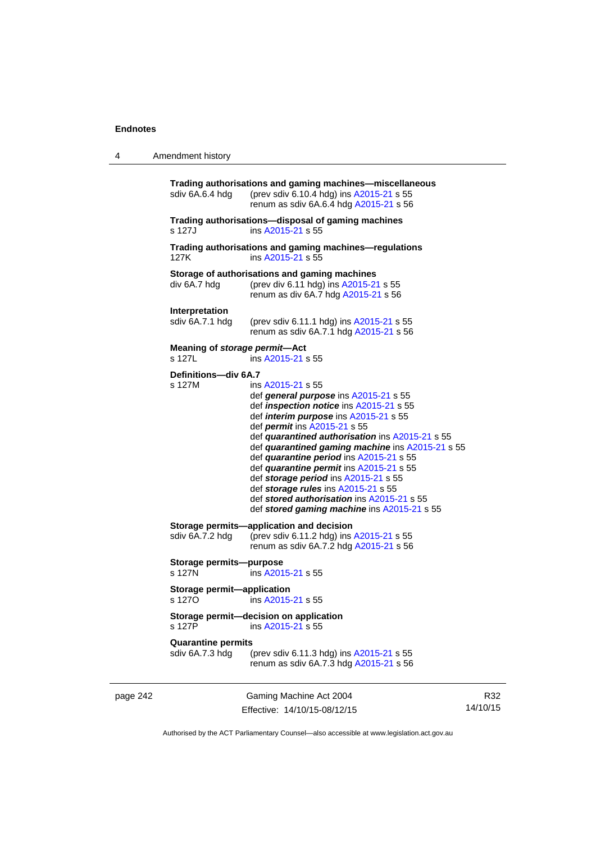# 4 Amendment history

|          | sdiv 6A.6.4 hdg                              | Trading authorisations and gaming machines-miscellaneous<br>(prev sdiv 6.10.4 hdg) ins A2015-21 s 55<br>renum as sdiv 6A.6.4 hdg A2015-21 s 56                                                                                                                                                                                                                                                                                                                                                                                                                               |
|----------|----------------------------------------------|------------------------------------------------------------------------------------------------------------------------------------------------------------------------------------------------------------------------------------------------------------------------------------------------------------------------------------------------------------------------------------------------------------------------------------------------------------------------------------------------------------------------------------------------------------------------------|
|          | s 127J                                       | Trading authorisations-disposal of gaming machines<br>ins A2015-21 s 55                                                                                                                                                                                                                                                                                                                                                                                                                                                                                                      |
|          | 127K                                         | Trading authorisations and gaming machines—regulations<br>ins A2015-21 s 55                                                                                                                                                                                                                                                                                                                                                                                                                                                                                                  |
|          | div 6A.7 hdg                                 | Storage of authorisations and gaming machines<br>(prev div 6.11 hdg) ins A2015-21 s 55<br>renum as div 6A.7 hdg A2015-21 s 56                                                                                                                                                                                                                                                                                                                                                                                                                                                |
|          | Interpretation<br>sdiv 6A.7.1 hdg            | (prev sdiv 6.11.1 hdg) ins A2015-21 s 55<br>renum as sdiv 6A.7.1 hdg A2015-21 s 56                                                                                                                                                                                                                                                                                                                                                                                                                                                                                           |
|          | Meaning of storage permit-Act<br>s 127L      | ins A2015-21 s 55                                                                                                                                                                                                                                                                                                                                                                                                                                                                                                                                                            |
|          | Definitions-div 6A.7<br>s 127M               | ins A2015-21 s 55<br>def general purpose ins A2015-21 s 55<br>def <i>inspection notice</i> ins A2015-21 s 55<br>def <i>interim purpose</i> ins A2015-21 s 55<br>def <i>permit</i> ins A2015-21 s 55<br>def quarantined authorisation ins A2015-21 s 55<br>def quarantined gaming machine ins A2015-21 s 55<br>def quarantine period ins A2015-21 s 55<br>def quarantine permit ins A2015-21 s 55<br>def storage period ins A2015-21 s 55<br>def storage rules ins A2015-21 s 55<br>def stored authorisation ins A2015-21 s 55<br>def stored gaming machine ins A2015-21 s 55 |
|          | sdiv 6A.7.2 hdg                              | Storage permits-application and decision<br>(prev sdiv 6.11.2 hdg) ins A2015-21 s 55<br>renum as sdiv 6A.7.2 hdg A2015-21 s 56                                                                                                                                                                                                                                                                                                                                                                                                                                               |
|          | Storage permits-purpose<br>s 127N            | ins A2015-21 s 55                                                                                                                                                                                                                                                                                                                                                                                                                                                                                                                                                            |
|          | Storage permit-application<br>s 1270         | ins A2015-21 s 55                                                                                                                                                                                                                                                                                                                                                                                                                                                                                                                                                            |
|          |                                              | Storage permit-decision on application<br>s 127P ins A2015-21 s 55                                                                                                                                                                                                                                                                                                                                                                                                                                                                                                           |
|          | <b>Quarantine permits</b><br>sdiv 6A.7.3 hdg | (prev sdiv 6.11.3 hdg) ins A2015-21 s 55<br>renum as sdiv 6A.7.3 hdg A2015-21 s 56                                                                                                                                                                                                                                                                                                                                                                                                                                                                                           |
| page 242 |                                              | Gaming Machine Act 2004                                                                                                                                                                                                                                                                                                                                                                                                                                                                                                                                                      |

Effective: 14/10/15-08/12/15

R32 14/10/15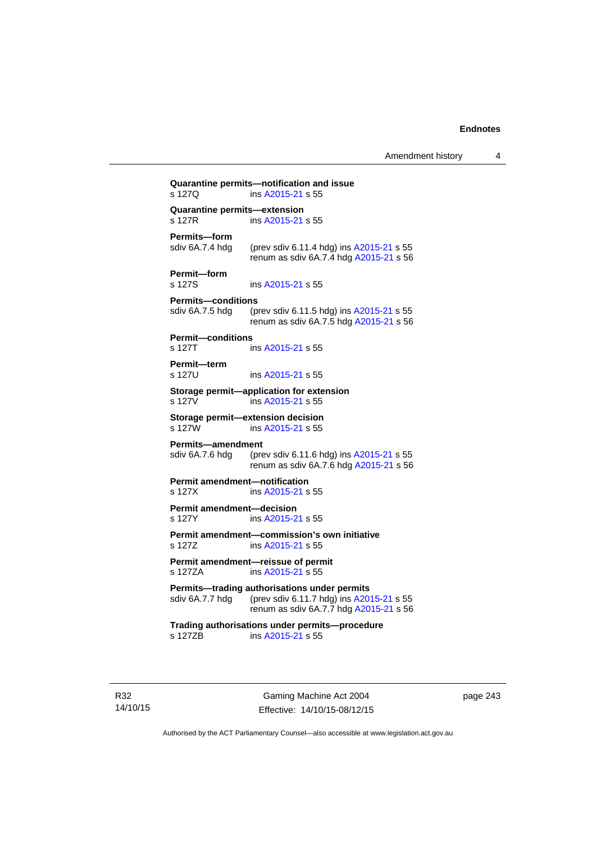Amendment history 4

| s 127Q                                         | ins A2015-21 s 55                                                                                                                  |
|------------------------------------------------|------------------------------------------------------------------------------------------------------------------------------------|
| Quarantine permits-extension<br>s 127R         | ins A2015-21 s 55                                                                                                                  |
| Permits-form<br>sdiv 6A.7.4 hdg                | (prev sdiv 6.11.4 hdg) ins A2015-21 s 55<br>renum as sdiv 6A.7.4 hdg A2015-21 s 56                                                 |
| Permit-form<br>s 127S                          | ins A2015-21 s 55                                                                                                                  |
| <b>Permits-conditions</b><br>sdiv 6A.7.5 hdg   | (prev sdiv 6.11.5 hdg) ins A2015-21 s 55<br>renum as sdiv 6A.7.5 hdg A2015-21 s 56                                                 |
| <b>Permit-conditions</b><br>s 127T             | ins A2015-21 s 55                                                                                                                  |
| Permit-term<br>s 127U                          | ins A2015-21 s 55                                                                                                                  |
| s 127V                                         | Storage permit-application for extension<br>ins A2015-21 s 55                                                                      |
| s 127W                                         | Storage permit-extension decision<br>ins A2015-21 s 55                                                                             |
| <b>Permits-amendment</b><br>sdiv 6A.7.6 hda    | (prev sdiv 6.11.6 hdg) ins A2015-21 s 55<br>renum as sdiv 6A.7.6 hdg A2015-21 s 56                                                 |
| <b>Permit amendment-notification</b><br>s 127X | ins A2015-21 s 55                                                                                                                  |
| <b>Permit amendment-decision</b><br>s 127Y     | ins A2015-21 s 55                                                                                                                  |
| s 127Z                                         | Permit amendment-commission's own initiative<br>ins A2015-21 s 55                                                                  |
| s 127ZA                                        | Permit amendment-reissue of permit<br>ins A2015-21 s 55                                                                            |
| sdiv 6A.7.7 hdg                                | Permits-trading authorisations under permits<br>(prev sdiv 6.11.7 hdg) ins A2015-21 s 55<br>renum as sdiv 6A.7.7 hdg A2015-21 s 56 |
| s 127ZB                                        | Trading authorisations under permits-procedure                                                                                     |

R32 14/10/15

Gaming Machine Act 2004 Effective: 14/10/15-08/12/15 page 243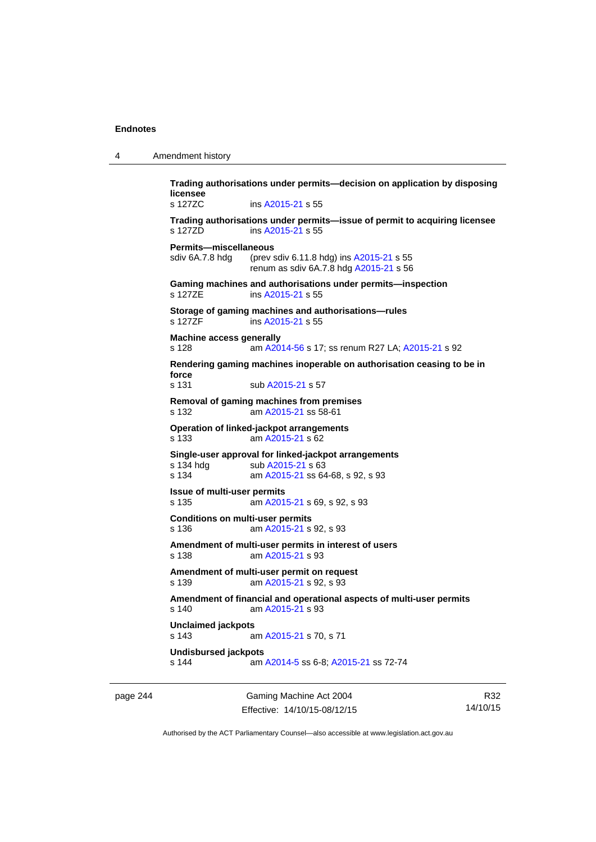| 4 | Amendment history |
|---|-------------------|
|---|-------------------|

**Trading authorisations under permits—decision on application by disposing licensee**  s 127ZC ins [A2015-21](http://www.legislation.act.gov.au/a/2015-21) s 55 **Trading authorisations under permits—issue of permit to acquiring licensee**  s 127ZD ins [A2015-21](http://www.legislation.act.gov.au/a/2015-21) s 55 **Permits—miscellaneous**  sdiv 6A.7.8 hdg (prev sdiv 6.11.8 hdg) ins [A2015-21](http://www.legislation.act.gov.au/a/2015-21) s 55 renum as sdiv 6A.7.8 hdg [A2015-21](http://www.legislation.act.gov.au/a/2015-21) s 56 **Gaming machines and authorisations under permits—inspection**  s 127ZE ins [A2015-21](http://www.legislation.act.gov.au/a/2015-21) s 55 **Storage of gaming machines and authorisations—rules**  s 127ZF ins [A2015-21](http://www.legislation.act.gov.au/a/2015-21) s 55 **Machine access generally**  s 128 am [A2014-56](http://www.legislation.act.gov.au/a/2014-56) s 17; ss renum R27 LA; [A2015-21](http://www.legislation.act.gov.au/a/2015-21) s 92 **Rendering gaming machines inoperable on authorisation ceasing to be in force**  s 131 sub [A2015-21](http://www.legislation.act.gov.au/a/2015-21) s 57 **Removal of gaming machines from premises**  s 132 am [A2015-21](http://www.legislation.act.gov.au/a/2015-21) ss 58-61 **Operation of linked-jackpot arrangements**  s 133 am [A2015-21](http://www.legislation.act.gov.au/a/2015-21) s 62 **Single-user approval for linked-jackpot arrangements**  s 134 hdg sub [A2015-21](http://www.legislation.act.gov.au/a/2015-21) s 63 s 134 am [A2015-21](http://www.legislation.act.gov.au/a/2015-21) ss 64-68, s 92, s 93 **Issue of multi-user permits**  s 135 am [A2015-21](http://www.legislation.act.gov.au/a/2015-21) s 69, s 92, s 93 **Conditions on multi-user permits**  s 136 am [A2015-21](http://www.legislation.act.gov.au/a/2015-21) s 92, s 93 **Amendment of multi-user permits in interest of users**  s 138 am [A2015-21](http://www.legislation.act.gov.au/a/2015-21) s 93 **Amendment of multi-user permit on request**  s 139 am [A2015-21](http://www.legislation.act.gov.au/a/2015-21) s 92, s 93 **Amendment of financial and operational aspects of multi-user permits**  s 140 am [A2015-21](http://www.legislation.act.gov.au/a/2015-21) s 93 **Unclaimed jackpots**  s 143 am [A2015-21](http://www.legislation.act.gov.au/a/2015-21) s 70, s 71 **Undisbursed jackpots**  s 144 am [A2014-5](http://www.legislation.act.gov.au/a/2014-5) ss 6-8; [A2015-21](http://www.legislation.act.gov.au/a/2015-21) ss 72-74

page 244 Gaming Machine Act 2004 Effective: 14/10/15-08/12/15

R32 14/10/15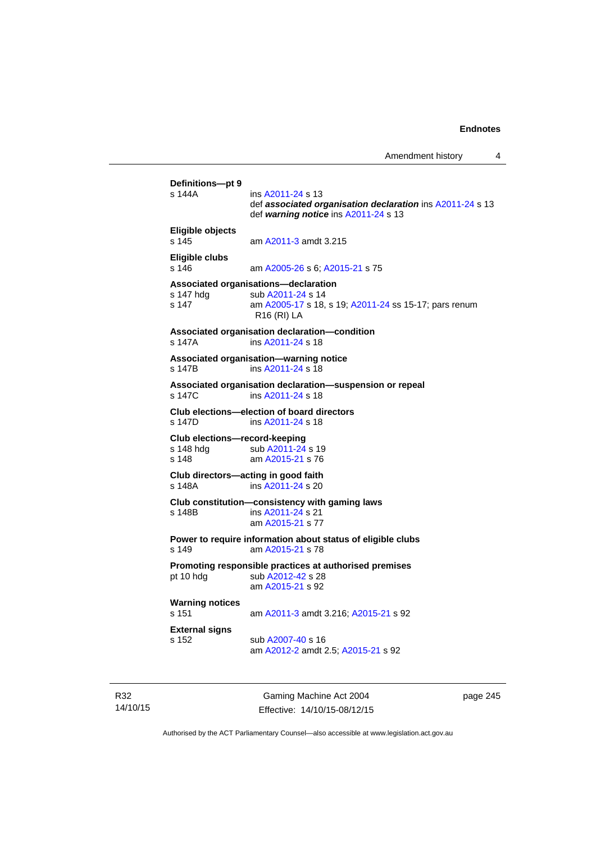```
Definitions—pt 9 
                A2011-24 s 13
                 def associated organisation declaration ins A2011-24 s 13 
                 def warning notice ins A2011-24 s 13 
Eligible objects 
s 145 am A2011-3 amdt 3.215 
Eligible clubs 
s 146 am A2005-26 s 6; A2015-21 s 75 
Associated organisations—declaration 
A2011-24 s 14
s 147 am A2005-17 s 18, s 19; A2011-24 ss 15-17; pars renum 
                R16 (RI) LA 
Associated organisation declaration—condition 
s 147A ins A2011-24 s 18 
Associated organisation—warning notice 
s 147B ins A2011-24 s 18 
Associated organisation declaration—suspension or repeal 
s 147C ins A2011-24 s 18 
Club elections—election of board directors 
               A2011-24 s 18
Club elections—record-keeping 
A2011-24 s 19
s 148 am A2015-21 s 76 
Club directors—acting in good faith 
                A2011-24 s 20Club constitution—consistency with gaming laws 
s 148B ins A2011-24 s 21 
                am A2015-21 s 77 
Power to require information about status of eligible clubs 
s 149 am A2015-21 s 78 
Promoting responsible practices at authorised premises 
A2012-42 s 28
                am A2015-21 s 92 
Warning notices 
s 151 am A2011-3 amdt 3.216; A2015-21 s 92 
External signs 
s 152 sub A2007-40 s 16 
                 am A2012-2 amdt 2.5; A2015-21 s 92
```
R32 14/10/15

Gaming Machine Act 2004 Effective: 14/10/15-08/12/15 page 245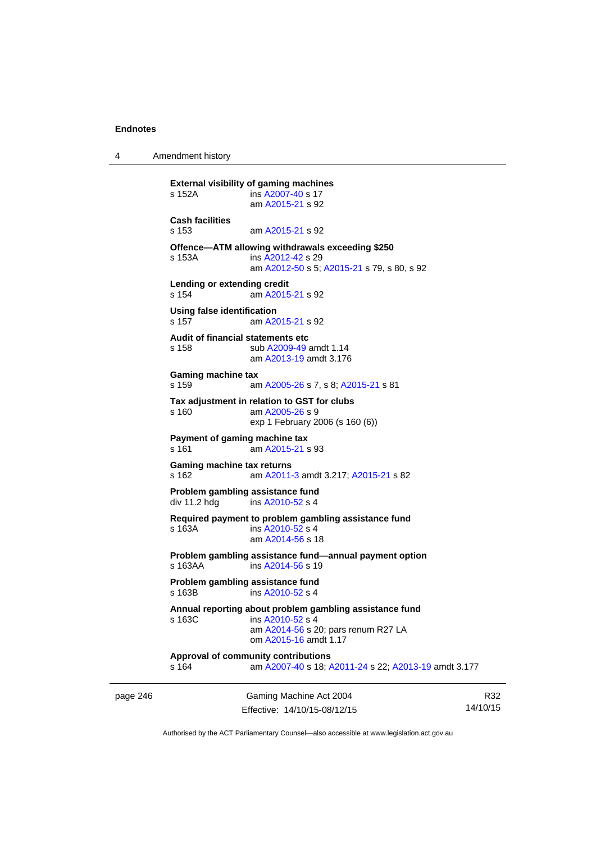4 Amendment history

```
page 246 Gaming Machine Act 2004 
                                                                    14/10/15 
          External visibility of gaming machines 
          s 152A ins A2007-40 s 17 
                           am A2015-21 s 92 
          Cash facilities 
          s 153 am A2015-21 s 92 
          Offence—ATM allowing withdrawals exceeding $250 
          s 153A ins A2012-42 s 29 
                           am A2012-50 s 5; A2015-21 s 79, s 80, s 92
          Lending or extending credit 
          s 154 am A2015-21 s 92 
          Using false identification 
          s 157 am A2015-21 s 92 
          Audit of financial statements etc 
          s 158 sub A2009-49 amdt 1.14 
                           am A2013-19 amdt 3.176
          Gaming machine tax 
          s 159 am A2005-26 s 7, s 8; A2015-21 s 81 
          Tax adjustment in relation to GST for clubs 
          s 160 am A2005-26 s 9 
                          exp 1 February 2006 (s 160 (6)) 
          Payment of gaming machine tax 
          s 161 am A2015-21 s 93 
          Gaming machine tax returns 
          s 162 am A2011-3 amdt 3.217; A2015-21 s 82 
          Problem gambling assistance fund 
          A2010-52 s 4
          Required payment to problem gambling assistance fund 
          s 163A ins A2010-52 s 4
                           am A2014-56 s 18 
          Problem gambling assistance fund—annual payment option 
           A2014-56 s 19
          Problem gambling assistance fund 
          s 163B ins A2010-52 s 4
          Annual reporting about problem gambling assistance fund 
          s 163C ins A2010-52 s 4
                           am A2014-56 s 20; pars renum R27 LA 
                           om A2015-16 amdt 1.17
          Approval of community contributions 
          s 164 am A2007-40 s 18; A2011-24 s 22; A2013-19 amdt 3.177
```
Authorised by the ACT Parliamentary Counsel—also accessible at www.legislation.act.gov.au

R32

Effective: 14/10/15-08/12/15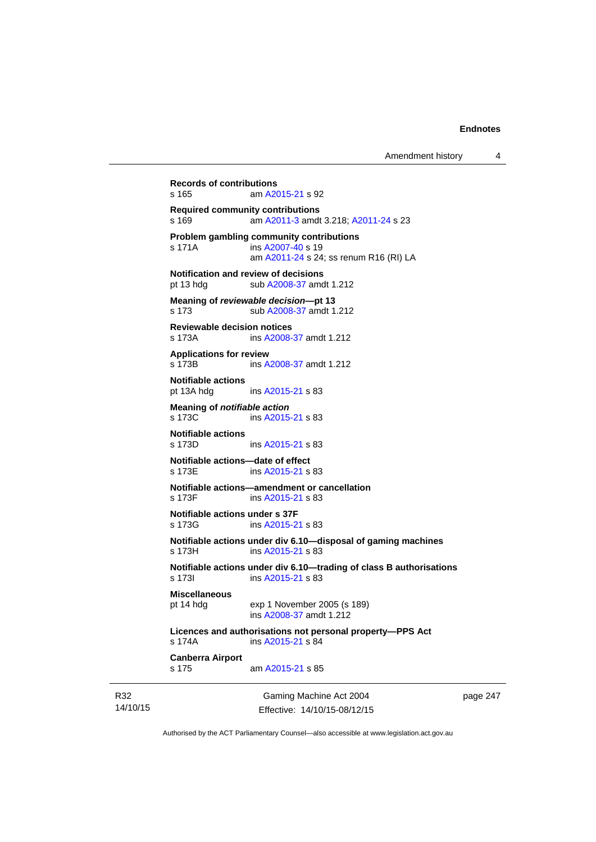```
14/10/15 
                             Gaming Machine Act 2004 
                            Effective: 14/10/15-08/12/15 
                                                                     page 247 
          Records of contributions 
          s 165 am A2015-21 s 92 
          Required community contributions 
          s 169 am A2011-3 amdt 3.218; A2011-24 s 23 
          Problem gambling community contributions 
           A2007-40 s 19
                           am A2011-24 s 24; ss renum R16 (RI) LA
          Notification and review of decisions 
          pt 13 hdg sub A2008-37 amdt 1.212 
          Meaning of reviewable decision—pt 13 
          s 173 sub A2008-37 amdt 1.212 
          Reviewable decision notices 
          s 173A ins A2008-37 amdt 1.212 
          Applications for review 
          s 173B ins A2008-37 amdt 1.212 
          Notifiable actions 
          pt 13A hdg ins A2015-21 s 83 
          Meaning of notifiable action
          A2015-21 s 83
          Notifiable actions 
                          A2015-21 s 83
          Notifiable actions—date of effect 
           A2015-21 s 83
          Notifiable actions—amendment or cancellation 
                           A2015-21 s 83
          Notifiable actions under s 37F 
          s 173G ins A2015-21 s 83 
          Notifiable actions under div 6.10—disposal of gaming machines 
          s 173H ins A2015-21 s 83 
          Notifiable actions under div 6.10—trading of class B authorisations 
           A2015-21 s 83
          Miscellaneous 
          pt 14 hdg exp 1 November 2005 (s 189) 
                           ins A2008-37 amdt 1.212 
          Licences and authorisations not personal property—PPS Act 
          s 174A ins A2015-21 s 84 
          Canberra Airport 
          s 175 am A2015-21 s 85
```
Authorised by the ACT Parliamentary Counsel—also accessible at www.legislation.act.gov.au

R32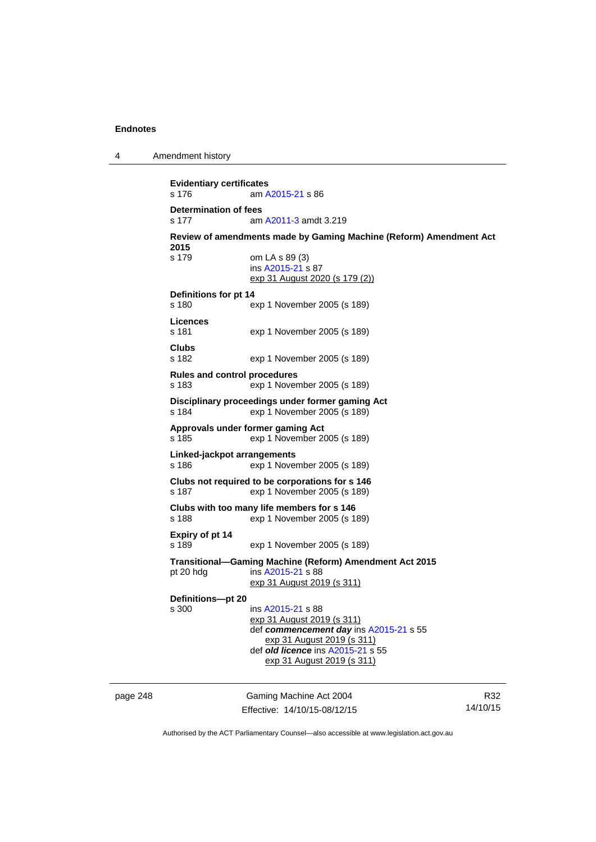4 Amendment history

**Evidentiary certificates**  s 176 am [A2015-21](http://www.legislation.act.gov.au/a/2015-21) s 86 **Determination of fees**  s 177 am [A2011-3](http://www.legislation.act.gov.au/a/2011-3) amdt 3.219 **Review of amendments made by Gaming Machine (Reform) Amendment Act 2015**  s 179 om LA s 89 (3) ins [A2015-21](http://www.legislation.act.gov.au/a/2015-21) s 87 exp 31 August 2020 (s 179 (2)) **Definitions for pt 14**  s 180 exp 1 November 2005 (s 189) **Licences**  s 181 exp 1 November 2005 (s 189) **Clubs**  s 182 exp 1 November 2005 (s 189) **Rules and control procedures**  s 183 exp 1 November 2005 (s 189) **Disciplinary proceedings under former gaming Act**  s 184 exp 1 November 2005 (s 189) **Approvals under former gaming Act**  s 185 exp 1 November 2005 (s 189) **Linked-jackpot arrangements**  s 186 exp 1 November 2005 (s 189) **Clubs not required to be corporations for s 146**  s 187 exp 1 November 2005 (s 189) **Clubs with too many life members for s 146**  s 188 exp 1 November 2005 (s 189) **Expiry of pt 14**  s 189 exp 1 November 2005 (s 189) **Transitional—Gaming Machine (Reform) Amendment Act 2015**  pt 20 hdg ins [A2015-21](http://www.legislation.act.gov.au/a/2015-21) s 88 exp 31 August 2019 (s 311) **Definitions—pt 20**  s 300 ins [A2015-21](http://www.legislation.act.gov.au/a/2015-21) s 88 exp 31 August 2019 (s 311) def *commencement day* ins [A2015-21](http://www.legislation.act.gov.au/a/2015-21) s 55 exp 31 August 2019 (s 311) def *old licence* ins [A2015-21](http://www.legislation.act.gov.au/a/2015-21) s 55 exp 31 August 2019 (s 311)

page 248 Gaming Machine Act 2004 Effective: 14/10/15-08/12/15

R32 14/10/15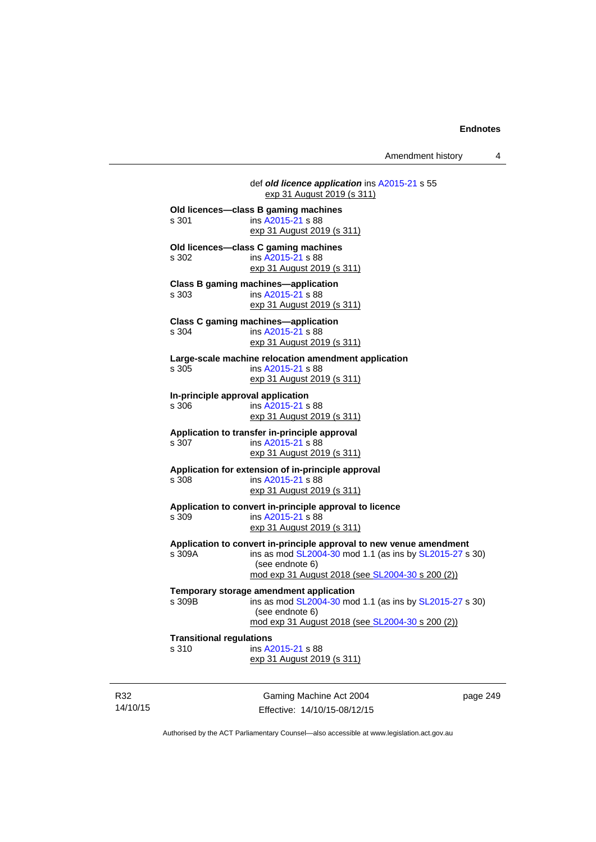Amendment history 4

|                                   | def old licence application ins A2015-21 s 55<br>exp 31 August 2019 (s 311) |
|-----------------------------------|-----------------------------------------------------------------------------|
|                                   | Old licences-class B gaming machines                                        |
| s 301                             | ins A2015-21 s 88                                                           |
|                                   | exp 31 August 2019 (s 311)                                                  |
|                                   | Old licences-class C gaming machines                                        |
| s 302                             | ins A2015-21 s 88                                                           |
|                                   | exp 31 August 2019 (s 311)                                                  |
|                                   | <b>Class B gaming machines-application</b>                                  |
| s 303                             | ins A2015-21 s 88                                                           |
|                                   | exp 31 August 2019 (s 311)                                                  |
|                                   | <b>Class C gaming machines-application</b>                                  |
| s 304                             | ins A2015-21 s 88                                                           |
|                                   | exp 31 August 2019 (s 311)                                                  |
|                                   | Large-scale machine relocation amendment application                        |
| s 305                             | ins A2015-21 s 88                                                           |
|                                   | exp 31 August 2019 (s 311)                                                  |
| In-principle approval application |                                                                             |
| s 306                             | ins A2015-21 s 88                                                           |
|                                   | exp 31 August 2019 (s 311)                                                  |
|                                   | Application to transfer in-principle approval                               |
| s 307                             | ins A2015-21 s 88                                                           |
|                                   | exp 31 August 2019 (s 311)                                                  |
|                                   | Application for extension of in-principle approval                          |
| s 308                             | ins A2015-21 s 88                                                           |
|                                   | exp 31 August 2019 (s 311)                                                  |
|                                   | Application to convert in-principle approval to licence                     |
| s 309                             | ins A2015-21 s 88                                                           |
|                                   | exp 31 August 2019 (s 311)                                                  |
|                                   | Application to convert in-principle approval to new venue amendment         |
| s 309A                            | ins as mod SL2004-30 mod 1.1 (as ins by SL2015-27 s 30)                     |
|                                   | (see endnote 6)                                                             |
|                                   | mod exp 31 August 2018 (see SL2004-30 s 200 (2))                            |
|                                   | Temporary storage amendment application                                     |
| s 309B                            | ins as mod SL2004-30 mod 1.1 (as ins by SL2015-27 s 30)                     |
|                                   | (see endnote 6)                                                             |
|                                   | mod exp 31 August 2018 (see SL2004-30 s 200 (2))                            |
| <b>Transitional regulations</b>   |                                                                             |
| s 310                             | ins A2015-21 s 88                                                           |
|                                   | exp 31 August 2019 (s 311)                                                  |
|                                   |                                                                             |
|                                   |                                                                             |
|                                   |                                                                             |

R32 14/10/15

Gaming Machine Act 2004 Effective: 14/10/15-08/12/15 page 249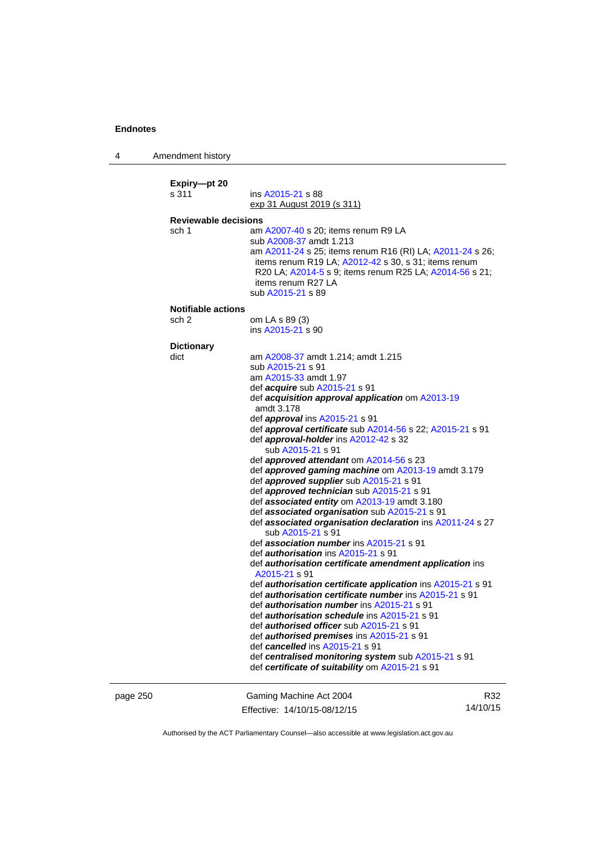4 Amendment history

**Expiry—pt 20**  s 311 ins [A2015-21](http://www.legislation.act.gov.au/a/2015-21) s 88 exp 31 August 2019 (s 311) **Reviewable decisions**  sch 1 am [A2007-40](http://www.legislation.act.gov.au/a/2007-40) s 20: items renum R9 LA sub [A2008-37](http://www.legislation.act.gov.au/a/2008-37) amdt 1.213 am [A2011-24](http://www.legislation.act.gov.au/a/2011-24) s 25; items renum R16 (RI) LA; [A2011-24](http://www.legislation.act.gov.au/a/2011-24) s 26; items renum R19 LA; [A2012-42](http://www.legislation.act.gov.au/a/2012-42) s 30, s 31; items renum R20 LA; [A2014-5](http://www.legislation.act.gov.au/a/2014-5) s 9; items renum R25 LA; [A2014-56](http://www.legislation.act.gov.au/a/2014-56) s 21; items renum R27 LA sub [A2015-21](http://www.legislation.act.gov.au/a/2015-21) s 89 **Notifiable actions**  sch 2 om LA s 89 (3) ins  $A2015 - 21$  s 90 **Dictionary**  dict am [A2008-37](http://www.legislation.act.gov.au/a/2008-37) amdt 1.214; amdt 1.215 sub [A2015-21](http://www.legislation.act.gov.au/a/2015-21) s 91 am [A2015-33](http://www.legislation.act.gov.au/a/2015-33) amdt 1.97 def *acquire* sub [A2015-21](http://www.legislation.act.gov.au/a/2015-21) s 91 def *acquisition approval application* om [A2013-19](http://www.legislation.act.gov.au/a/2013-19) amdt 3.178 def *approval* ins [A2015-21](http://www.legislation.act.gov.au/a/2015-21) s 91 def *approval certificate* sub [A2014-56](http://www.legislation.act.gov.au/a/2014-56) s 22; [A2015-21](http://www.legislation.act.gov.au/a/2015-21) s 91 def *approval-holder* ins [A2012-42](http://www.legislation.act.gov.au/a/2012-42) s 32 sub [A2015-21](http://www.legislation.act.gov.au/a/2015-21) s 91 def *approved attendant* om [A2014-56](http://www.legislation.act.gov.au/a/2014-56) s 23 def *approved gaming machine* om [A2013-19](http://www.legislation.act.gov.au/a/2013-19) amdt 3.179 def *approved supplier* sub [A2015-21](http://www.legislation.act.gov.au/a/2015-21) s 91 def *approved technician* sub [A2015-21](http://www.legislation.act.gov.au/a/2015-21) s 91 def *associated entity* om [A2013-19](http://www.legislation.act.gov.au/a/2013-19) amdt 3.180 def *associated organisation* sub [A2015-21](http://www.legislation.act.gov.au/a/2015-21) s 91 def *associated organisation declaration* ins [A2011-24](http://www.legislation.act.gov.au/a/2011-24) s 27 sub [A2015-21](http://www.legislation.act.gov.au/a/2015-21) s 91 def *association number* ins [A2015-21](http://www.legislation.act.gov.au/a/2015-21) s 91 def *authorisation* ins [A2015-21](http://www.legislation.act.gov.au/a/2015-21) s 91 def *authorisation certificate amendment application* ins [A2015-21](http://www.legislation.act.gov.au/a/2015-21) s 91 def *authorisation certificate application* ins [A2015-21](http://www.legislation.act.gov.au/a/2015-21) s 91 def *authorisation certificate number* ins [A2015-21](http://www.legislation.act.gov.au/a/2015-21) s 91 def *authorisation number* ins [A2015-21](http://www.legislation.act.gov.au/a/2015-21) s 91 def *authorisation schedule* ins [A2015-21](http://www.legislation.act.gov.au/a/2015-21) s 91 def *authorised officer* sub [A2015-21](http://www.legislation.act.gov.au/a/2015-21) s 91 def *authorised premises* ins [A2015-21](http://www.legislation.act.gov.au/a/2015-21) s 91 def *cancelled* ins [A2015-21](http://www.legislation.act.gov.au/a/2015-21) s 91 def *centralised monitoring system* sub [A2015-21](http://www.legislation.act.gov.au/a/2015-21) s 91 def *certificate of suitability* om [A2015-21](http://www.legislation.act.gov.au/a/2015-21) s 91

page 250 Gaming Machine Act 2004 Effective: 14/10/15-08/12/15

R32 14/10/15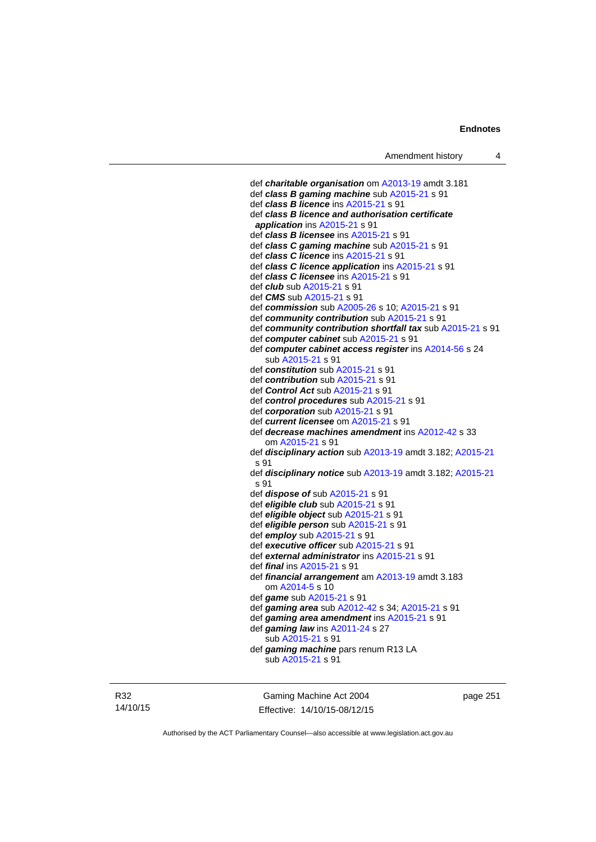```
 def charitable organisation om A2013-19 amdt 3.181
 def class B gaming machine sub A2015-21 s 91 
 def class B licence ins A2015-21 s 91 
 def class B licence and authorisation certificate 
 application ins A2015-21 s 91 
 def class B licensee ins A2015-21 s 91 
 def class C gaming machine sub A2015-21 s 91 
 def class C licence ins A2015-21 s 91 
 def class C licence application ins A2015-21 s 91 
 def class C licensee ins A2015-21 s 91 
 def club sub A2015-21 s 91 
 def CMS sub A2015-21 s 91 
 def commission sub A2005-26 s 10; A2015-21 s 91 
 def community contribution sub A2015-21 s 91 
 def community contribution shortfall tax sub A2015-21 s 91 
 def computer cabinet sub A2015-21 s 91 
 def computer cabinet access register ins A2014-56 s 24 
    sub A2015-21 s 91 
 def constitution sub A2015-21 s 91 
 def contribution sub A2015-21 s 91 
 def Control Act sub A2015-21 s 91 
 def control procedures sub A2015-21 s 91 
 def corporation sub A2015-21 s 91 
 def current licensee om A2015-21 s 91 
 def decrease machines amendment ins A2012-42 s 33 
    om A2015-21 s 91 
 def disciplinary action sub A2013-19 amdt 3.182; A2015-21
s 91 
 def disciplinary notice sub A2013-19 amdt 3.182; A2015-21
s 91 
 def dispose of sub A2015-21 s 91 
 def eligible club sub A2015-21 s 91 
 def eligible object sub A2015-21 s 91 
 def eligible person sub A2015-21 s 91 
 def employ sub A2015-21 s 91 
 def executive officer sub A2015-21 s 91 
 def external administrator ins A2015-21 s 91 
 def final ins A2015-21 s 91 
 def financial arrangement am A2013-19 amdt 3.183 
    om A2014-5 s 10 
 def game sub A2015-21 s 91 
 def gaming area sub A2012-42 s 34; A2015-21 s 91 
 def gaming area amendment ins A2015-21 s 91 
 def gaming law ins A2011-24 s 27 
    sub A2015-21 s 91 
 def gaming machine pars renum R13 LA 
    sub A2015-21 s 91
```
R32 14/10/15

Gaming Machine Act 2004 Effective: 14/10/15-08/12/15 page 251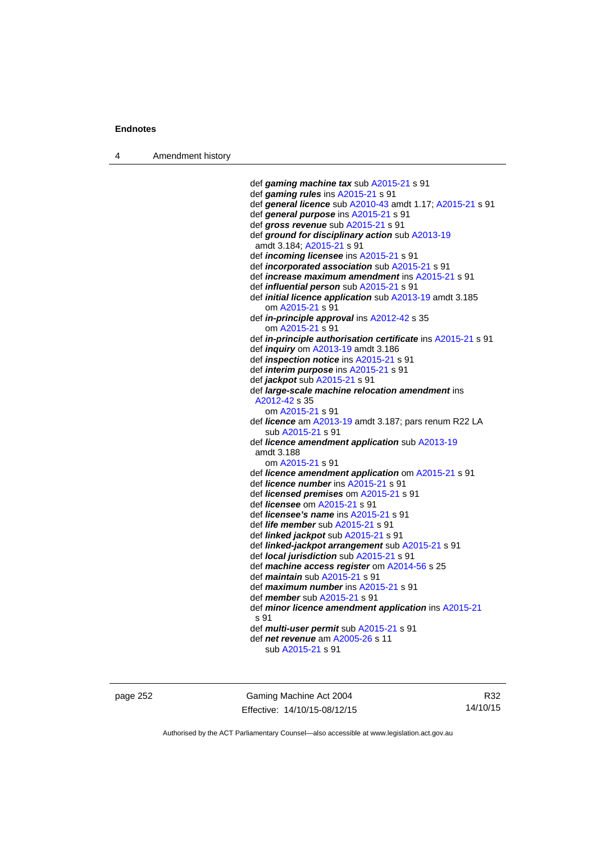4 Amendment history

 def *gaming machine tax* sub [A2015-21](http://www.legislation.act.gov.au/a/2015-21) s 91 def *gaming rules* ins [A2015-21](http://www.legislation.act.gov.au/a/2015-21) s 91 def *general licence* sub [A2010-43](http://www.legislation.act.gov.au/a/2010-43) amdt 1.17; [A2015-21](http://www.legislation.act.gov.au/a/2015-21) s 91 def *general purpose* ins [A2015-21](http://www.legislation.act.gov.au/a/2015-21) s 91 def *gross revenue* sub [A2015-21](http://www.legislation.act.gov.au/a/2015-21) s 91 def *ground for disciplinary action* sub [A2013-19](http://www.legislation.act.gov.au/a/2013-19) amdt 3.184; [A2015-21](http://www.legislation.act.gov.au/a/2015-21) s 91 def *incoming licensee* ins [A2015-21](http://www.legislation.act.gov.au/a/2015-21) s 91 def *incorporated association* sub [A2015-21](http://www.legislation.act.gov.au/a/2015-21) s 91 def *increase maximum amendment* ins [A2015-21](http://www.legislation.act.gov.au/a/2015-21) s 91 def *influential person* sub [A2015-21](http://www.legislation.act.gov.au/a/2015-21) s 91 def *initial licence application* sub [A2013-19](http://www.legislation.act.gov.au/a/2013-19) amdt 3.185 om [A2015-21](http://www.legislation.act.gov.au/a/2015-21) s 91 def *in-principle approval* ins [A2012-42](http://www.legislation.act.gov.au/a/2012-42) s 35 om [A2015-21](http://www.legislation.act.gov.au/a/2015-21) s 91 def *in-principle authorisation certificate* ins [A2015-21](http://www.legislation.act.gov.au/a/2015-21) s 91 def *inquiry* om [A2013-19](http://www.legislation.act.gov.au/a/2013-19) amdt 3.186 def *inspection notice* ins [A2015-21](http://www.legislation.act.gov.au/a/2015-21) s 91 def *interim purpose* ins [A2015-21](http://www.legislation.act.gov.au/a/2015-21) s 91 def *jackpot* sub [A2015-21](http://www.legislation.act.gov.au/a/2015-21) s 91 def *large-scale machine relocation amendment* ins [A2012-42](http://www.legislation.act.gov.au/a/2012-42) s 35 om [A2015-21](http://www.legislation.act.gov.au/a/2015-21) s 91 def *licence* am [A2013-19](http://www.legislation.act.gov.au/a/2013-19) amdt 3.187; pars renum R22 LA sub [A2015-21](http://www.legislation.act.gov.au/a/2015-21) s 91 def *licence amendment application* sub [A2013-19](http://www.legislation.act.gov.au/a/2013-19) amdt 3.188 om [A2015-21](http://www.legislation.act.gov.au/a/2015-21) s 91 def *licence amendment application* om [A2015-21](http://www.legislation.act.gov.au/a/2015-21) s 91 def *licence number* ins [A2015-21](http://www.legislation.act.gov.au/a/2015-21) s 91 def *licensed premises* om [A2015-21](http://www.legislation.act.gov.au/a/2015-21) s 91 def *licensee* om [A2015-21](http://www.legislation.act.gov.au/a/2015-21) s 91 def *licensee's name* ins [A2015-21](http://www.legislation.act.gov.au/a/2015-21) s 91 def *life member* sub [A2015-21](http://www.legislation.act.gov.au/a/2015-21) s 91 def *linked jackpot* sub [A2015-21](http://www.legislation.act.gov.au/a/2015-21) s 91 def *linked-jackpot arrangement* sub [A2015-21](http://www.legislation.act.gov.au/a/2015-21) s 91 def *local jurisdiction* sub [A2015-21](http://www.legislation.act.gov.au/a/2015-21) s 91 def *machine access register* om [A2014-56](http://www.legislation.act.gov.au/a/2014-56) s 25 def *maintain* sub [A2015-21](http://www.legislation.act.gov.au/a/2015-21) s 91 def *maximum number* ins [A2015-21](http://www.legislation.act.gov.au/a/2015-21) s 91 def *member* sub [A2015-21](http://www.legislation.act.gov.au/a/2015-21) s 91 def *minor licence amendment application* ins [A2015-21](http://www.legislation.act.gov.au/a/2015-21) s 91 def *multi-user permit* sub [A2015-21](http://www.legislation.act.gov.au/a/2015-21) s 91 def *net revenue* am [A2005-26](http://www.legislation.act.gov.au/a/2005-26) s 11 sub [A2015-21](http://www.legislation.act.gov.au/a/2015-21) s 91

page 252 Gaming Machine Act 2004 Effective: 14/10/15-08/12/15

R32 14/10/15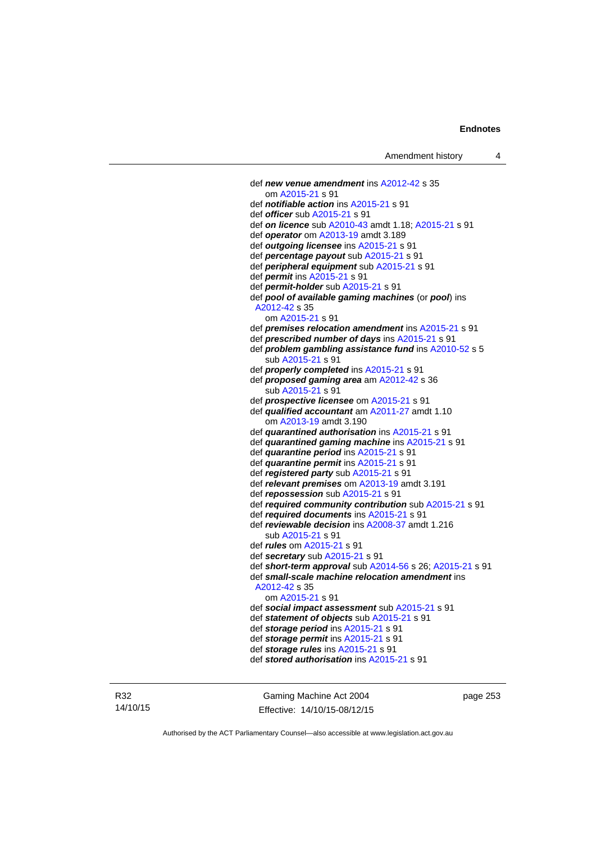```
 def new venue amendment ins A2012-42 s 35 
    om A2015-21 s 91 
 def notifiable action ins A2015-21 s 91 
 def officer sub A2015-21 s 91 
 def on licence sub A2010-43 amdt 1.18; A2015-21 s 91 
 def operator om A2013-19 amdt 3.189 
 def outgoing licensee ins A2015-21 s 91 
 def percentage payout sub A2015-21 s 91 
 def peripheral equipment sub A2015-21 s 91 
 def permit ins A2015-21 s 91 
 def permit-holder sub A2015-21 s 91 
 def pool of available gaming machines (or pool) ins 
 A2012-42 s 35 
    om A2015-21 s 91 
 def premises relocation amendment ins A2015-21 s 91 
 def prescribed number of days ins A2015-21 s 91 
 def problem gambling assistance fund ins A2010-52 s 5 
    sub A2015-21 s 91 
 def properly completed ins A2015-21 s 91 
 def proposed gaming area am A2012-42 s 36 
    sub A2015-21 s 91 
 def prospective licensee om A2015-21 s 91 
 def qualified accountant am A2011-27 amdt 1.10 
    om A2013-19 amdt 3.190
 def quarantined authorisation ins A2015-21 s 91 
 def quarantined gaming machine ins A2015-21 s 91 
 def quarantine period ins A2015-21 s 91 
 def quarantine permit ins A2015-21 s 91 
 def registered party sub A2015-21 s 91 
 def relevant premises om A2013-19 amdt 3.191 
 def repossession sub A2015-21 s 91 
 def required community contribution sub A2015-21 s 91 
 def required documents ins A2015-21 s 91 
 def reviewable decision ins A2008-37 amdt 1.216 
    sub A2015-21 s 91 
 def rules om A2015-21 s 91 
 def secretary sub A2015-21 s 91 
 def short-term approval sub A2014-56 s 26; A2015-21 s 91 
 def small-scale machine relocation amendment ins 
 A2012-42 s 35 
    om A2015-21 s 91 
 def social impact assessment sub A2015-21 s 91 
 def statement of objects sub A2015-21 s 91 
 def storage period ins A2015-21 s 91 
 def storage permit ins A2015-21 s 91 
 def storage rules ins A2015-21 s 91 
 def stored authorisation ins A2015-21 s 91
```
R32 14/10/15

Gaming Machine Act 2004 Effective: 14/10/15-08/12/15 page 253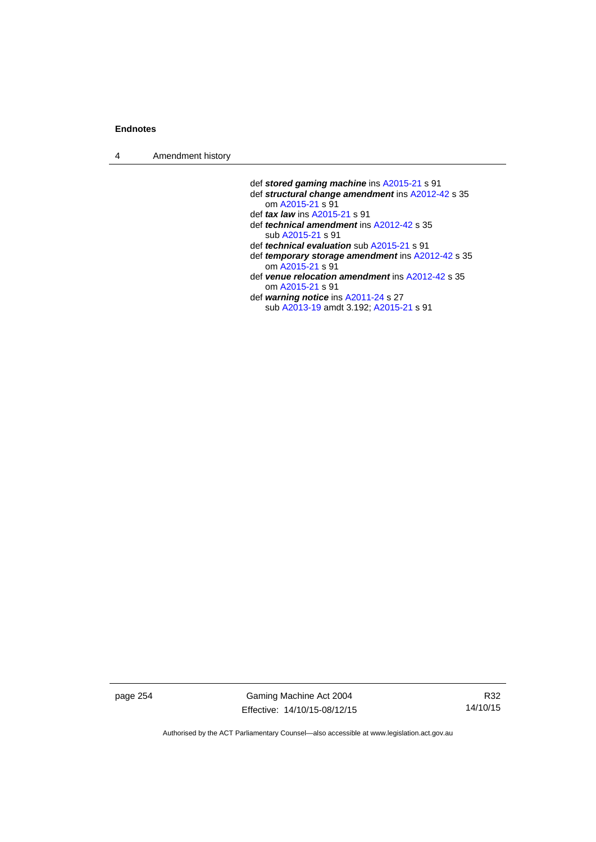4 Amendment history

 def *stored gaming machine* ins [A2015-21](http://www.legislation.act.gov.au/a/2015-21) s 91 def *structural change amendment* ins [A2012-42](http://www.legislation.act.gov.au/a/2012-42) s 35 om [A2015-21](http://www.legislation.act.gov.au/a/2015-21) s 91 def *tax law* ins [A2015-21](http://www.legislation.act.gov.au/a/2015-21) s 91 def *technical amendment* ins [A2012-42](http://www.legislation.act.gov.au/a/2012-42) s 35 sub [A2015-21](http://www.legislation.act.gov.au/a/2015-21) s 91 def *technical evaluation* sub [A2015-21](http://www.legislation.act.gov.au/a/2015-21) s 91 def *temporary storage amendment* ins [A2012-42](http://www.legislation.act.gov.au/a/2012-42) s 35 om [A2015-21](http://www.legislation.act.gov.au/a/2015-21) s 91 def *venue relocation amendment* ins [A2012-42](http://www.legislation.act.gov.au/a/2012-42) s 35 om [A2015-21](http://www.legislation.act.gov.au/a/2015-21) s 91 def *warning notice* ins [A2011-24](http://www.legislation.act.gov.au/a/2011-24) s 27

sub [A2013-19](http://www.legislation.act.gov.au/a/2013-19) amdt 3.192; [A2015-21](http://www.legislation.act.gov.au/a/2015-21) s 91

page 254 Gaming Machine Act 2004 Effective: 14/10/15-08/12/15

R32 14/10/15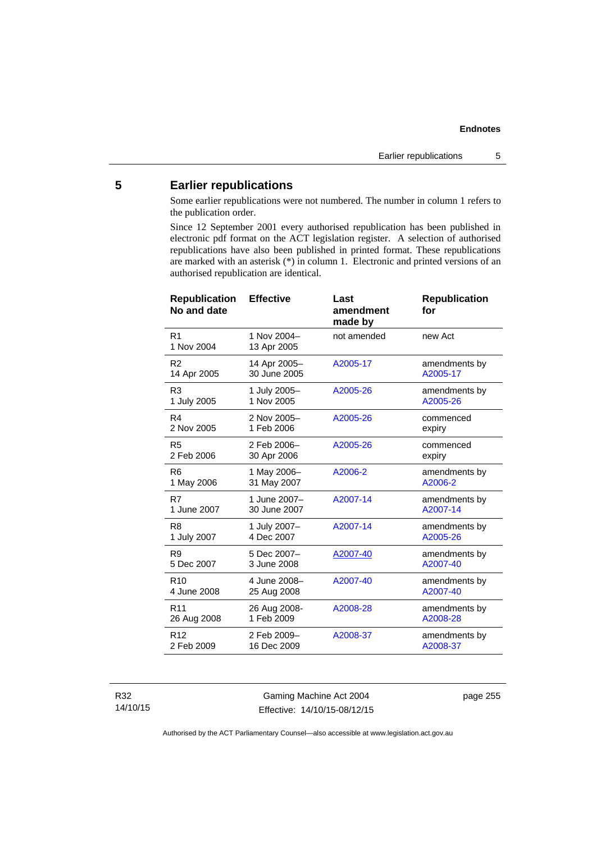# **5 Earlier republications**

Some earlier republications were not numbered. The number in column 1 refers to the publication order.

Since 12 September 2001 every authorised republication has been published in electronic pdf format on the ACT legislation register. A selection of authorised republications have also been published in printed format. These republications are marked with an asterisk (\*) in column 1. Electronic and printed versions of an authorised republication are identical.

| <b>Effective</b>             | Last<br>amendment<br>made by | <b>Republication</b><br>for |
|------------------------------|------------------------------|-----------------------------|
| 1 Nov 2004-<br>13 Apr 2005   | not amended                  | new Act                     |
| 14 Apr 2005-<br>30 June 2005 | A2005-17                     | amendments by<br>A2005-17   |
| 1 July 2005-<br>1 Nov 2005   | A2005-26                     | amendments by<br>A2005-26   |
| 2 Nov 2005-<br>1 Feb 2006    | A2005-26                     | commenced<br>expiry         |
| 2 Feb 2006-<br>30 Apr 2006   | A2005-26                     | commenced<br>expiry         |
| 1 May 2006-<br>31 May 2007   | A2006-2                      | amendments by<br>A2006-2    |
| 1 June 2007-<br>30 June 2007 | A2007-14                     | amendments by<br>A2007-14   |
| 1 July 2007-<br>4 Dec 2007   | A2007-14                     | amendments by<br>A2005-26   |
| 5 Dec 2007-<br>3 June 2008   | A2007-40                     | amendments by<br>A2007-40   |
| 4 June 2008-<br>25 Aug 2008  | A2007-40                     | amendments by<br>A2007-40   |
| 26 Aug 2008-<br>1 Feb 2009   | A2008-28                     | amendments by<br>A2008-28   |
| 2 Feb 2009-<br>16 Dec 2009   | A2008-37                     | amendments by<br>A2008-37   |
|                              |                              |                             |

R32 14/10/15

Gaming Machine Act 2004 Effective: 14/10/15-08/12/15 page 255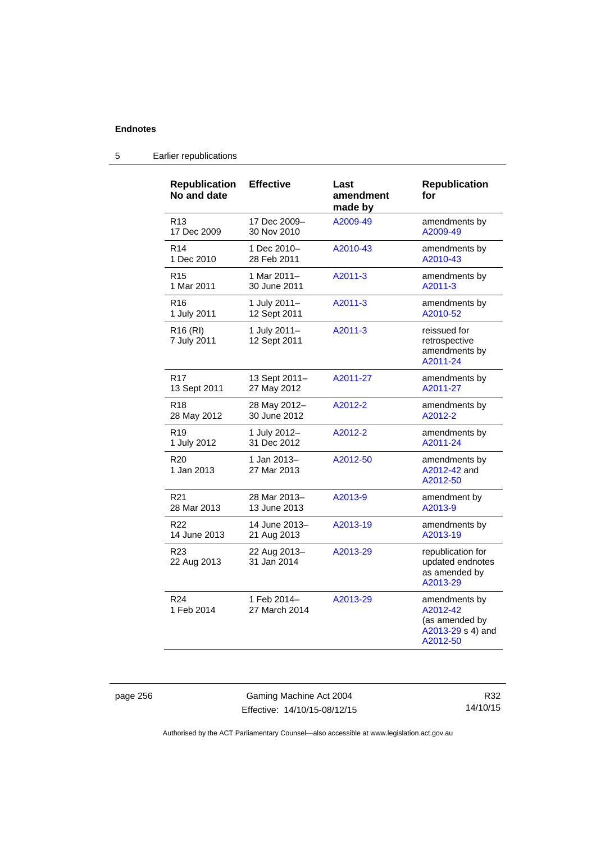| <b>Republication</b><br>No and date | <b>Effective</b>             | Last<br>amendment<br>made by | <b>Republication</b><br>for                                                  |
|-------------------------------------|------------------------------|------------------------------|------------------------------------------------------------------------------|
| R <sub>13</sub>                     | 17 Dec 2009-                 | A2009-49                     | amendments by                                                                |
| 17 Dec 2009                         | 30 Nov 2010                  |                              | A2009-49                                                                     |
| R <sub>14</sub>                     | 1 Dec 2010-                  | A2010-43                     | amendments by                                                                |
| 1 Dec 2010                          | 28 Feb 2011                  |                              | A2010-43                                                                     |
| R <sub>15</sub>                     | 1 Mar 2011-                  | A2011-3                      | amendments by                                                                |
| 1 Mar 2011                          | 30 June 2011                 |                              | A2011-3                                                                      |
| R <sub>16</sub>                     | 1 July 2011-                 | A2011-3                      | amendments by                                                                |
| 1 July 2011                         | 12 Sept 2011                 |                              | A2010-52                                                                     |
| R <sub>16</sub> (RI)<br>7 July 2011 | 1 July 2011-<br>12 Sept 2011 | A2011-3                      | reissued for<br>retrospective<br>amendments by<br>A2011-24                   |
| R <sub>17</sub>                     | 13 Sept 2011-                | A2011-27                     | amendments by                                                                |
| 13 Sept 2011                        | 27 May 2012                  |                              | A2011-27                                                                     |
| R <sub>18</sub>                     | 28 May 2012-                 | A2012-2                      | amendments by                                                                |
| 28 May 2012                         | 30 June 2012                 |                              | A2012-2                                                                      |
| R <sub>19</sub>                     | 1 July 2012-                 | A2012-2                      | amendments by                                                                |
| 1 July 2012                         | 31 Dec 2012                  |                              | A2011-24                                                                     |
| R <sub>20</sub><br>1 Jan 2013       | 1 Jan 2013-<br>27 Mar 2013   | A2012-50                     | amendments by<br>A2012-42 and<br>A2012-50                                    |
| R <sub>21</sub>                     | 28 Mar 2013-                 | A2013-9                      | amendment by                                                                 |
| 28 Mar 2013                         | 13 June 2013                 |                              | A2013-9                                                                      |
| R <sub>22</sub>                     | 14 June 2013-                | A2013-19                     | amendments by                                                                |
| 14 June 2013                        | 21 Aug 2013                  |                              | A2013-19                                                                     |
| R <sub>23</sub><br>22 Aug 2013      | 22 Aug 2013-<br>31 Jan 2014  | A2013-29                     | republication for<br>updated endnotes<br>as amended by<br>A2013-29           |
| R <sub>24</sub><br>1 Feb 2014       | 1 Feb 2014-<br>27 March 2014 | A2013-29                     | amendments by<br>A2012-42<br>(as amended by<br>A2013-29 s 4) and<br>A2012-50 |

# 5 Earlier republications

page 256 Gaming Machine Act 2004 Effective: 14/10/15-08/12/15

R32 14/10/15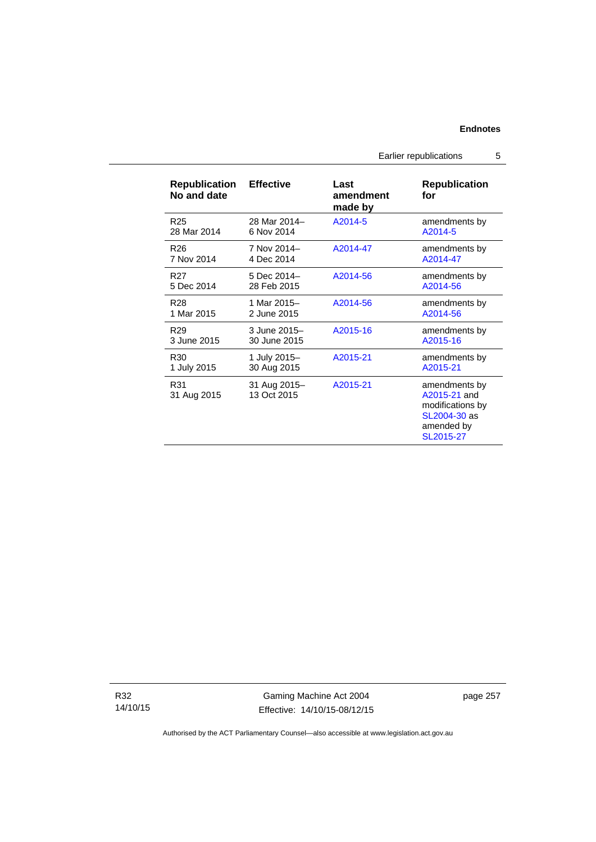# Earlier republications 5

| <b>Republication</b><br>No and date | <b>Effective</b>            | Last<br>amendment<br>made by | <b>Republication</b><br>for                                                                  |
|-------------------------------------|-----------------------------|------------------------------|----------------------------------------------------------------------------------------------|
| R <sub>25</sub>                     | 28 Mar 2014-                | A2014-5                      | amendments by                                                                                |
| 28 Mar 2014                         | 6 Nov 2014                  |                              | A2014-5                                                                                      |
| R <sub>26</sub>                     | 7 Nov 2014-                 | A2014-47                     | amendments by                                                                                |
| 7 Nov 2014                          | 4 Dec 2014                  |                              | A2014-47                                                                                     |
| R <sub>27</sub>                     | 5 Dec 2014-                 | A2014-56                     | amendments by                                                                                |
| 5 Dec 2014                          | 28 Feb 2015                 |                              | A2014-56                                                                                     |
| R <sub>28</sub>                     | 1 Mar 2015-                 | A2014-56                     | amendments by                                                                                |
| 1 Mar 2015                          | 2 June 2015                 |                              | A2014-56                                                                                     |
| R <sub>29</sub>                     | 3 June 2015-                | A2015-16                     | amendments by                                                                                |
| 3 June 2015                         | 30 June 2015                |                              | A2015-16                                                                                     |
| R <sub>30</sub>                     | 1 July 2015-                | A2015-21                     | amendments by                                                                                |
| 1 July 2015                         | 30 Aug 2015                 |                              | A2015-21                                                                                     |
| R31<br>31 Aug 2015                  | 31 Aug 2015-<br>13 Oct 2015 | A2015-21                     | amendments by<br>A2015-21 and<br>modifications by<br>SL2004-30 as<br>amended by<br>SL2015-27 |

R32 14/10/15

Gaming Machine Act 2004 Effective: 14/10/15-08/12/15 page 257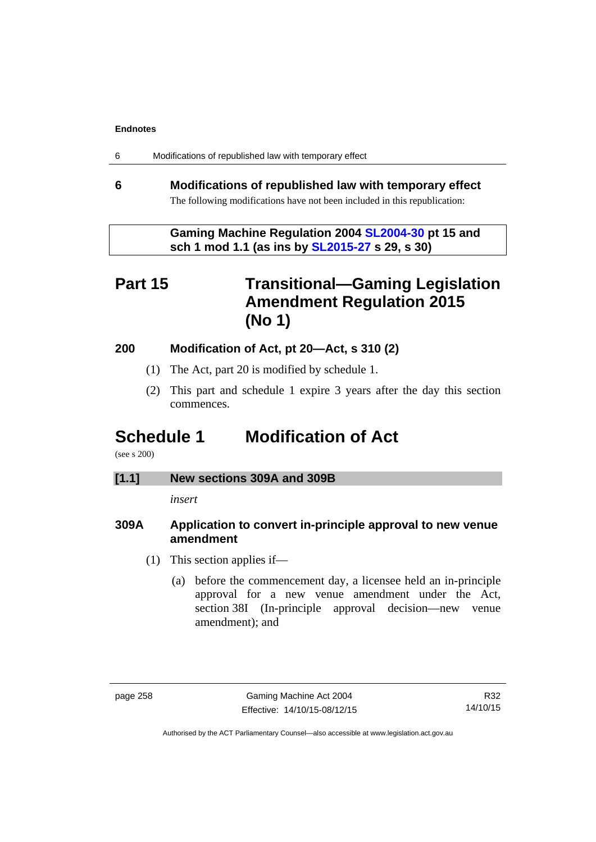| 6 | Modifications of republished law with temporary effect |  |  |
|---|--------------------------------------------------------|--|--|
|---|--------------------------------------------------------|--|--|

# **6 Modifications of republished law with temporary effect**  The following modifications have not been included in this republication:

 **Gaming Machine Regulation 2004 [SL2004-30](http://www.legislation.act.gov.au/sl/2004-30/default.asp) pt 15 and sch 1 mod 1.1 (as ins by [SL2015-27](http://www.legislation.act.gov.au/sl/2015-27/default.asp) s 29, s 30)** 

# **Part 15 Transitional—Gaming Legislation Amendment Regulation 2015 (No 1)**

# **200 Modification of Act, pt 20—Act, s 310 (2)**

- (1) The Act, part 20 is modified by schedule 1.
- (2) This part and schedule 1 expire 3 years after the day this section commences.

# **Schedule 1 Modification of Act**

(see s 200)

# **[1.1] New sections 309A and 309B**

*insert* 

# **309A Application to convert in-principle approval to new venue amendment**

- (1) This section applies if—
	- (a) before the commencement day, a licensee held an in-principle approval for a new venue amendment under the Act, section 38I (In-principle approval decision—new venue amendment); and

R32 14/10/15